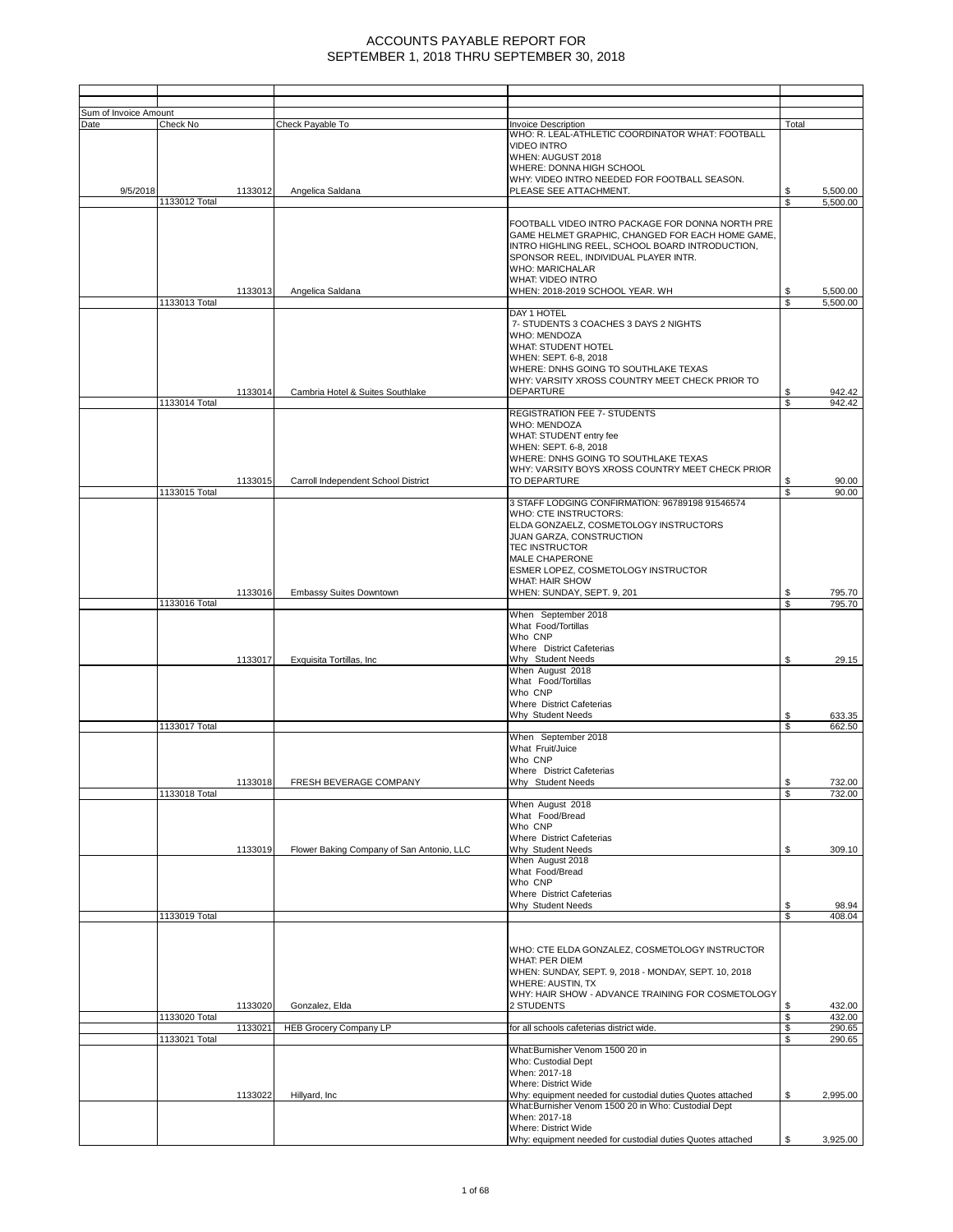| Sum of Invoice Amount |               |         |                                           |                                                                                                                                                                                                                                                                                           |           |                  |
|-----------------------|---------------|---------|-------------------------------------------|-------------------------------------------------------------------------------------------------------------------------------------------------------------------------------------------------------------------------------------------------------------------------------------------|-----------|------------------|
| Date                  | Check No      |         | Check Payable To                          | <b>Invoice Description</b>                                                                                                                                                                                                                                                                | Total     |                  |
| 9/5/2018              |               | 1133012 | Angelica Saldana                          | WHO: R. LEAL-ATHLETIC COORDINATOR WHAT: FOOTBALL<br><b>VIDEO INTRO</b><br>WHEN: AUGUST 2018<br>WHERE: DONNA HIGH SCHOOL<br>WHY: VIDEO INTRO NEEDED FOR FOOTBALL SEASON.<br>PLEASE SEE ATTACHMENT.                                                                                         |           | 5,500.00         |
|                       | 1133012 Total |         |                                           |                                                                                                                                                                                                                                                                                           | S         | 5,500.00         |
|                       |               | 1133013 | Angelica Saldana                          | FOOTBALL VIDEO INTRO PACKAGE FOR DONNA NORTH PRE<br>GAME HELMET GRAPHIC, CHANGED FOR EACH HOME GAME,<br>INTRO HIGHLING REEL, SCHOOL BOARD INTRODUCTION,<br>SPONSOR REEL, INDIVIDUAL PLAYER INTR.<br><b>WHO: MARICHALAR</b><br><b>WHAT: VIDEO INTRO</b><br>WHEN: 2018-2019 SCHOOL YEAR. WH |           | 5,500.00         |
|                       | 1133013 Total |         |                                           |                                                                                                                                                                                                                                                                                           | \$.       | 5,500.00         |
|                       | 1133014 Total | 1133014 | Cambria Hotel & Suites Southlake          | DAY 1 HOTEL<br>7- STUDENTS 3 COACHES 3 DAYS 2 NIGHTS<br><b>WHO: MENDOZA</b><br>WHAT: STUDENT HOTEL<br>WHEN: SEPT. 6-8, 2018<br>WHERE: DNHS GOING TO SOUTHLAKE TEXAS<br>WHY: VARSITY XROSS COUNTRY MEET CHECK PRIOR TO<br><b>DEPARTURE</b>                                                 | \$        | 942.42<br>942.42 |
|                       |               |         |                                           | <b>REGISTRATION FEE 7- STUDENTS</b>                                                                                                                                                                                                                                                       |           |                  |
|                       | 1133015 Total | 1133015 | Carroll Independent School District       | <b>WHO: MENDOZA</b><br>WHAT: STUDENT entry fee<br>WHEN: SEPT. 6-8, 2018<br>WHERE: DNHS GOING TO SOUTHLAKE TEXAS<br>WHY: VARSITY BOYS XROSS COUNTRY MEET CHECK PRIOR<br>TO DEPARTURE                                                                                                       | S<br>\$   | 90.00<br>90.00   |
|                       |               |         |                                           | 3 STAFF LODGING CONFIRMATION: 96789198 91546574<br>WHO: CTE INSTRUCTORS:<br>ELDA GONZAELZ, COSMETOLOGY INSTRUCTORS<br>JUAN GARZA, CONSTRUCTION<br><b>TEC INSTRUCTOR</b><br><b>MALE CHAPERONE</b><br>ESMER LOPEZ, COSMETOLOGY INSTRUCTOR                                                   |           |                  |
|                       |               |         |                                           | <b>WHAT: HAIR SHOW</b>                                                                                                                                                                                                                                                                    |           |                  |
|                       | 1133016 Total | 1133016 | Embassy Suites Downtown                   | WHEN: SUNDAY, SEPT. 9, 201                                                                                                                                                                                                                                                                | \$<br>S   | 795.70<br>795.70 |
|                       |               |         |                                           | When September 2018<br>What Food/Tortillas<br>Who CNP                                                                                                                                                                                                                                     |           |                  |
|                       |               | 1133017 | Exquisita Tortillas, Inc                  | Where District Cafeterias<br>Why Student Needs                                                                                                                                                                                                                                            | \$        | 29.15            |
|                       |               |         |                                           | When August 2018<br>What Food/Tortillas<br>Who CNP<br>Where District Cafeterias                                                                                                                                                                                                           |           |                  |
|                       |               |         |                                           | Why Student Needs                                                                                                                                                                                                                                                                         | S         | 633.35           |
|                       | 1133017 Total |         |                                           | When September 2018                                                                                                                                                                                                                                                                       | \$        | 662.50           |
|                       |               |         |                                           | What Fruit/Juice<br>Who CNP<br>Where District Cafeterias                                                                                                                                                                                                                                  |           |                  |
|                       | 1133018 Total | 1133018 | <b>FRESH BEVERAGE COMPANY</b>             | Why Student Needs                                                                                                                                                                                                                                                                         | \$.<br>\$ | 732.00<br>732.00 |
|                       |               | 1133019 | Flower Baking Company of San Antonio, LLC | When August 2018<br>What Food/Bread<br>Who CNP<br>Where District Cafeterias<br>Why Student Needs                                                                                                                                                                                          | \$        | 309.10           |
|                       |               |         |                                           | When August 2018<br>What Food/Bread<br>Who CNP<br>Where District Cafeterias                                                                                                                                                                                                               |           |                  |
|                       | 1133019 Total |         |                                           | Why Student Needs                                                                                                                                                                                                                                                                         | \$<br>\$  | 98.94<br>408.04  |
|                       |               |         |                                           |                                                                                                                                                                                                                                                                                           |           |                  |
|                       |               | 1133020 | Gonzalez, Elda                            | WHO: CTE ELDA GONZALEZ, COSMETOLOGY INSTRUCTOR<br>WHAT: PER DIEM<br>WHEN: SUNDAY, SEPT. 9, 2018 - MONDAY, SEPT. 10, 2018<br><b>WHERE: AUSTIN, TX</b><br>WHY: HAIR SHOW - ADVANCE TRAINING FOR COSMETOLOGY<br>2 STUDENTS                                                                   | \$        | 432.00           |
|                       | 1133020 Total | 1133021 | <b>HEB Grocery Company LP</b>             | for all schools cafeterias district wide.                                                                                                                                                                                                                                                 | \$<br>\$  | 432.00<br>290.65 |
|                       | 1133021 Total |         |                                           |                                                                                                                                                                                                                                                                                           | \$        | 290.65           |
|                       |               |         |                                           | What:Burnisher Venom 1500 20 in<br>Who: Custodial Dept<br>When: 2017-18<br>Where: District Wide                                                                                                                                                                                           |           |                  |
|                       |               | 1133022 | Hillyard, Inc.                            | Why: equipment needed for custodial duties Quotes attached<br>What:Burnisher Venom 1500 20 in Who: Custodial Dept                                                                                                                                                                         | \$        | 2,995.00         |
|                       |               |         |                                           | When: 2017-18<br>Where: District Wide<br>Why: equipment needed for custodial duties Quotes attached                                                                                                                                                                                       | \$.       | 3,925.00         |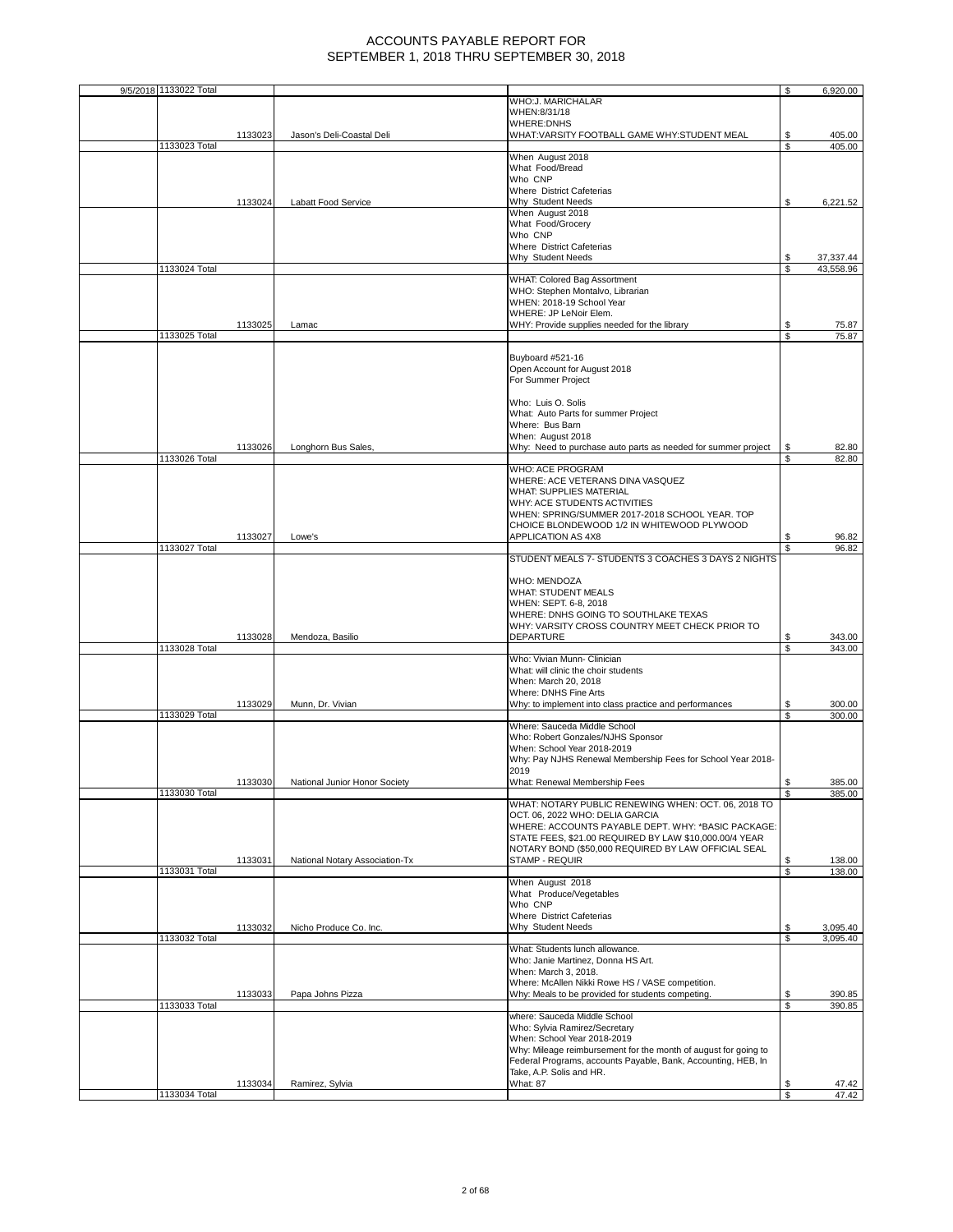| 9/5/2018 1133022 Total |         |                                |                                                                                        | \$  | 6,920.00  |
|------------------------|---------|--------------------------------|----------------------------------------------------------------------------------------|-----|-----------|
|                        |         |                                | WHO:J. MARICHALAR                                                                      |     |           |
|                        |         |                                | WHEN:8/31/18                                                                           |     |           |
|                        |         |                                | <b>WHERE:DNHS</b>                                                                      |     |           |
|                        | 1133023 | Jason's Deli-Coastal Deli      | WHAT:VARSITY FOOTBALL GAME WHY:STUDENT MEAL                                            | \$  | 405.00    |
| 1133023 Total          |         |                                |                                                                                        | \$. | 405.00    |
|                        |         |                                | When August 2018                                                                       |     |           |
|                        |         |                                | What Food/Bread                                                                        |     |           |
|                        |         |                                | Who CNP                                                                                |     |           |
|                        |         |                                | Where District Cafeterias                                                              |     |           |
|                        | 1133024 | Labatt Food Service            | Why Student Needs                                                                      | S   | 6,221.52  |
|                        |         |                                | When August 2018                                                                       |     |           |
|                        |         |                                | What Food/Grocery                                                                      |     |           |
|                        |         |                                | Who CNP                                                                                |     |           |
|                        |         |                                | Where District Cafeterias                                                              |     |           |
|                        |         |                                | Why Student Needs                                                                      | S   | 37,337.44 |
| 1133024 Total          |         |                                |                                                                                        | \$  | 43,558.96 |
|                        |         |                                | WHAT: Colored Bag Assortment                                                           |     |           |
|                        |         |                                | WHO: Stephen Montalvo, Librarian                                                       |     |           |
|                        |         |                                | WHEN: 2018-19 School Year                                                              |     |           |
|                        |         |                                | WHERE: JP LeNoir Elem.                                                                 |     |           |
|                        | 1133025 | Lamac                          | WHY: Provide supplies needed for the library                                           | S   | 75.87     |
| 1133025 Total          |         |                                |                                                                                        | \$  | 75.87     |
|                        |         |                                |                                                                                        |     |           |
|                        |         |                                | Buyboard #521-16                                                                       |     |           |
|                        |         |                                | Open Account for August 2018                                                           |     |           |
|                        |         |                                | For Summer Project                                                                     |     |           |
|                        |         |                                |                                                                                        |     |           |
|                        |         |                                | Who: Luis O. Solis                                                                     |     |           |
|                        |         |                                | What: Auto Parts for summer Project                                                    |     |           |
|                        |         |                                | Where: Bus Barn                                                                        |     |           |
|                        |         |                                | When: August 2018                                                                      |     |           |
|                        | 1133026 | Longhorn Bus Sales,            | Why: Need to purchase auto parts as needed for summer project                          | S   | 82.80     |
| 1133026 Total          |         |                                |                                                                                        | S.  | 82.80     |
|                        |         |                                | WHO: ACE PROGRAM                                                                       |     |           |
|                        |         |                                | WHERE: ACE VETERANS DINA VASQUEZ                                                       |     |           |
|                        |         |                                | WHAT: SUPPLIES MATERIAL                                                                |     |           |
|                        |         |                                | WHY: ACE STUDENTS ACTIVITIES                                                           |     |           |
|                        |         |                                | WHEN: SPRING/SUMMER 2017-2018 SCHOOL YEAR. TOP                                         |     |           |
|                        |         |                                | CHOICE BLONDEWOOD 1/2 IN WHITEWOOD PLYWOOD                                             |     |           |
|                        | 1133027 | Lowe's                         | APPLICATION AS 4X8                                                                     | S   | 96.82     |
| 1133027 Total          |         |                                |                                                                                        |     | 96.82     |
|                        |         |                                | STUDENT MEALS 7- STUDENTS 3 COACHES 3 DAYS 2 NIGHTS                                    |     |           |
|                        |         |                                |                                                                                        |     |           |
|                        |         |                                | WHO: MENDOZA                                                                           |     |           |
|                        |         |                                | WHAT: STUDENT MEALS                                                                    |     |           |
|                        |         |                                | WHEN: SEPT. 6-8, 2018                                                                  |     |           |
|                        |         |                                | WHERE: DNHS GOING TO SOUTHLAKE TEXAS                                                   |     |           |
|                        |         |                                | WHY: VARSITY CROSS COUNTRY MEET CHECK PRIOR TO                                         |     |           |
|                        | 1133028 | Mendoza, Basilio               | DEPARTURE                                                                              | S   | 343.00    |
| 1133028 Total          |         |                                |                                                                                        | \$  | 343.00    |
|                        |         |                                | Who: Vivian Munn- Clinician                                                            |     |           |
|                        |         |                                | What: will clinic the choir students                                                   |     |           |
|                        |         |                                | When: March 20, 2018                                                                   |     |           |
|                        |         |                                | Where: DNHS Fine Arts                                                                  |     |           |
|                        | 1133029 | Munn, Dr. Vivian               | Why: to implement into class practice and performances                                 | S   | 300.00    |
| 1133029 Total          |         |                                |                                                                                        |     | 300.00    |
|                        |         |                                | Where: Sauceda Middle School                                                           |     |           |
|                        |         |                                | Who: Robert Gonzales/NJHS Sponsor                                                      |     |           |
|                        |         |                                | When: School Year 2018-2019                                                            |     |           |
|                        |         |                                | Why: Pay NJHS Renewal Membership Fees for School Year 2018-                            |     |           |
|                        |         |                                | 2019                                                                                   |     |           |
|                        | 1133030 | National Junior Honor Society  | What: Renewal Membership Fees                                                          |     | 385.00    |
| 1133030 Total          |         |                                |                                                                                        | \$  | 385.00    |
|                        |         |                                | WHAT: NOTARY PUBLIC RENEWING WHEN: OCT. 06, 2018 TO<br>OCT. 06, 2022 WHO: DELIA GARCIA |     |           |
|                        |         |                                |                                                                                        |     |           |
|                        |         |                                | WHERE: ACCOUNTS PAYABLE DEPT. WHY: *BASIC PACKAGE:                                     |     |           |
|                        |         |                                | STATE FEES, \$21.00 REQUIRED BY LAW \$10,000.00/4 YEAR                                 |     |           |
|                        |         |                                | NOTARY BOND (\$50,000 REQUIRED BY LAW OFFICIAL SEAL                                    |     |           |
| 1133031 Total          | 1133031 | National Notary Association-Tx | STAMP - REQUIR                                                                         | \$  | 138.00    |
|                        |         |                                | When August 2018                                                                       | \$  | 138.00    |
|                        |         |                                | What Produce/Vegetables                                                                |     |           |
|                        |         |                                | Who CNP                                                                                |     |           |
|                        |         |                                | Where District Cafeterias                                                              |     |           |
|                        | 1133032 | Nicho Produce Co. Inc.         | Why Student Needs                                                                      | S   | 3,095.40  |
| 1133032 Total          |         |                                |                                                                                        | \$  | 3,095.40  |
|                        |         |                                | What: Students lunch allowance.                                                        |     |           |
|                        |         |                                | Who: Janie Martinez, Donna HS Art.                                                     |     |           |
|                        |         |                                | When: March 3, 2018.                                                                   |     |           |
|                        |         |                                | Where: McAllen Nikki Rowe HS / VASE competition.                                       |     |           |
|                        | 1133033 | Papa Johns Pizza               | Why: Meals to be provided for students competing.                                      | S   | 390.85    |
| 1133033 Total          |         |                                |                                                                                        | \$  | 390.85    |
|                        |         |                                | where: Sauceda Middle School                                                           |     |           |
|                        |         |                                | Who: Sylvia Ramirez/Secretary                                                          |     |           |
|                        |         |                                | When: School Year 2018-2019                                                            |     |           |
|                        |         |                                | Why: Mileage reimbursement for the month of august for going to                        |     |           |
|                        |         |                                | Federal Programs, accounts Payable, Bank, Accounting, HEB, In                          |     |           |
|                        |         |                                | Take, A.P. Solis and HR.                                                               |     |           |
|                        | 1133034 | Ramirez, Sylvia                | What: 87                                                                               | \$  | 47.42     |
| 1133034 Total          |         |                                |                                                                                        |     | 47.42     |
|                        |         |                                |                                                                                        |     |           |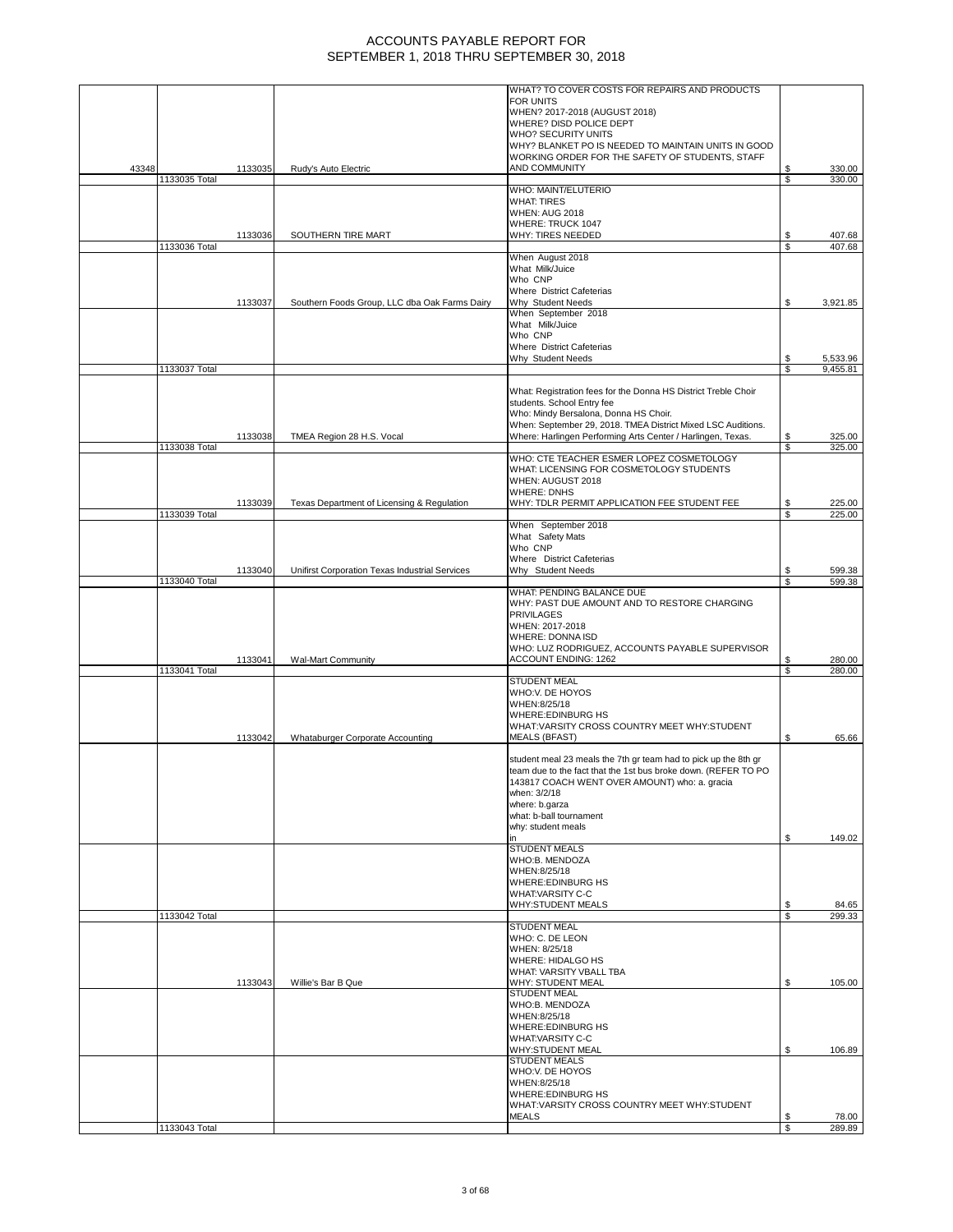|       |               |         |                                                | WHAT? TO COVER COSTS FOR REPAIRS AND PRODUCTS                                                                                     |          |                      |
|-------|---------------|---------|------------------------------------------------|-----------------------------------------------------------------------------------------------------------------------------------|----------|----------------------|
|       |               |         |                                                | <b>FOR UNITS</b>                                                                                                                  |          |                      |
|       |               |         |                                                | WHEN? 2017-2018 (AUGUST 2018)<br>WHERE? DISD POLICE DEPT                                                                          |          |                      |
|       |               |         |                                                | WHO? SECURITY UNITS                                                                                                               |          |                      |
|       |               |         |                                                | WHY? BLANKET PO IS NEEDED TO MAINTAIN UNITS IN GOOD                                                                               |          |                      |
| 43348 |               | 1133035 | Rudy's Auto Electric                           | WORKING ORDER FOR THE SAFETY OF STUDENTS, STAFF<br>AND COMMUNITY                                                                  | \$       | 330.00               |
|       | 1133035 Total |         |                                                |                                                                                                                                   | \$       | 330.00               |
|       |               |         |                                                | WHO: MAINT/ELUTERIO<br><b>WHAT: TIRES</b>                                                                                         |          |                      |
|       |               |         |                                                | <b>WHEN: AUG 2018</b>                                                                                                             |          |                      |
|       |               |         |                                                | WHERE: TRUCK 1047                                                                                                                 |          |                      |
|       | 1133036 Total | 1133036 | SOUTHERN TIRE MART                             | WHY: TIRES NEEDED                                                                                                                 | \$<br>\$ | 407.68<br>407.68     |
|       |               |         |                                                | When August 2018                                                                                                                  |          |                      |
|       |               |         |                                                | What Milk/Juice<br>Who CNP                                                                                                        |          |                      |
|       |               |         |                                                | Where District Cafeterias                                                                                                         |          |                      |
|       |               | 1133037 | Southern Foods Group, LLC dba Oak Farms Dairy  | Why Student Needs                                                                                                                 | \$       | 3,921.85             |
|       |               |         |                                                | When September 2018<br>What Milk/Juice                                                                                            |          |                      |
|       |               |         |                                                | Who CNP                                                                                                                           |          |                      |
|       |               |         |                                                | <b>Where District Cafeterias</b>                                                                                                  |          |                      |
|       | 1133037 Total |         |                                                | Why Student Needs                                                                                                                 | \$<br>S  | 5,533.96<br>9,455.81 |
|       |               |         |                                                |                                                                                                                                   |          |                      |
|       |               |         |                                                | What: Registration fees for the Donna HS District Treble Choir                                                                    |          |                      |
|       |               |         |                                                | students. School Entry fee<br>Who: Mindy Bersalona, Donna HS Choir.                                                               |          |                      |
|       |               |         |                                                | When: September 29, 2018. TMEA District Mixed LSC Auditions.                                                                      |          |                      |
|       |               | 1133038 | TMEA Region 28 H.S. Vocal                      | Where: Harlingen Performing Arts Center / Harlingen, Texas.                                                                       | \$<br>S  | 325.00               |
|       | 1133038 Total |         |                                                | WHO: CTE TEACHER ESMER LOPEZ COSMETOLOGY                                                                                          |          | 325.00               |
|       |               |         |                                                | WHAT: LICENSING FOR COSMETOLOGY STUDENTS                                                                                          |          |                      |
|       |               |         |                                                | WHEN: AUGUST 2018<br><b>WHERE: DNHS</b>                                                                                           |          |                      |
|       |               | 1133039 | Texas Department of Licensing & Regulation     | WHY: TDLR PERMIT APPLICATION FEE STUDENT FEE                                                                                      | \$       | 225.00               |
|       | 1133039 Total |         |                                                |                                                                                                                                   | S        | 225.00               |
|       |               |         |                                                | When September 2018<br>What Safety Mats                                                                                           |          |                      |
|       |               |         |                                                | Who CNP                                                                                                                           |          |                      |
|       |               |         |                                                | Where District Cafeterias                                                                                                         |          |                      |
|       | 1133040 Total | 1133040 | Unifirst Corporation Texas Industrial Services | Why Student Needs                                                                                                                 | \$<br>\$ | 599.38<br>599.38     |
|       |               |         |                                                | WHAT: PENDING BALANCE DUE                                                                                                         |          |                      |
|       |               |         |                                                | WHY: PAST DUE AMOUNT AND TO RESTORE CHARGING<br><b>PRIVILAGES</b>                                                                 |          |                      |
|       |               |         |                                                | WHEN: 2017-2018                                                                                                                   |          |                      |
|       |               |         |                                                | <b>WHERE: DONNA ISD</b>                                                                                                           |          |                      |
|       |               | 1133041 | <b>Wal-Mart Community</b>                      | WHO: LUZ RODRIGUEZ, ACCOUNTS PAYABLE SUPERVISOR<br>ACCOUNT ENDING: 1262                                                           | \$       | 280.00               |
|       | 1133041 Total |         |                                                |                                                                                                                                   | S        | 280.00               |
|       |               |         |                                                | <b>STUDENT MEAL</b><br>WHO:V. DE HOYOS                                                                                            |          |                      |
|       |               |         |                                                | WHEN:8/25/18                                                                                                                      |          |                      |
|       |               |         |                                                | <b>WHERE:EDINBURG HS</b>                                                                                                          |          |                      |
|       |               | 1133042 | Whataburger Corporate Accounting               | WHAT: VARSITY CROSS COUNTRY MEET WHY: STUDENT<br><b>MEALS (BFAST)</b>                                                             | \$       | 65.66                |
|       |               |         |                                                |                                                                                                                                   |          |                      |
|       |               |         |                                                | student meal 23 meals the 7th gr team had to pick up the 8th gr<br>team due to the fact that the 1st bus broke down. (REFER TO PO |          |                      |
|       |               |         |                                                | 143817 COACH WENT OVER AMOUNT) who: a. gracia                                                                                     |          |                      |
|       |               |         |                                                | when: 3/2/18                                                                                                                      |          |                      |
|       |               |         |                                                | where: b.garza<br>what: b-ball tournament                                                                                         |          |                      |
|       |               |         |                                                | why: student meals                                                                                                                |          |                      |
|       |               |         |                                                | in                                                                                                                                | \$       | 149.02               |
|       |               |         |                                                | <b>STUDENT MEALS</b><br>WHO:B. MENDOZA                                                                                            |          |                      |
|       |               |         |                                                | WHEN:8/25/18                                                                                                                      |          |                      |
|       |               |         |                                                | <b>WHERE:EDINBURG HS</b><br><b>WHAT:VARSITY C-C</b>                                                                               |          |                      |
|       |               |         |                                                | <b>WHY:STUDENT MEALS</b>                                                                                                          | \$       | 84.65                |
|       | 1133042 Total |         |                                                |                                                                                                                                   | S        | 299.33               |
|       |               |         |                                                | <b>STUDENT MEAL</b><br>WHO: C. DE LEON                                                                                            |          |                      |
|       |               |         |                                                | WHEN: 8/25/18                                                                                                                     |          |                      |
|       |               |         |                                                | WHERE: HIDALGO HS<br><b>WHAT: VARSITY VBALL TBA</b>                                                                               |          |                      |
|       |               | 1133043 | Willie's Bar B Que                             | <b>WHY: STUDENT MEAL</b>                                                                                                          | \$       | 105.00               |
|       |               |         |                                                | <b>STUDENT MEAL</b>                                                                                                               |          |                      |
|       |               |         |                                                | WHO:B. MENDOZA<br>WHEN:8/25/18                                                                                                    |          |                      |
|       |               |         |                                                | <b>WHERE:EDINBURG HS</b>                                                                                                          |          |                      |
|       |               |         |                                                | <b>WHAT:VARSITY C-C</b>                                                                                                           |          |                      |
|       |               |         |                                                | <b>WHY:STUDENT MEAL</b><br><b>STUDENT MEALS</b>                                                                                   | \$       | 106.89               |
|       |               |         |                                                | WHO:V. DE HOYOS                                                                                                                   |          |                      |
|       |               |         |                                                | WHEN:8/25/18<br><b>WHERE:EDINBURG HS</b>                                                                                          |          |                      |
|       |               |         |                                                | WHAT:VARSITY CROSS COUNTRY MEET WHY:STUDENT                                                                                       |          |                      |
|       |               |         |                                                | <b>MEALS</b>                                                                                                                      | \$       | 78.00                |
|       | 1133043 Total |         |                                                |                                                                                                                                   | \$       | 289.89               |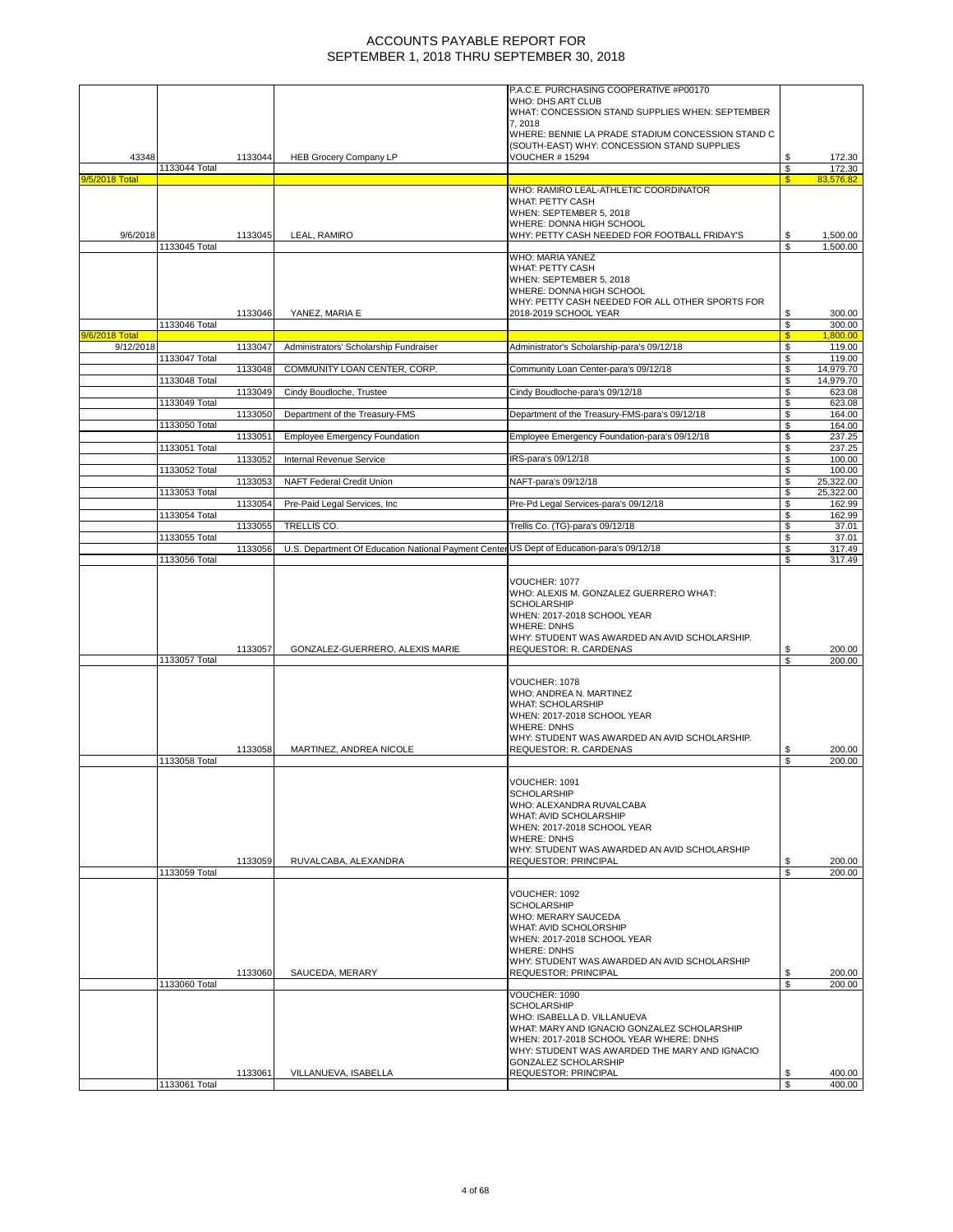|                |               |         |                                                                                           | P.A.C.E. PURCHASING COOPERATIVE #P00170                                                                                                                                                                                                                              |          |                      |
|----------------|---------------|---------|-------------------------------------------------------------------------------------------|----------------------------------------------------------------------------------------------------------------------------------------------------------------------------------------------------------------------------------------------------------------------|----------|----------------------|
|                |               |         |                                                                                           | WHO: DHS ART CLUB                                                                                                                                                                                                                                                    |          |                      |
|                |               |         |                                                                                           | WHAT: CONCESSION STAND SUPPLIES WHEN: SEPTEMBER                                                                                                                                                                                                                      |          |                      |
|                |               |         |                                                                                           | 7,2018                                                                                                                                                                                                                                                               |          |                      |
|                |               |         |                                                                                           | WHERE: BENNIE LA PRADE STADIUM CONCESSION STAND C                                                                                                                                                                                                                    |          |                      |
|                |               |         |                                                                                           | (SOUTH-EAST) WHY: CONCESSION STAND SUPPLIES                                                                                                                                                                                                                          |          |                      |
| 43348          | 1133044 Total | 1133044 | <b>HEB Grocery Company LP</b>                                                             | <b>VOUCHER # 15294</b>                                                                                                                                                                                                                                               | \$<br>\$ | 172.30<br>172.30     |
| 9/5/2018 Total |               |         |                                                                                           |                                                                                                                                                                                                                                                                      | S.       | 83.576.82            |
|                |               |         |                                                                                           | WHO: RAMIRO LEAL-ATHLETIC COORDINATOR                                                                                                                                                                                                                                |          |                      |
|                |               |         |                                                                                           | WHAT: PETTY CASH                                                                                                                                                                                                                                                     |          |                      |
|                |               |         |                                                                                           | WHEN: SEPTEMBER 5, 2018                                                                                                                                                                                                                                              |          |                      |
|                |               |         |                                                                                           | WHERE: DONNA HIGH SCHOOL                                                                                                                                                                                                                                             |          |                      |
| 9/6/2018       | 1133045 Total | 1133045 | LEAL, RAMIRO                                                                              | WHY: PETTY CASH NEEDED FOR FOOTBALL FRIDAY'S                                                                                                                                                                                                                         | \$<br>S  | 1,500.00<br>1,500.00 |
|                |               |         |                                                                                           | WHO: MARIA YANEZ                                                                                                                                                                                                                                                     |          |                      |
|                |               |         |                                                                                           | <b>WHAT: PETTY CASH</b>                                                                                                                                                                                                                                              |          |                      |
|                |               |         |                                                                                           | WHEN: SEPTEMBER 5, 2018                                                                                                                                                                                                                                              |          |                      |
|                |               |         |                                                                                           | WHERE: DONNA HIGH SCHOOL                                                                                                                                                                                                                                             |          |                      |
|                |               |         |                                                                                           | WHY: PETTY CASH NEEDED FOR ALL OTHER SPORTS FOR                                                                                                                                                                                                                      |          |                      |
|                |               | 1133046 | YANEZ, MARIA E                                                                            | 2018-2019 SCHOOL YEAR                                                                                                                                                                                                                                                | \$       | 300.00               |
| 9/6/2018 Total | 1133046 Total |         |                                                                                           |                                                                                                                                                                                                                                                                      | \$<br>S  | 300.00<br>1,800.00   |
| 9/12/2018      |               | 1133047 | Administrators' Scholarship Fundraiser                                                    | Administrator's Scholarship-para's 09/12/18                                                                                                                                                                                                                          | \$       | 119.00               |
|                | 1133047 Total |         |                                                                                           |                                                                                                                                                                                                                                                                      | \$       | 119.00               |
|                |               | 1133048 | COMMUNITY LOAN CENTER, CORP.                                                              | Community Loan Center-para's 09/12/18                                                                                                                                                                                                                                | \$       | 14,979.70            |
|                | 1133048 Total |         |                                                                                           |                                                                                                                                                                                                                                                                      | \$       | 14,979.70            |
|                |               | 1133049 | Cindy Boudloche, Trustee                                                                  | Cindy Boudloche-para's 09/12/18                                                                                                                                                                                                                                      | \$       | 623.08               |
|                | 1133049 Total |         |                                                                                           |                                                                                                                                                                                                                                                                      | \$       | 623.08               |
|                |               | 1133050 | Department of the Treasury-FMS                                                            | Department of the Treasury-FMS-para's 09/12/18                                                                                                                                                                                                                       | \$       | 164.00               |
|                | 1133050 Total | 1133051 | <b>Employee Emergency Foundation</b>                                                      | Employee Emergency Foundation-para's 09/12/18                                                                                                                                                                                                                        | \$<br>\$ | 164.00<br>237.25     |
|                | 1133051 Total |         |                                                                                           |                                                                                                                                                                                                                                                                      | \$       | 237.25               |
|                |               | 1133052 | Internal Revenue Service                                                                  | IRS-para's 09/12/18                                                                                                                                                                                                                                                  | \$       | 100.00               |
|                | 1133052 Total |         |                                                                                           |                                                                                                                                                                                                                                                                      | \$       | 100.00               |
|                |               | 1133053 | <b>NAFT Federal Credit Union</b>                                                          | NAFT-para's 09/12/18                                                                                                                                                                                                                                                 | \$       | 25,322.00            |
|                | 1133053 Total |         |                                                                                           |                                                                                                                                                                                                                                                                      | \$       | 25,322.00            |
|                | 1133054 Total | 1133054 | Pre-Paid Legal Services, Inc.                                                             | Pre-Pd Legal Services-para's 09/12/18                                                                                                                                                                                                                                | \$       | 162.99               |
|                |               | 1133055 | TRELLIS CO.                                                                               | Trellis Co. (TG)-para's 09/12/18                                                                                                                                                                                                                                     | \$<br>\$ | 162.99<br>37.01      |
|                | 1133055 Total |         |                                                                                           |                                                                                                                                                                                                                                                                      | \$       | 37.01                |
|                |               | 1133056 | U.S. Department Of Education National Payment Center US Dept of Education-para's 09/12/18 |                                                                                                                                                                                                                                                                      | \$       | 317.49               |
|                | 1133056 Total |         |                                                                                           |                                                                                                                                                                                                                                                                      | \$       | 317.49               |
|                |               | 1133057 | GONZALEZ-GUERRERO, ALEXIS MARIE                                                           | WHO: ALEXIS M. GONZALEZ GUERRERO WHAT:<br><b>SCHOLARSHIP</b><br>WHEN: 2017-2018 SCHOOL YEAR<br><b>WHERE: DNHS</b><br>WHY: STUDENT WAS AWARDED AN AVID SCHOLARSHIP.<br>REQUESTOR: R. CARDENAS                                                                         | \$       | 200.00               |
|                | 1133057 Total |         |                                                                                           |                                                                                                                                                                                                                                                                      | S        | 200.00               |
|                | 1133058 Total | 1133058 | MARTINEZ, ANDREA NICOLE                                                                   | VOUCHER: 1078<br>WHO: ANDREA N. MARTINEZ<br><b>WHAT: SCHOLARSHIP</b><br>WHEN: 2017-2018 SCHOOL YEAR<br><b>WHERE: DNHS</b><br>WHY: STUDENT WAS AWARDED AN AVID SCHOLARSHIP.<br>REQUESTOR: R. CARDENAS                                                                 | \$<br>\$ | 200.00<br>200.00     |
|                |               |         |                                                                                           |                                                                                                                                                                                                                                                                      |          |                      |
|                | 1133059 Total | 1133059 | RUVALCABA, ALEXANDRA                                                                      | VOUCHER: 1091<br><b>SCHOLARSHIP</b><br>WHO: ALEXANDRA RUVALCABA<br>WHAT: AVID SCHOLARSHIP<br>WHEN: 2017-2018 SCHOOL YEAR<br><b>WHERE: DNHS</b><br>WHY: STUDENT WAS AWARDED AN AVID SCHOLARSHIP<br><b>REQUESTOR: PRINCIPAL</b>                                        | \$<br>\$ | 200.00<br>200.00     |
|                |               |         |                                                                                           |                                                                                                                                                                                                                                                                      |          |                      |
|                |               | 1133060 | SAUCEDA, MERARY                                                                           | VOUCHER: 1092<br><b>SCHOLARSHIP</b><br>WHO: MERARY SAUCEDA<br>WHAT: AVID SCHOLORSHIP<br>WHEN: 2017-2018 SCHOOL YEAR<br><b>WHERE: DNHS</b><br>WHY: STUDENT WAS AWARDED AN AVID SCHOLARSHIP<br><b>REQUESTOR: PRINCIPAL</b>                                             | \$       | 200.00               |
|                | 1133060 Total |         |                                                                                           |                                                                                                                                                                                                                                                                      | \$       | 200.00               |
|                | 1133061 Total | 1133061 | VILLANUEVA, ISABELLA                                                                      | VOUCHER: 1090<br><b>SCHOLARSHIP</b><br>WHO: ISABELLA D. VILLANUEVA<br>WHAT: MARY AND IGNACIO GONZALEZ SCHOLARSHIP<br>WHEN: 2017-2018 SCHOOL YEAR WHERE: DNHS<br>WHY: STUDENT WAS AWARDED THE MARY AND IGNACIO<br><b>GONZALEZ SCHOLARSHIP</b><br>REQUESTOR: PRINCIPAL | \$<br>\$ | 400.00<br>400.00     |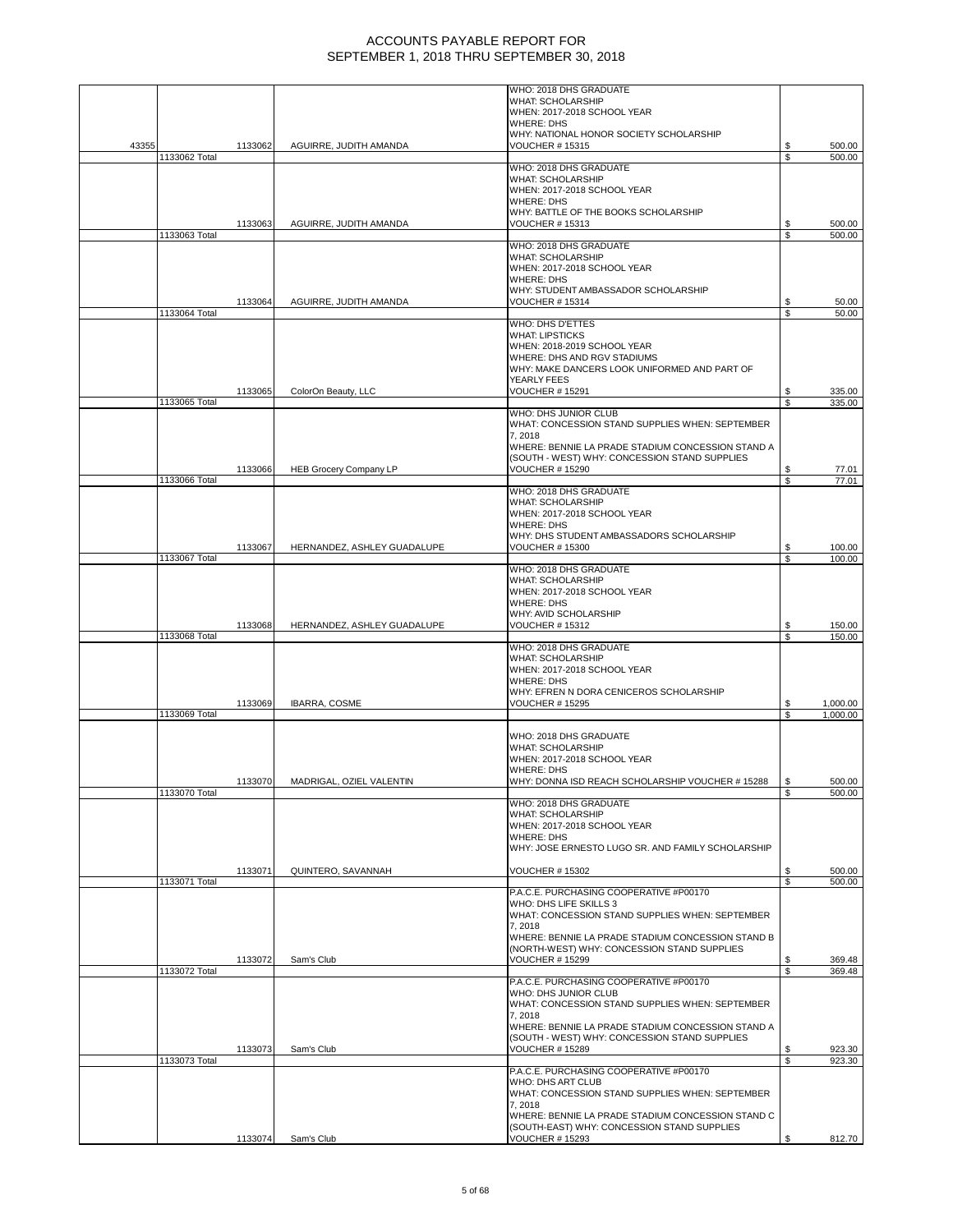|       |               |         |                               | WHO: 2018 DHS GRADUATE<br><b>WHAT: SCHOLARSHIP</b>                                                 |          |                  |
|-------|---------------|---------|-------------------------------|----------------------------------------------------------------------------------------------------|----------|------------------|
|       |               |         |                               | WHEN: 2017-2018 SCHOOL YEAR                                                                        |          |                  |
|       |               |         |                               | <b>WHERE: DHS</b>                                                                                  |          |                  |
|       |               |         |                               | WHY: NATIONAL HONOR SOCIETY SCHOLARSHIP                                                            |          |                  |
| 43355 | 1133062 Total | 1133062 | AGUIRRE, JUDITH AMANDA        | <b>VOUCHER #15315</b>                                                                              | \$       | 500.00<br>500.00 |
|       |               |         |                               | WHO: 2018 DHS GRADUATE                                                                             |          |                  |
|       |               |         |                               | WHAT: SCHOLARSHIP                                                                                  |          |                  |
|       |               |         |                               | WHEN: 2017-2018 SCHOOL YEAR                                                                        |          |                  |
|       |               |         |                               | <b>WHERE: DHS</b><br>WHY: BATTLE OF THE BOOKS SCHOLARSHIP                                          |          |                  |
|       |               | 1133063 | AGUIRRE, JUDITH AMANDA        | <b>VOUCHER #15313</b>                                                                              | S        | 500.00           |
|       | 1133063 Total |         |                               |                                                                                                    | \$       | 500.00           |
|       |               |         |                               | WHO: 2018 DHS GRADUATE                                                                             |          |                  |
|       |               |         |                               | <b>WHAT: SCHOLARSHIP</b><br>WHEN: 2017-2018 SCHOOL YEAR                                            |          |                  |
|       |               |         |                               | <b>WHERE: DHS</b>                                                                                  |          |                  |
|       |               |         |                               | WHY: STUDENT AMBASSADOR SCHOLARSHIP                                                                |          |                  |
|       |               | 1133064 | AGUIRRE, JUDITH AMANDA        | <b>VOUCHER #15314</b>                                                                              | \$       | 50.00            |
|       | 1133064 Total |         |                               |                                                                                                    | S        | 50.00            |
|       |               |         |                               | WHO: DHS D'ETTES<br><b>WHAT: LIPSTICKS</b>                                                         |          |                  |
|       |               |         |                               | WHEN: 2018-2019 SCHOOL YEAR                                                                        |          |                  |
|       |               |         |                               | WHERE: DHS AND RGV STADIUMS                                                                        |          |                  |
|       |               |         |                               | WHY: MAKE DANCERS LOOK UNIFORMED AND PART OF                                                       |          |                  |
|       |               | 1133065 |                               | YEARLY FEES<br><b>VOUCHER # 15291</b>                                                              |          |                  |
|       | 1133065 Total |         | ColorOn Beauty, LLC           |                                                                                                    | \$<br>\$ | 335.00<br>335.00 |
|       |               |         |                               | WHO: DHS JUNIOR CLUB                                                                               |          |                  |
|       |               |         |                               | WHAT: CONCESSION STAND SUPPLIES WHEN: SEPTEMBER                                                    |          |                  |
|       |               |         |                               | 7,2018                                                                                             |          |                  |
|       |               |         |                               | WHERE: BENNIE LA PRADE STADIUM CONCESSION STAND A<br>(SOUTH - WEST) WHY: CONCESSION STAND SUPPLIES |          |                  |
|       |               | 1133066 | <b>HEB Grocery Company LP</b> | <b>VOUCHER #15290</b>                                                                              | S        | 77.01            |
|       | 1133066 Total |         |                               |                                                                                                    | \$       | 77.01            |
|       |               |         |                               | WHO: 2018 DHS GRADUATE                                                                             |          |                  |
|       |               |         |                               | <b>WHAT: SCHOLARSHIP</b><br>WHEN: 2017-2018 SCHOOL YEAR                                            |          |                  |
|       |               |         |                               | <b>WHERE: DHS</b>                                                                                  |          |                  |
|       |               |         |                               | WHY: DHS STUDENT AMBASSADORS SCHOLARSHIP                                                           |          |                  |
|       |               | 1133067 | HERNANDEZ, ASHLEY GUADALUPE   | <b>VOUCHER # 15300</b>                                                                             | \$       | 100.00           |
|       | 1133067 Total |         |                               | WHO: 2018 DHS GRADUATE                                                                             | \$       | 100.00           |
|       |               |         |                               | <b>WHAT: SCHOLARSHIP</b>                                                                           |          |                  |
|       |               |         |                               | WHEN: 2017-2018 SCHOOL YEAR                                                                        |          |                  |
|       |               |         |                               | <b>WHERE: DHS</b>                                                                                  |          |                  |
|       |               | 1133068 | HERNANDEZ, ASHLEY GUADALUPE   | WHY: AVID SCHOLARSHIP<br><b>VOUCHER #15312</b>                                                     | \$       | 150.00           |
|       | 1133068 Total |         |                               |                                                                                                    | \$       | 150.00           |
|       |               |         |                               | WHO: 2018 DHS GRADUATE                                                                             |          |                  |
|       |               |         |                               | <b>WHAT: SCHOLARSHIP</b>                                                                           |          |                  |
|       |               |         |                               | WHEN: 2017-2018 SCHOOL YEAR<br><b>WHERE: DHS</b>                                                   |          |                  |
|       |               |         |                               | WHY: EFREN N DORA CENICEROS SCHOLARSHIP                                                            |          |                  |
|       |               | 1133069 | IBARRA, COSME                 | <b>VOUCHER # 15295</b>                                                                             | S        | 1,000.00         |
|       | 1133069 Total |         |                               |                                                                                                    |          | 1,000.00         |
|       |               |         |                               | WHO: 2018 DHS GRADUATE                                                                             |          |                  |
|       |               |         |                               | <b>WHAT: SCHOLARSHIP</b>                                                                           |          |                  |
|       |               |         |                               | WHEN: 2017-2018 SCHOOL YEAR                                                                        |          |                  |
|       |               |         |                               | <b>WHERE: DHS</b>                                                                                  |          |                  |
|       |               | 1133070 | MADRIGAL, OZIEL VALENTIN      | WHY: DONNA ISD REACH SCHOLARSHIP VOUCHER # 15288                                                   |          | 500.00           |
|       | 1133070 Total |         |                               | WHO: 2018 DHS GRADUATE                                                                             | \$       | 500.00           |
|       |               |         |                               | <b>WHAT: SCHOLARSHIP</b>                                                                           |          |                  |
|       |               |         |                               | WHEN: 2017-2018 SCHOOL YEAR                                                                        |          |                  |
|       |               |         |                               | <b>WHERE: DHS</b>                                                                                  |          |                  |
|       |               |         |                               | WHY: JOSE ERNESTO LUGO SR. AND FAMILY SCHOLARSHIP                                                  |          |                  |
|       |               | 1133071 | QUINTERO, SAVANNAH            | <b>VOUCHER #15302</b>                                                                              |          | 500.00           |
|       | 1133071 Total |         |                               |                                                                                                    | \$.      | 500.00           |
|       |               |         |                               | P.A.C.E. PURCHASING COOPERATIVE #P00170                                                            |          |                  |
|       |               |         |                               | WHO: DHS LIFE SKILLS 3<br>WHAT: CONCESSION STAND SUPPLIES WHEN: SEPTEMBER                          |          |                  |
|       |               |         |                               | 7,2018                                                                                             |          |                  |
|       |               |         |                               | WHERE: BENNIE LA PRADE STADIUM CONCESSION STAND B                                                  |          |                  |
|       |               |         |                               | (NORTH-WEST) WHY: CONCESSION STAND SUPPLIES                                                        |          |                  |
|       | 1133072 Total | 1133072 | Sam's Club                    | <b>VOUCHER # 15299</b>                                                                             | S        | 369.48<br>369.48 |
|       |               |         |                               | P.A.C.E. PURCHASING COOPERATIVE #P00170                                                            |          |                  |
|       |               |         |                               | WHO: DHS JUNIOR CLUB                                                                               |          |                  |
|       |               |         |                               | WHAT: CONCESSION STAND SUPPLIES WHEN: SEPTEMBER                                                    |          |                  |
|       |               |         |                               | 7,2018<br>WHERE: BENNIE LA PRADE STADIUM CONCESSION STAND A                                        |          |                  |
|       |               |         |                               | (SOUTH - WEST) WHY: CONCESSION STAND SUPPLIES                                                      |          |                  |
|       |               | 1133073 | Sam's Club                    | <b>VOUCHER # 15289</b>                                                                             | \$       | 923.30           |
|       | 1133073 Total |         |                               |                                                                                                    | \$       | 923.30           |
|       |               |         |                               | P.A.C.E. PURCHASING COOPERATIVE #P00170<br><b>WHO: DHS ART CLUB</b>                                |          |                  |
|       |               |         |                               | WHAT: CONCESSION STAND SUPPLIES WHEN: SEPTEMBER                                                    |          |                  |
|       |               |         |                               | 7,2018                                                                                             |          |                  |
|       |               |         |                               | WHERE: BENNIE LA PRADE STADIUM CONCESSION STAND C                                                  |          |                  |
|       |               |         |                               | (SOUTH-EAST) WHY: CONCESSION STAND SUPPLIES                                                        |          |                  |
|       |               | 1133074 | Sam's Club                    | <b>VOUCHER # 15293</b>                                                                             | S.       | 812.70           |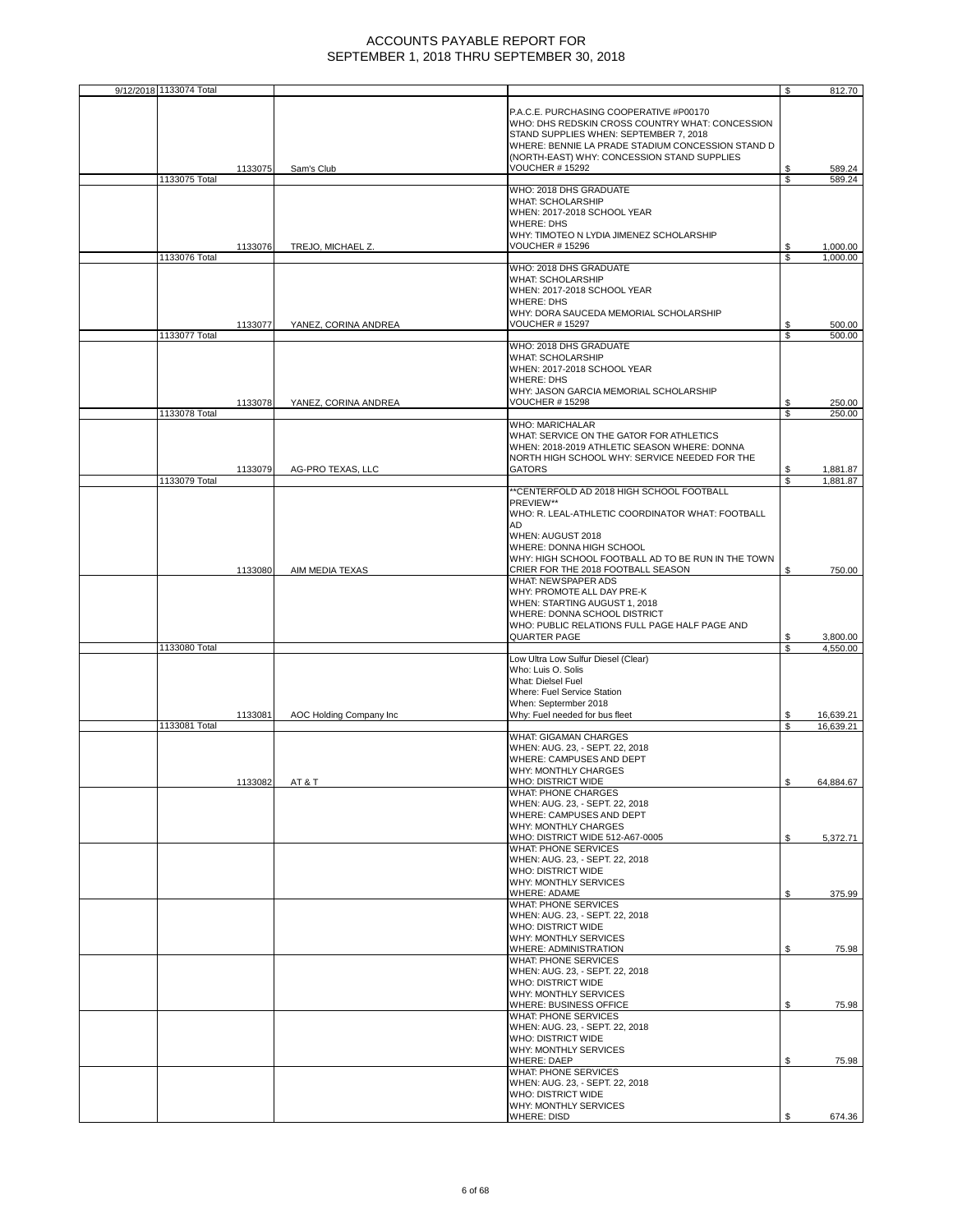| 9/12/2018 1133074 Total  |                         |                                                                                                                                                                                                                                               | \$       | 812.70           |
|--------------------------|-------------------------|-----------------------------------------------------------------------------------------------------------------------------------------------------------------------------------------------------------------------------------------------|----------|------------------|
|                          |                         | P.A.C.E. PURCHASING COOPERATIVE #P00170<br>WHO: DHS REDSKIN CROSS COUNTRY WHAT: CONCESSION<br>STAND SUPPLIES WHEN: SEPTEMBER 7, 2018<br>WHERE: BENNIE LA PRADE STADIUM CONCESSION STAND D                                                     |          |                  |
| 1133075                  | Sam's Club              | (NORTH-EAST) WHY: CONCESSION STAND SUPPLIES<br><b>VOUCHER # 15292</b>                                                                                                                                                                         | S        | 589.24           |
| 1133075 Total            |                         | WHO: 2018 DHS GRADUATE                                                                                                                                                                                                                        | \$       | 589.24           |
|                          |                         | <b>WHAT: SCHOLARSHIP</b><br>WHEN: 2017-2018 SCHOOL YEAR<br><b>WHERE: DHS</b><br>WHY: TIMOTEO N LYDIA JIMENEZ SCHOLARSHIP                                                                                                                      |          |                  |
| 1133076                  | TREJO, MICHAEL Z.       | <b>VOUCHER # 15296</b>                                                                                                                                                                                                                        | \$       | 1,000.00         |
| 1133076 Total            |                         | WHO: 2018 DHS GRADUATE                                                                                                                                                                                                                        | \$.      | 1.000.00         |
|                          |                         | <b>WHAT: SCHOLARSHIP</b><br>WHEN: 2017-2018 SCHOOL YEAR<br><b>WHERE: DHS</b><br>WHY: DORA SAUCEDA MEMORIAL SCHOLARSHIP                                                                                                                        |          |                  |
| 1133077<br>1133077 Total | YANEZ, CORINA ANDREA    | <b>VOUCHER # 15297</b>                                                                                                                                                                                                                        | S<br>S   | 500.00<br>500.00 |
| 1133078                  | YANEZ, CORINA ANDREA    | WHO: 2018 DHS GRADUATE<br><b>WHAT: SCHOLARSHIP</b><br>WHEN: 2017-2018 SCHOOL YEAR<br><b>WHERE: DHS</b><br>WHY: JASON GARCIA MEMORIAL SCHOLARSHIP<br><b>VOUCHER #15298</b>                                                                     | \$       | 250.00           |
| 1133078 Total            |                         |                                                                                                                                                                                                                                               | <b>S</b> | 250.00           |
| 1133079                  | AG-PRO TEXAS, LLC       | <b>WHO: MARICHALAR</b><br>WHAT: SERVICE ON THE GATOR FOR ATHLETICS<br>WHEN: 2018-2019 ATHLETIC SEASON WHERE: DONNA<br>NORTH HIGH SCHOOL WHY: SERVICE NEEDED FOR THE<br><b>GATORS</b>                                                          | \$       | 1,881.87         |
| 1133079 Total            |                         | **CENTERFOLD AD 2018 HIGH SCHOOL FOOTBALL                                                                                                                                                                                                     | S        | 1,881.87         |
| 1133080                  | AIM MEDIA TEXAS         | PREVIEW**<br>WHO: R. LEAL-ATHLETIC COORDINATOR WHAT: FOOTBALL<br>AD<br>WHEN: AUGUST 2018<br>WHERE: DONNA HIGH SCHOOL<br>WHY: HIGH SCHOOL FOOTBALL AD TO BE RUN IN THE TOWN<br>CRIER FOR THE 2018 FOOTBALL SEASON                              | S        | 750.00           |
|                          |                         | <b>WHAT: NEWSPAPER ADS</b>                                                                                                                                                                                                                    |          |                  |
|                          |                         | WHY: PROMOTE ALL DAY PRE-K<br>WHEN: STARTING AUGUST 1, 2018<br>WHERE: DONNA SCHOOL DISTRICT<br>WHO: PUBLIC RELATIONS FULL PAGE HALF PAGE AND<br>QUARTER PAGE                                                                                  | \$       | 3,800.00         |
| 1133080 Total            |                         |                                                                                                                                                                                                                                               | \$       | 4,550.00         |
| 1133081                  | AOC Holding Company Inc | Low Ultra Low Sulfur Diesel (Clear)<br>Who: Luis O. Solis<br>What: Dielsel Fuel<br>Where: Fuel Service Station<br>When: Septermber 2018<br>Why: Fuel needed for bus fleet                                                                     | S        | 16,639.21        |
| 1133081 Total            |                         |                                                                                                                                                                                                                                               | S        | 16,639.21        |
| 1133082                  | AT&T                    | <b>WHAT: GIGAMAN CHARGES</b><br>WHEN: AUG. 23, - SEPT. 22, 2018<br>WHERE: CAMPUSES AND DEPT<br><b>WHY: MONTHLY CHARGES</b><br>WHO: DISTRICT WIDE<br><b>WHAT: PHONE CHARGES</b><br>WHEN: AUG. 23, - SEPT. 22, 2018<br>WHERE: CAMPUSES AND DEPT | ¢        | 64,884.67        |
|                          |                         | WHY: MONTHLY CHARGES<br>WHO: DISTRICT WIDE 512-A67-0005<br>WHAT: PHONE SERVICES<br>WHEN: AUG. 23, - SEPT. 22, 2018                                                                                                                            | \$       | 5,372.71         |
|                          |                         | <b>WHO: DISTRICT WIDE</b><br>WHY: MONTHLY SERVICES<br><b>WHERE: ADAME</b>                                                                                                                                                                     | \$       | 375.99           |
|                          |                         | WHAT: PHONE SERVICES<br>WHEN: AUG. 23, - SEPT. 22, 2018<br><b>WHO: DISTRICT WIDE</b><br>WHY: MONTHLY SERVICES<br>WHERE: ADMINISTRATION                                                                                                        | \$       | 75.98            |
|                          |                         | <b>WHAT: PHONE SERVICES</b><br>WHEN: AUG. 23, - SEPT. 22, 2018<br><b>WHO: DISTRICT WIDE</b>                                                                                                                                                   |          |                  |
|                          |                         | WHY: MONTHLY SERVICES<br>WHERE: BUSINESS OFFICE<br><b>WHAT: PHONE SERVICES</b><br>WHEN: AUG. 23, - SEPT. 22, 2018                                                                                                                             | \$       | 75.98            |
|                          |                         | <b>WHO: DISTRICT WIDE</b><br>WHY: MONTHLY SERVICES<br><b>WHERE: DAEP</b><br>WHAT: PHONE SERVICES                                                                                                                                              | \$       | 75.98            |
|                          |                         | WHEN: AUG. 23, - SEPT. 22, 2018<br><b>WHO: DISTRICT WIDE</b><br>WHY: MONTHLY SERVICES<br><b>WHERE: DISD</b>                                                                                                                                   | \$       | 674.36           |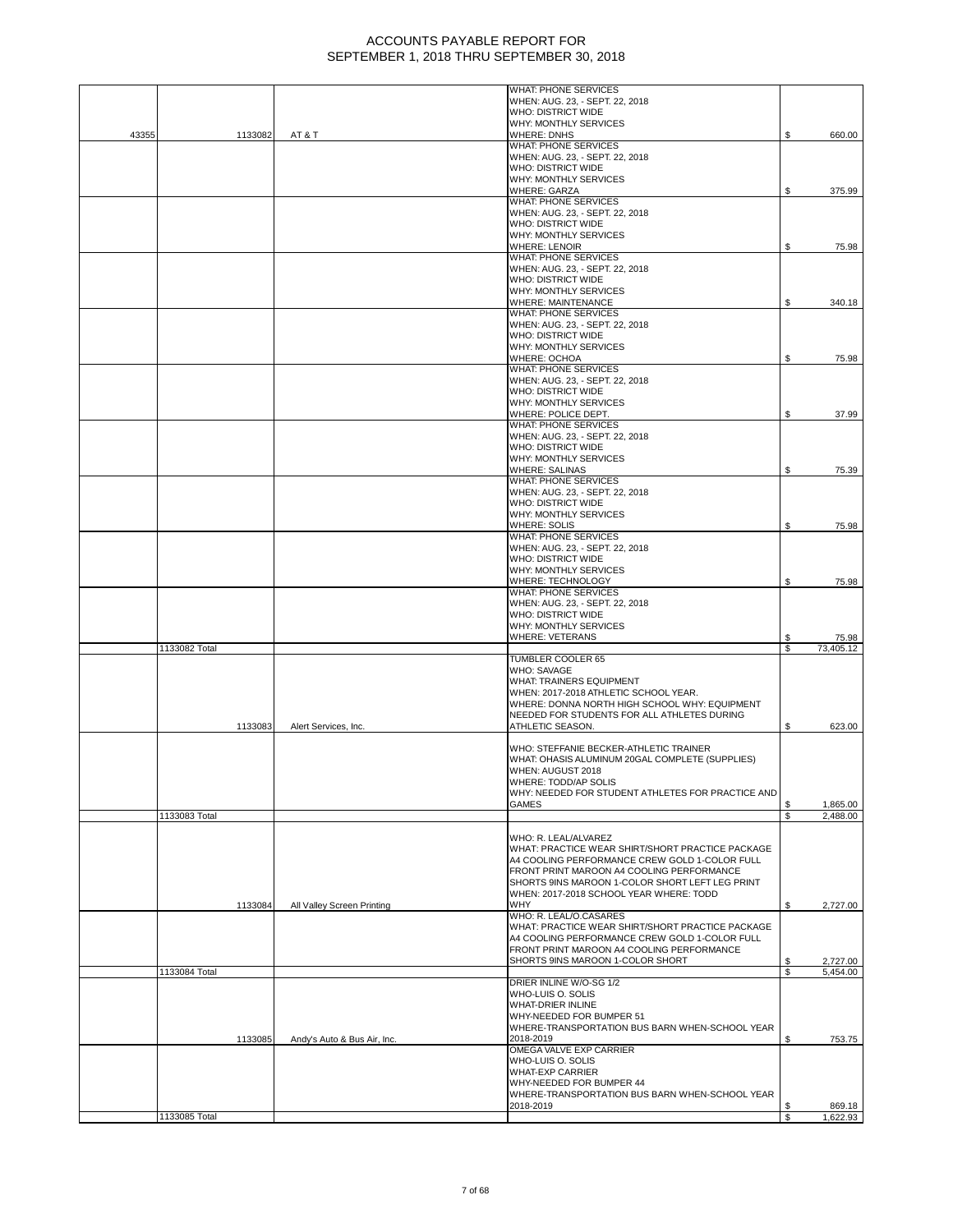|       |               |                             | <b>WHAT: PHONE SERVICES</b>                                                                       |    |                      |
|-------|---------------|-----------------------------|---------------------------------------------------------------------------------------------------|----|----------------------|
|       |               |                             | WHEN: AUG. 23, - SEPT. 22, 2018<br><b>WHO: DISTRICT WIDE</b>                                      |    |                      |
|       |               |                             | WHY: MONTHLY SERVICES                                                                             |    |                      |
| 43355 | 1133082       | AT&T                        | <b>WHERE: DNHS</b>                                                                                | \$ | 660.00               |
|       |               |                             | WHAT: PHONE SERVICES<br>WHEN: AUG. 23, - SEPT. 22, 2018                                           |    |                      |
|       |               |                             | <b>WHO: DISTRICT WIDE</b>                                                                         |    |                      |
|       |               |                             | WHY: MONTHLY SERVICES<br><b>WHERE: GARZA</b>                                                      | \$ | 375.99               |
|       |               |                             | WHAT: PHONE SERVICES                                                                              |    |                      |
|       |               |                             | WHEN: AUG. 23, - SEPT. 22, 2018                                                                   |    |                      |
|       |               |                             | <b>WHO: DISTRICT WIDE</b><br>WHY: MONTHLY SERVICES                                                |    |                      |
|       |               |                             | <b>WHERE: LENOIR</b>                                                                              | \$ | 75.98                |
|       |               |                             | <b>WHAT: PHONE SERVICES</b>                                                                       |    |                      |
|       |               |                             | WHEN: AUG. 23, - SEPT. 22, 2018<br><b>WHO: DISTRICT WIDE</b>                                      |    |                      |
|       |               |                             | <b>WHY: MONTHLY SERVICES</b>                                                                      |    |                      |
|       |               |                             | <b>WHERE: MAINTENANCE</b>                                                                         | \$ | 340.18               |
|       |               |                             | <b>WHAT: PHONE SERVICES</b><br>WHEN: AUG. 23, - SEPT. 22, 2018                                    |    |                      |
|       |               |                             | <b>WHO: DISTRICT WIDE</b>                                                                         |    |                      |
|       |               |                             | WHY: MONTHLY SERVICES                                                                             |    |                      |
|       |               |                             | WHERE: OCHOA<br><b>WHAT: PHONE SERVICES</b>                                                       | S  | 75.98                |
|       |               |                             | WHEN: AUG. 23, - SEPT. 22, 2018                                                                   |    |                      |
|       |               |                             | <b>WHO: DISTRICT WIDE</b>                                                                         |    |                      |
|       |               |                             | WHY: MONTHLY SERVICES<br>WHERE: POLICE DEPT.                                                      | \$ |                      |
|       |               |                             | <b>WHAT: PHONE SERVICES</b>                                                                       |    | 37.99                |
|       |               |                             | WHEN: AUG. 23, - SEPT. 22, 2018                                                                   |    |                      |
|       |               |                             | <b>WHO: DISTRICT WIDE</b><br>WHY: MONTHLY SERVICES                                                |    |                      |
|       |               |                             | <b>WHERE: SALINAS</b>                                                                             | \$ | 75.39                |
|       |               |                             | <b>WHAT: PHONE SERVICES</b>                                                                       |    |                      |
|       |               |                             | WHEN: AUG. 23, - SEPT. 22, 2018<br>WHO: DISTRICT WIDE                                             |    |                      |
|       |               |                             | WHY: MONTHLY SERVICES                                                                             |    |                      |
|       |               |                             | <b>WHERE: SOLIS</b>                                                                               | \$ | 75.98                |
|       |               |                             | <b>WHAT: PHONE SERVICES</b><br>WHEN: AUG. 23, - SEPT. 22, 2018                                    |    |                      |
|       |               |                             | <b>WHO: DISTRICT WIDE</b>                                                                         |    |                      |
|       |               |                             | WHY: MONTHLY SERVICES                                                                             |    |                      |
|       |               |                             | WHERE: TECHNOLOGY<br>WHAT: PHONE SERVICES                                                         | \$ | 75.98                |
|       |               |                             | WHEN: AUG. 23, - SEPT. 22, 2018                                                                   |    |                      |
|       |               |                             | <b>WHO: DISTRICT WIDE</b>                                                                         |    |                      |
|       |               |                             | WHY: MONTHLY SERVICES<br><b>WHERE: VETERANS</b>                                                   | S  | 75.98                |
|       | 1133082 Total |                             |                                                                                                   | \$ | 73,405.12            |
|       |               |                             | TUMBLER COOLER 65<br><b>WHO: SAVAGE</b>                                                           |    |                      |
|       |               |                             | WHAT: TRAINERS EQUIPMENT                                                                          |    |                      |
|       |               |                             | WHEN: 2017-2018 ATHLETIC SCHOOL YEAR.                                                             |    |                      |
|       |               |                             | WHERE: DONNA NORTH HIGH SCHOOL WHY: EQUIPMENT<br>NEEDED FOR STUDENTS FOR ALL ATHLETES DURING      |    |                      |
|       | 1133083       | Alert Services, Inc.        | ATHLETIC SEASON.                                                                                  | S  | 623.00               |
|       |               |                             |                                                                                                   |    |                      |
|       |               |                             | WHO: STEFFANIE BECKER-ATHLETIC TRAINER<br>WHAT: OHASIS ALUMINUM 20GAL COMPLETE (SUPPLIES)         |    |                      |
|       |               |                             | WHEN: AUGUST 2018                                                                                 |    |                      |
|       |               |                             | WHERE: TODD/AP SOLIS                                                                              |    |                      |
|       |               |                             | WHY: NEEDED FOR STUDENT ATHLETES FOR PRACTICE AND<br><b>GAMES</b>                                 | \$ | 1,865.00             |
|       | 1133083 Total |                             |                                                                                                   | \$ | 2,488.00             |
|       |               |                             |                                                                                                   |    |                      |
|       |               |                             | WHO: R. LEAL/ALVAREZ<br>WHAT: PRACTICE WEAR SHIRT/SHORT PRACTICE PACKAGE                          |    |                      |
|       |               |                             | A4 COOLING PERFORMANCE CREW GOLD 1-COLOR FULL                                                     |    |                      |
|       |               |                             | FRONT PRINT MAROON A4 COOLING PERFORMANCE                                                         |    |                      |
|       |               |                             | SHORTS 9INS MAROON 1-COLOR SHORT LEFT LEG PRINT<br>WHEN: 2017-2018 SCHOOL YEAR WHERE: TODD        |    |                      |
|       | 1133084       | All Valley Screen Printing  | <b>WHY</b>                                                                                        | \$ | 2,727.00             |
|       |               |                             | WHO: R. LEAL/O.CASARES                                                                            |    |                      |
|       |               |                             | WHAT: PRACTICE WEAR SHIRT/SHORT PRACTICE PACKAGE<br>A4 COOLING PERFORMANCE CREW GOLD 1-COLOR FULL |    |                      |
|       |               |                             | FRONT PRINT MAROON A4 COOLING PERFORMANCE                                                         |    |                      |
|       | 1133084 Total |                             | SHORTS 9INS MAROON 1-COLOR SHORT                                                                  | \$ | 2,727.00<br>5,454.00 |
|       |               |                             | DRIER INLINE W/O-SG 1/2                                                                           |    |                      |
|       |               |                             | WHO-LUIS O. SOLIS                                                                                 |    |                      |
|       |               |                             | WHAT-DRIER INLINE<br>WHY-NEEDED FOR BUMPER 51                                                     |    |                      |
|       |               |                             | WHERE-TRANSPORTATION BUS BARN WHEN-SCHOOL YEAR                                                    |    |                      |
|       | 1133085       | Andy's Auto & Bus Air, Inc. | 2018-2019                                                                                         | S  | 753.75               |
|       |               |                             | OMEGA VALVE EXP CARRIER<br>WHO-LUIS O. SOLIS                                                      |    |                      |
|       |               |                             | WHAT-EXP CARRIER                                                                                  |    |                      |
|       |               |                             | WHY-NEEDED FOR BUMPER 44<br>WHERE-TRANSPORTATION BUS BARN WHEN-SCHOOL YEAR                        |    |                      |
|       |               |                             | 2018-2019                                                                                         |    | 869.18               |
|       | 1133085 Total |                             |                                                                                                   | S  | 1,622.93             |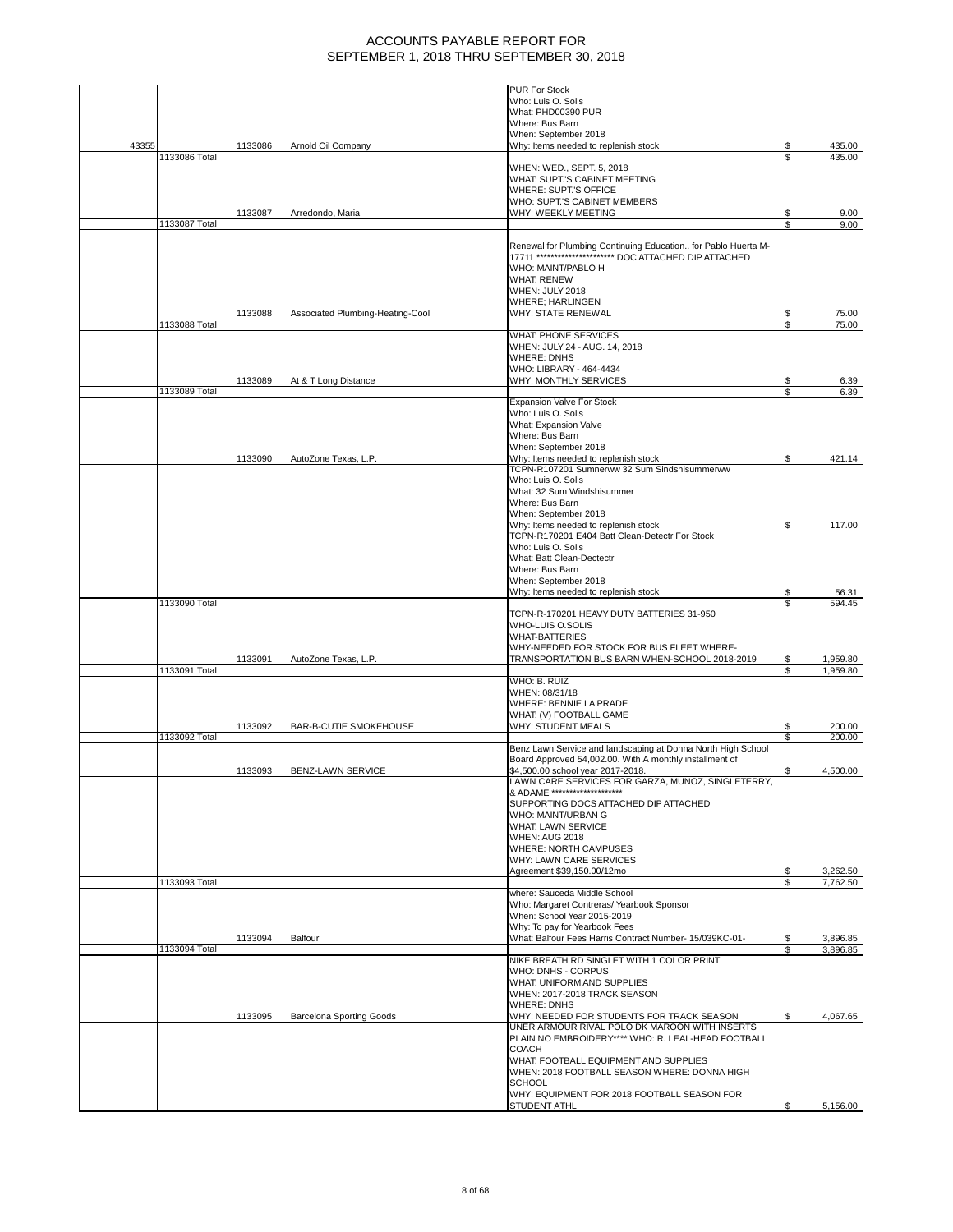|       |               |         |                                  | PUR For Stock                                                      |    |          |
|-------|---------------|---------|----------------------------------|--------------------------------------------------------------------|----|----------|
|       |               |         |                                  | Who: Luis O. Solis                                                 |    |          |
|       |               |         |                                  | What: PHD00390 PUR                                                 |    |          |
|       |               |         |                                  | Where: Bus Barn                                                    |    |          |
|       |               |         |                                  | When: September 2018                                               |    |          |
| 43355 |               | 1133086 | Arnold Oil Company               | Why: Items needed to replenish stock                               | S. | 435.00   |
|       | 1133086 Total |         |                                  |                                                                    | \$ | 435.00   |
|       |               |         |                                  | WHEN: WED., SEPT. 5, 2018                                          |    |          |
|       |               |         |                                  | WHAT: SUPT.'S CABINET MEETING                                      |    |          |
|       |               |         |                                  | WHERE: SUPT.'S OFFICE                                              |    |          |
|       |               |         |                                  | WHO: SUPT.'S CABINET MEMBERS                                       |    |          |
|       |               |         |                                  |                                                                    |    |          |
|       |               | 1133087 | Arredondo, Maria                 | WHY: WEEKLY MEETING                                                | \$ | 9.00     |
|       | 1133087 Total |         |                                  |                                                                    | S  | 9.00     |
|       |               |         |                                  |                                                                    |    |          |
|       |               |         |                                  | Renewal for Plumbing Continuing Education for Pablo Huerta M-      |    |          |
|       |               |         |                                  | 17711 *********************** DOC ATTACHED DIP ATTACHED            |    |          |
|       |               |         |                                  | WHO: MAINT/PABLO H                                                 |    |          |
|       |               |         |                                  | <b>WHAT: RENEW</b>                                                 |    |          |
|       |               |         |                                  | WHEN: JULY 2018                                                    |    |          |
|       |               |         |                                  | <b>WHERE: HARLINGEN</b>                                            |    |          |
|       |               | 1133088 |                                  |                                                                    |    |          |
|       |               |         | Associated Plumbing-Heating-Cool | WHY: STATE RENEWAL                                                 | \$ | 75.00    |
|       | 1133088 Total |         |                                  |                                                                    | \$ | 75.00    |
|       |               |         |                                  | WHAT: PHONE SERVICES                                               |    |          |
|       |               |         |                                  | WHEN: JULY 24 - AUG. 14, 2018                                      |    |          |
|       |               |         |                                  | <b>WHERE: DNHS</b>                                                 |    |          |
|       |               |         |                                  | WHO: LIBRARY - 464-4434                                            |    |          |
|       |               | 1133089 | At & T Long Distance             | WHY: MONTHLY SERVICES                                              | \$ | 6.39     |
|       | 1133089 Total |         |                                  |                                                                    | S  | 6.39     |
|       |               |         |                                  | Expansion Valve For Stock                                          |    |          |
|       |               |         |                                  | Who: Luis O. Solis                                                 |    |          |
|       |               |         |                                  | What: Expansion Valve                                              |    |          |
|       |               |         |                                  | Where: Bus Barn                                                    |    |          |
|       |               |         |                                  |                                                                    |    |          |
|       |               |         |                                  | When: September 2018                                               |    |          |
|       |               | 1133090 | AutoZone Texas, L.P.             | Why: Items needed to replenish stock                               | \$ | 421.14   |
|       |               |         |                                  | TCPN-R107201 Sumnerww 32 Sum Sindshisummerww                       |    |          |
|       |               |         |                                  | Who: Luis O. Solis                                                 |    |          |
|       |               |         |                                  | What: 32 Sum Windshisummer                                         |    |          |
|       |               |         |                                  | Where: Bus Barn                                                    |    |          |
|       |               |         |                                  | When: September 2018                                               |    |          |
|       |               |         |                                  | Why: Items needed to replenish stock                               | \$ | 117.00   |
|       |               |         |                                  | TCPN-R170201 E404 Batt Clean-Detectr For Stock                     |    |          |
|       |               |         |                                  | Who: Luis O. Solis                                                 |    |          |
|       |               |         |                                  | What: Batt Clean-Dectectr                                          |    |          |
|       |               |         |                                  | Where: Bus Barn                                                    |    |          |
|       |               |         |                                  |                                                                    |    |          |
|       |               |         |                                  | When: September 2018                                               |    |          |
|       |               |         |                                  | Why: Items needed to replenish stock                               | S  | 56.31    |
|       | 1133090 Total |         |                                  |                                                                    | \$ | 594.45   |
|       |               |         |                                  | TCPN-R-170201 HEAVY DUTY BATTERIES 31-950                          |    |          |
|       |               |         |                                  |                                                                    |    |          |
|       |               |         |                                  | WHO-LUIS O.SOLIS                                                   |    |          |
|       |               |         |                                  | <b>WHAT-BATTERIES</b>                                              |    |          |
|       |               |         |                                  |                                                                    |    |          |
|       |               |         |                                  | WHY-NEEDED FOR STOCK FOR BUS FLEET WHERE-                          |    |          |
|       |               | 1133091 | AutoZone Texas, L.P.             | TRANSPORTATION BUS BARN WHEN-SCHOOL 2018-2019                      | S  | 1,959.80 |
|       | 1133091 Total |         |                                  |                                                                    | S  | 1,959.80 |
|       |               |         |                                  | WHO: B. RUIZ                                                       |    |          |
|       |               |         |                                  | WHEN: 08/31/18                                                     |    |          |
|       |               |         |                                  | WHERE: BENNIE LA PRADE                                             |    |          |
|       |               |         |                                  | WHAT: (V) FOOTBALL GAME                                            |    |          |
|       |               | 1133092 | BAR-B-CUTIE SMOKEHOUSE           | <b>WHY: STUDENT MEALS</b>                                          | \$ | 200.00   |
|       | 1133092 Total |         |                                  |                                                                    | \$ | 200.00   |
|       |               |         |                                  | Benz Lawn Service and landscaping at Donna North High School       |    |          |
|       |               |         |                                  | Board Approved 54,002.00. With A monthly installment of            |    |          |
|       |               | 1133093 | BENZ-LAWN SERVICE                | \$4,500.00 school year 2017-2018.                                  | \$ | 4,500.00 |
|       |               |         |                                  | LAWN CARE SERVICES FOR GARZA, MUNOZ, SINGLETERRY,                  |    |          |
|       |               |         |                                  |                                                                    |    |          |
|       |               |         |                                  | & ADAME ********************                                       |    |          |
|       |               |         |                                  | SUPPORTING DOCS ATTACHED DIP ATTACHED                              |    |          |
|       |               |         |                                  | WHO: MAINT/URBAN G                                                 |    |          |
|       |               |         |                                  | <b>WHAT: LAWN SERVICE</b>                                          |    |          |
|       |               |         |                                  | <b>WHEN: AUG 2018</b>                                              |    |          |
|       |               |         |                                  | WHERE: NORTH CAMPUSES                                              |    |          |
|       |               |         |                                  | WHY: LAWN CARE SERVICES                                            |    |          |
|       |               |         |                                  | Agreement \$39,150.00/12mo                                         | \$ | 3,262.50 |
|       | 1133093 Total |         |                                  |                                                                    | \$ | 7,762.50 |
|       |               |         |                                  | where: Sauceda Middle School                                       |    |          |
|       |               |         |                                  | Who: Margaret Contreras/ Yearbook Sponsor                          |    |          |
|       |               |         |                                  | When: School Year 2015-2019                                        |    |          |
|       |               |         |                                  |                                                                    |    |          |
|       |               |         |                                  | Why: To pay for Yearbook Fees                                      |    |          |
|       |               | 1133094 | Balfour                          | What: Balfour Fees Harris Contract Number- 15/039KC-01-            | \$ | 3.896.85 |
|       | 1133094 Total |         |                                  |                                                                    | \$ | 3,896.85 |
|       |               |         |                                  | NIKE BREATH RD SINGLET WITH 1 COLOR PRINT                          |    |          |
|       |               |         |                                  | WHO: DNHS - CORPUS                                                 |    |          |
|       |               |         |                                  | WHAT: UNIFORM AND SUPPLIES                                         |    |          |
|       |               |         |                                  | WHEN: 2017-2018 TRACK SEASON                                       |    |          |
|       |               |         |                                  | <b>WHERE: DNHS</b>                                                 |    |          |
|       |               | 1133095 | <b>Barcelona Sporting Goods</b>  | WHY: NEEDED FOR STUDENTS FOR TRACK SEASON                          | S  | 4,067.65 |
|       |               |         |                                  | UNER ARMOUR RIVAL POLO DK MAROON WITH INSERTS                      |    |          |
|       |               |         |                                  | PLAIN NO EMBROIDERY**** WHO: R. LEAL-HEAD FOOTBALL                 |    |          |
|       |               |         |                                  | <b>COACH</b>                                                       |    |          |
|       |               |         |                                  |                                                                    |    |          |
|       |               |         |                                  | WHAT: FOOTBALL EQUIPMENT AND SUPPLIES                              |    |          |
|       |               |         |                                  | WHEN: 2018 FOOTBALL SEASON WHERE: DONNA HIGH                       |    |          |
|       |               |         |                                  | <b>SCHOOL</b>                                                      |    |          |
|       |               |         |                                  | WHY: EQUIPMENT FOR 2018 FOOTBALL SEASON FOR<br><b>STUDENT ATHL</b> |    | 5,156.00 |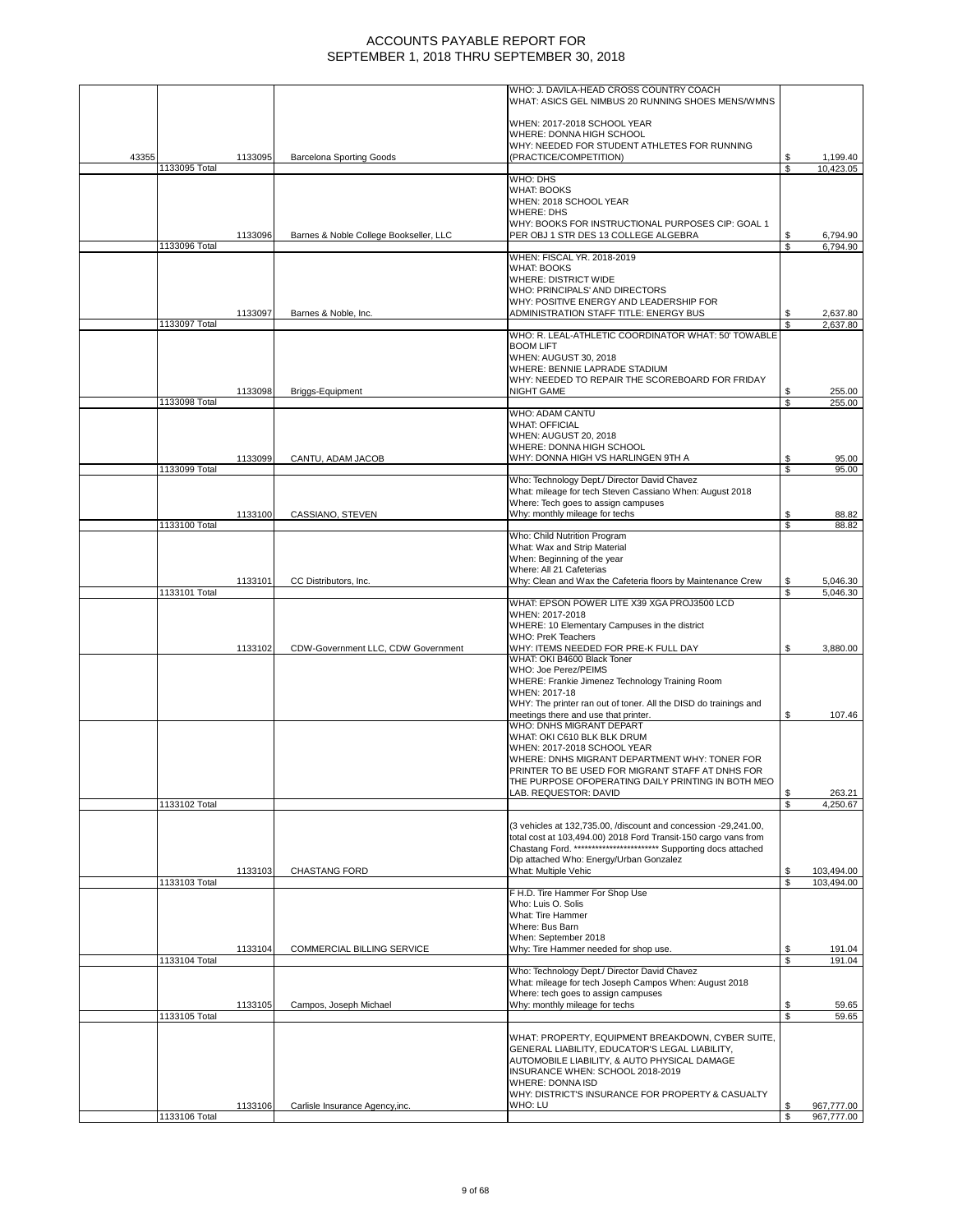|       |               |         |                                        | WHO: J. DAVILA-HEAD CROSS COUNTRY COACH                                                                                            |    |            |
|-------|---------------|---------|----------------------------------------|------------------------------------------------------------------------------------------------------------------------------------|----|------------|
|       |               |         |                                        | WHAT: ASICS GEL NIMBUS 20 RUNNING SHOES MENS/WMNS                                                                                  |    |            |
|       |               |         |                                        |                                                                                                                                    |    |            |
|       |               |         |                                        | WHEN: 2017-2018 SCHOOL YEAR                                                                                                        |    |            |
|       |               |         |                                        | WHERE: DONNA HIGH SCHOOL                                                                                                           |    |            |
|       |               |         |                                        | WHY: NEEDED FOR STUDENT ATHLETES FOR RUNNING                                                                                       |    |            |
| 43355 |               | 1133095 | <b>Barcelona Sporting Goods</b>        | (PRACTICE/COMPETITION)                                                                                                             | S  | 1,199.40   |
|       | 1133095 Total |         |                                        | WHO: DHS                                                                                                                           | S  | 10.423.05  |
|       |               |         |                                        | <b>WHAT: BOOKS</b>                                                                                                                 |    |            |
|       |               |         |                                        | WHEN: 2018 SCHOOL YEAR                                                                                                             |    |            |
|       |               |         |                                        | <b>WHERE: DHS</b>                                                                                                                  |    |            |
|       |               |         |                                        | WHY: BOOKS FOR INSTRUCTIONAL PURPOSES CIP: GOAL 1                                                                                  |    |            |
|       |               | 1133096 | Barnes & Noble College Bookseller, LLC | PER OBJ 1 STR DES 13 COLLEGE ALGEBRA                                                                                               |    | 6,794.90   |
|       | 1133096 Total |         |                                        | WHEN: FISCAL YR. 2018-2019                                                                                                         | £. | 6,794.90   |
|       |               |         |                                        | <b>WHAT: BOOKS</b>                                                                                                                 |    |            |
|       |               |         |                                        | WHERE: DISTRICT WIDE                                                                                                               |    |            |
|       |               |         |                                        | WHO: PRINCIPALS' AND DIRECTORS                                                                                                     |    |            |
|       |               |         |                                        | WHY: POSITIVE ENERGY AND LEADERSHIP FOR                                                                                            |    |            |
|       |               | 1133097 | Barnes & Noble, Inc.                   | ADMINISTRATION STAFF TITLE: ENERGY BUS                                                                                             |    | 2,637.80   |
|       | 1133097 Total |         |                                        | WHO: R. LEAL-ATHLETIC COORDINATOR WHAT: 50' TOWABLE                                                                                | S. | 2,637.80   |
|       |               |         |                                        | <b>BOOM LIFT</b>                                                                                                                   |    |            |
|       |               |         |                                        | WHEN: AUGUST 30, 2018                                                                                                              |    |            |
|       |               |         |                                        | WHERE: BENNIE LAPRADE STADIUM                                                                                                      |    |            |
|       |               |         |                                        | WHY: NEEDED TO REPAIR THE SCOREBOARD FOR FRIDAY                                                                                    |    |            |
|       |               | 1133098 | Briggs-Equipment                       | <b>NIGHT GAME</b>                                                                                                                  | S. | 255.00     |
|       | 1133098 Total |         |                                        | WHO: ADAM CANTU                                                                                                                    | \$ | 255.00     |
|       |               |         |                                        | <b>WHAT: OFFICIAL</b>                                                                                                              |    |            |
|       |               |         |                                        | <b>WHEN: AUGUST 20, 2018</b>                                                                                                       |    |            |
|       |               |         |                                        | WHERE: DONNA HIGH SCHOOL                                                                                                           |    |            |
|       |               | 1133099 | CANTU, ADAM JACOB                      | WHY: DONNA HIGH VS HARLINGEN 9TH A                                                                                                 | \$ | 95.00      |
|       | 1133099 Total |         |                                        |                                                                                                                                    | S  | 95.00      |
|       |               |         |                                        | Who: Technology Dept./ Director David Chavez<br>What: mileage for tech Steven Cassiano When: August 2018                           |    |            |
|       |               |         |                                        | Where: Tech goes to assign campuses                                                                                                |    |            |
|       |               | 1133100 | CASSIANO, STEVEN                       | Why: monthly mileage for techs                                                                                                     | \$ | 88.82      |
|       | 1133100 Total |         |                                        |                                                                                                                                    | \$ | 88.82      |
|       |               |         |                                        | Who: Child Nutrition Program                                                                                                       |    |            |
|       |               |         |                                        | What: Wax and Strip Material<br>When: Beginning of the year                                                                        |    |            |
|       |               |         |                                        | Where: All 21 Cafeterias                                                                                                           |    |            |
|       |               | 1133101 | CC Distributors, Inc.                  | Why: Clean and Wax the Cafeteria floors by Maintenance Crew                                                                        | S  | 5,046.30   |
|       | 1133101 Total |         |                                        |                                                                                                                                    |    | 5,046.30   |
|       |               |         |                                        | WHAT: EPSON POWER LITE X39 XGA PROJ3500 LCD<br>WHEN: 2017-2018                                                                     |    |            |
|       |               |         |                                        | WHERE: 10 Elementary Campuses in the district                                                                                      |    |            |
|       |               |         |                                        | <b>WHO: PreK Teachers</b>                                                                                                          |    |            |
|       |               | 1133102 | CDW-Government LLC, CDW Government     | WHY: ITEMS NEEDED FOR PRE-K FULL DAY                                                                                               |    | 3,880.00   |
|       |               |         |                                        | WHAT: OKI B4600 Black Toner                                                                                                        |    |            |
|       |               |         |                                        | WHO: Joe Perez/PEIMS                                                                                                               |    |            |
|       |               |         |                                        | WHERE: Frankie Jimenez Technology Training Room<br>WHEN: 2017-18                                                                   |    |            |
|       |               |         |                                        | WHY: The printer ran out of toner. All the DISD do trainings and                                                                   |    |            |
|       |               |         |                                        | meetings there and use that printer.                                                                                               | \$ | 107.46     |
|       |               |         |                                        | WHO: DNHS MIGRANT DEPART                                                                                                           |    |            |
|       |               |         |                                        | WHAT: OKI C610 BLK BLK DRUM                                                                                                        |    |            |
|       |               |         |                                        | WHEN: 2017-2018 SCHOOL YEAR<br>WHERE: DNHS MIGRANT DEPARTMENT WHY: TONER FOR                                                       |    |            |
|       |               |         |                                        | PRINTER TO BE USED FOR MIGRANT STAFF AT DNHS FOR                                                                                   |    |            |
|       |               |         |                                        | THE PURPOSE OFOPERATING DAILY PRINTING IN BOTH MEO                                                                                 |    |            |
|       |               |         |                                        | LAB. REQUESTOR: DAVID                                                                                                              | \$ | 263.21     |
|       | 1133102 Total |         |                                        |                                                                                                                                    | \$ | 4,250.67   |
|       |               |         |                                        |                                                                                                                                    |    |            |
|       |               |         |                                        | (3 vehicles at 132,735.00, /discount and concession -29,241.00,<br>total cost at 103,494.00) 2018 Ford Transit-150 cargo vans from |    |            |
|       |               |         |                                        | Chastang Ford. ************************ Supporting docs attached                                                                   |    |            |
|       |               |         |                                        | Dip attached Who: Energy/Urban Gonzalez                                                                                            |    |            |
|       |               | 1133103 | <b>CHASTANG FORD</b>                   | What: Multiple Vehic                                                                                                               | S  | 103,494.00 |
|       | 1133103 Total |         |                                        |                                                                                                                                    | S  | 103,494.00 |
|       |               |         |                                        | F H.D. Tire Hammer For Shop Use<br>Who: Luis O. Solis                                                                              |    |            |
|       |               |         |                                        | What: Tire Hammer                                                                                                                  |    |            |
|       |               |         |                                        | Where: Bus Barn                                                                                                                    |    |            |
|       |               |         |                                        | When: September 2018                                                                                                               |    |            |
|       |               | 1133104 | COMMERCIAL BILLING SERVICE             | Why: Tire Hammer needed for shop use.                                                                                              | S  | 191.04     |
|       | 1133104 Total |         |                                        | Who: Technology Dept./ Director David Chavez                                                                                       | \$ | 191.04     |
|       |               |         |                                        | What: mileage for tech Joseph Campos When: August 2018                                                                             |    |            |
|       |               |         |                                        | Where: tech goes to assign campuses                                                                                                |    |            |
|       |               | 1133105 | Campos, Joseph Michael                 | Why: monthly mileage for techs                                                                                                     | S  | 59.65      |
|       | 1133105 Total |         |                                        |                                                                                                                                    | S  | 59.65      |
|       |               |         |                                        | WHAT: PROPERTY, EQUIPMENT BREAKDOWN, CYBER SUITE,                                                                                  |    |            |
|       |               |         |                                        | GENERAL LIABILITY, EDUCATOR'S LEGAL LIABILITY,                                                                                     |    |            |
|       |               |         |                                        | AUTOMOBILE LIABILITY, & AUTO PHYSICAL DAMAGE                                                                                       |    |            |
|       |               |         |                                        |                                                                                                                                    |    |            |
|       |               |         |                                        | INSURANCE WHEN: SCHOOL 2018-2019                                                                                                   |    |            |
|       |               |         |                                        | WHERE: DONNA ISD                                                                                                                   |    |            |
|       |               | 1133106 | Carlisle Insurance Agency, inc.        | WHY: DISTRICT'S INSURANCE FOR PROPERTY & CASUALTY<br>WHO: LU                                                                       |    | 967,777.00 |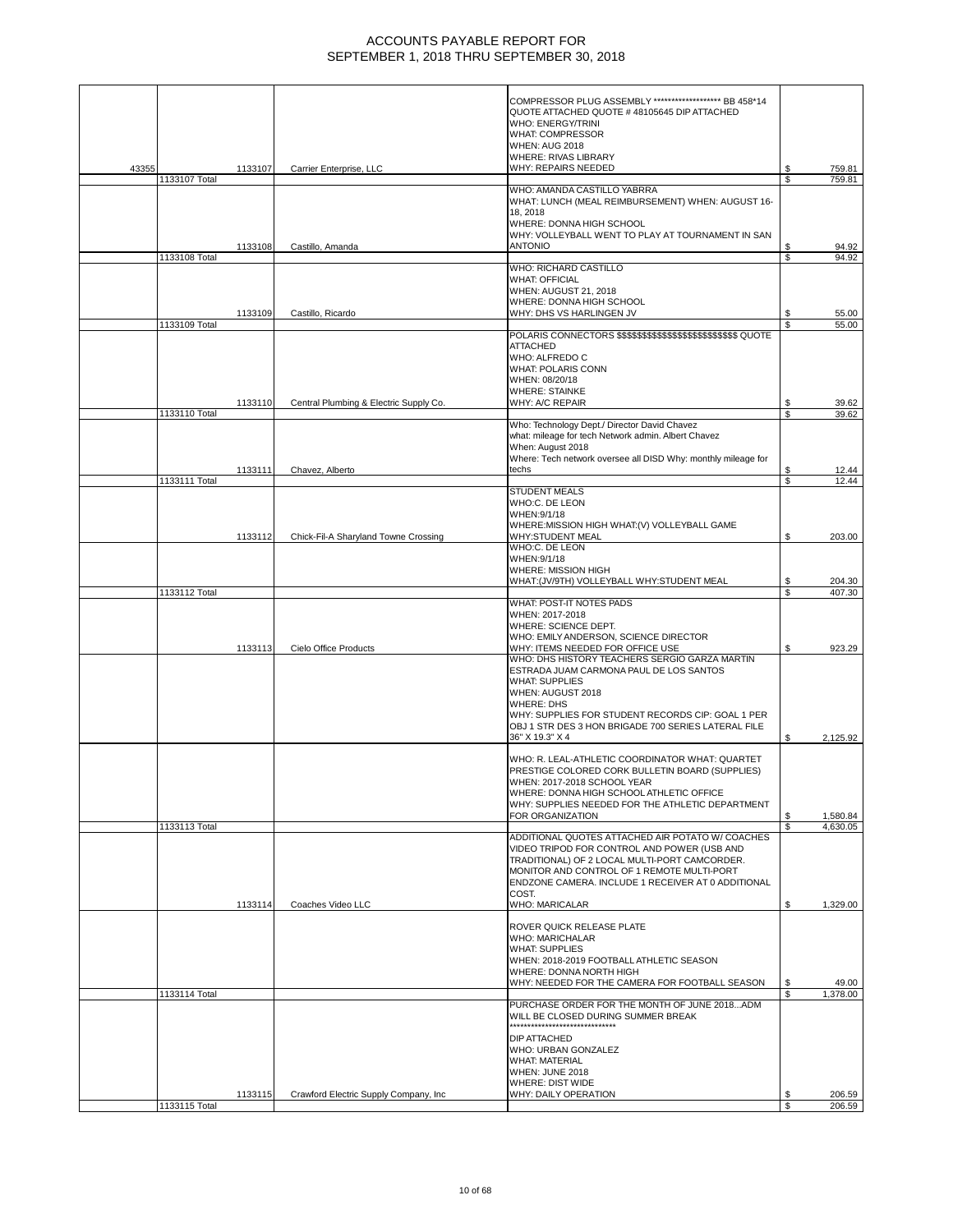|       |               |         |                                        | COMPRESSOR PLUG ASSEMBLY ********************** BB 458*14<br>QUOTE ATTACHED QUOTE #48105645 DIP ATTACHED            |          |                      |
|-------|---------------|---------|----------------------------------------|---------------------------------------------------------------------------------------------------------------------|----------|----------------------|
|       |               |         |                                        | WHO: ENERGY/TRINI<br>WHAT: COMPRESSOR                                                                               |          |                      |
|       |               |         |                                        | <b>WHEN: AUG 2018</b><br><b>WHERE: RIVAS LIBRARY</b>                                                                |          |                      |
| 43355 | 1133107 Total | 1133107 | Carrier Enterprise, LLC                | WHY: REPAIRS NEEDED                                                                                                 | \$<br>\$ | 759.81<br>759.81     |
|       |               |         |                                        | WHO: AMANDA CASTILLO YABRRA                                                                                         |          |                      |
|       |               |         |                                        | WHAT: LUNCH (MEAL REIMBURSEMENT) WHEN: AUGUST 16-<br>18, 2018                                                       |          |                      |
|       |               |         |                                        | WHERE: DONNA HIGH SCHOOL<br>WHY: VOLLEYBALL WENT TO PLAY AT TOURNAMENT IN SAN                                       |          |                      |
|       |               | 1133108 | Castillo, Amanda                       | <b>ANTONIO</b>                                                                                                      | \$       | 94.92                |
|       | 1133108 Total |         |                                        | WHO: RICHARD CASTILLO                                                                                               | \$.      | 94.92                |
|       |               |         |                                        | <b>WHAT: OFFICIAL</b><br>WHEN: AUGUST 21, 2018                                                                      |          |                      |
|       |               |         |                                        | WHERE: DONNA HIGH SCHOOL                                                                                            |          |                      |
|       | 1133109 Total | 1133109 | Castillo, Ricardo                      | WHY: DHS VS HARLINGEN JV                                                                                            | S<br>S   | 55.00<br>55.00       |
|       |               |         |                                        | <b>ATTACHED</b>                                                                                                     |          |                      |
|       |               |         |                                        | WHO: ALFREDO C                                                                                                      |          |                      |
|       |               |         |                                        | <b>WHAT: POLARIS CONN</b><br>WHEN: 08/20/18                                                                         |          |                      |
|       |               | 1133110 | Central Plumbing & Electric Supply Co. | <b>WHERE: STAINKE</b><br>WHY: A/C REPAIR                                                                            | \$       | 39.62                |
|       | 1133110 Total |         |                                        |                                                                                                                     | S        | 39.62                |
|       |               |         |                                        | Who: Technology Dept./ Director David Chavez<br>what: mileage for tech Network admin. Albert Chavez                 |          |                      |
|       |               |         |                                        | When: August 2018<br>Where: Tech network oversee all DISD Why: monthly mileage for                                  |          |                      |
|       |               | 1133111 | Chavez, Alberto                        | techs                                                                                                               | \$       | 12.44                |
|       | 1133111 Total |         |                                        | <b>STUDENT MEALS</b>                                                                                                | \$       | 12.44                |
|       |               |         |                                        | WHO:C. DE LEON<br>WHEN: 9/1/18                                                                                      |          |                      |
|       |               |         |                                        | WHERE:MISSION HIGH WHAT:(V) VOLLEYBALL GAME                                                                         |          |                      |
|       |               | 1133112 | Chick-Fil-A Sharyland Towne Crossing   | WHY:STUDENT MEAL<br>WHO:C. DE LEON                                                                                  | S        | 203.00               |
|       |               |         |                                        | WHEN: 9/1/18<br>WHERE: MISSION HIGH                                                                                 |          |                      |
|       |               |         |                                        | WHAT:(JV/9TH) VOLLEYBALL WHY:STUDENT MEAL                                                                           | \$       | 204.30               |
|       | 1133112 Total |         |                                        | WHAT: POST-IT NOTES PADS                                                                                            | \$.      | 407.30               |
|       |               |         |                                        | WHEN: 2017-2018<br>WHERE: SCIENCE DEPT.                                                                             |          |                      |
|       |               |         |                                        | WHO: EMILY ANDERSON, SCIENCE DIRECTOR                                                                               |          |                      |
|       |               | 1133113 | Cielo Office Products                  | WHY: ITEMS NEEDED FOR OFFICE USE<br>WHO: DHS HISTORY TEACHERS SERGIO GARZA MARTIN                                   | S        | 923.29               |
|       |               |         |                                        | ESTRADA JUAM CARMONA PAUL DE LOS SANTOS<br><b>WHAT: SUPPLIES</b>                                                    |          |                      |
|       |               |         |                                        | WHEN: AUGUST 2018                                                                                                   |          |                      |
|       |               |         |                                        | <b>WHERE: DHS</b><br>WHY: SUPPLIES FOR STUDENT RECORDS CIP: GOAL 1 PER                                              |          |                      |
|       |               |         |                                        | OBJ 1 STR DES 3 HON BRIGADE 700 SERIES LATERAL FILE<br>36" X 19.3" X 4                                              | S        | 2,125.92             |
|       |               |         |                                        |                                                                                                                     |          |                      |
|       |               |         |                                        | WHO: R. LEAL-ATHLETIC COORDINATOR WHAT: QUARTET<br>PRESTIGE COLORED CORK BULLETIN BOARD (SUPPLIES)                  |          |                      |
|       |               |         |                                        | WHEN: 2017-2018 SCHOOL YEAR<br>WHERE: DONNA HIGH SCHOOL ATHLETIC OFFICE                                             |          |                      |
|       |               |         |                                        | WHY: SUPPLIES NEEDED FOR THE ATHLETIC DEPARTMENT                                                                    |          |                      |
|       | 1133113 Total |         |                                        | FOR ORGANIZATION                                                                                                    | \$<br>ፍ  | 1,580.84<br>4,630.05 |
|       |               |         |                                        | ADDITIONAL QUOTES ATTACHED AIR POTATO W/ COACHES<br>VIDEO TRIPOD FOR CONTROL AND POWER (USB AND                     |          |                      |
|       |               |         |                                        | TRADITIONAL) OF 2 LOCAL MULTI-PORT CAMCORDER.                                                                       |          |                      |
|       |               |         |                                        | MONITOR AND CONTROL OF 1 REMOTE MULTI-PORT<br>ENDZONE CAMERA. INCLUDE 1 RECEIVER AT 0 ADDITIONAL                    |          |                      |
|       |               | 1133114 | Coaches Video LLC                      | COST.<br>WHO: MARICALAR                                                                                             | \$       | 1,329.00             |
|       |               |         |                                        |                                                                                                                     |          |                      |
|       |               |         |                                        | ROVER QUICK RELEASE PLATE<br><b>WHO: MARICHALAR</b>                                                                 |          |                      |
|       |               |         |                                        | <b>WHAT: SUPPLIES</b><br>WHEN: 2018-2019 FOOTBALL ATHLETIC SEASON                                                   |          |                      |
|       |               |         |                                        | WHERE: DONNA NORTH HIGH                                                                                             |          |                      |
|       | 1133114 Total |         |                                        | WHY: NEEDED FOR THE CAMERA FOR FOOTBALL SEASON                                                                      | \$<br>\$ | 49.00<br>1,378.00    |
|       |               |         |                                        | PURCHASE ORDER FOR THE MONTH OF JUNE 2018ADM<br>WILL BE CLOSED DURING SUMMER BREAK<br>***************************** |          |                      |
|       |               |         |                                        | <b>DIP ATTACHED</b>                                                                                                 |          |                      |
|       |               |         |                                        | WHO: URBAN GONZALEZ<br><b>WHAT: MATERIAL</b>                                                                        |          |                      |
|       |               |         |                                        | WHEN: JUNE 2018                                                                                                     |          |                      |
|       |               | 1133115 | Crawford Electric Supply Company, Inc. | <b>WHERE: DIST WIDE</b><br>WHY: DAILY OPERATION                                                                     | \$       | 206.59               |
|       | 1133115 Total |         |                                        |                                                                                                                     | \$       | 206.59               |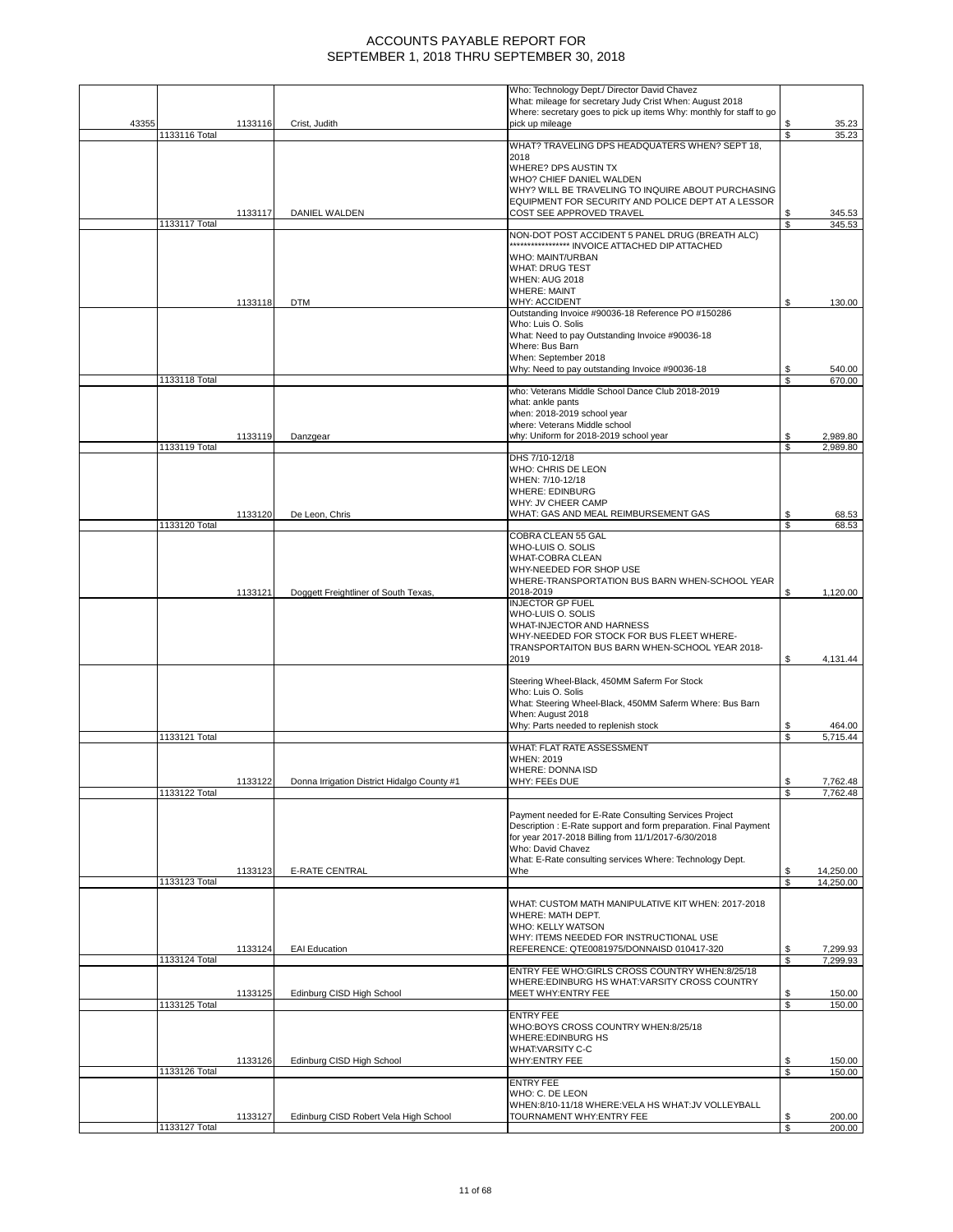|       |               |         |                                             | Who: Technology Dept./ Director David Chavez<br>What: mileage for secretary Judy Crist When: August 2018                |          |                        |
|-------|---------------|---------|---------------------------------------------|-------------------------------------------------------------------------------------------------------------------------|----------|------------------------|
|       |               |         |                                             | Where: secretary goes to pick up items Why: monthly for staff to go                                                     |          |                        |
| 43355 | 1133116 Total | 1133116 | Crist, Judith                               | pick up mileage                                                                                                         | S<br>\$  | 35.23<br>35.23         |
|       |               |         |                                             | WHAT? TRAVELING DPS HEADQUATERS WHEN? SEPT 18,                                                                          |          |                        |
|       |               |         |                                             | 2018<br>WHERE? DPS AUSTIN TX                                                                                            |          |                        |
|       |               |         |                                             | WHO? CHIEF DANIEL WALDEN                                                                                                |          |                        |
|       |               |         |                                             | WHY? WILL BE TRAVELING TO INQUIRE ABOUT PURCHASING<br>EQUIPMENT FOR SECURITY AND POLICE DEPT AT A LESSOR                |          |                        |
|       |               | 1133117 | DANIEL WALDEN                               | COST SEE APPROVED TRAVEL                                                                                                |          | 345.53                 |
|       | 1133117 Total |         |                                             |                                                                                                                         | \$       | 345.53                 |
|       |               |         |                                             | NON-DOT POST ACCIDENT 5 PANEL DRUG (BREATH ALC)<br>***************** INVOICE ATTACHED DIP ATTACHED                      |          |                        |
|       |               |         |                                             | WHO: MAINT/URBAN                                                                                                        |          |                        |
|       |               |         |                                             | <b>WHAT: DRUG TEST</b><br><b>WHEN: AUG 2018</b>                                                                         |          |                        |
|       |               |         |                                             | <b>WHERE: MAINT</b>                                                                                                     |          |                        |
|       |               | 1133118 | <b>DTM</b>                                  | <b>WHY: ACCIDENT</b><br>Outstanding Invoice #90036-18 Reference PO #150286                                              | \$       | 130.00                 |
|       |               |         |                                             | Who: Luis O. Solis                                                                                                      |          |                        |
|       |               |         |                                             | What: Need to pay Outstanding Invoice #90036-18                                                                         |          |                        |
|       |               |         |                                             | Where: Bus Barn<br>When: September 2018                                                                                 |          |                        |
|       |               |         |                                             | Why: Need to pay outstanding Invoice #90036-18                                                                          |          | 540.00                 |
|       | 1133118 Total |         |                                             | who: Veterans Middle School Dance Club 2018-2019                                                                        |          | 670.00                 |
|       |               |         |                                             | what: ankle pants                                                                                                       |          |                        |
|       |               |         |                                             | when: 2018-2019 school year                                                                                             |          |                        |
|       |               | 1133119 | Danzgear                                    | where: Veterans Middle school<br>why: Uniform for 2018-2019 school year                                                 | \$       | 2,989.80               |
|       | 1133119 Total |         |                                             |                                                                                                                         | \$       | 2,989.80               |
|       |               |         |                                             | DHS 7/10-12/18<br>WHO: CHRIS DE LEON                                                                                    |          |                        |
|       |               |         |                                             | WHEN: 7/10-12/18                                                                                                        |          |                        |
|       |               |         |                                             | <b>WHERE: EDINBURG</b><br>WHY: JV CHEER CAMP                                                                            |          |                        |
|       |               | 1133120 | De Leon, Chris                              | WHAT: GAS AND MEAL REIMBURSEMENT GAS                                                                                    |          | 68.53                  |
|       | 1133120 Total |         |                                             |                                                                                                                         | \$       | 68.53                  |
|       |               |         |                                             | COBRA CLEAN 55 GAL<br>WHO-LUIS O. SOLIS                                                                                 |          |                        |
|       |               |         |                                             | WHAT-COBRA CLEAN                                                                                                        |          |                        |
|       |               |         |                                             | WHY-NEEDED FOR SHOP USE<br>WHERE-TRANSPORTATION BUS BARN WHEN-SCHOOL YEAR                                               |          |                        |
|       |               | 1133121 | Doggett Freightliner of South Texas,        | 2018-2019                                                                                                               | S        | 1,120.00               |
|       |               |         |                                             | <b>INJECTOR GP FUEL</b><br>WHO-LUIS O. SOLIS                                                                            |          |                        |
|       |               |         |                                             | WHAT-INJECTOR AND HARNESS                                                                                               |          |                        |
|       |               |         |                                             | WHY-NEEDED FOR STOCK FOR BUS FLEET WHERE-                                                                               |          |                        |
|       |               |         |                                             | TRANSPORTAITON BUS BARN WHEN-SCHOOL YEAR 2018-<br>2019                                                                  | S        | 4,131.44               |
|       |               |         |                                             |                                                                                                                         |          |                        |
|       |               |         |                                             | Steering Wheel-Black, 450MM Saferm For Stock<br>Who: Luis O. Solis                                                      |          |                        |
|       |               |         |                                             | What: Steering Wheel-Black, 450MM Saferm Where: Bus Barn                                                                |          |                        |
|       |               |         |                                             | When: August 2018<br>Why: Parts needed to replenish stock                                                               | \$       | 464.00                 |
|       | 1133121 Total |         |                                             |                                                                                                                         | S        | 5,715.44               |
|       |               |         |                                             | <b>WHAT: FLAT RATE ASSESSMENT</b>                                                                                       |          |                        |
|       |               |         |                                             | <b>WHEN: 2019</b><br>WHERE: DONNA ISD                                                                                   |          |                        |
|       |               | 1133122 | Donna Irrigation District Hidalgo County #1 | WHY: FEES DUE                                                                                                           |          | 7,762.48               |
|       | 1133122 Total |         |                                             |                                                                                                                         | \$       | 7,762.48               |
|       |               |         |                                             | Payment needed for E-Rate Consulting Services Project                                                                   |          |                        |
|       |               |         |                                             | Description : E-Rate support and form preparation. Final Payment<br>for year 2017-2018 Billing from 11/1/2017-6/30/2018 |          |                        |
|       |               |         |                                             | Who: David Chavez                                                                                                       |          |                        |
|       |               |         |                                             | What: E-Rate consulting services Where: Technology Dept.                                                                |          |                        |
|       | 1133123 Total | 1133123 | <b>E-RATE CENTRAL</b>                       | Whe                                                                                                                     | \$<br>\$ | 14,250.00<br>14,250.00 |
|       |               |         |                                             |                                                                                                                         |          |                        |
|       |               |         |                                             | WHAT: CUSTOM MATH MANIPULATIVE KIT WHEN: 2017-2018<br>WHERE: MATH DEPT.                                                 |          |                        |
|       |               |         |                                             | WHO: KELLY WATSON                                                                                                       |          |                        |
|       |               | 1133124 | <b>EAI</b> Education                        | WHY: ITEMS NEEDED FOR INSTRUCTIONAL USE<br>REFERENCE: QTE0081975/DONNAISD 010417-320                                    | \$       | 7,299.93               |
|       | 1133124 Total |         |                                             |                                                                                                                         | \$       | 7,299.93               |
|       |               |         |                                             | ENTRY FEE WHO:GIRLS CROSS COUNTRY WHEN:8/25/18                                                                          |          |                        |
|       |               | 1133125 | Edinburg CISD High School                   | WHERE: EDINBURG HS WHAT: VARSITY CROSS COUNTRY<br>MEET WHY:ENTRY FEE                                                    | \$       | 150.00                 |
|       | 1133125 Total |         |                                             |                                                                                                                         | \$       | 150.00                 |
|       |               |         |                                             | <b>ENTRY FEE</b><br>WHO:BOYS CROSS COUNTRY WHEN:8/25/18                                                                 |          |                        |
|       |               |         |                                             | <b>WHERE:EDINBURG HS</b>                                                                                                |          |                        |
|       |               | 1133126 | Edinburg CISD High School                   | <b>WHAT:VARSITY C-C</b><br>WHY:ENTRY FEE                                                                                | \$       | 150.00                 |
|       | 1133126 Total |         |                                             |                                                                                                                         | \$       | 150.00                 |
|       |               |         |                                             | <b>ENTRY FEE</b>                                                                                                        |          |                        |
|       |               |         |                                             | WHO: C. DE LEON<br>WHEN:8/10-11/18 WHERE:VELA HS WHAT:JV VOLLEYBALL                                                     |          |                        |
|       |               | 1133127 | Edinburg CISD Robert Vela High School       | TOURNAMENT WHY: ENTRY FEE                                                                                               | \$       | 200.00                 |
|       | 1133127 Total |         |                                             |                                                                                                                         | \$       | 200.00                 |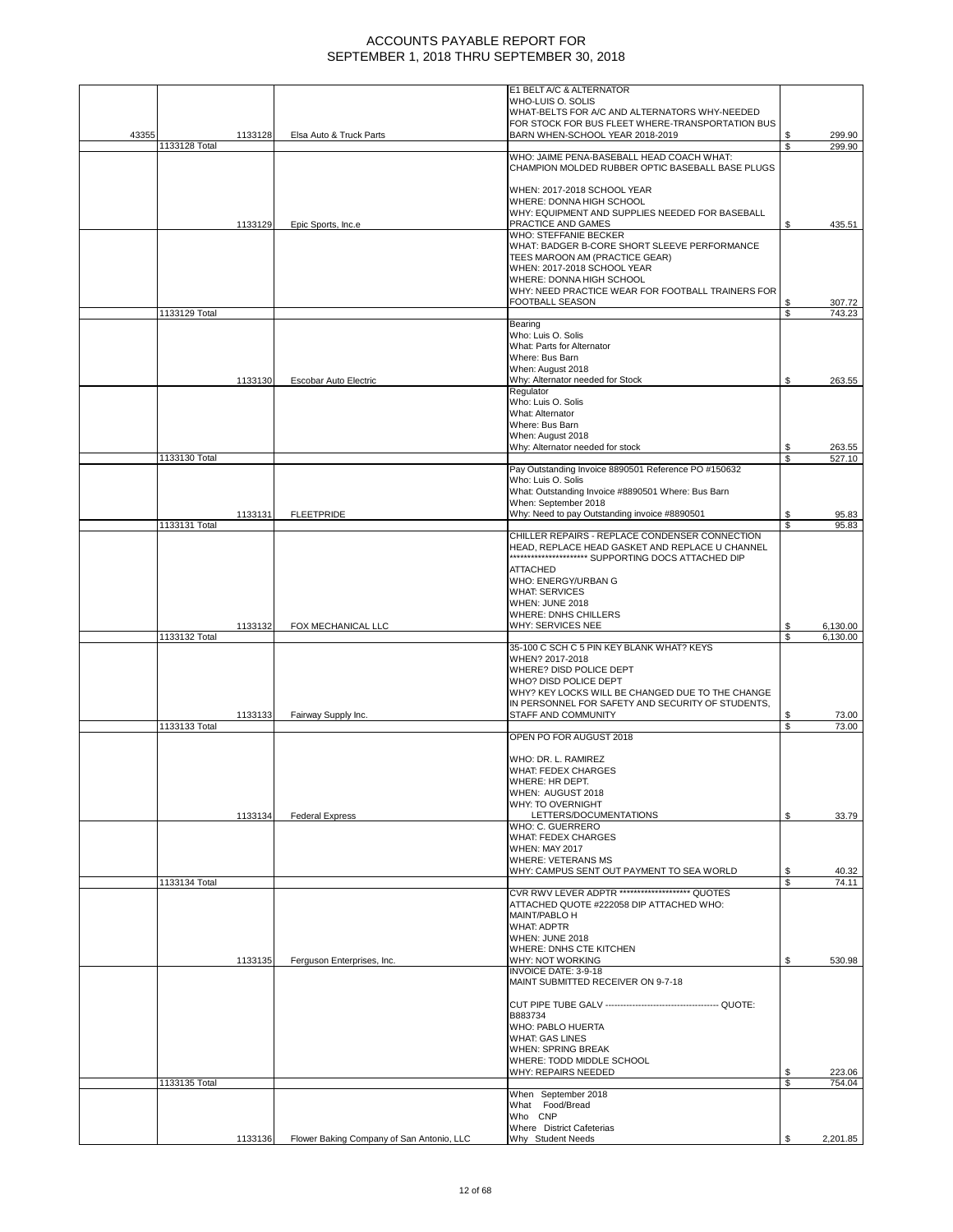|       |               |         |                            | E1 BELT A/C & ALTERNATOR                                                                              |         |                  |
|-------|---------------|---------|----------------------------|-------------------------------------------------------------------------------------------------------|---------|------------------|
|       |               |         |                            | WHO-LUIS O. SOLIS<br>WHAT-BELTS FOR A/C AND ALTERNATORS WHY-NEEDED                                    |         |                  |
|       |               |         |                            | FOR STOCK FOR BUS FLEET WHERE-TRANSPORTATION BUS                                                      |         |                  |
| 43355 |               | 1133128 | Elsa Auto & Truck Parts    | BARN WHEN-SCHOOL YEAR 2018-2019                                                                       | \$      | 299.90           |
|       | 1133128 Total |         |                            |                                                                                                       | \$      | 299.90           |
|       |               |         |                            | WHO: JAIME PENA-BASEBALL HEAD COACH WHAT:<br>CHAMPION MOLDED RUBBER OPTIC BASEBALL BASE PLUGS         |         |                  |
|       |               |         |                            | WHEN: 2017-2018 SCHOOL YEAR                                                                           |         |                  |
|       |               |         |                            | WHERE: DONNA HIGH SCHOOL                                                                              |         |                  |
|       |               |         |                            | WHY: EQUIPMENT AND SUPPLIES NEEDED FOR BASEBALL                                                       |         |                  |
|       |               | 1133129 | Epic Sports, Inc.e         | PRACTICE AND GAMES<br><b>WHO: STEFFANIE BECKER</b>                                                    | \$      | 435.51           |
|       |               |         |                            | WHAT: BADGER B-CORE SHORT SLEEVE PERFORMANCE                                                          |         |                  |
|       |               |         |                            | TEES MAROON AM (PRACTICE GEAR)                                                                        |         |                  |
|       |               |         |                            | WHEN: 2017-2018 SCHOOL YEAR                                                                           |         |                  |
|       |               |         |                            | WHERE: DONNA HIGH SCHOOL                                                                              |         |                  |
|       |               |         |                            | WHY: NEED PRACTICE WEAR FOR FOOTBALL TRAINERS FOR<br>FOOTBALL SEASON                                  | \$      | 307.72           |
|       | 1133129 Total |         |                            |                                                                                                       | \$      | 743.23           |
|       |               |         |                            | Bearing                                                                                               |         |                  |
|       |               |         |                            | Who: Luis O. Solis                                                                                    |         |                  |
|       |               |         |                            | What: Parts for Alternator<br>Where: Bus Barn                                                         |         |                  |
|       |               |         |                            | When: August 2018                                                                                     |         |                  |
|       |               | 1133130 | Escobar Auto Electric      | Why: Alternator needed for Stock                                                                      | \$      | 263.55           |
|       |               |         |                            | Regulator                                                                                             |         |                  |
|       |               |         |                            | Who: Luis O. Solis<br>What: Alternator                                                                |         |                  |
|       |               |         |                            | Where: Bus Barn                                                                                       |         |                  |
|       |               |         |                            | When: August 2018                                                                                     |         |                  |
|       |               |         |                            | Why: Alternator needed for stock                                                                      | \$      | 263.55           |
|       | 1133130 Total |         |                            | Pay Outstanding Invoice 8890501 Reference PO #150632                                                  | \$      | 527.10           |
|       |               |         |                            | Who: Luis O. Solis                                                                                    |         |                  |
|       |               |         |                            | What: Outstanding Invoice #8890501 Where: Bus Barn                                                    |         |                  |
|       |               |         |                            | When: September 2018                                                                                  |         |                  |
|       | 1133131 Total | 1133131 | <b>FLEETPRIDE</b>          | Why: Need to pay Outstanding invoice #8890501                                                         | \$<br>S | 95.83<br>95.83   |
|       |               |         |                            | CHILLER REPAIRS - REPLACE CONDENSER CONNECTION                                                        |         |                  |
|       |               |         |                            | HEAD, REPLACE HEAD GASKET AND REPLACE U CHANNEL                                                       |         |                  |
|       |               |         |                            | *********************** SUPPORTING DOCS ATTACHED DIP                                                  |         |                  |
|       |               |         |                            | <b>ATTACHED</b><br>WHO: ENERGY/URBAN G                                                                |         |                  |
|       |               |         |                            | <b>WHAT: SERVICES</b>                                                                                 |         |                  |
|       |               |         |                            | WHEN: JUNE 2018                                                                                       |         |                  |
|       |               |         |                            |                                                                                                       |         |                  |
|       |               |         |                            | WHERE: DNHS CHILLERS                                                                                  |         |                  |
|       |               | 1133132 | FOX MECHANICAL LLC         | WHY: SERVICES NEE                                                                                     | \$      | 6,130.00         |
|       | 1133132 Total |         |                            | 35-100 C SCH C 5 PIN KEY BLANK WHAT? KEYS                                                             | \$      | 6,130.00         |
|       |               |         |                            | WHEN? 2017-2018                                                                                       |         |                  |
|       |               |         |                            | WHERE? DISD POLICE DEPT                                                                               |         |                  |
|       |               |         |                            | WHO? DISD POLICE DEPT                                                                                 |         |                  |
|       |               |         |                            | WHY? KEY LOCKS WILL BE CHANGED DUE TO THE CHANGE<br>IN PERSONNEL FOR SAFETY AND SECURITY OF STUDENTS. |         |                  |
|       |               | 1133133 | Fairway Supply Inc.        | STAFF AND COMMUNITY                                                                                   | \$      | 73.00            |
|       | 1133133 Total |         |                            |                                                                                                       | \$      | 73.00            |
|       |               |         |                            | OPEN PO FOR AUGUST 2018                                                                               |         |                  |
|       |               |         |                            | WHO: DR. L. RAMIREZ                                                                                   |         |                  |
|       |               |         |                            | <b>WHAT: FEDEX CHARGES</b>                                                                            |         |                  |
|       |               |         |                            | WHERE: HR DEPT.                                                                                       |         |                  |
|       |               |         |                            | WHEN: AUGUST 2018                                                                                     |         |                  |
|       |               | 1133134 | <b>Federal Express</b>     | WHY: TO OVERNIGHT<br>LETTERS/DOCUMENTATIONS                                                           | \$      | 33.79            |
|       |               |         |                            | WHO: C. GUERRERO                                                                                      |         |                  |
|       |               |         |                            | <b>WHAT: FEDEX CHARGES</b>                                                                            |         |                  |
|       |               |         |                            | <b>WHEN: MAY 2017</b>                                                                                 |         |                  |
|       |               |         |                            | <b>WHERE: VETERANS MS</b><br>WHY: CAMPUS SENT OUT PAYMENT TO SEA WORLD                                | \$      | 40.32            |
|       | 1133134 Total |         |                            |                                                                                                       | \$      | 74.11            |
|       |               |         |                            | CVR RWV LEVER ADPTR ******************** QUOTES                                                       |         |                  |
|       |               |         |                            | ATTACHED QUOTE #222058 DIP ATTACHED WHO:<br><b>MAINT/PABLO H</b>                                      |         |                  |
|       |               |         |                            | <b>WHAT: ADPTR</b>                                                                                    |         |                  |
|       |               |         |                            | WHEN: JUNE 2018                                                                                       |         |                  |
|       |               |         |                            | WHERE: DNHS CTE KITCHEN                                                                               |         |                  |
|       |               | 1133135 | Ferguson Enterprises, Inc. | WHY: NOT WORKING<br>INVOICE DATE: 3-9-18                                                              | \$      | 530.98           |
|       |               |         |                            | MAINT SUBMITTED RECEIVER ON 9-7-18                                                                    |         |                  |
|       |               |         |                            |                                                                                                       |         |                  |
|       |               |         |                            |                                                                                                       |         |                  |
|       |               |         |                            | B883734<br>WHO: PABLO HUERTA                                                                          |         |                  |
|       |               |         |                            | <b>WHAT: GAS LINES</b>                                                                                |         |                  |
|       |               |         |                            | <b>WHEN: SPRING BREAK</b>                                                                             |         |                  |
|       |               |         |                            | WHERE: TODD MIDDLE SCHOOL                                                                             |         |                  |
|       | 1133135 Total |         |                            | WHY: REPAIRS NEEDED                                                                                   | \$<br>S | 223.06<br>754.04 |
|       |               |         |                            | When September 2018                                                                                   |         |                  |
|       |               |         |                            | What Food/Bread                                                                                       |         |                  |
|       |               |         |                            | Who CNP<br>Where District Cafeterias                                                                  |         |                  |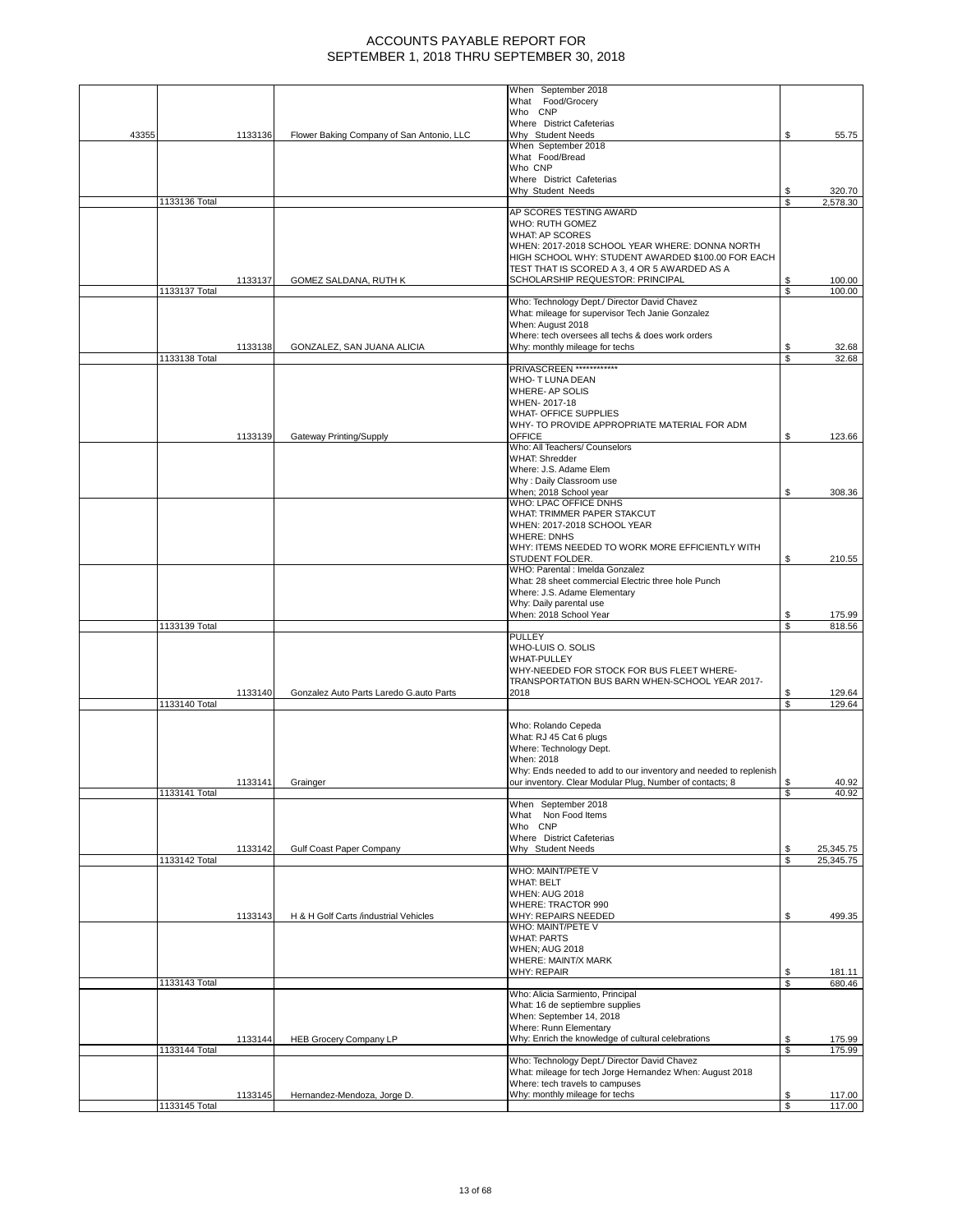|       |               |         |                                           | When September 2018                                                                                  |          |                  |
|-------|---------------|---------|-------------------------------------------|------------------------------------------------------------------------------------------------------|----------|------------------|
|       |               |         |                                           | What Food/Grocery                                                                                    |          |                  |
|       |               |         |                                           | Who CNP                                                                                              |          |                  |
| 43355 |               | 1133136 | Flower Baking Company of San Antonio, LLC | Where District Cafeterias<br>Why Student Needs                                                       | \$       | 55.75            |
|       |               |         |                                           | When September 2018                                                                                  |          |                  |
|       |               |         |                                           | What Food/Bread                                                                                      |          |                  |
|       |               |         |                                           | Who CNP                                                                                              |          |                  |
|       |               |         |                                           | Where District Cafeterias                                                                            |          |                  |
|       |               |         |                                           | Why Student Needs                                                                                    | S        | 320.70           |
|       | 1133136 Total |         |                                           |                                                                                                      | \$       | 2,578.30         |
|       |               |         |                                           | AP SCORES TESTING AWARD                                                                              |          |                  |
|       |               |         |                                           | WHO: RUTH GOMEZ                                                                                      |          |                  |
|       |               |         |                                           | <b>WHAT: AP SCORES</b>                                                                               |          |                  |
|       |               |         |                                           | WHEN: 2017-2018 SCHOOL YEAR WHERE: DONNA NORTH<br>HIGH SCHOOL WHY: STUDENT AWARDED \$100.00 FOR EACH |          |                  |
|       |               |         |                                           | TEST THAT IS SCORED A 3, 4 OR 5 AWARDED AS A                                                         |          |                  |
|       |               | 1133137 | GOMEZ SALDANA, RUTH K                     | SCHOLARSHIP REQUESTOR: PRINCIPAL                                                                     | \$       | 100.00           |
|       | 1133137 Total |         |                                           |                                                                                                      | \$       | 100.00           |
|       |               |         |                                           | Who: Technology Dept./ Director David Chavez                                                         |          |                  |
|       |               |         |                                           | What: mileage for supervisor Tech Janie Gonzalez                                                     |          |                  |
|       |               |         |                                           | When: August 2018                                                                                    |          |                  |
|       |               |         |                                           | Where: tech oversees all techs & does work orders                                                    |          |                  |
|       |               | 1133138 | GONZALEZ, SAN JUANA ALICIA                | Why: monthly mileage for techs                                                                       | \$       | 32.68            |
|       | 1133138 Total |         |                                           |                                                                                                      | \$       | 32.68            |
|       |               |         |                                           | PRIVASCREEN ***********                                                                              |          |                  |
|       |               |         |                                           | WHO- T LUNA DEAN                                                                                     |          |                  |
|       |               |         |                                           | WHERE- AP SOLIS                                                                                      |          |                  |
|       |               |         |                                           | WHEN-2017-18                                                                                         |          |                  |
|       |               |         |                                           | <b>WHAT- OFFICE SUPPLIES</b>                                                                         |          |                  |
|       |               |         |                                           | WHY- TO PROVIDE APPROPRIATE MATERIAL FOR ADM<br><b>OFFICE</b>                                        |          |                  |
|       |               | 1133139 | Gateway Printing/Supply                   | Who: All Teachers/ Counselors                                                                        | \$       | 123.66           |
|       |               |         |                                           | <b>WHAT: Shredder</b>                                                                                |          |                  |
|       |               |         |                                           | Where: J.S. Adame Elem                                                                               |          |                  |
|       |               |         |                                           | Why: Daily Classroom use                                                                             |          |                  |
|       |               |         |                                           | When; 2018 School year                                                                               | \$       | 308.36           |
|       |               |         |                                           | WHO: LPAC OFFICE DNHS                                                                                |          |                  |
|       |               |         |                                           | WHAT: TRIMMER PAPER STAKCUT                                                                          |          |                  |
|       |               |         |                                           | WHEN: 2017-2018 SCHOOL YEAR                                                                          |          |                  |
|       |               |         |                                           | <b>WHERE: DNHS</b>                                                                                   |          |                  |
|       |               |         |                                           | WHY: ITEMS NEEDED TO WORK MORE EFFICIENTLY WITH                                                      |          |                  |
|       |               |         |                                           | STUDENT FOLDER.                                                                                      | \$       | 210.55           |
|       |               |         |                                           | WHO: Parental : Imelda Gonzalez                                                                      |          |                  |
|       |               |         |                                           | What: 28 sheet commercial Electric three hole Punch                                                  |          |                  |
|       |               |         |                                           | Where: J.S. Adame Elementary                                                                         |          |                  |
|       |               |         |                                           | Why: Daily parental use                                                                              |          |                  |
|       |               |         |                                           | When: 2018 School Year                                                                               | \$       | 175.99           |
|       | 1133139 Total |         |                                           | <b>PULLEY</b>                                                                                        | \$       | 818.56           |
|       |               |         |                                           | WHO-LUIS O. SOLIS                                                                                    |          |                  |
|       |               |         |                                           | <b>WHAT-PULLEY</b>                                                                                   |          |                  |
|       |               |         |                                           | WHY-NEEDED FOR STOCK FOR BUS FLEET WHERE-                                                            |          |                  |
|       |               |         |                                           | TRANSPORTATION BUS BARN WHEN-SCHOOL YEAR 2017-                                                       |          |                  |
|       |               | 1133140 | Gonzalez Auto Parts Laredo G.auto Parts   | 2018                                                                                                 | \$       | 129.64           |
|       | 1133140 Total |         |                                           |                                                                                                      | \$       | 129.64           |
|       |               |         |                                           |                                                                                                      |          |                  |
|       |               |         |                                           | Who: Rolando Cepeda                                                                                  |          |                  |
|       |               |         |                                           | What: RJ 45 Cat 6 plugs                                                                              |          |                  |
|       |               |         |                                           | Where: Technology Dept.                                                                              |          |                  |
|       |               |         |                                           | When: 2018                                                                                           |          |                  |
|       |               |         |                                           | Why: Ends needed to add to our inventory and needed to replenish                                     |          |                  |
|       |               | 1133141 | Grainger                                  | our inventory. Clear Modular Plug, Number of contacts; 8                                             | \$       | 40.92            |
|       | 1133141 Total |         |                                           |                                                                                                      | \$       | 40.92            |
|       |               |         |                                           | When September 2018                                                                                  |          |                  |
|       |               |         |                                           | What Non Food Items<br>Who CNP                                                                       |          |                  |
|       |               |         |                                           | Where District Cafeterias                                                                            |          |                  |
|       |               | 1133142 | Gulf Coast Paper Company                  | Why Student Needs                                                                                    | \$       | 25,345.75        |
|       | 1133142 Total |         |                                           |                                                                                                      | \$       | 25,345.75        |
|       |               |         |                                           | WHO: MAINT/PETE V                                                                                    |          |                  |
|       |               |         |                                           | <b>WHAT: BELT</b>                                                                                    |          |                  |
|       |               |         |                                           | <b>WHEN: AUG 2018</b>                                                                                |          |                  |
|       |               |         |                                           | WHERE: TRACTOR 990                                                                                   |          |                  |
|       |               | 1133143 | H & H Golf Carts /industrial Vehicles     | WHY: REPAIRS NEEDED                                                                                  | \$       | 499.35           |
|       |               |         |                                           | WHO: MAINT/PETE V                                                                                    |          |                  |
|       |               |         |                                           | <b>WHAT: PARTS</b>                                                                                   |          |                  |
|       |               |         |                                           | <b>WHEN; AUG 2018</b>                                                                                |          |                  |
|       |               |         |                                           | WHERE: MAINT/X MARK                                                                                  |          |                  |
|       | 1133143 Total |         |                                           | <b>WHY: REPAIR</b>                                                                                   | \$<br>\$ | 181.11<br>680.46 |
|       |               |         |                                           | Who: Alicia Sarmiento, Principal                                                                     |          |                  |
|       |               |         |                                           | What: 16 de septiembre supplies                                                                      |          |                  |
|       |               |         |                                           | When: September 14, 2018                                                                             |          |                  |
|       |               |         |                                           | Where: Runn Elementary                                                                               |          |                  |
|       |               | 1133144 | <b>HEB Grocery Company LP</b>             | Why: Enrich the knowledge of cultural celebrations                                                   | \$       | 175.99           |
|       | 1133144 Total |         |                                           |                                                                                                      | S        | 175.99           |
|       |               |         |                                           | Who: Technology Dept./ Director David Chavez                                                         |          |                  |
|       |               |         |                                           | What: mileage for tech Jorge Hernandez When: August 2018                                             |          |                  |
|       |               |         |                                           | Where: tech travels to campuses                                                                      |          |                  |
|       |               | 1133145 | Hernandez-Mendoza, Jorge D.               | Why: monthly mileage for techs                                                                       | \$       | 117.00           |
|       | 1133145 Total |         |                                           |                                                                                                      | \$       | 117.00           |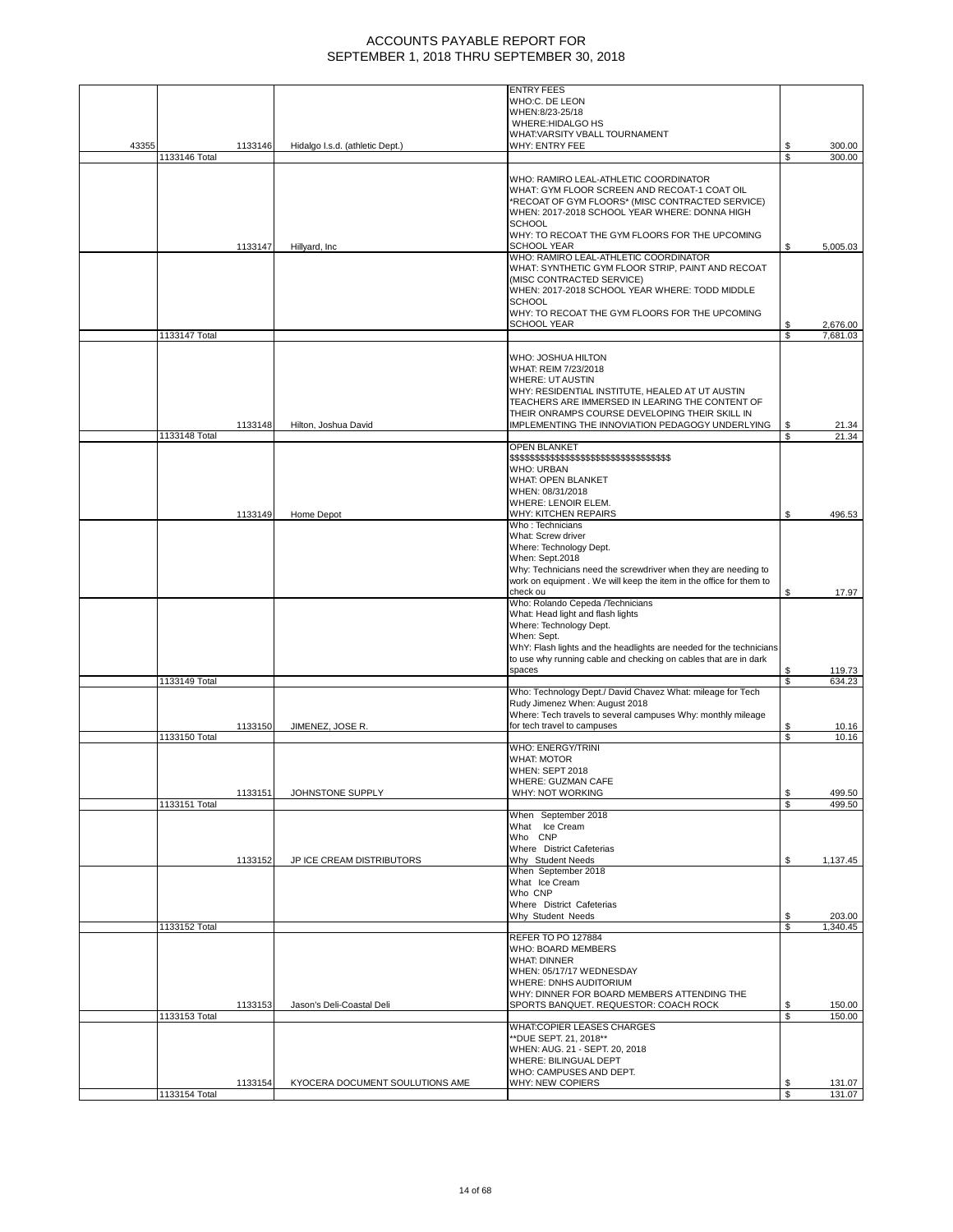|       |               |         |                                 | <b>ENTRY FEES</b>                                                   |     |          |
|-------|---------------|---------|---------------------------------|---------------------------------------------------------------------|-----|----------|
|       |               |         |                                 | WHO:C. DE LEON                                                      |     |          |
|       |               |         |                                 | WHEN:8/23-25/18                                                     |     |          |
|       |               |         |                                 | WHERE:HIDALGO HS                                                    |     |          |
|       |               |         |                                 | WHAT: VARSITY VBALL TOURNAMENT                                      |     |          |
| 43355 |               | 1133146 | Hidalgo I.s.d. (athletic Dept.) | WHY: ENTRY FEE                                                      | S   | 300.00   |
|       | 1133146 Total |         |                                 |                                                                     | \$  | 300.00   |
|       |               |         |                                 |                                                                     |     |          |
|       |               |         |                                 | WHO: RAMIRO LEAL-ATHLETIC COORDINATOR                               |     |          |
|       |               |         |                                 | WHAT: GYM FLOOR SCREEN AND RECOAT-1 COAT OIL                        |     |          |
|       |               |         |                                 | *RECOAT OF GYM FLOORS* (MISC CONTRACTED SERVICE)                    |     |          |
|       |               |         |                                 |                                                                     |     |          |
|       |               |         |                                 | WHEN: 2017-2018 SCHOOL YEAR WHERE: DONNA HIGH                       |     |          |
|       |               |         |                                 | <b>SCHOOL</b>                                                       |     |          |
|       |               |         |                                 | WHY: TO RECOAT THE GYM FLOORS FOR THE UPCOMING                      |     |          |
|       |               | 1133147 | Hillyard, Inc.                  | <b>SCHOOL YEAR</b>                                                  | \$. | 5,005.03 |
|       |               |         |                                 | WHO: RAMIRO LEAL-ATHLETIC COORDINATOR                               |     |          |
|       |               |         |                                 | WHAT: SYNTHETIC GYM FLOOR STRIP, PAINT AND RECOAT                   |     |          |
|       |               |         |                                 | (MISC CONTRACTED SERVICE)                                           |     |          |
|       |               |         |                                 | WHEN: 2017-2018 SCHOOL YEAR WHERE: TODD MIDDLE                      |     |          |
|       |               |         |                                 | <b>SCHOOL</b>                                                       |     |          |
|       |               |         |                                 | WHY: TO RECOAT THE GYM FLOORS FOR THE UPCOMING                      |     |          |
|       |               |         |                                 | <b>SCHOOL YEAR</b>                                                  | \$  | 2,676.00 |
|       | 1133147 Total |         |                                 |                                                                     | S   | 7,681.03 |
|       |               |         |                                 |                                                                     |     |          |
|       |               |         |                                 |                                                                     |     |          |
|       |               |         |                                 | WHO: JOSHUA HILTON                                                  |     |          |
|       |               |         |                                 | WHAT: REIM 7/23/2018                                                |     |          |
|       |               |         |                                 | <b>WHERE: UT AUSTIN</b>                                             |     |          |
|       |               |         |                                 | WHY: RESIDENTIAL INSTITUTE, HEALED AT UT AUSTIN                     |     |          |
|       |               |         |                                 | TEACHERS ARE IMMERSED IN LEARING THE CONTENT OF                     |     |          |
|       |               |         |                                 | THEIR ONRAMPS COURSE DEVELOPING THEIR SKILL IN                      |     |          |
|       |               | 1133148 | Hilton, Joshua David            | IMPLEMENTING THE INNOVIATION PEDAGOGY UNDERLYING                    | \$  | 21.34    |
|       | 1133148 Total |         |                                 |                                                                     | \$  | 21.34    |
|       |               |         |                                 | <b>OPEN BLANKET</b>                                                 |     |          |
|       |               |         |                                 | \$\$\$\$\$\$\$\$\$\$\$\$\$\$\$\$\$\$\$\$\$\$\$\$\$\$\$\$\$\$\$\$    |     |          |
|       |               |         |                                 | <b>WHO: URBAN</b>                                                   |     |          |
|       |               |         |                                 |                                                                     |     |          |
|       |               |         |                                 | WHAT: OPEN BLANKET                                                  |     |          |
|       |               |         |                                 | WHEN: 08/31/2018                                                    |     |          |
|       |               |         |                                 | WHERE: LENOIR ELEM.                                                 |     |          |
|       |               | 1133149 | Home Depot                      | <b>WHY: KITCHEN REPAIRS</b>                                         | \$  | 496.53   |
|       |               |         |                                 | Who: Technicians                                                    |     |          |
|       |               |         |                                 | What: Screw driver                                                  |     |          |
|       |               |         |                                 | Where: Technology Dept.                                             |     |          |
|       |               |         |                                 | When: Sept.2018                                                     |     |          |
|       |               |         |                                 | Why: Technicians need the screwdriver when they are needing to      |     |          |
|       |               |         |                                 | work on equipment. We will keep the item in the office for them to  |     |          |
|       |               |         |                                 | check ou                                                            | S   | 17.97    |
|       |               |         |                                 | Who: Rolando Cepeda /Technicians                                    |     |          |
|       |               |         |                                 |                                                                     |     |          |
|       |               |         |                                 | What: Head light and flash lights                                   |     |          |
|       |               |         |                                 | Where: Technology Dept.                                             |     |          |
|       |               |         |                                 | When: Sept.                                                         |     |          |
|       |               |         |                                 | WhY: Flash lights and the headlights are needed for the technicians |     |          |
|       |               |         |                                 | to use why running cable and checking on cables that are in dark    |     |          |
|       |               |         |                                 | spaces                                                              | \$  | 119.73   |
|       | 1133149 Total |         |                                 |                                                                     | S   | 634.23   |
|       |               |         |                                 | Who: Technology Dept./ David Chavez What: mileage for Tech          |     |          |
|       |               |         |                                 | Rudy Jimenez When: August 2018                                      |     |          |
|       |               |         |                                 | Where: Tech travels to several campuses Why: monthly mileage        |     |          |
|       |               |         |                                 |                                                                     | \$  |          |
|       |               | 1133150 | JIMENEZ, JOSE R.                | for tech travel to campuses                                         |     | 10.16    |
|       | 1133150 Total |         |                                 |                                                                     | \$  | 10.16    |
|       |               |         |                                 | WHO: ENERGY/TRINI                                                   |     |          |
|       |               |         |                                 | <b>WHAT: MOTOR</b>                                                  |     |          |
|       |               |         |                                 | WHEN: SEPT 2018                                                     |     |          |
|       |               |         |                                 | WHERE: GUZMAN CAFE                                                  |     |          |
|       |               | 1133151 | JOHNSTONE SUPPLY                | WHY: NOT WORKING                                                    | \$  | 499.50   |
|       | 1133151 Total |         |                                 |                                                                     | \$  | 499.50   |
|       |               |         |                                 | When September 2018                                                 |     |          |
|       |               |         |                                 | What Ice Cream                                                      |     |          |
|       |               |         |                                 | Who CNP                                                             |     |          |
|       |               |         |                                 | Where District Cafeterias                                           |     |          |
|       |               | 1133152 | JP ICE CREAM DISTRIBUTORS       | Why Student Needs                                                   | \$  | 1,137.45 |
|       |               |         |                                 | When September 2018                                                 |     |          |
|       |               |         |                                 |                                                                     |     |          |
|       |               |         |                                 | What Ice Cream                                                      |     |          |
|       |               |         |                                 | Who CNP                                                             |     |          |
|       |               |         |                                 | Where District Cafeterias                                           |     |          |
|       |               |         |                                 | Why Student Needs                                                   | S   | 203.00   |
|       | 1133152 Total |         |                                 |                                                                     | \$  | 1,340.45 |
|       |               |         |                                 | <b>REFER TO PO 127884</b>                                           |     |          |
|       |               |         |                                 | WHO: BOARD MEMBERS                                                  |     |          |
|       |               |         |                                 | <b>WHAT: DINNER</b>                                                 |     |          |
|       |               |         |                                 | WHEN: 05/17/17 WEDNESDAY                                            |     |          |
|       |               |         |                                 | WHERE: DNHS AUDITORIUM                                              |     |          |
|       |               |         |                                 | WHY: DINNER FOR BOARD MEMBERS ATTENDING THE                         |     |          |
|       |               |         |                                 |                                                                     |     |          |
|       |               | 1133153 | Jason's Deli-Coastal Deli       | SPORTS BANQUET. REQUESTOR: COACH ROCK                               |     | 150.00   |
|       | 1133153 Total |         |                                 |                                                                     | S   | 150.00   |
|       |               |         |                                 | <b>WHAT:COPIER LEASES CHARGES</b>                                   |     |          |
|       |               |         |                                 | **DUE SEPT. 21, 2018**                                              |     |          |
|       |               |         |                                 | WHEN: AUG. 21 - SEPT. 20, 2018                                      |     |          |
|       |               |         |                                 | WHERE: BILINGUAL DEPT                                               |     |          |
|       |               |         |                                 |                                                                     |     |          |
|       |               |         |                                 | WHO: CAMPUSES AND DEPT.                                             |     |          |
|       |               | 1133154 | KYOCERA DOCUMENT SOULUTIONS AME | WHY: NEW COPIERS                                                    | \$  | 131.07   |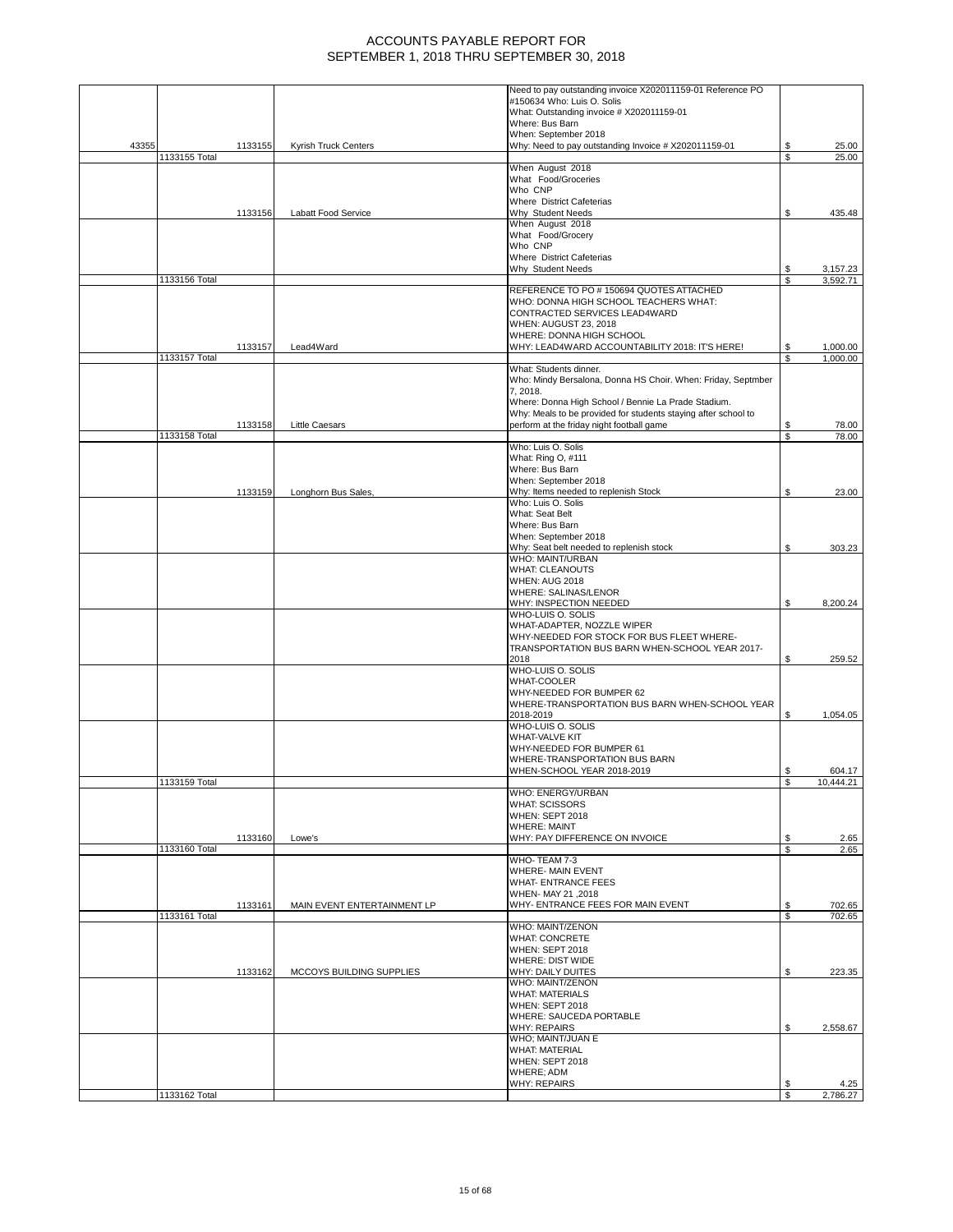|       |               |         |                             | Need to pay outstanding invoice X202011159-01 Reference PO     |    |           |
|-------|---------------|---------|-----------------------------|----------------------------------------------------------------|----|-----------|
|       |               |         |                             | #150634 Who: Luis O. Solis                                     |    |           |
|       |               |         |                             | What: Outstanding invoice # X202011159-01                      |    |           |
|       |               |         |                             | Where: Bus Barn<br>When: September 2018                        |    |           |
| 43355 |               | 1133155 | Kyrish Truck Centers        | Why: Need to pay outstanding Invoice # X202011159-01           | \$ | 25.00     |
|       | 1133155 Total |         |                             |                                                                | \$ | 25.00     |
|       |               |         |                             | When August 2018                                               |    |           |
|       |               |         |                             | What Food/Groceries                                            |    |           |
|       |               |         |                             | Who CNP                                                        |    |           |
|       |               |         |                             | Where District Cafeterias                                      |    |           |
|       |               | 1133156 | Labatt Food Service         | Why Student Needs                                              | \$ | 435.48    |
|       |               |         |                             | When August 2018                                               |    |           |
|       |               |         |                             | What Food/Grocery                                              |    |           |
|       |               |         |                             | Who CNP                                                        |    |           |
|       |               |         |                             | Where District Cafeterias                                      |    |           |
|       |               |         |                             | Why Student Needs                                              | \$ | 3,157.23  |
|       | 1133156 Total |         |                             | REFERENCE TO PO # 150694 QUOTES ATTACHED                       | \$ | 3,592.71  |
|       |               |         |                             | WHO: DONNA HIGH SCHOOL TEACHERS WHAT:                          |    |           |
|       |               |         |                             | CONTRACTED SERVICES LEAD4WARD                                  |    |           |
|       |               |         |                             | WHEN: AUGUST 23, 2018                                          |    |           |
|       |               |         |                             | WHERE: DONNA HIGH SCHOOL                                       |    |           |
|       |               | 1133157 | Lead4Ward                   | WHY: LEAD4WARD ACCOUNTABILITY 2018: IT'S HERE!                 | S  | 1,000.00  |
|       | 1133157 Total |         |                             |                                                                | S  | 1,000.00  |
|       |               |         |                             | What: Students dinner.                                         |    |           |
|       |               |         |                             | Who: Mindy Bersalona, Donna HS Choir. When: Friday, Septmber   |    |           |
|       |               |         |                             | 7, 2018.                                                       |    |           |
|       |               |         |                             | Where: Donna High School / Bennie La Prade Stadium.            |    |           |
|       |               |         |                             | Why: Meals to be provided for students staying after school to |    |           |
|       |               | 1133158 | Little Caesars              | perform at the friday night football game                      | \$ | 78.00     |
|       | 1133158 Total |         |                             |                                                                | \$ | 78.00     |
|       |               |         |                             | Who: Luis O. Solis                                             |    |           |
|       |               |         |                             | What: Ring O, #111                                             |    |           |
|       |               |         |                             | Where: Bus Barn                                                |    |           |
|       |               |         |                             | When: September 2018                                           |    |           |
|       |               | 1133159 | Longhorn Bus Sales,         | Why: Items needed to replenish Stock                           | \$ | 23.00     |
|       |               |         |                             | Who: Luis O. Solis                                             |    |           |
|       |               |         |                             | What: Seat Belt                                                |    |           |
|       |               |         |                             | Where: Bus Barn                                                |    |           |
|       |               |         |                             | When: September 2018                                           |    |           |
|       |               |         |                             | Why: Seat belt needed to replenish stock<br>WHO: MAINT/URBAN   | \$ | 303.23    |
|       |               |         |                             | <b>WHAT: CLEANOUTS</b>                                         |    |           |
|       |               |         |                             | <b>WHEN: AUG 2018</b>                                          |    |           |
|       |               |         |                             | WHERE: SALINAS/LENOR                                           |    |           |
|       |               |         |                             | WHY: INSPECTION NEEDED                                         | \$ | 8,200.24  |
|       |               |         |                             | WHO-LUIS O. SOLIS                                              |    |           |
|       |               |         |                             | WHAT-ADAPTER, NOZZLE WIPER                                     |    |           |
|       |               |         |                             | WHY-NEEDED FOR STOCK FOR BUS FLEET WHERE-                      |    |           |
|       |               |         |                             | TRANSPORTATION BUS BARN WHEN-SCHOOL YEAR 2017-                 |    |           |
|       |               |         |                             | 2018                                                           | \$ | 259.52    |
|       |               |         |                             | WHO-LUIS O. SOLIS                                              |    |           |
|       |               |         |                             | <b>WHAT-COOLER</b>                                             |    |           |
|       |               |         |                             | WHY-NEEDED FOR BUMPER 62                                       |    |           |
|       |               |         |                             | WHERE-TRANSPORTATION BUS BARN WHEN-SCHOOL YEAR                 |    |           |
|       |               |         |                             | 2018-2019                                                      | \$ | 1,054.05  |
|       |               |         |                             | WHO-LUIS O. SOLIS                                              |    |           |
|       |               |         |                             | WHAT-VALVE KIT                                                 |    |           |
|       |               |         |                             | WHY-NEEDED FOR BUMPER 61                                       |    |           |
|       |               |         |                             | WHERE-TRANSPORTATION BUS BARN                                  |    |           |
|       |               |         |                             | WHEN-SCHOOL YEAR 2018-2019                                     | \$ | 604.17    |
|       | 1133159 Total |         |                             |                                                                | S  | 10,444.21 |
|       |               |         |                             | WHO: ENERGY/URBAN                                              |    |           |
|       |               |         |                             | <b>WHAT: SCISSORS</b><br><b>WHEN: SEPT 2018</b>                |    |           |
|       |               |         |                             | <b>WHERE: MAINT</b>                                            |    |           |
|       |               | 1133160 | Lowe's                      | WHY: PAY DIFFERENCE ON INVOICE                                 | \$ | 2.65      |
|       | 1133160 Total |         |                             |                                                                | \$ | 2.65      |
|       |               |         |                             | WHO-TEAM 7-3                                                   |    |           |
|       |               |         |                             | <b>WHERE- MAIN EVENT</b>                                       |    |           |
|       |               |         |                             | <b>WHAT- ENTRANCE FEES</b>                                     |    |           |
|       |               |         |                             | WHEN- MAY 21, 2018                                             |    |           |
|       |               | 1133161 | MAIN EVENT ENTERTAINMENT LP | WHY- ENTRANCE FEES FOR MAIN EVENT                              | \$ | 702.65    |
|       | 1133161 Total |         |                             |                                                                | S  | 702.65    |
|       |               |         |                             | WHO: MAINT/ZENON                                               |    |           |
|       |               |         |                             | <b>WHAT: CONCRETE</b>                                          |    |           |
|       |               |         |                             | WHEN: SEPT 2018                                                |    |           |
|       |               |         |                             | <b>WHERE: DIST WIDE</b>                                        |    |           |
|       |               | 1133162 | MCCOYS BUILDING SUPPLIES    | WHY: DAILY DUITES                                              | \$ | 223.35    |
|       |               |         |                             | WHO: MAINT/ZENON<br><b>WHAT: MATERIALS</b>                     |    |           |
|       |               |         |                             | WHEN: SEPT 2018                                                |    |           |
|       |               |         |                             | WHERE: SAUCEDA PORTABLE                                        |    |           |
|       |               |         |                             | <b>WHY: REPAIRS</b>                                            | \$ | 2,558.67  |
|       |               |         |                             | WHO; MAINT/JUAN E                                              |    |           |
|       |               |         |                             | <b>WHAT: MATERIAL</b>                                          |    |           |
|       |               |         |                             | WHEN: SEPT 2018                                                |    |           |
|       |               |         |                             | WHERE; ADM                                                     |    |           |
|       |               |         |                             | <b>WHY: REPAIRS</b>                                            | S  | 4.25      |
|       | 1133162 Total |         |                             |                                                                | \$ | 2,786.27  |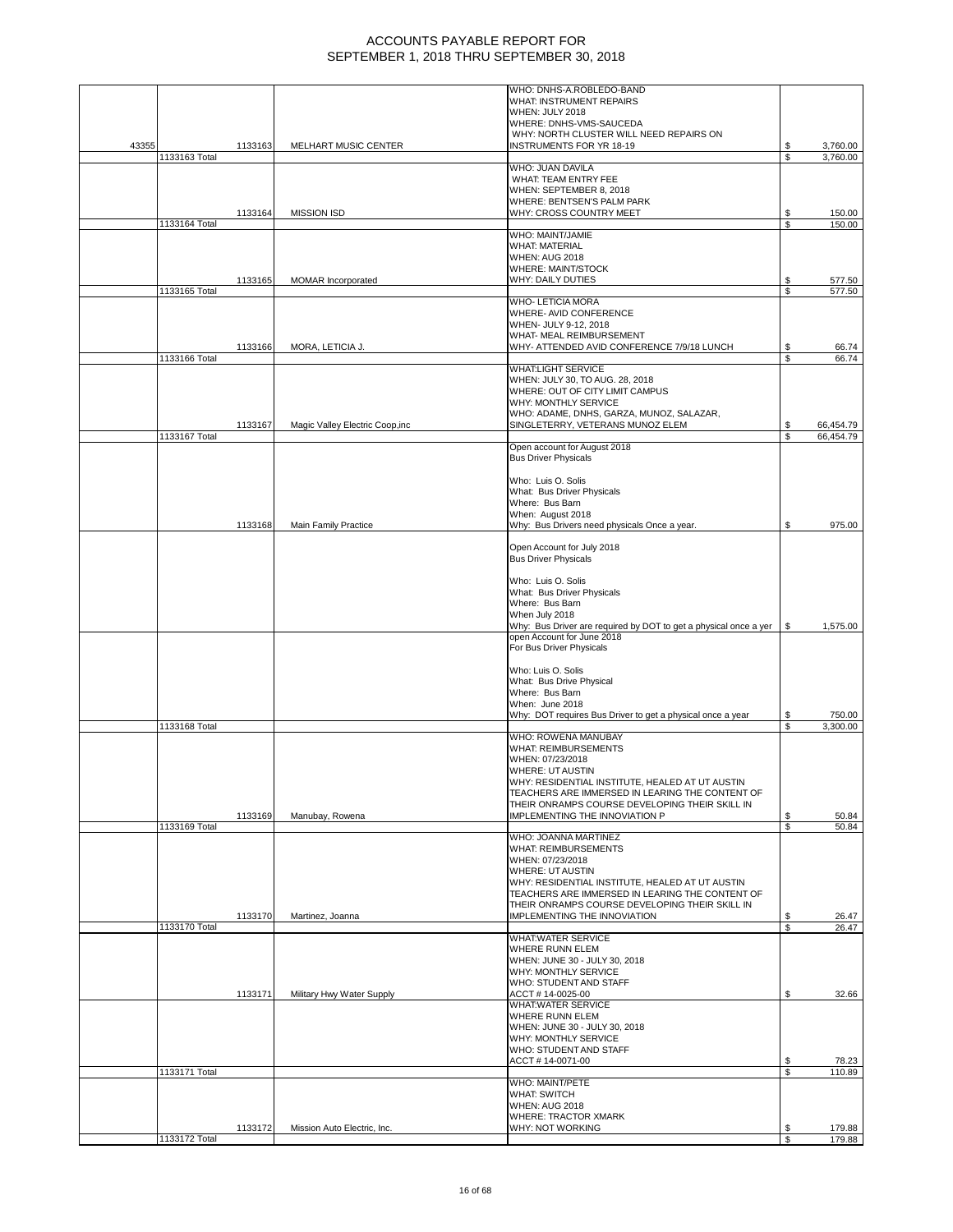|       |               |         |                                 | WHO: DNHS-A.ROBLEDO-BAND                                                                          |          |                |
|-------|---------------|---------|---------------------------------|---------------------------------------------------------------------------------------------------|----------|----------------|
|       |               |         |                                 | WHAT: INSTRUMENT REPAIRS                                                                          |          |                |
|       |               |         |                                 | WHEN: JULY 2018                                                                                   |          |                |
|       |               |         |                                 | WHERE: DNHS-VMS-SAUCEDA<br>WHY: NORTH CLUSTER WILL NEED REPAIRS ON                                |          |                |
|       |               |         |                                 |                                                                                                   |          |                |
| 43355 |               | 1133163 | MELHART MUSIC CENTER            | <b>INSTRUMENTS FOR YR 18-19</b>                                                                   | S        | 3,760.00       |
|       | 1133163 Total |         |                                 | WHO: JUAN DAVILA                                                                                  |          | 3,760.00       |
|       |               |         |                                 | WHAT: TEAM ENTRY FEE                                                                              |          |                |
|       |               |         |                                 | WHEN: SEPTEMBER 8, 2018                                                                           |          |                |
|       |               |         |                                 | WHERE: BENTSEN'S PALM PARK                                                                        |          |                |
|       |               | 1133164 | <b>MISSION ISD</b>              | WHY: CROSS COUNTRY MEET                                                                           | \$       | 150.00         |
|       | 1133164 Total |         |                                 |                                                                                                   | \$       | 150.00         |
|       |               |         |                                 | WHO: MAINT/JAMIE                                                                                  |          |                |
|       |               |         |                                 | <b>WHAT: MATERIAL</b>                                                                             |          |                |
|       |               |         |                                 | <b>WHEN: AUG 2018</b>                                                                             |          |                |
|       |               |         |                                 | <b>WHERE: MAINT/STOCK</b>                                                                         |          |                |
|       |               | 1133165 | <b>MOMAR</b> Incorporated       | <b>WHY: DAILY DUTIES</b>                                                                          | \$       | 577.50         |
|       | 1133165 Total |         |                                 |                                                                                                   | \$       | 577.50         |
|       |               |         |                                 | <b>WHO- LETICIA MORA</b>                                                                          |          |                |
|       |               |         |                                 | WHERE- AVID CONFERENCE                                                                            |          |                |
|       |               |         |                                 | WHEN- JULY 9-12, 2018                                                                             |          |                |
|       |               |         |                                 | WHAT- MEAL REIMBURSEMENT                                                                          |          |                |
|       |               |         |                                 | WHY- ATTENDED AVID CONFERENCE 7/9/18 LUNCH                                                        |          |                |
|       |               | 1133166 | MORA, LETICIA J.                |                                                                                                   | \$<br>S  | 66.74<br>66.74 |
|       | 1133166 Total |         |                                 | <b>WHAT:LIGHT SERVICE</b>                                                                         |          |                |
|       |               |         |                                 |                                                                                                   |          |                |
|       |               |         |                                 | WHEN: JULY 30, TO AUG. 28, 2018                                                                   |          |                |
|       |               |         |                                 | WHERE: OUT OF CITY LIMIT CAMPUS                                                                   |          |                |
|       |               |         |                                 | WHY: MONTHLY SERVICE                                                                              |          |                |
|       |               |         |                                 | WHO: ADAME, DNHS, GARZA, MUNOZ, SALAZAR,                                                          |          |                |
|       |               | 1133167 | Magic Valley Electric Coop, inc | SINGLETERRY, VETERANS MUNOZ ELEM                                                                  |          | 66,454.79      |
|       | 1133167 Total |         |                                 |                                                                                                   | S        | 66.454.79      |
|       |               |         |                                 | Open account for August 2018                                                                      |          |                |
|       |               |         |                                 | <b>Bus Driver Physicals</b>                                                                       |          |                |
|       |               |         |                                 |                                                                                                   |          |                |
|       |               |         |                                 | Who: Luis O. Solis                                                                                |          |                |
|       |               |         |                                 | What: Bus Driver Physicals                                                                        |          |                |
|       |               |         |                                 | Where: Bus Barn                                                                                   |          |                |
|       |               |         |                                 | When: August 2018                                                                                 |          |                |
|       |               | 1133168 | Main Family Practice            | Why: Bus Drivers need physicals Once a year.                                                      | \$       | 975.00         |
|       |               |         |                                 |                                                                                                   |          |                |
|       |               |         |                                 | Open Account for July 2018                                                                        |          |                |
|       |               |         |                                 | <b>Bus Driver Physicals</b>                                                                       |          |                |
|       |               |         |                                 |                                                                                                   |          |                |
|       |               |         |                                 | Who: Luis O. Solis                                                                                |          |                |
|       |               |         |                                 | What: Bus Driver Physicals                                                                        |          |                |
|       |               |         |                                 | Where: Bus Barn                                                                                   |          |                |
|       |               |         |                                 | When July 2018                                                                                    |          |                |
|       |               |         |                                 | Why: Bus Driver are required by DOT to get a physical once a yer                                  | \$       | 1,575.00       |
|       |               |         |                                 | open Account for June 2018                                                                        |          |                |
|       |               |         |                                 | For Bus Driver Physicals                                                                          |          |                |
|       |               |         |                                 |                                                                                                   |          |                |
|       |               |         |                                 | Who: Luis O. Solis                                                                                |          |                |
|       |               |         |                                 | What: Bus Drive Physical                                                                          |          |                |
|       |               |         |                                 | Where: Bus Barn                                                                                   |          |                |
|       |               |         |                                 | When: June 2018                                                                                   |          |                |
|       |               |         |                                 | Why: DOT requires Bus Driver to get a physical once a year                                        | S        | 750.00         |
|       | 1133168 Total |         |                                 |                                                                                                   | S        | 3,300.00       |
|       |               |         |                                 | WHO: ROWENA MANUBAY                                                                               |          |                |
|       |               |         |                                 | <b>WHAT: REIMBURSEMENTS</b>                                                                       |          |                |
|       |               |         |                                 | WHEN: 07/23/2018                                                                                  |          |                |
|       |               |         |                                 | <b>WHERE: UT AUSTIN</b>                                                                           |          |                |
|       |               |         |                                 | WHY: RESIDENTIAL INSTITUTE, HEALED AT UT AUSTIN                                                   |          |                |
|       |               |         |                                 | TEACHERS ARE IMMERSED IN LEARING THE CONTENT OF                                                   |          |                |
|       |               |         |                                 | THEIR ONRAMPS COURSE DEVELOPING THEIR SKILL IN                                                    |          |                |
|       |               | 1133169 | Manubay, Rowena                 | IMPLEMENTING THE INNOVIATION P                                                                    | S        | 50.84          |
|       | 1133169 Total |         |                                 |                                                                                                   | \$       | 50.84          |
|       |               |         |                                 | WHO: JOANNA MARTINEZ                                                                              |          |                |
|       |               |         |                                 | <b>WHAT: REIMBURSEMENTS</b>                                                                       |          |                |
|       |               |         |                                 | WHEN: 07/23/2018                                                                                  |          |                |
|       |               |         |                                 |                                                                                                   |          |                |
|       |               |         |                                 | <b>WHERE: UT AUSTIN</b><br>WHY: RESIDENTIAL INSTITUTE, HEALED AT UT AUSTIN                        |          |                |
|       |               |         |                                 |                                                                                                   |          |                |
|       |               |         |                                 | TEACHERS ARE IMMERSED IN LEARING THE CONTENT OF<br>THEIR ONRAMPS COURSE DEVELOPING THEIR SKILL IN |          |                |
|       |               |         | Martinez, Joanna                | IMPLEMENTING THE INNOVIATION                                                                      |          |                |
|       |               | 1133170 |                                 |                                                                                                   | \$<br>\$ | 26.47<br>26.47 |
|       | 1133170 Total |         |                                 | <b>WHAT:WATER SERVICE</b>                                                                         |          |                |
|       |               |         |                                 |                                                                                                   |          |                |
|       |               |         |                                 | <b>WHERE RUNN ELEM</b>                                                                            |          |                |
|       |               |         |                                 | WHEN: JUNE 30 - JULY 30, 2018                                                                     |          |                |
|       |               |         |                                 | WHY: MONTHLY SERVICE                                                                              |          |                |
|       |               |         |                                 | WHO: STUDENT AND STAFF                                                                            |          |                |
|       |               | 1133171 | Military Hwy Water Supply       | ACCT # 14-0025-00                                                                                 | \$       | 32.66          |
|       |               |         |                                 | <b>WHAT:WATER SERVICE</b>                                                                         |          |                |
|       |               |         |                                 | WHERE RUNN ELEM                                                                                   |          |                |
|       |               |         |                                 | WHEN: JUNE 30 - JULY 30, 2018                                                                     |          |                |
|       |               |         |                                 | WHY: MONTHLY SERVICE                                                                              |          |                |
|       |               |         |                                 | WHO: STUDENT AND STAFF                                                                            |          |                |
|       |               |         |                                 | ACCT # 14-0071-00                                                                                 | \$       | 78.23          |
|       | 1133171 Total |         |                                 |                                                                                                   | S        | 110.89         |
|       |               |         |                                 | WHO: MAINT/PETE                                                                                   |          |                |
|       |               |         |                                 | <b>WHAT: SWITCH</b>                                                                               |          |                |
|       |               |         |                                 | <b>WHEN: AUG 2018</b>                                                                             |          |                |
|       |               |         |                                 | <b>WHERE: TRACTOR XMARK</b>                                                                       |          |                |
|       |               | 1133172 | Mission Auto Electric, Inc.     | WHY: NOT WORKING                                                                                  | \$       | 179.88         |
|       | 1133172 Total |         |                                 |                                                                                                   | \$       | 179.88         |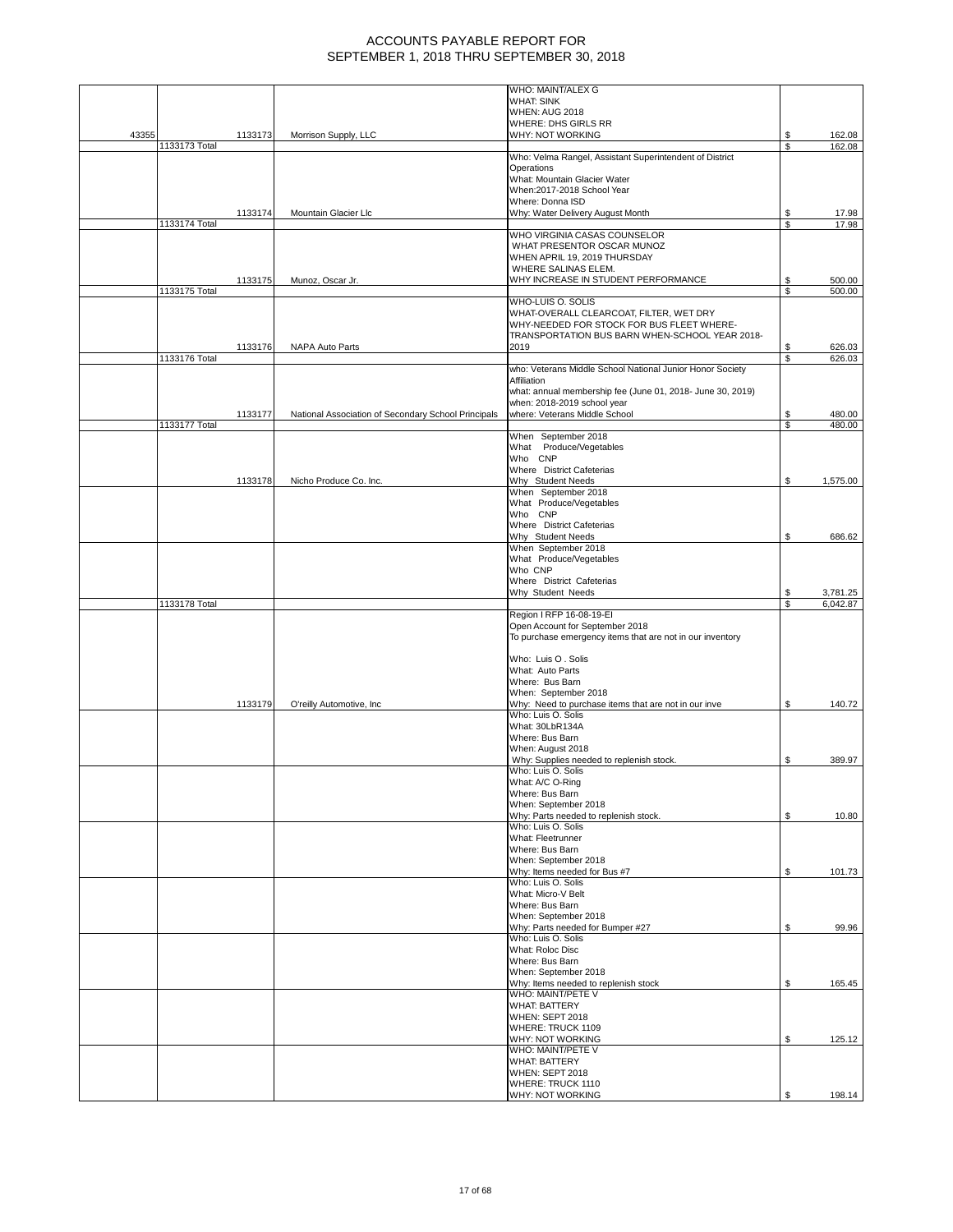|       |               |         |                                                     | WHO: MAINT/ALEX G                                                                         |          |                      |
|-------|---------------|---------|-----------------------------------------------------|-------------------------------------------------------------------------------------------|----------|----------------------|
|       |               |         |                                                     | <b>WHAT: SINK</b>                                                                         |          |                      |
|       |               |         |                                                     | <b>WHEN: AUG 2018</b>                                                                     |          |                      |
|       |               |         |                                                     | WHERE: DHS GIRLS RR                                                                       |          |                      |
| 43355 |               | 1133173 | Morrison Supply, LLC                                | WHY: NOT WORKING                                                                          | \$       | 162.08               |
|       | 1133173 Total |         |                                                     |                                                                                           | S        | 162.08               |
|       |               |         |                                                     | Who: Velma Rangel, Assistant Superintendent of District                                   |          |                      |
|       |               |         |                                                     | Operations                                                                                |          |                      |
|       |               |         |                                                     | What: Mountain Glacier Water                                                              |          |                      |
|       |               |         |                                                     | When:2017-2018 School Year                                                                |          |                      |
|       |               |         |                                                     | Where: Donna ISD                                                                          |          |                      |
|       |               | 1133174 | Mountain Glacier Llc                                | Why: Water Delivery August Month                                                          | \$       | 17.98                |
|       | 1133174 Total |         |                                                     |                                                                                           | \$       | 17.98                |
|       |               |         |                                                     | WHO VIRGINIA CASAS COUNSELOR                                                              |          |                      |
|       |               |         |                                                     | WHAT PRESENTOR OSCAR MUNOZ                                                                |          |                      |
|       |               |         |                                                     | WHEN APRIL 19, 2019 THURSDAY<br>WHERE SALINAS ELEM.                                       |          |                      |
|       |               |         |                                                     |                                                                                           |          |                      |
|       |               | 1133175 | Munoz, Oscar Jr.                                    | WHY INCREASE IN STUDENT PERFORMANCE                                                       | S<br>S   | 500.00               |
|       | 1133175 Total |         |                                                     |                                                                                           |          | 500.00               |
|       |               |         |                                                     | WHO-LUIS O. SOLIS                                                                         |          |                      |
|       |               |         |                                                     | WHAT-OVERALL CLEARCOAT, FILTER, WET DRY                                                   |          |                      |
|       |               |         |                                                     | WHY-NEEDED FOR STOCK FOR BUS FLEET WHERE-                                                 |          |                      |
|       |               |         |                                                     | TRANSPORTATION BUS BARN WHEN-SCHOOL YEAR 2018-                                            |          |                      |
|       |               | 1133176 | NAPA Auto Parts                                     | 2019                                                                                      | \$       | 626.03               |
|       | 1133176 Total |         |                                                     |                                                                                           | \$       | 626.03               |
|       |               |         |                                                     | who: Veterans Middle School National Junior Honor Society                                 |          |                      |
|       |               |         |                                                     | Affiliation                                                                               |          |                      |
|       |               |         |                                                     | what: annual membership fee (June 01, 2018- June 30, 2019)<br>when: 2018-2019 school year |          |                      |
|       |               |         |                                                     | where: Veterans Middle School                                                             |          |                      |
|       |               | 1133177 | National Association of Secondary School Principals |                                                                                           | \$<br>\$ | 480.00<br>480.00     |
|       | 1133177 Total |         |                                                     | When September 2018                                                                       |          |                      |
|       |               |         |                                                     | What Produce/Vegetables                                                                   |          |                      |
|       |               |         |                                                     | Who CNP                                                                                   |          |                      |
|       |               |         |                                                     | Where District Cafeterias                                                                 |          |                      |
|       |               | 1133178 |                                                     | Why Student Needs                                                                         |          |                      |
|       |               |         | Nicho Produce Co. Inc.                              | When September 2018                                                                       | S        | 1,575.00             |
|       |               |         |                                                     | What Produce/Vegetables                                                                   |          |                      |
|       |               |         |                                                     | Who CNP                                                                                   |          |                      |
|       |               |         |                                                     | Where District Cafeterias                                                                 |          |                      |
|       |               |         |                                                     | Why Student Needs                                                                         | \$       | 686.62               |
|       |               |         |                                                     | When September 2018                                                                       |          |                      |
|       |               |         |                                                     | What Produce/Vegetables                                                                   |          |                      |
|       |               |         |                                                     | Who CNP                                                                                   |          |                      |
|       |               |         |                                                     | Where District Cafeterias                                                                 |          |                      |
|       |               |         |                                                     | Why Student Needs                                                                         | S        |                      |
|       | 1133178 Total |         |                                                     |                                                                                           |          | 3,781.25<br>6,042.87 |
|       |               |         |                                                     |                                                                                           |          |                      |
|       |               |         |                                                     |                                                                                           |          |                      |
|       |               |         |                                                     | Region I RFP 16-08-19-EI                                                                  |          |                      |
|       |               |         |                                                     | Open Account for September 2018                                                           |          |                      |
|       |               |         |                                                     | To purchase emergency items that are not in our inventory                                 |          |                      |
|       |               |         |                                                     |                                                                                           |          |                      |
|       |               |         |                                                     | Who: Luis O. Solis                                                                        |          |                      |
|       |               |         |                                                     | What: Auto Parts                                                                          |          |                      |
|       |               |         |                                                     | Where: Bus Barn                                                                           |          |                      |
|       |               |         |                                                     | When: September 2018                                                                      |          |                      |
|       |               | 1133179 | O'reilly Automotive, Inc.                           | Why: Need to purchase items that are not in our inve                                      | \$       | 140.72               |
|       |               |         |                                                     | Who: Luis O. Solis                                                                        |          |                      |
|       |               |         |                                                     | What: 30LbR134A                                                                           |          |                      |
|       |               |         |                                                     | Where: Bus Barn                                                                           |          |                      |
|       |               |         |                                                     | When: August 2018                                                                         |          |                      |
|       |               |         |                                                     | Why: Supplies needed to replenish stock.                                                  | \$       | 389.97               |
|       |               |         |                                                     | Who: Luis O. Solis                                                                        |          |                      |
|       |               |         |                                                     | What: A/C O-Ring                                                                          |          |                      |
|       |               |         |                                                     | Where: Bus Barn                                                                           |          |                      |
|       |               |         |                                                     | When: September 2018                                                                      |          |                      |
|       |               |         |                                                     | Why: Parts needed to replenish stock.                                                     | \$       | 10.80                |
|       |               |         |                                                     | Who: Luis O. Solis                                                                        |          |                      |
|       |               |         |                                                     | What: Fleetrunner                                                                         |          |                      |
|       |               |         |                                                     | Where: Bus Barn                                                                           |          |                      |
|       |               |         |                                                     | When: September 2018                                                                      |          |                      |
|       |               |         |                                                     | Why: Items needed for Bus #7                                                              | \$       | 101.73               |
|       |               |         |                                                     | Who: Luis O. Solis                                                                        |          |                      |
|       |               |         |                                                     | What: Micro-V Belt                                                                        |          |                      |
|       |               |         |                                                     | Where: Bus Barn                                                                           |          |                      |
|       |               |         |                                                     | When: September 2018                                                                      |          |                      |
|       |               |         |                                                     | Why: Parts needed for Bumper #27                                                          | \$       | 99.96                |
|       |               |         |                                                     | Who: Luis O. Solis<br>What: Roloc Disc                                                    |          |                      |
|       |               |         |                                                     |                                                                                           |          |                      |
|       |               |         |                                                     | Where: Bus Barn                                                                           |          |                      |
|       |               |         |                                                     | When: September 2018<br>Why: Items needed to replenish stock                              | \$       |                      |
|       |               |         |                                                     | WHO: MAINT/PETE V                                                                         |          | 165.45               |
|       |               |         |                                                     | <b>WHAT: BATTERY</b>                                                                      |          |                      |
|       |               |         |                                                     | <b>WHEN: SEPT 2018</b>                                                                    |          |                      |
|       |               |         |                                                     |                                                                                           |          |                      |
|       |               |         |                                                     | WHERE: TRUCK 1109                                                                         |          |                      |
|       |               |         |                                                     | WHY: NOT WORKING<br>WHO: MAINT/PETE V                                                     | \$       | 125.12               |
|       |               |         |                                                     |                                                                                           |          |                      |
|       |               |         |                                                     | <b>WHAT: BATTERY</b>                                                                      |          |                      |
|       |               |         |                                                     | <b>WHEN: SEPT 2018</b><br>WHERE: TRUCK 1110                                               |          |                      |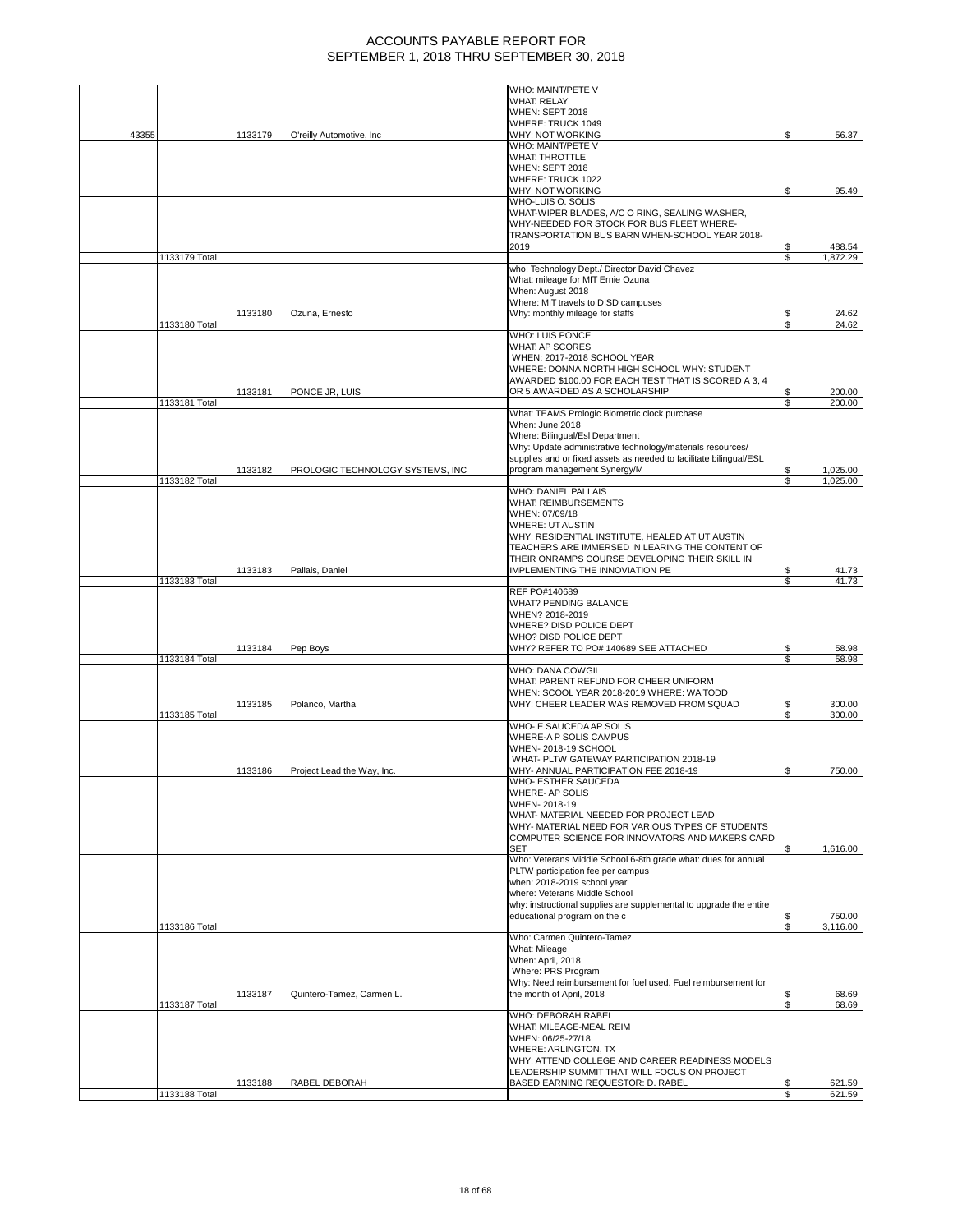|       |               |         |                                  | WHO: MAINT/PETE V                                                                   |          |                    |
|-------|---------------|---------|----------------------------------|-------------------------------------------------------------------------------------|----------|--------------------|
|       |               |         |                                  | <b>WHAT: RELAY</b>                                                                  |          |                    |
|       |               |         |                                  | <b>WHEN: SEPT 2018</b>                                                              |          |                    |
|       |               |         |                                  | WHERE: TRUCK 1049                                                                   |          |                    |
| 43355 |               | 1133179 | O'reilly Automotive, Inc         | WHY: NOT WORKING                                                                    | S        | 56.37              |
|       |               |         |                                  | WHO: MAINT/PETE V                                                                   |          |                    |
|       |               |         |                                  | <b>WHAT: THROTTLE</b>                                                               |          |                    |
|       |               |         |                                  | WHEN: SEPT 2018                                                                     |          |                    |
|       |               |         |                                  | WHERE: TRUCK 1022                                                                   |          |                    |
|       |               |         |                                  | WHY: NOT WORKING                                                                    | \$       | 95.49              |
|       |               |         |                                  | WHO-LUIS O. SOLIS                                                                   |          |                    |
|       |               |         |                                  | WHAT-WIPER BLADES, A/C O RING, SEALING WASHER,                                      |          |                    |
|       |               |         |                                  | WHY-NEEDED FOR STOCK FOR BUS FLEET WHERE-                                           |          |                    |
|       |               |         |                                  | TRANSPORTATION BUS BARN WHEN-SCHOOL YEAR 2018-<br>2019                              |          |                    |
|       | 1133179 Total |         |                                  |                                                                                     | \$<br>\$ | 488.54<br>1,872.29 |
|       |               |         |                                  | who: Technology Dept./ Director David Chavez                                        |          |                    |
|       |               |         |                                  | What: mileage for MIT Ernie Ozuna                                                   |          |                    |
|       |               |         |                                  | When: August 2018                                                                   |          |                    |
|       |               |         |                                  | Where: MIT travels to DISD campuses                                                 |          |                    |
|       |               | 1133180 | Ozuna, Ernesto                   | Why: monthly mileage for staffs                                                     | S        | 24.62              |
|       | 1133180 Total |         |                                  |                                                                                     | \$       | 24.62              |
|       |               |         |                                  | WHO: LUIS PONCE                                                                     |          |                    |
|       |               |         |                                  | WHAT: AP SCORES                                                                     |          |                    |
|       |               |         |                                  | WHEN: 2017-2018 SCHOOL YEAR                                                         |          |                    |
|       |               |         |                                  | WHERE: DONNA NORTH HIGH SCHOOL WHY: STUDENT                                         |          |                    |
|       |               |         |                                  | AWARDED \$100.00 FOR EACH TEST THAT IS SCORED A 3, 4                                |          |                    |
|       |               | 1133181 | PONCE JR, LUIS                   | OR 5 AWARDED AS A SCHOLARSHIP                                                       | \$       | 200.00             |
|       | 1133181 Total |         |                                  |                                                                                     | S        | 200.00             |
|       |               |         |                                  | What: TEAMS Prologic Biometric clock purchase                                       |          |                    |
|       |               |         |                                  | When: June 2018                                                                     |          |                    |
|       |               |         |                                  | Where: Bilingual/Esl Department                                                     |          |                    |
|       |               |         |                                  | Why: Update administrative technology/materials resources/                          |          |                    |
|       |               |         |                                  | supplies and or fixed assets as needed to facilitate bilingual/ESL                  |          |                    |
|       |               | 1133182 | PROLOGIC TECHNOLOGY SYSTEMS, INC | program management Synergy/M                                                        |          | 1,025.00           |
|       | 1133182 Total |         |                                  |                                                                                     | S        | 1,025.00           |
|       |               |         |                                  | <b>WHO: DANIEL PALLAIS</b>                                                          |          |                    |
|       |               |         |                                  | <b>WHAT: REIMBURSEMENTS</b>                                                         |          |                    |
|       |               |         |                                  | WHEN: 07/09/18                                                                      |          |                    |
|       |               |         |                                  | <b>WHERE: UT AUSTIN</b>                                                             |          |                    |
|       |               |         |                                  | WHY: RESIDENTIAL INSTITUTE, HEALED AT UT AUSTIN                                     |          |                    |
|       |               |         |                                  | TEACHERS ARE IMMERSED IN LEARING THE CONTENT OF                                     |          |                    |
|       |               |         |                                  | THEIR ONRAMPS COURSE DEVELOPING THEIR SKILL IN                                      |          |                    |
|       |               | 1133183 | Pallais, Daniel                  | IMPLEMENTING THE INNOVIATION PE                                                     | S        | 41.73              |
|       | 1133183 Total |         |                                  |                                                                                     | \$       | 41.73              |
|       |               |         |                                  | REF PO#140689                                                                       |          |                    |
|       |               |         |                                  | <b>WHAT? PENDING BALANCE</b>                                                        |          |                    |
|       |               |         |                                  | WHEN? 2018-2019                                                                     |          |                    |
|       |               |         |                                  | WHERE? DISD POLICE DEPT                                                             |          |                    |
|       |               |         |                                  | WHO? DISD POLICE DEPT                                                               |          |                    |
|       |               | 1133184 | Pep Boys                         | WHY? REFER TO PO# 140689 SEE ATTACHED                                               | \$       | 58.98              |
|       | 1133184 Total |         |                                  |                                                                                     | \$       | 58.98              |
|       |               |         |                                  | WHO: DANA COWGIL                                                                    |          |                    |
|       |               |         |                                  | WHAT: PARENT REFUND FOR CHEER UNIFORM                                               |          |                    |
|       |               |         |                                  | WHEN: SCOOL YEAR 2018-2019 WHERE: WA TODD                                           |          |                    |
|       |               | 1133185 | Polanco, Martha                  | WHY: CHEER LEADER WAS REMOVED FROM SQUAD                                            | \$       | 300.00             |
|       | 1133185 Total |         |                                  |                                                                                     | \$       | 300.00             |
|       |               |         |                                  | WHO- E SAUCEDA AP SOLIS                                                             |          |                    |
|       |               |         |                                  | WHERE-A P SOLIS CAMPUS                                                              |          |                    |
|       |               |         |                                  | WHEN-2018-19 SCHOOL                                                                 |          |                    |
|       |               |         |                                  | WHAT- PLTW GATEWAY PARTICIPATION 2018-19                                            |          |                    |
|       |               | 1133186 | Project Lead the Way, Inc.       |                                                                                     |          |                    |
|       |               |         |                                  | WHY- ANNUAL PARTICIPATION FEE 2018-19                                               | \$       | 750.00             |
|       |               |         |                                  | WHO- ESTHER SAUCEDA                                                                 |          |                    |
|       |               |         |                                  | WHERE- AP SOLIS                                                                     |          |                    |
|       |               |         |                                  | WHEN-2018-19                                                                        |          |                    |
|       |               |         |                                  | WHAT- MATERIAL NEEDED FOR PROJECT LEAD                                              |          |                    |
|       |               |         |                                  | WHY- MATERIAL NEED FOR VARIOUS TYPES OF STUDENTS                                    |          |                    |
|       |               |         |                                  | COMPUTER SCIENCE FOR INNOVATORS AND MAKERS CARD                                     |          |                    |
|       |               |         |                                  | <b>SET</b>                                                                          | S        | 1,616.00           |
|       |               |         |                                  | Who: Veterans Middle School 6-8th grade what: dues for annual                       |          |                    |
|       |               |         |                                  | PLTW participation fee per campus                                                   |          |                    |
|       |               |         |                                  | when: 2018-2019 school year                                                         |          |                    |
|       |               |         |                                  | where: Veterans Middle School                                                       |          |                    |
|       |               |         |                                  | why: instructional supplies are supplemental to upgrade the entire                  |          |                    |
|       |               |         |                                  | educational program on the c                                                        | \$       | 750.00             |
|       | 1133186 Total |         |                                  | Who: Carmen Quintero-Tamez                                                          | \$       | 3.116.00           |
|       |               |         |                                  |                                                                                     |          |                    |
|       |               |         |                                  | What: Mileage                                                                       |          |                    |
|       |               |         |                                  | When: April, 2018                                                                   |          |                    |
|       |               |         |                                  | Where: PRS Program<br>Why: Need reimbursement for fuel used. Fuel reimbursement for |          |                    |
|       |               |         |                                  | the month of April, 2018                                                            | \$       |                    |
|       |               | 1133187 | Quintero-Tamez, Carmen L.        |                                                                                     | \$       | 68.69<br>68.69     |
|       | 1133187 Total |         |                                  | WHO: DEBORAH RABEL                                                                  |          |                    |
|       |               |         |                                  | WHAT: MILEAGE-MEAL REIM                                                             |          |                    |
|       |               |         |                                  | WHEN: 06/25-27/18                                                                   |          |                    |
|       |               |         |                                  | WHERE: ARLINGTON, TX                                                                |          |                    |
|       |               |         |                                  | WHY: ATTEND COLLEGE AND CAREER READINESS MODELS                                     |          |                    |
|       |               |         |                                  | LEADERSHIP SUMMIT THAT WILL FOCUS ON PROJECT                                        |          |                    |
|       |               | 1133188 | RABEL DEBORAH                    | BASED EARNING REQUESTOR: D. RABEL                                                   | \$       | 621.59             |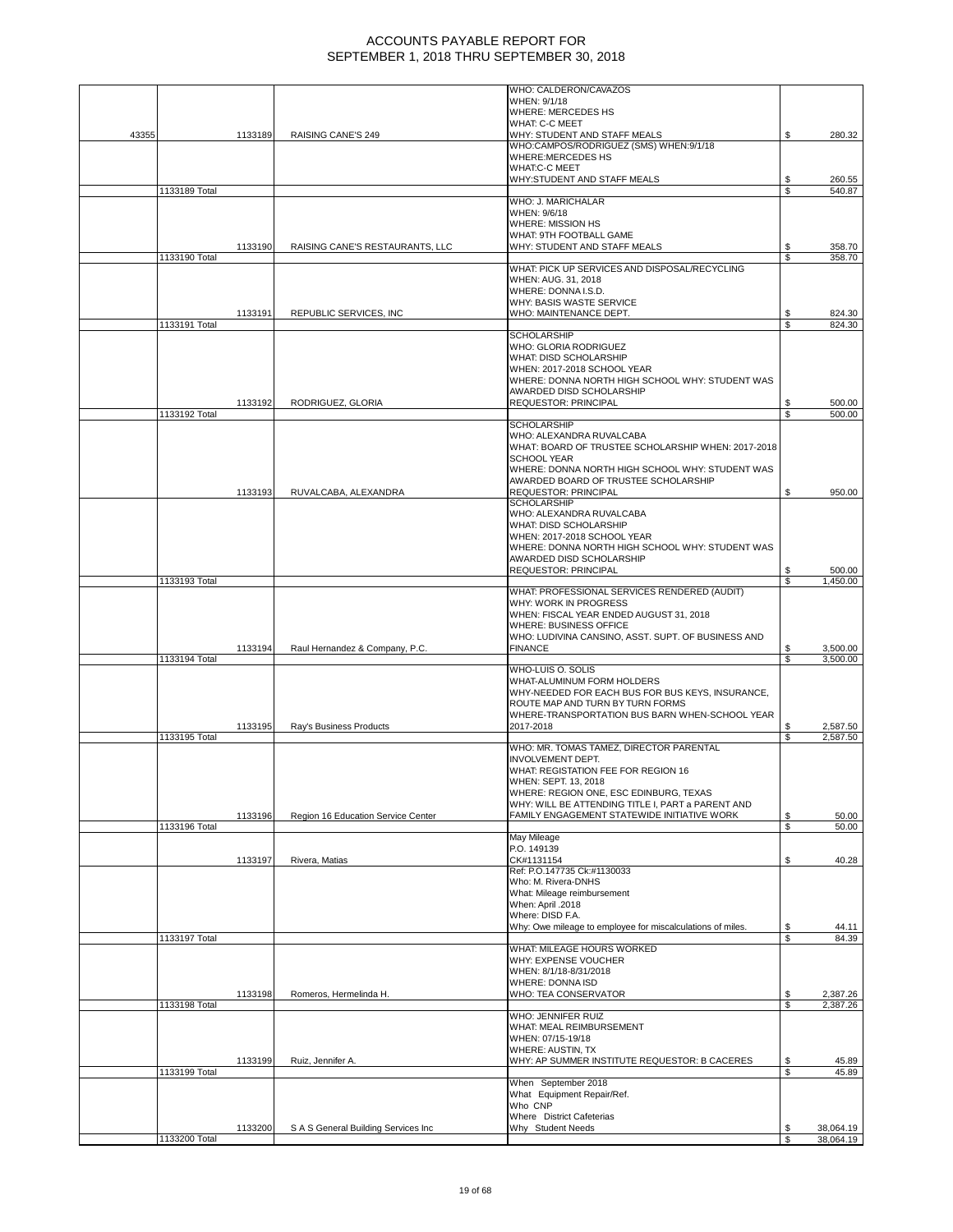|       |               |         |                                     | WHO: CALDERON/CAVAZOS                                                                |          |                      |
|-------|---------------|---------|-------------------------------------|--------------------------------------------------------------------------------------|----------|----------------------|
|       |               |         |                                     | WHEN: 9/1/18<br>WHERE: MERCEDES HS                                                   |          |                      |
|       |               |         |                                     | WHAT: C-C MEET                                                                       |          |                      |
| 43355 |               | 1133189 | RAISING CANE'S 249                  | WHY: STUDENT AND STAFF MEALS                                                         | S        | 280.32               |
|       |               |         |                                     | WHO:CAMPOS/RODRIGUEZ (SMS) WHEN:9/1/18<br><b>WHERE:MERCEDES HS</b>                   |          |                      |
|       |               |         |                                     | <b>WHAT:C-C MEET</b>                                                                 |          |                      |
|       |               |         |                                     | WHY:STUDENT AND STAFF MEALS                                                          | S        | 260.55               |
|       | 1133189 Total |         |                                     | WHO: J. MARICHALAR                                                                   | \$.      | 540.87               |
|       |               |         |                                     | WHEN: 9/6/18                                                                         |          |                      |
|       |               |         |                                     | WHERE: MISSION HS                                                                    |          |                      |
|       |               | 1133190 | RAISING CANE'S RESTAURANTS, LLC     | WHAT: 9TH FOOTBALL GAME<br>WHY: STUDENT AND STAFF MEALS                              | \$       | 358.70               |
|       | 1133190 Total |         |                                     |                                                                                      | \$       | 358.70               |
|       |               |         |                                     | WHAT: PICK UP SERVICES AND DISPOSAL/RECYCLING<br>WHEN: AUG. 31, 2018                 |          |                      |
|       |               |         |                                     | WHERE: DONNA I.S.D.                                                                  |          |                      |
|       |               |         |                                     | WHY: BASIS WASTE SERVICE                                                             |          |                      |
|       | 1133191 Total | 1133191 | REPUBLIC SERVICES, INC              | WHO: MAINTENANCE DEPT.                                                               | S<br>\$  | 824.30<br>824.30     |
|       |               |         |                                     | <b>SCHOLARSHIP</b>                                                                   |          |                      |
|       |               |         |                                     | WHO: GLORIA RODRIGUEZ                                                                |          |                      |
|       |               |         |                                     | WHAT: DISD SCHOLARSHIP<br>WHEN: 2017-2018 SCHOOL YEAR                                |          |                      |
|       |               |         |                                     | WHERE: DONNA NORTH HIGH SCHOOL WHY: STUDENT WAS                                      |          |                      |
|       |               |         |                                     | AWARDED DISD SCHOLARSHIP                                                             |          |                      |
|       | 1133192 Total | 1133192 | RODRIGUEZ, GLORIA                   | <b>REQUESTOR: PRINCIPAL</b>                                                          | \$<br>\$ | 500.00<br>500.00     |
|       |               |         |                                     | <b>SCHOLARSHIP</b>                                                                   |          |                      |
|       |               |         |                                     | WHO: ALEXANDRA RUVALCABA<br>WHAT: BOARD OF TRUSTEE SCHOLARSHIP WHEN: 2017-2018       |          |                      |
|       |               |         |                                     | <b>SCHOOL YEAR</b>                                                                   |          |                      |
|       |               |         |                                     | WHERE: DONNA NORTH HIGH SCHOOL WHY: STUDENT WAS                                      |          |                      |
|       |               | 1133193 |                                     | AWARDED BOARD OF TRUSTEE SCHOLARSHIP                                                 |          | 950.00               |
|       |               |         | RUVALCABA, ALEXANDRA                | REQUESTOR: PRINCIPAL<br><b>SCHOLARSHIP</b>                                           | \$       |                      |
|       |               |         |                                     | WHO: ALEXANDRA RUVALCABA                                                             |          |                      |
|       |               |         |                                     | WHAT: DISD SCHOLARSHIP<br>WHEN: 2017-2018 SCHOOL YEAR                                |          |                      |
|       |               |         |                                     | WHERE: DONNA NORTH HIGH SCHOOL WHY: STUDENT WAS                                      |          |                      |
|       |               |         |                                     | AWARDED DISD SCHOLARSHIP                                                             |          |                      |
|       | 1133193 Total |         |                                     | REQUESTOR: PRINCIPAL                                                                 | \$<br>S  | 500.00<br>1,450.00   |
|       |               |         |                                     | WHAT: PROFESSIONAL SERVICES RENDERED (AUDIT)                                         |          |                      |
|       |               |         |                                     | WHY: WORK IN PROGRESS                                                                |          |                      |
|       |               |         |                                     | WHEN: FISCAL YEAR ENDED AUGUST 31, 2018<br>WHERE: BUSINESS OFFICE                    |          |                      |
|       |               |         |                                     | WHO: LUDIVINA CANSINO, ASST. SUPT. OF BUSINESS AND                                   |          |                      |
|       |               | 1133194 | Raul Hernandez & Company, P.C.      | <b>FINANCE</b>                                                                       | \$<br>\$ | 3,500.00<br>3,500.00 |
|       | 1133194 Total |         |                                     | WHO-LUIS O. SOLIS                                                                    |          |                      |
|       |               |         |                                     | WHAT-ALUMINUM FORM HOLDERS                                                           |          |                      |
|       |               |         |                                     | WHY-NEEDED FOR EACH BUS FOR BUS KEYS, INSURANCE,<br>ROUTE MAP AND TURN BY TURN FORMS |          |                      |
|       |               |         |                                     | WHERE-TRANSPORTATION BUS BARN WHEN-SCHOOL YEAR                                       |          |                      |
|       |               | 1133195 | Ray's Business Products             | 2017-2018                                                                            |          | 2,587.50             |
|       | 1133195 Total |         |                                     | WHO: MR. TOMAS TAMEZ, DIRECTOR PARENTAL                                              | S        | 2,587.50             |
|       |               |         |                                     | <b>INVOLVEMENT DEPT.</b>                                                             |          |                      |
|       |               |         |                                     | WHAT: REGISTATION FEE FOR REGION 16                                                  |          |                      |
|       |               |         |                                     | WHEN: SEPT. 13, 2018<br>WHERE: REGION ONE, ESC EDINBURG, TEXAS                       |          |                      |
|       |               |         |                                     | WHY: WILL BE ATTENDING TITLE I, PART a PARENT AND                                    |          |                      |
|       | 1133196 Total | 1133196 | Region 16 Education Service Center  | FAMILY ENGAGEMENT STATEWIDE INITIATIVE WORK                                          | \$<br>\$ | 50.00<br>50.00       |
|       |               |         |                                     | May Mileage                                                                          |          |                      |
|       |               |         |                                     | P.O. 149139                                                                          |          |                      |
|       |               | 1133197 | Rivera, Matias                      | CK#1131154<br>Ref: P.O.147735 Ck:#1130033                                            | \$       | 40.28                |
|       |               |         |                                     | Who: M. Rivera-DNHS                                                                  |          |                      |
|       |               |         |                                     | What: Mileage reimbursement<br>When: April .2018                                     |          |                      |
|       |               |         |                                     | Where: DISD F.A.                                                                     |          |                      |
|       |               |         |                                     | Why: Owe mileage to employee for miscalculations of miles.                           | \$       | 44.11                |
|       | 1133197 Total |         |                                     | WHAT: MILEAGE HOURS WORKED                                                           | \$       | 84.39                |
|       |               |         |                                     | WHY: EXPENSE VOUCHER                                                                 |          |                      |
|       |               |         |                                     | WHEN: 8/1/18-8/31/2018                                                               |          |                      |
|       |               | 1133198 | Romeros, Hermelinda H.              | WHERE: DONNA ISD<br>WHO: TEA CONSERVATOR                                             | \$       | 2,387.26             |
|       | 1133198 Total |         |                                     |                                                                                      | \$       | 2,387.26             |
|       |               |         |                                     | WHO: JENNIFER RUIZ                                                                   |          |                      |
|       |               |         |                                     | WHAT: MEAL REIMBURSEMENT<br>WHEN: 07/15-19/18                                        |          |                      |
|       |               |         |                                     | WHERE: AUSTIN, TX                                                                    |          |                      |
|       |               | 1133199 | Ruiz, Jennifer A.                   | WHY: AP SUMMER INSTITUTE REQUESTOR: B CACERES                                        | \$       | 45.89<br>45.89       |
|       | 1133199 Total |         |                                     | When September 2018                                                                  | \$       |                      |
|       |               |         |                                     | What Equipment Repair/Ref.                                                           |          |                      |
|       |               |         |                                     | Who CNP<br>Where District Cafeterias                                                 |          |                      |
|       |               | 1133200 | S A S General Building Services Inc | Why Student Needs                                                                    | S        | 38,064.19            |
|       |               |         |                                     |                                                                                      |          |                      |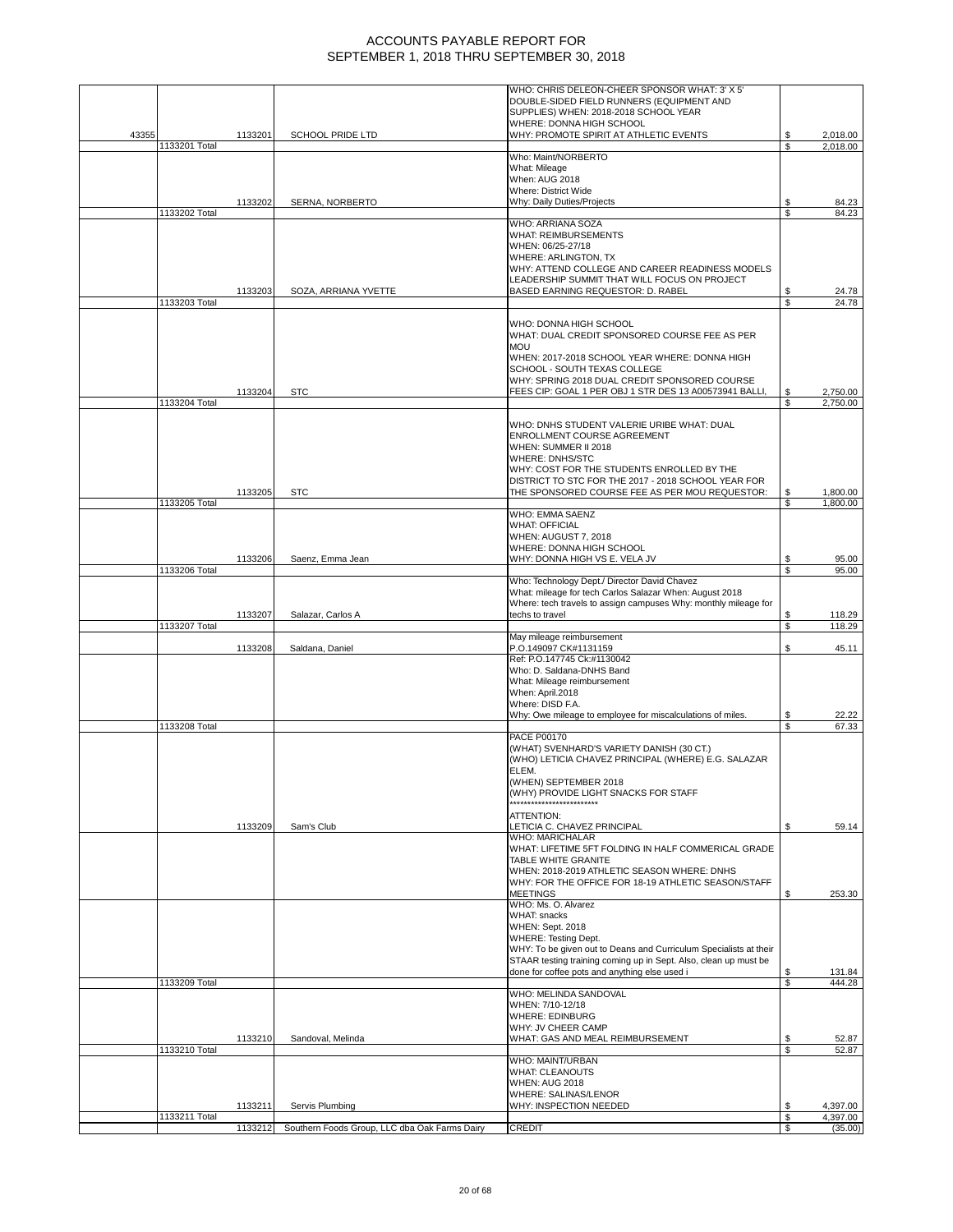|       |               |         |                                               | WHO: CHRIS DELEON-CHEER SPONSOR WHAT: 3' X 5'<br>DOUBLE-SIDED FIELD RUNNERS (EQUIPMENT AND         |          |                      |
|-------|---------------|---------|-----------------------------------------------|----------------------------------------------------------------------------------------------------|----------|----------------------|
|       |               |         |                                               | SUPPLIES) WHEN: 2018-2018 SCHOOL YEAR                                                              |          |                      |
| 43355 |               | 1133201 | SCHOOL PRIDE LTD                              | WHERE: DONNA HIGH SCHOOL<br>WHY: PROMOTE SPIRIT AT ATHLETIC EVENTS                                 | S        | 2,018.00             |
|       | 1133201 Total |         |                                               |                                                                                                    | £.       | 2,018.00             |
|       |               |         |                                               | Who: Maint/NORBERTO<br>What: Mileage                                                               |          |                      |
|       |               |         |                                               | When: AUG 2018                                                                                     |          |                      |
|       |               | 1133202 | SERNA, NORBERTO                               | Where: District Wide<br>Why: Daily Duties/Projects                                                 | S        | 84.23                |
|       | 1133202 Total |         |                                               |                                                                                                    | \$       | 84.23                |
|       |               |         |                                               | <b>WHO: ARRIANA SOZA</b><br><b>WHAT: REIMBURSEMENTS</b>                                            |          |                      |
|       |               |         |                                               | WHEN: 06/25-27/18                                                                                  |          |                      |
|       |               |         |                                               | WHERE: ARLINGTON, TX<br>WHY: ATTEND COLLEGE AND CAREER READINESS MODELS                            |          |                      |
|       |               |         |                                               | LEADERSHIP SUMMIT THAT WILL FOCUS ON PROJECT                                                       |          |                      |
|       | 1133203 Total | 1133203 | SOZA, ARRIANA YVETTE                          | BASED EARNING REQUESTOR: D. RABEL                                                                  | S        | 24.78<br>24.78       |
|       |               |         |                                               |                                                                                                    |          |                      |
|       |               |         |                                               | WHO: DONNA HIGH SCHOOL<br>WHAT: DUAL CREDIT SPONSORED COURSE FEE AS PER                            |          |                      |
|       |               |         |                                               | <b>MOU</b>                                                                                         |          |                      |
|       |               |         |                                               | WHEN: 2017-2018 SCHOOL YEAR WHERE: DONNA HIGH<br>SCHOOL - SOUTH TEXAS COLLEGE                      |          |                      |
|       |               |         |                                               | WHY: SPRING 2018 DUAL CREDIT SPONSORED COURSE                                                      |          |                      |
|       | 1133204 Total | 1133204 | <b>STC</b>                                    | FEES CIP: GOAL 1 PER OBJ 1 STR DES 13 A00573941 BALLI,                                             | \$.      | 2,750.00<br>2,750.00 |
|       |               |         |                                               |                                                                                                    |          |                      |
|       |               |         |                                               | WHO: DNHS STUDENT VALERIE URIBE WHAT: DUAL<br>ENROLLMENT COURSE AGREEMENT                          |          |                      |
|       |               |         |                                               | WHEN: SUMMER II 2018                                                                               |          |                      |
|       |               |         |                                               | <b>WHERE: DNHS/STC</b><br>WHY: COST FOR THE STUDENTS ENROLLED BY THE                               |          |                      |
|       |               |         |                                               | DISTRICT TO STC FOR THE 2017 - 2018 SCHOOL YEAR FOR                                                |          |                      |
|       | 1133205 Total | 1133205 | <b>STC</b>                                    | THE SPONSORED COURSE FEE AS PER MOU REQUESTOR:                                                     | \$       | 1,800.00             |
|       |               |         |                                               | WHO: EMMA SAENZ                                                                                    | \$       | 1,800.00             |
|       |               |         |                                               | <b>WHAT: OFFICIAL</b>                                                                              |          |                      |
|       |               |         |                                               | WHEN: AUGUST 7, 2018<br>WHERE: DONNA HIGH SCHOOL                                                   |          |                      |
|       |               | 1133206 | Saenz, Emma Jean                              | WHY: DONNA HIGH VS E. VELA JV                                                                      | S        | 95.00                |
|       | 1133206 Total |         |                                               | Who: Technology Dept./ Director David Chavez                                                       | \$       | 95.00                |
|       |               |         |                                               | What: mileage for tech Carlos Salazar When: August 2018                                            |          |                      |
|       |               | 1133207 | Salazar, Carlos A                             | Where: tech travels to assign campuses Why: monthly mileage for<br>techs to travel                 | \$       | 118.29               |
|       | 1133207 Total |         |                                               |                                                                                                    | \$       | 118.29               |
|       |               | 1133208 | Saldana, Daniel                               | May mileage reimbursement<br>P.O.149097 CK#1131159                                                 | S        | 45.11                |
|       |               |         |                                               | Ref: P.O.147745 Ck:#1130042                                                                        |          |                      |
|       |               |         |                                               | Who: D. Saldana-DNHS Band<br>What: Mileage reimbursement                                           |          |                      |
|       |               |         |                                               | When: April.2018                                                                                   |          |                      |
|       |               |         |                                               | Where: DISD F.A.<br>Why: Owe mileage to employee for miscalculations of miles.                     | \$       | 22.22                |
|       | 1133208 Total |         |                                               |                                                                                                    | \$       | 67.33                |
|       |               |         |                                               | <b>PACE P00170</b><br>(WHAT) SVENHARD'S VARIETY DANISH (30 CT.)                                    |          |                      |
|       |               |         |                                               | (WHO) LETICIA CHAVEZ PRINCIPAL (WHERE) E.G. SALAZAR                                                |          |                      |
|       |               |         |                                               | ELEM.<br>(WHEN) SEPTEMBER 2018                                                                     |          |                      |
|       |               |         |                                               | (WHY) PROVIDE LIGHT SNACKS FOR STAFF                                                               |          |                      |
|       |               |         |                                               | ATTENTION:                                                                                         |          |                      |
|       |               | 1133209 | Sam's Club                                    | LETICIA C. CHAVEZ PRINCIPAL                                                                        | S        | 59.14                |
|       |               |         |                                               | WHO: MARICHALAR<br>WHAT: LIFETIME 5FT FOLDING IN HALF COMMERICAL GRADE                             |          |                      |
|       |               |         |                                               | TABLE WHITE GRANITE                                                                                |          |                      |
|       |               |         |                                               | WHEN: 2018-2019 ATHLETIC SEASON WHERE: DNHS<br>WHY: FOR THE OFFICE FOR 18-19 ATHLETIC SEASON/STAFF |          |                      |
|       |               |         |                                               | <b>MEETINGS</b>                                                                                    |          | 253.30               |
|       |               |         |                                               | WHO: Ms. O. Alvarez<br><b>WHAT: snacks</b>                                                         |          |                      |
|       |               |         |                                               | WHEN: Sept. 2018                                                                                   |          |                      |
|       |               |         |                                               | <b>WHERE: Testing Dept.</b><br>WHY: To be given out to Deans and Curriculum Specialists at their   |          |                      |
|       |               |         |                                               | STAAR testing training coming up in Sept. Also, clean up must be                                   |          |                      |
|       | 1133209 Total |         |                                               | done for coffee pots and anything else used i                                                      | S<br>\$  | 131.84<br>444.28     |
|       |               |         |                                               | WHO: MELINDA SANDOVAL                                                                              |          |                      |
|       |               |         |                                               | WHEN: 7/10-12/18<br><b>WHERE: EDINBURG</b>                                                         |          |                      |
|       |               |         |                                               | WHY: JV CHEER CAMP                                                                                 |          |                      |
|       | 1133210 Total | 1133210 | Sandoval, Melinda                             | WHAT: GAS AND MEAL REIMBURSEMENT                                                                   | \$<br>\$ | 52.87<br>52.87       |
|       |               |         |                                               | WHO: MAINT/URBAN                                                                                   |          |                      |
|       |               |         |                                               | <b>WHAT: CLEANOUTS</b><br><b>WHEN: AUG 2018</b>                                                    |          |                      |
|       |               |         |                                               | WHERE: SALINAS/LENOR                                                                               |          |                      |
|       |               | 1133211 | Servis Plumbing                               | WHY: INSPECTION NEEDED                                                                             |          | 4,397.00             |
|       | 1133211 Total | 1133212 | Southern Foods Group, LLC dba Oak Farms Dairy | <b>CREDIT</b>                                                                                      | \$<br>\$ | 4,397.00<br>(35.00)  |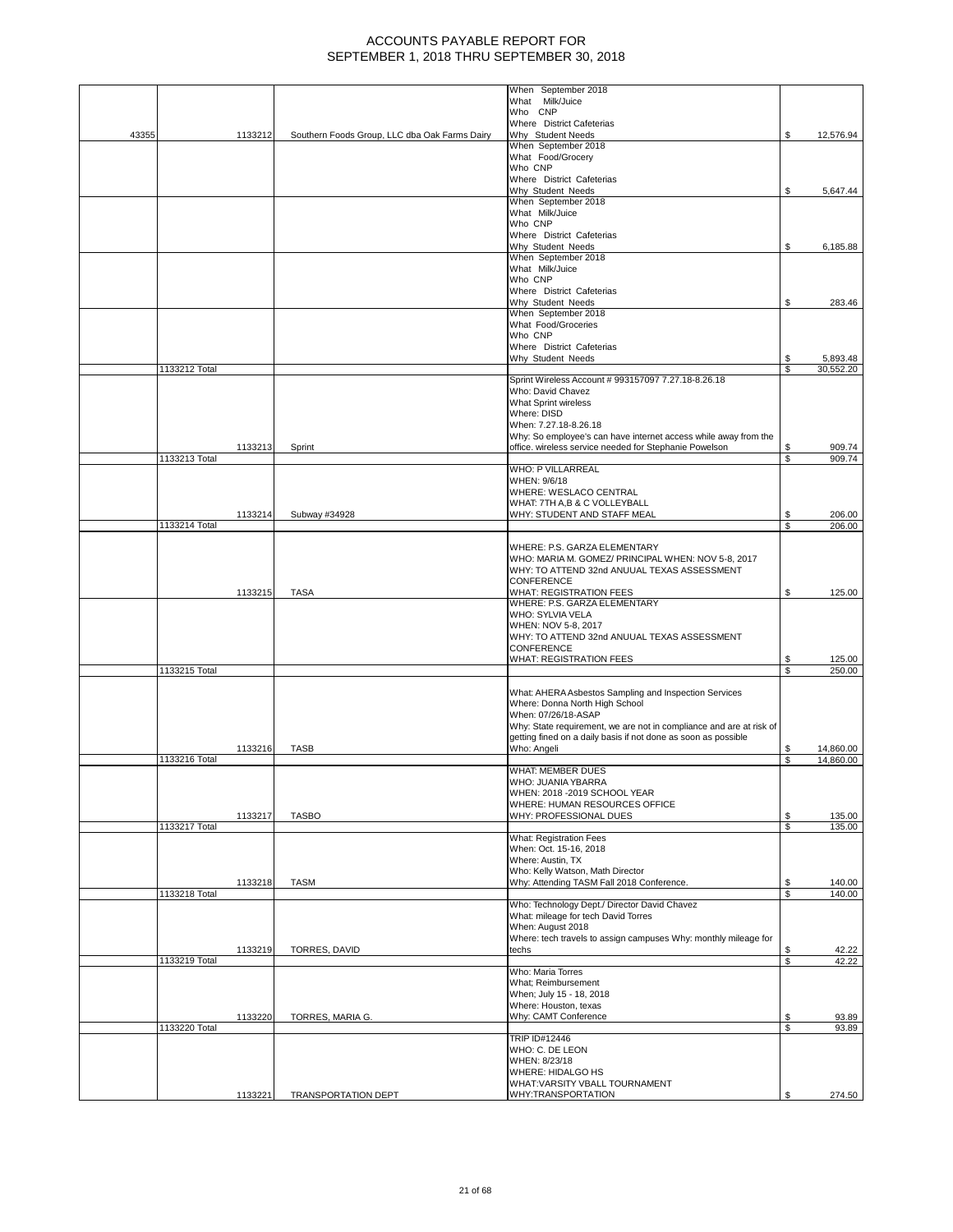|       |               |         |                                               | When September 2018                                                                        |         |                  |
|-------|---------------|---------|-----------------------------------------------|--------------------------------------------------------------------------------------------|---------|------------------|
|       |               |         |                                               | What Milk/Juice<br>Who CNP                                                                 |         |                  |
|       |               |         |                                               | Where District Cafeterias                                                                  |         |                  |
| 43355 |               | 1133212 | Southern Foods Group, LLC dba Oak Farms Dairy | Why Student Needs                                                                          |         | 12,576.94        |
|       |               |         |                                               | When September 2018<br>What Food/Grocery                                                   |         |                  |
|       |               |         |                                               | Who CNP                                                                                    |         |                  |
|       |               |         |                                               | Where District Cafeterias                                                                  |         |                  |
|       |               |         |                                               | Why Student Needs<br>When September 2018                                                   |         | 5,647.44         |
|       |               |         |                                               | What Milk/Juice                                                                            |         |                  |
|       |               |         |                                               | Who CNP                                                                                    |         |                  |
|       |               |         |                                               | Where District Cafeterias<br>Why Student Needs                                             |         |                  |
|       |               |         |                                               | When September 2018                                                                        | S       | 6,185.88         |
|       |               |         |                                               | What Milk/Juice                                                                            |         |                  |
|       |               |         |                                               | Who CNP                                                                                    |         |                  |
|       |               |         |                                               | Where District Cafeterias<br>Why Student Needs                                             |         | 283.46           |
|       |               |         |                                               | When September 2018                                                                        |         |                  |
|       |               |         |                                               | What Food/Groceries                                                                        |         |                  |
|       |               |         |                                               | Who CNP<br>Where District Cafeterias                                                       |         |                  |
|       |               |         |                                               | Why Student Needs                                                                          |         | 5,893.48         |
|       | 1133212 Total |         |                                               |                                                                                            | \$      | 30,552.20        |
|       |               |         |                                               | Sprint Wireless Account # 993157097 7.27.18-8.26.18<br>Who: David Chavez                   |         |                  |
|       |               |         |                                               | <b>What Sprint wireless</b>                                                                |         |                  |
|       |               |         |                                               | Where: DISD                                                                                |         |                  |
|       |               |         |                                               | When: 7.27.18-8.26.18<br>Why: So employee's can have internet access while away from the   |         |                  |
|       |               | 1133213 | Sprint                                        | office. wireless service needed for Stephanie Powelson                                     | \$      | 909.74           |
|       | 1133213 Total |         |                                               |                                                                                            | \$      | 909.74           |
|       |               |         |                                               | <b>WHO: P VILLARREAL</b>                                                                   |         |                  |
|       |               |         |                                               | WHEN: 9/6/18<br>WHERE: WESLACO CENTRAL                                                     |         |                  |
|       |               |         |                                               | WHAT: 7TH A,B & C VOLLEYBALL                                                               |         |                  |
|       |               | 1133214 | Subway #34928                                 | WHY: STUDENT AND STAFF MEAL                                                                |         | 206.00           |
|       | 1133214 Total |         |                                               |                                                                                            | \$.     | 206.00           |
|       |               |         |                                               | WHERE: P.S. GARZA ELEMENTARY                                                               |         |                  |
|       |               |         |                                               | WHO: MARIA M. GOMEZ/ PRINCIPAL WHEN: NOV 5-8, 2017                                         |         |                  |
|       |               |         |                                               | WHY: TO ATTEND 32nd ANUUAL TEXAS ASSESSMENT<br><b>CONFERENCE</b>                           |         |                  |
|       |               | 1133215 | <b>TASA</b>                                   | <b>WHAT: REGISTRATION FEES</b>                                                             | \$      | 125.00           |
|       |               |         |                                               | WHERE: P.S. GARZA ELEMENTARY                                                               |         |                  |
|       |               |         |                                               | WHO: SYLVIA VELA<br>WHEN: NOV 5-8, 2017                                                    |         |                  |
|       |               |         |                                               | WHY: TO ATTEND 32nd ANUUAL TEXAS ASSESSMENT                                                |         |                  |
|       |               |         |                                               | <b>CONFERENCE</b>                                                                          |         |                  |
|       | 1133215 Total |         |                                               | WHAT: REGISTRATION FEES                                                                    | \$      | 125.00<br>250.00 |
|       |               |         |                                               |                                                                                            |         |                  |
|       |               |         |                                               | What: AHERA Asbestos Sampling and Inspection Services                                      |         |                  |
|       |               |         |                                               | Where: Donna North High School                                                             |         |                  |
|       |               |         |                                               | When: 07/26/18-ASAP<br>Why: State requirement, we are not in compliance and are at risk of |         |                  |
|       |               |         |                                               | getting fined on a daily basis if not done as soon as possible                             |         |                  |
|       |               | 1133216 | <b>TASB</b>                                   | Who: Angeli                                                                                |         | 14,860.00        |
|       | 1133216 Total |         |                                               | WHAT: MEMBER DUES                                                                          | S       | 14,860.00        |
|       |               |         |                                               | WHO: JUANIA YBARRA                                                                         |         |                  |
|       |               |         |                                               | WHEN: 2018 - 2019 SCHOOL YEAR                                                              |         |                  |
|       |               | 1133217 | <b>TASBO</b>                                  | WHERE: HUMAN RESOURCES OFFICE<br>WHY: PROFESSIONAL DUES                                    | \$      | 135.00           |
|       | 1133217 Total |         |                                               |                                                                                            | \$      | 135.00           |
|       |               |         |                                               | <b>What: Registration Fees</b>                                                             |         |                  |
|       |               |         |                                               | When: Oct. 15-16, 2018<br>Where: Austin, TX                                                |         |                  |
|       |               |         |                                               | Who: Kelly Watson, Math Director                                                           |         |                  |
|       |               | 1133218 | <b>TASM</b>                                   | Why: Attending TASM Fall 2018 Conference.                                                  | S       | 140.00           |
|       | 1133218 Total |         |                                               | Who: Technology Dept./ Director David Chavez                                               | \$      | 140.00           |
|       |               |         |                                               | What: mileage for tech David Torres                                                        |         |                  |
|       |               |         |                                               | When: August 2018                                                                          |         |                  |
|       |               |         |                                               | Where: tech travels to assign campuses Why: monthly mileage for                            |         |                  |
|       | 1133219 Total | 1133219 | TORRES, DAVID                                 | techs                                                                                      | \$<br>S | 42.22<br>42.22   |
|       |               |         |                                               | Who: Maria Torres                                                                          |         |                  |
|       |               |         |                                               | What; Reimbursement                                                                        |         |                  |
|       |               |         |                                               | When; July 15 - 18, 2018<br>Where: Houston, texas                                          |         |                  |
|       |               | 1133220 | TORRES, MARIA G.                              | Why: CAMT Conference                                                                       | \$      | 93.89            |
|       | 1133220 Total |         |                                               |                                                                                            | \$      | 93.89            |
|       |               |         |                                               | <b>TRIP ID#12446</b><br>WHO: C. DE LEON                                                    |         |                  |
|       |               |         |                                               | WHEN: 8/23/18                                                                              |         |                  |
|       |               |         |                                               | WHERE: HIDALGO HS                                                                          |         |                  |
|       |               | 1133221 | <b>TRANSPORTATION DEPT</b>                    | WHAT: VARSITY VBALL TOURNAMENT<br>WHY:TRANSPORTATION                                       |         | 274.50           |
|       |               |         |                                               |                                                                                            |         |                  |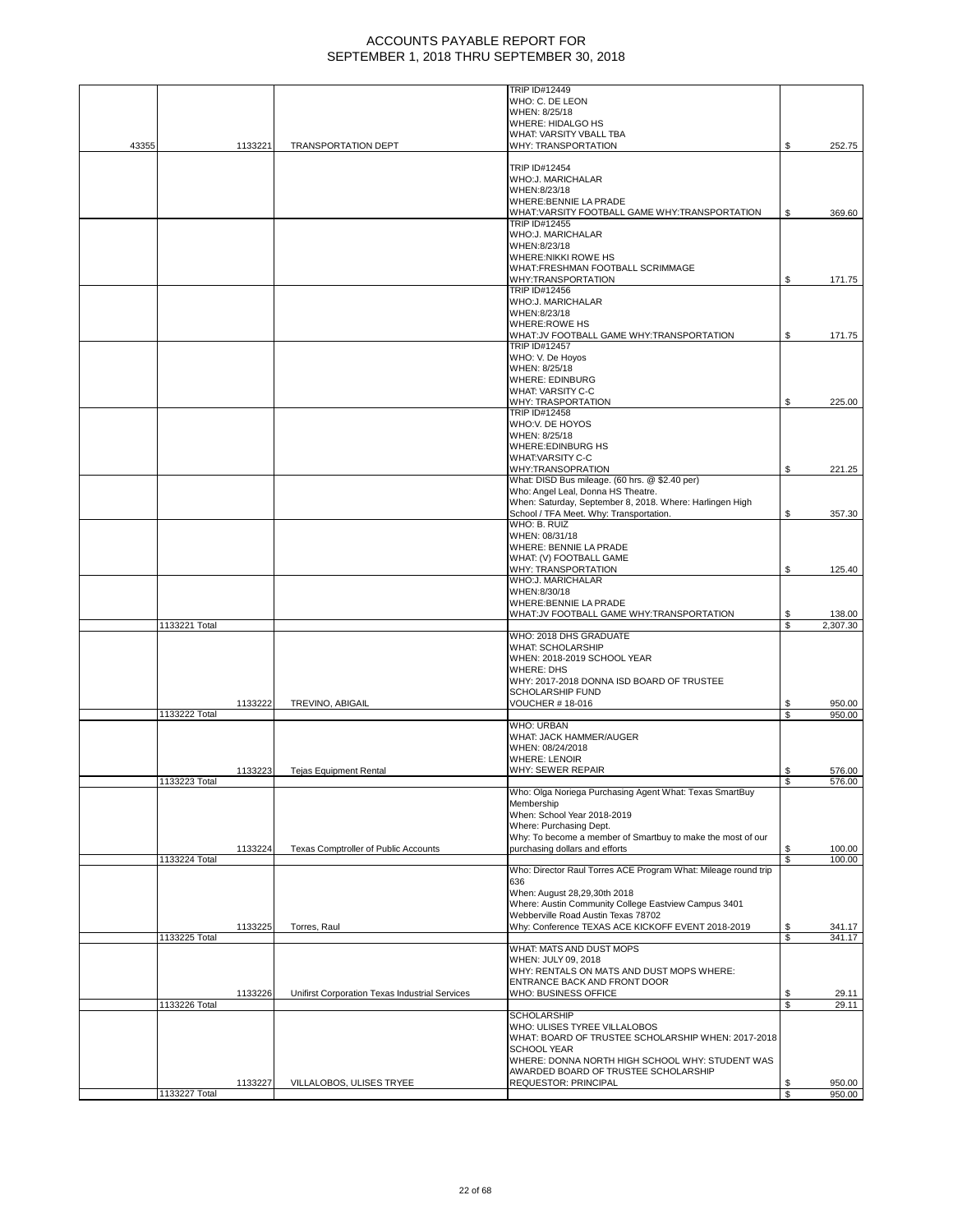|       | 1133227 Total | 1133227 | VILLALOBOS, ULISES TRYEE                       | AWARDED BOARD OF TRUSTEE SCHOLARSHIP<br>REQUESTOR: PRINCIPAL                                                                                                                                | \$<br>\$ | 950.00<br>950.00   |
|-------|---------------|---------|------------------------------------------------|---------------------------------------------------------------------------------------------------------------------------------------------------------------------------------------------|----------|--------------------|
|       |               |         |                                                | WHO: ULISES TYREE VILLALOBOS<br>WHAT: BOARD OF TRUSTEE SCHOLARSHIP WHEN: 2017-2018<br><b>SCHOOL YEAR</b><br>WHERE: DONNA NORTH HIGH SCHOOL WHY: STUDENT WAS                                 |          |                    |
|       | 1133226 Total | 1133226 | Unifirst Corporation Texas Industrial Services | WHO: BUSINESS OFFICE<br><b>SCHOLARSHIP</b>                                                                                                                                                  | S<br>\$  | 29.11<br>29.11     |
|       |               |         |                                                | WHAT: MATS AND DUST MOPS<br>WHEN: JULY 09, 2018<br>WHY: RENTALS ON MATS AND DUST MOPS WHERE:<br>ENTRANCE BACK AND FRONT DOOR                                                                |          |                    |
|       | 1133225 Total | 1133225 | Torres, Raul                                   | Why: Conference TEXAS ACE KICKOFF EVENT 2018-2019                                                                                                                                           | \$<br>S  | 341.17<br>341.17   |
|       |               |         |                                                | 636<br>When: August 28,29,30th 2018<br>Where: Austin Community College Eastview Campus 3401<br>Webberville Road Austin Texas 78702                                                          |          |                    |
|       | 1133224 Total |         |                                                | Who: Director Raul Torres ACE Program What: Mileage round trip                                                                                                                              | \$       | 100.00             |
|       |               | 1133224 | Texas Comptroller of Public Accounts           | Membership<br>When: School Year 2018-2019<br>Where: Purchasing Dept.<br>Why: To become a member of Smartbuy to make the most of our<br>purchasing dollars and efforts                       | \$       | 100.00             |
|       | 1133223 Total |         |                                                | Who: Olga Noriega Purchasing Agent What: Texas SmartBuy                                                                                                                                     | \$       | 576.00             |
|       |               | 1133223 | <b>Tejas Equipment Rental</b>                  | WHO: URBAN<br>WHAT: JACK HAMMER/AUGER<br>WHEN: 08/24/2018<br><b>WHERE: LENOIR</b><br>WHY: SEWER REPAIR                                                                                      | \$       | 576.00             |
|       | 1133222 Total | 1133222 | TREVINO, ABIGAIL                               | <b>VOUCHER #18-016</b>                                                                                                                                                                      | S<br>\$  | 950.00<br>950.00   |
|       |               |         |                                                | WHO: 2018 DHS GRADUATE<br><b>WHAT: SCHOLARSHIP</b><br>WHEN: 2018-2019 SCHOOL YEAR<br><b>WHERE: DHS</b><br>WHY: 2017-2018 DONNA ISD BOARD OF TRUSTEE<br><b>SCHOLARSHIP FUND</b>              |          |                    |
|       | 1133221 Total |         |                                                | WHAT:JV FOOTBALL GAME WHY:TRANSPORTATION                                                                                                                                                    | \$<br>S  | 138.00<br>2,307.30 |
|       |               |         |                                                | WHY: TRANSPORTATION<br>WHO:J. MARICHALAR<br>WHEN:8/30/18<br>WHERE: BENNIE LA PRADE                                                                                                          | \$       | 125.40             |
|       |               |         |                                                | WHO: B. RUIZ<br>WHEN: 08/31/18<br>WHERE: BENNIE LA PRADE<br>WHAT: (V) FOOTBALL GAME                                                                                                         |          |                    |
|       |               |         |                                                | What: DISD Bus mileage. (60 hrs. @ \$2.40 per)<br>Who: Angel Leal, Donna HS Theatre.<br>When: Saturday, September 8, 2018. Where: Harlingen High<br>School / TFA Meet. Why: Transportation. | \$       | 357.30             |
|       |               |         |                                                | <b>WHERE:EDINBURG HS</b><br><b>WHAT:VARSITY C-C</b><br><b>WHY:TRANSOPRATION</b>                                                                                                             | \$       | 221.25             |
|       |               |         |                                                | WHY: TRASPORTATION<br><b>TRIP ID#12458</b><br>WHO:V. DE HOYOS<br>WHEN: 8/25/18                                                                                                              | \$       | 225.00             |
|       |               |         |                                                | TRIP ID#12457<br>WHO: V. De Hoyos<br>WHEN: 8/25/18<br><b>WHERE: EDINBURG</b><br><b>WHAT: VARSITY C-C</b>                                                                                    |          |                    |
|       |               |         |                                                | TRIP ID#12456<br>WHO:J. MARICHALAR<br>WHEN:8/23/18<br><b>WHERE:ROWE HS</b><br>WHAT:JV FOOTBALL GAME WHY:TRANSPORTATION                                                                      | \$       | 171.75             |
|       |               |         |                                                | WHERE:NIKKI ROWE HS<br>WHAT:FRESHMAN FOOTBALL SCRIMMAGE<br>WHY:TRANSPORTATION                                                                                                               | \$       | 171.75             |
|       |               |         |                                                | WHAT: VARSITY FOOTBALL GAME WHY: TRANSPORTATION<br><b>TRIP ID#12455</b><br>WHO:J. MARICHALAR<br>WHEN:8/23/18                                                                                | S        | 369.60             |
|       |               |         |                                                | TRIP ID#12454<br>WHO:J. MARICHALAR<br>WHEN:8/23/18<br>WHERE: BENNIE LA PRADE                                                                                                                |          |                    |
| 43355 |               | 1133221 | TRANSPORTATION DEPT                            | <b>WHERE: HIDALGO HS</b><br>WHAT: VARSITY VBALL TBA<br>WHY: TRANSPORTATION                                                                                                                  | \$       | 252.75             |
|       |               |         |                                                | <b>TRIP ID#12449</b><br>WHO: C. DE LEON<br>WHEN: 8/25/18                                                                                                                                    |          |                    |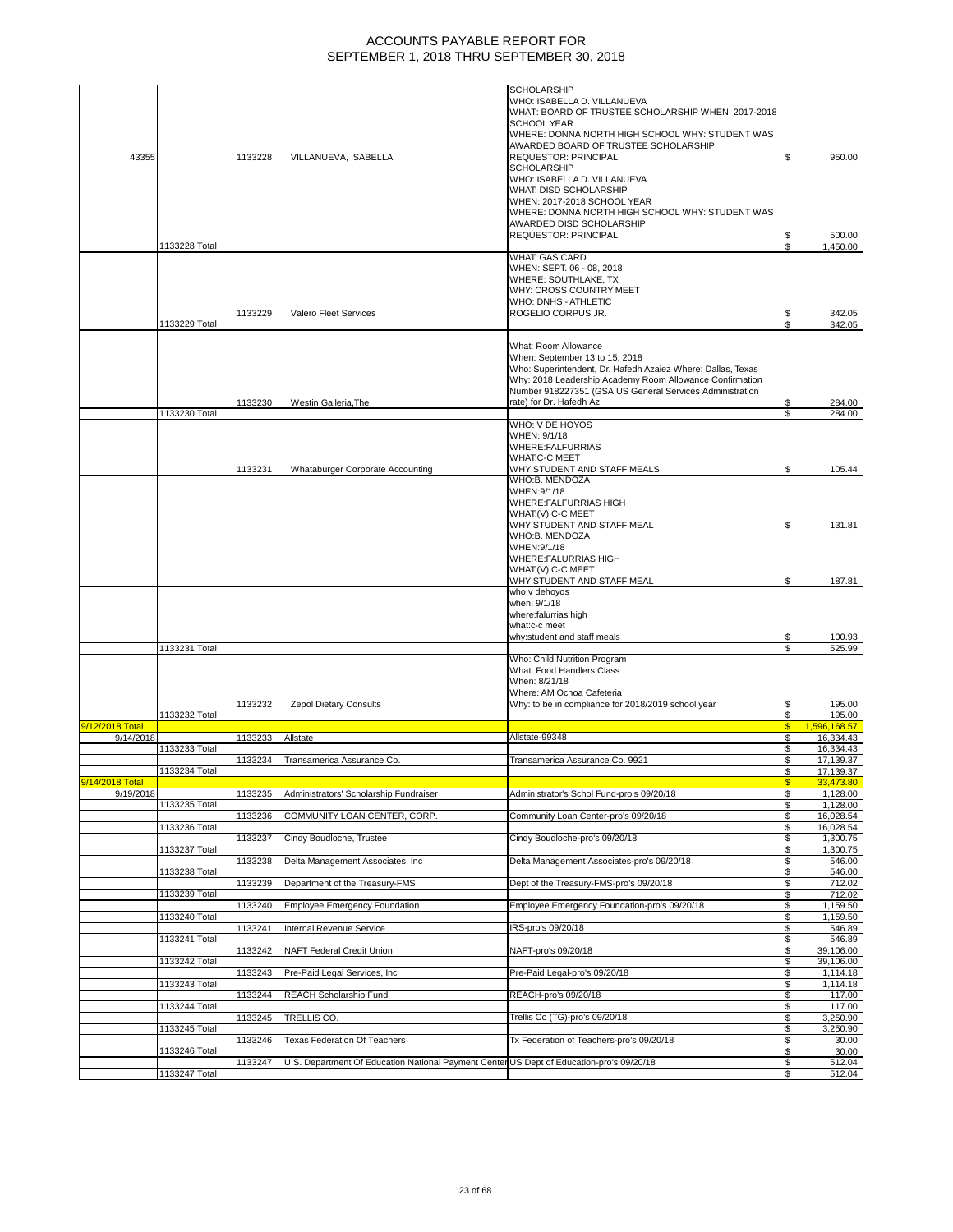|                 |               |                    |                                                                                                                          | When: September 13 to 15, 2018<br>Who: Superintendent, Dr. Hafedh Azaiez Where: Dallas, Texas |                                    |                                      |
|-----------------|---------------|--------------------|--------------------------------------------------------------------------------------------------------------------------|-----------------------------------------------------------------------------------------------|------------------------------------|--------------------------------------|
|                 |               |                    |                                                                                                                          | Why: 2018 Leadership Academy Room Allowance Confirmation                                      |                                    |                                      |
|                 |               | 1133230            | Westin Galleria, The                                                                                                     | Number 918227351 (GSA US General Services Administration<br>rate) for Dr. Hafedh Az           | \$                                 | 284.00                               |
|                 | 1133230 Total |                    |                                                                                                                          | WHO: V DE HOYOS                                                                               | S                                  | 284.00                               |
|                 |               |                    |                                                                                                                          | WHEN: 9/1/18<br>WHERE:FALFURRIAS<br><b>WHAT:C-C MEET</b>                                      |                                    |                                      |
|                 |               | 1133231            | <b>Whataburger Corporate Accounting</b>                                                                                  | WHY:STUDENT AND STAFF MEALS<br>WHO:B. MENDOZA                                                 | \$                                 | 105.44                               |
|                 |               |                    |                                                                                                                          | WHEN: 9/1/18<br>WHERE: FALFURRIAS HIGH                                                        |                                    |                                      |
|                 |               |                    |                                                                                                                          | WHAT: (V) C-C MEET<br>WHY:STUDENT AND STAFF MEAL                                              | \$                                 | 131.81                               |
|                 |               |                    |                                                                                                                          | WHO:B. MENDOZA<br>WHEN: 9/1/18                                                                |                                    |                                      |
|                 |               |                    |                                                                                                                          | WHERE: FALURRIAS HIGH<br>WHAT: (V) C-C MEET                                                   |                                    |                                      |
|                 |               |                    |                                                                                                                          | WHY:STUDENT AND STAFF MEAL<br>who:v dehoyos                                                   | \$                                 | 187.81                               |
|                 |               |                    |                                                                                                                          | when: 9/1/18<br>where:falurrias high                                                          |                                    |                                      |
|                 |               |                    |                                                                                                                          | what:c-c meet                                                                                 |                                    |                                      |
|                 |               |                    |                                                                                                                          | why:student and staff meals                                                                   | \$                                 | 100.93                               |
|                 | 1133231 Total |                    |                                                                                                                          | Who: Child Nutrition Program                                                                  | \$                                 | 525.99                               |
|                 |               |                    |                                                                                                                          | What: Food Handlers Class<br>When: 8/21/18                                                    |                                    |                                      |
|                 |               | 1133232            | Zepol Dietary Consults                                                                                                   | Where: AM Ochoa Cafeteria<br>Why: to be in compliance for 2018/2019 school year               | \$                                 | 195.00                               |
| 9/12/2018 Total | 1133232 Total |                    |                                                                                                                          |                                                                                               | \$<br>$\mathbf{s}$<br>1,596,168.57 | 195.00                               |
| 9/14/2018       | 1133233 Total | 1133233            | Allstate                                                                                                                 | Allstate-99348                                                                                | \$<br>\$                           | 16,334.43<br>16.334.43               |
|                 | 1133234 Total | 1133234            | Transamerica Assurance Co.                                                                                               | Transamerica Assurance Co. 9921                                                               | \$<br>\$                           | $\overline{17}, 139.37$<br>17,139.37 |
| 9/14/2018 Total |               |                    |                                                                                                                          |                                                                                               |                                    | 33.473.80                            |
| 9/19/2018       | 1133235 Total | 1133235            | Administrators' Scholarship Fundraiser                                                                                   | Administrator's Schol Fund-pro's 09/20/18                                                     | \$<br>\$                           | 1,128.00<br>1,128.00                 |
|                 | 1133236 Total | 1133236            | COMMUNITY LOAN CENTER, CORP.                                                                                             | Community Loan Center-pro's 09/20/18                                                          | \$<br>S                            | 16,028.54<br>16,028.54               |
|                 | 1133237 Total | 1133237            | Cindy Boudloche, Trustee                                                                                                 | Cindy Boudloche-pro's 09/20/18                                                                | S<br>\$                            | 1,300.75<br>1,300.75                 |
|                 | 1133238 Total | 1133238            | Delta Management Associates, Inc.                                                                                        | Delta Management Associates-pro's 09/20/18<br>Dept of the Treasury-FMS-pro's 09/20/18         | \$<br>\$<br>S                      | 546.00<br>546.00                     |
|                 | 1133239 Total | 1133239            | Department of the Treasury-FMS                                                                                           | Employee Emergency Foundation-pro's 09/20/18                                                  | S                                  | 712.02<br>712.02                     |
|                 | 1133240 Total | 1133240            | <b>Employee Emergency Foundation</b><br>Internal Revenue Service                                                         | IRS-pro's 09/20/18                                                                            | \$<br>\$<br>\$                     | 1,159.50<br>1,159.50                 |
|                 | 1133241 Total | 1133241<br>1133242 | NAFT Federal Credit Union                                                                                                | NAFT-pro's 09/20/18                                                                           | S<br>S                             | 546.89<br>546.89<br>39,106.00        |
|                 | 1133242 Total | 1133243            | Pre-Paid Legal Services, Inc.                                                                                            | Pre-Paid Legal-pro's 09/20/18                                                                 | \$<br>\$                           | 39,106.00<br>1,114.18                |
|                 | 1133243 Total | 1133244            | REACH Scholarship Fund                                                                                                   | REACH-pro's 09/20/18                                                                          | \$<br>\$                           | 1,114.18<br>117.00                   |
|                 | 1133244 Total | 1133245            | TRELLIS CO.                                                                                                              | Trellis Co (TG)-pro's 09/20/18                                                                | S<br>\$                            | 117.00<br>3,250.90                   |
|                 | 1133245 Total |                    |                                                                                                                          | Tx Federation of Teachers-pro's 09/20/18                                                      | \$<br>\$                           | 3,250.90                             |
|                 | 1133246 Total | 1133246<br>1133247 | Texas Federation Of Teachers<br>U.S. Department Of Education National Payment Center US Dept of Education-pro's 09/20/18 |                                                                                               | \$<br>\$                           | 30.00<br>30.00<br>512.04             |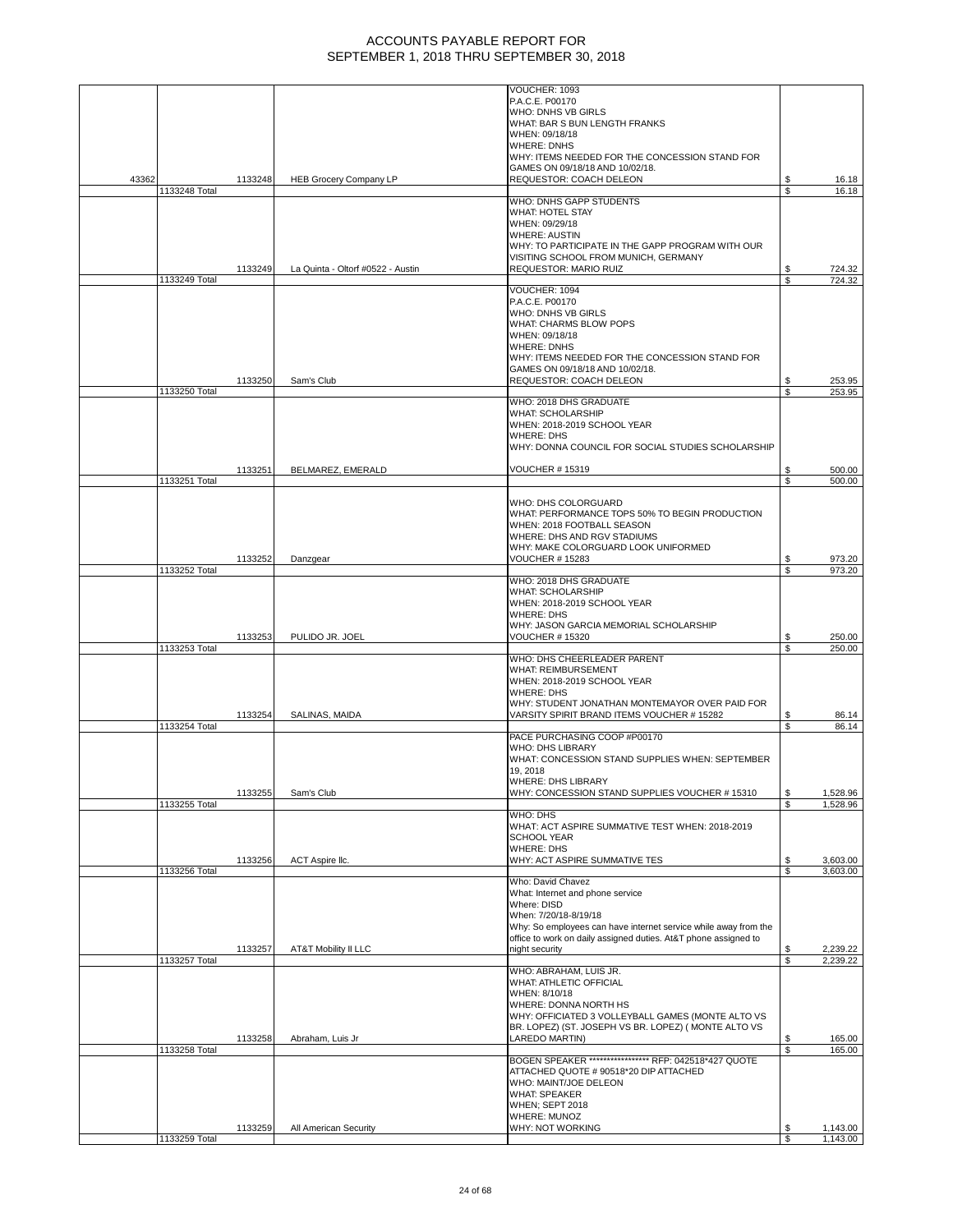|       |               |         |                                   | VOUCHER: 1093<br>P.A.C.E. P00170                                |          |                      |
|-------|---------------|---------|-----------------------------------|-----------------------------------------------------------------|----------|----------------------|
|       |               |         |                                   | WHO: DNHS VB GIRLS                                              |          |                      |
|       |               |         |                                   | WHAT: BAR S BUN LENGTH FRANKS                                   |          |                      |
|       |               |         |                                   | WHEN: 09/18/18                                                  |          |                      |
|       |               |         |                                   | <b>WHERE: DNHS</b>                                              |          |                      |
|       |               |         |                                   | WHY: ITEMS NEEDED FOR THE CONCESSION STAND FOR                  |          |                      |
|       |               |         |                                   | GAMES ON 09/18/18 AND 10/02/18.                                 |          |                      |
| 43362 |               | 1133248 | <b>HEB Grocery Company LP</b>     | REQUESTOR: COACH DELEON                                         | \$<br>\$ | 16.18                |
|       | 1133248 Total |         |                                   | <b>WHO: DNHS GAPP STUDENTS</b>                                  |          | 16.18                |
|       |               |         |                                   | <b>WHAT: HOTEL STAY</b>                                         |          |                      |
|       |               |         |                                   | WHEN: 09/29/18                                                  |          |                      |
|       |               |         |                                   | <b>WHERE: AUSTIN</b>                                            |          |                      |
|       |               |         |                                   | WHY: TO PARTICIPATE IN THE GAPP PROGRAM WITH OUR                |          |                      |
|       |               |         |                                   | VISITING SCHOOL FROM MUNICH, GERMANY                            |          |                      |
|       | 1133249 Total | 1133249 | La Quinta - Oltorf #0522 - Austin | REQUESTOR: MARIO RUIZ                                           | \$<br>\$ | 724.32<br>724.32     |
|       |               |         |                                   | VOUCHER: 1094                                                   |          |                      |
|       |               |         |                                   | P.A.C.E. P00170                                                 |          |                      |
|       |               |         |                                   | WHO: DNHS VB GIRLS                                              |          |                      |
|       |               |         |                                   | WHAT: CHARMS BLOW POPS                                          |          |                      |
|       |               |         |                                   | WHEN: 09/18/18                                                  |          |                      |
|       |               |         |                                   | <b>WHERE: DNHS</b>                                              |          |                      |
|       |               |         |                                   | WHY: ITEMS NEEDED FOR THE CONCESSION STAND FOR                  |          |                      |
|       |               | 1133250 | Sam's Club                        | GAMES ON 09/18/18 AND 10/02/18.<br>REQUESTOR: COACH DELEON      | \$       | 253.95               |
|       | 1133250 Total |         |                                   |                                                                 | \$       | 253.95               |
|       |               |         |                                   | WHO: 2018 DHS GRADUATE                                          |          |                      |
|       |               |         |                                   | <b>WHAT: SCHOLARSHIP</b>                                        |          |                      |
|       |               |         |                                   | WHEN: 2018-2019 SCHOOL YEAR                                     |          |                      |
|       |               |         |                                   | <b>WHERE: DHS</b>                                               |          |                      |
|       |               |         |                                   | WHY: DONNA COUNCIL FOR SOCIAL STUDIES SCHOLARSHIP               |          |                      |
|       |               | 1133251 | BELMAREZ, EMERALD                 | <b>VOUCHER #15319</b>                                           | S        | 500.00               |
|       | 1133251 Total |         |                                   |                                                                 | \$       | 500.00               |
|       |               |         |                                   |                                                                 |          |                      |
|       |               |         |                                   | WHO: DHS COLORGUARD                                             |          |                      |
|       |               |         |                                   | WHAT: PERFORMANCE TOPS 50% TO BEGIN PRODUCTION                  |          |                      |
|       |               |         |                                   | WHEN: 2018 FOOTBALL SEASON                                      |          |                      |
|       |               |         |                                   | WHERE: DHS AND RGV STADIUMS                                     |          |                      |
|       |               |         |                                   | WHY: MAKE COLORGUARD LOOK UNIFORMED                             |          |                      |
|       | 1133252 Total | 1133252 | Danzgear                          | <b>VOUCHER #15283</b>                                           | S<br>Ŝ.  | 973.20<br>973.20     |
|       |               |         |                                   | WHO: 2018 DHS GRADUATE                                          |          |                      |
|       |               |         |                                   | <b>WHAT: SCHOLARSHIP</b>                                        |          |                      |
|       |               |         |                                   | WHEN: 2018-2019 SCHOOL YEAR                                     |          |                      |
|       |               |         |                                   | <b>WHERE: DHS</b>                                               |          |                      |
|       |               |         |                                   | WHY: JASON GARCIA MEMORIAL SCHOLARSHIP                          |          |                      |
|       |               | 1133253 | PULIDO JR. JOEL                   | <b>VOUCHER #15320</b>                                           | \$<br>\$ | 250.00<br>250.00     |
|       | 1133253 Total |         |                                   | WHO: DHS CHEERLEADER PARENT                                     |          |                      |
|       |               |         |                                   | <b>WHAT: REIMBURSEMENT</b>                                      |          |                      |
|       |               |         |                                   | WHEN: 2018-2019 SCHOOL YEAR                                     |          |                      |
|       |               |         |                                   | <b>WHERE: DHS</b>                                               |          |                      |
|       |               |         |                                   | WHY: STUDENT JONATHAN MONTEMAYOR OVER PAID FOR                  |          |                      |
|       |               | 1133254 | SALINAS, MAIDA                    | VARSITY SPIRIT BRAND ITEMS VOUCHER # 15282                      | S        | 86.14                |
|       | 1133254 Total |         |                                   | PACE PURCHASING COOP #P00170                                    | \$       | 86.14                |
|       |               |         |                                   | <b>WHO: DHS LIBRARY</b>                                         |          |                      |
|       |               |         |                                   | WHAT: CONCESSION STAND SUPPLIES WHEN: SEPTEMBER                 |          |                      |
|       |               |         |                                   | 19, 2018                                                        |          |                      |
|       |               |         |                                   | <b>WHERE: DHS LIBRARY</b>                                       |          |                      |
|       |               | 1133255 | Sam's Club                        | WHY: CONCESSION STAND SUPPLIES VOUCHER # 15310                  | \$       | 1,528.96             |
|       | 1133255 Total |         |                                   |                                                                 | \$       | 1,528.96             |
|       |               |         |                                   | WHO: DHS<br>WHAT: ACT ASPIRE SUMMATIVE TEST WHEN: 2018-2019     |          |                      |
|       |               |         |                                   | <b>SCHOOL YEAR</b>                                              |          |                      |
|       |               |         |                                   | <b>WHERE: DHS</b>                                               |          |                      |
|       |               | 1133256 | ACT Aspire Ilc.                   | WHY: ACT ASPIRE SUMMATIVE TES                                   | \$       | 3,603.00             |
|       | 1133256 Total |         |                                   |                                                                 | S        | 3,603.00             |
|       |               |         |                                   | Who: David Chavez                                               |          |                      |
|       |               |         |                                   | What: Internet and phone service<br>Where: DISD                 |          |                      |
|       |               |         |                                   | When: 7/20/18-8/19/18                                           |          |                      |
|       |               |         |                                   |                                                                 |          |                      |
|       |               |         |                                   | Why: So employees can have internet service while away from the |          |                      |
|       |               |         |                                   | office to work on daily assigned duties. At&T phone assigned to |          |                      |
|       |               | 1133257 | AT&T Mobility II LLC              | night security                                                  | \$       | 2,239.22             |
|       | 1133257 Total |         |                                   |                                                                 | \$       | 2,239.22             |
|       |               |         |                                   | WHO: ABRAHAM, LUIS JR.                                          |          |                      |
|       |               |         |                                   | WHAT: ATHLETIC OFFICIAL                                         |          |                      |
|       |               |         |                                   | WHEN: 8/10/18<br>WHERE: DONNA NORTH HS                          |          |                      |
|       |               |         |                                   | WHY: OFFICIATED 3 VOLLEYBALL GAMES (MONTE ALTO VS               |          |                      |
|       |               |         |                                   | BR. LOPEZ) (ST. JOSEPH VS BR. LOPEZ) ( MONTE ALTO VS            |          |                      |
|       |               | 1133258 | Abraham, Luis Jr                  | LAREDO MARTIN)                                                  | \$       | 165.00               |
|       | 1133258 Total |         |                                   |                                                                 | \$       | 165.00               |
|       |               |         |                                   | BOGEN SPEAKER ***************** RFP: 042518*427 QUOTE           |          |                      |
|       |               |         |                                   | ATTACHED QUOTE # 90518*20 DIP ATTACHED                          |          |                      |
|       |               |         |                                   | WHO: MAINT/JOE DELEON                                           |          |                      |
|       |               |         |                                   | <b>WHAT: SPEAKER</b><br><b>WHEN; SEPT 2018</b>                  |          |                      |
|       |               |         |                                   | WHERE: MUNOZ                                                    |          |                      |
|       | 1133259 Total | 1133259 | All American Security             | WHY: NOT WORKING                                                | \$<br>\$ | 1,143.00<br>1,143.00 |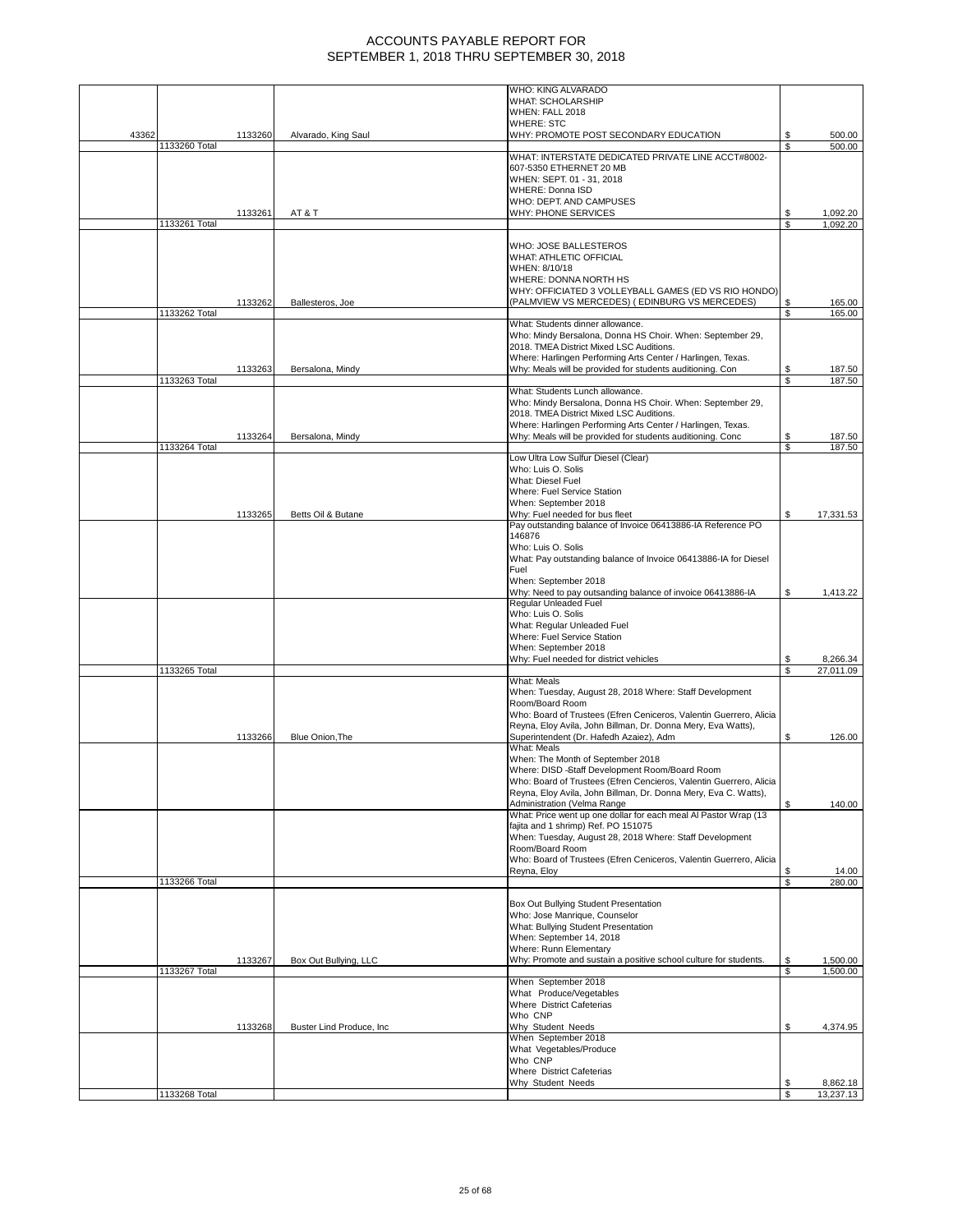|       |               |         |                           | WHO: KING ALVARADO                                                 |         |                       |
|-------|---------------|---------|---------------------------|--------------------------------------------------------------------|---------|-----------------------|
|       |               |         |                           | <b>WHAT: SCHOLARSHIP</b>                                           |         |                       |
|       |               |         |                           | WHEN: FALL 2018                                                    |         |                       |
|       |               |         |                           | <b>WHERE: STC</b>                                                  |         |                       |
| 43362 |               | 1133260 | Alvarado, King Saul       |                                                                    | \$      | 500.00                |
|       | 1133260 Total |         |                           | WHY: PROMOTE POST SECONDARY EDUCATION                              | \$      | 500.00                |
|       |               |         |                           | WHAT: INTERSTATE DEDICATED PRIVATE LINE ACCT#8002-                 |         |                       |
|       |               |         |                           | 607-5350 ETHERNET 20 MB                                            |         |                       |
|       |               |         |                           | WHEN: SEPT. 01 - 31, 2018                                          |         |                       |
|       |               |         |                           | WHERE: Donna ISD                                                   |         |                       |
|       |               |         |                           | WHO: DEPT. AND CAMPUSES                                            |         |                       |
|       |               | 1133261 | AT&T                      | WHY: PHONE SERVICES                                                |         | 1,092.20              |
|       | 1133261 Total |         |                           |                                                                    | S       | 1,092.20              |
|       |               |         |                           |                                                                    |         |                       |
|       |               |         |                           | WHO: JOSE BALLESTEROS                                              |         |                       |
|       |               |         |                           | WHAT: ATHLETIC OFFICIAL                                            |         |                       |
|       |               |         |                           | WHEN: 8/10/18                                                      |         |                       |
|       |               |         |                           | WHERE: DONNA NORTH HS                                              |         |                       |
|       |               |         |                           | WHY: OFFICIATED 3 VOLLEYBALL GAMES (ED VS RIO HONDO)               |         |                       |
|       |               | 1133262 | Ballesteros, Joe          | (PALMVIEW VS MERCEDES) (EDINBURG VS MERCEDES)                      |         | 165.00                |
|       | 1133262 Total |         |                           |                                                                    | S<br>S. | 165.00                |
|       |               |         |                           |                                                                    |         |                       |
|       |               |         |                           | What: Students dinner allowance.                                   |         |                       |
|       |               |         |                           | Who: Mindy Bersalona, Donna HS Choir. When: September 29,          |         |                       |
|       |               |         |                           | 2018. TMEA District Mixed LSC Auditions.                           |         |                       |
|       |               |         |                           | Where: Harlingen Performing Arts Center / Harlingen, Texas.        |         |                       |
|       |               | 1133263 | Bersalona, Mindy          | Why: Meals will be provided for students auditioning. Con          | \$      | 187.50                |
|       | 1133263 Total |         |                           |                                                                    | \$      | 187.50                |
|       |               |         |                           | What: Students Lunch allowance.                                    |         |                       |
|       |               |         |                           | Who: Mindy Bersalona, Donna HS Choir. When: September 29,          |         |                       |
|       |               |         |                           | 2018. TMEA District Mixed LSC Auditions.                           |         |                       |
|       |               |         |                           | Where: Harlingen Performing Arts Center / Harlingen, Texas.        |         |                       |
|       |               | 1133264 | Bersalona, Mindy          | Why: Meals will be provided for students auditioning. Conc         |         | 187.50                |
|       | 1133264 Total |         |                           |                                                                    | S       | 187.50                |
|       |               |         |                           | Low Ultra Low Sulfur Diesel (Clear)                                |         |                       |
|       |               |         |                           | Who: Luis O. Solis                                                 |         |                       |
|       |               |         |                           | What: Diesel Fuel                                                  |         |                       |
|       |               |         |                           | Where: Fuel Service Station                                        |         |                       |
|       |               |         |                           | When: September 2018                                               |         |                       |
|       |               | 1133265 | Betts Oil & Butane        | Why: Fuel needed for bus fleet                                     | S       | 17,331.53             |
|       |               |         |                           | Pay outstanding balance of Invoice 06413886-IA Reference PO        |         |                       |
|       |               |         |                           | 146876                                                             |         |                       |
|       |               |         |                           | Who: Luis O. Solis                                                 |         |                       |
|       |               |         |                           | What: Pay outstanding balance of Invoice 06413886-IA for Diesel    |         |                       |
|       |               |         |                           | Fuel                                                               |         |                       |
|       |               |         |                           | When: September 2018                                               |         |                       |
|       |               |         |                           | Why: Need to pay outsanding balance of invoice 06413886-IA         | s.      | 1,413.22              |
|       |               |         |                           | Regular Unleaded Fuel                                              |         |                       |
|       |               |         |                           | Who: Luis O. Solis                                                 |         |                       |
|       |               |         |                           | What: Regular Unleaded Fuel                                        |         |                       |
|       |               |         |                           | Where: Fuel Service Station                                        |         |                       |
|       |               |         |                           |                                                                    |         |                       |
|       |               |         |                           | When: September 2018                                               |         |                       |
|       |               |         |                           | Why: Fuel needed for district vehicles                             | S<br>S  | 8,266.34<br>27,011.09 |
|       | 1133265 Total |         |                           | What: Meals                                                        |         |                       |
|       |               |         |                           | When: Tuesday, August 28, 2018 Where: Staff Development            |         |                       |
|       |               |         |                           |                                                                    |         |                       |
|       |               |         |                           | Room/Board Room                                                    |         |                       |
|       |               |         |                           | Who: Board of Trustees (Efren Ceniceros, Valentin Guerrero, Alicia |         |                       |
|       |               |         |                           | Reyna, Eloy Avila, John Billman, Dr. Donna Mery, Eva Watts),       |         |                       |
|       |               | 1133266 | Blue Onion, The           | Superintendent (Dr. Hafedh Azaiez), Adm                            | \$      | 126.00                |
|       |               |         |                           | What: Meals                                                        |         |                       |
|       |               |         |                           | When: The Month of September 2018                                  |         |                       |
|       |               |         |                           | Where: DISD -Staff Development Room/Board Room                     |         |                       |
|       |               |         |                           | Who: Board of Trustees (Efren Cencieros, Valentin Guerrero, Alicia |         |                       |
|       |               |         |                           | Reyna, Eloy Avila, John Billman, Dr. Donna Mery, Eva C. Watts),    |         |                       |
|       |               |         |                           | Administration (Velma Range                                        | \$      | 140.00                |
|       |               |         |                           | What: Price went up one dollar for each meal Al Pastor Wrap (13    |         |                       |
|       |               |         |                           | fajita and 1 shrimp) Ref. PO 151075                                |         |                       |
|       |               |         |                           | When: Tuesday, August 28, 2018 Where: Staff Development            |         |                       |
|       |               |         |                           | Room/Board Room                                                    |         |                       |
|       |               |         |                           | Who: Board of Trustees (Efren Ceniceros, Valentin Guerrero, Alicia |         |                       |
|       |               |         |                           | Reyna, Eloy                                                        | \$      | 14.00                 |
|       | 1133266 Total |         |                           |                                                                    | \$      | 280.00                |
|       |               |         |                           |                                                                    |         |                       |
|       |               |         |                           | Box Out Bullying Student Presentation                              |         |                       |
|       |               |         |                           | Who: Jose Manrique, Counselor                                      |         |                       |
|       |               |         |                           | What: Bullying Student Presentation                                |         |                       |
|       |               |         |                           | When: September 14, 2018                                           |         |                       |
|       |               |         |                           | Where: Runn Elementary                                             |         |                       |
|       |               | 1133267 | Box Out Bullying, LLC     | Why: Promote and sustain a positive school culture for students.   | \$      | 1,500.00              |
|       | 1133267 Total |         |                           |                                                                    | \$      | 1,500.00              |
|       |               |         |                           | When September 2018                                                |         |                       |
|       |               |         |                           | What Produce/Vegetables                                            |         |                       |
|       |               |         |                           |                                                                    |         |                       |
|       |               |         |                           | Where District Cafeterias                                          |         |                       |
|       |               |         |                           | Who CNP                                                            |         |                       |
|       |               | 1133268 | Buster Lind Produce, Inc. | Why Student Needs                                                  | \$      | 4,374.95              |
|       |               |         |                           | When September 2018                                                |         |                       |
|       |               |         |                           | What Vegetables/Produce                                            |         |                       |
|       |               |         |                           | Who CNP                                                            |         |                       |
|       |               |         |                           |                                                                    |         |                       |
|       |               |         |                           | Where District Cafeterias<br>Why Student Needs                     | \$      | 8,862.18              |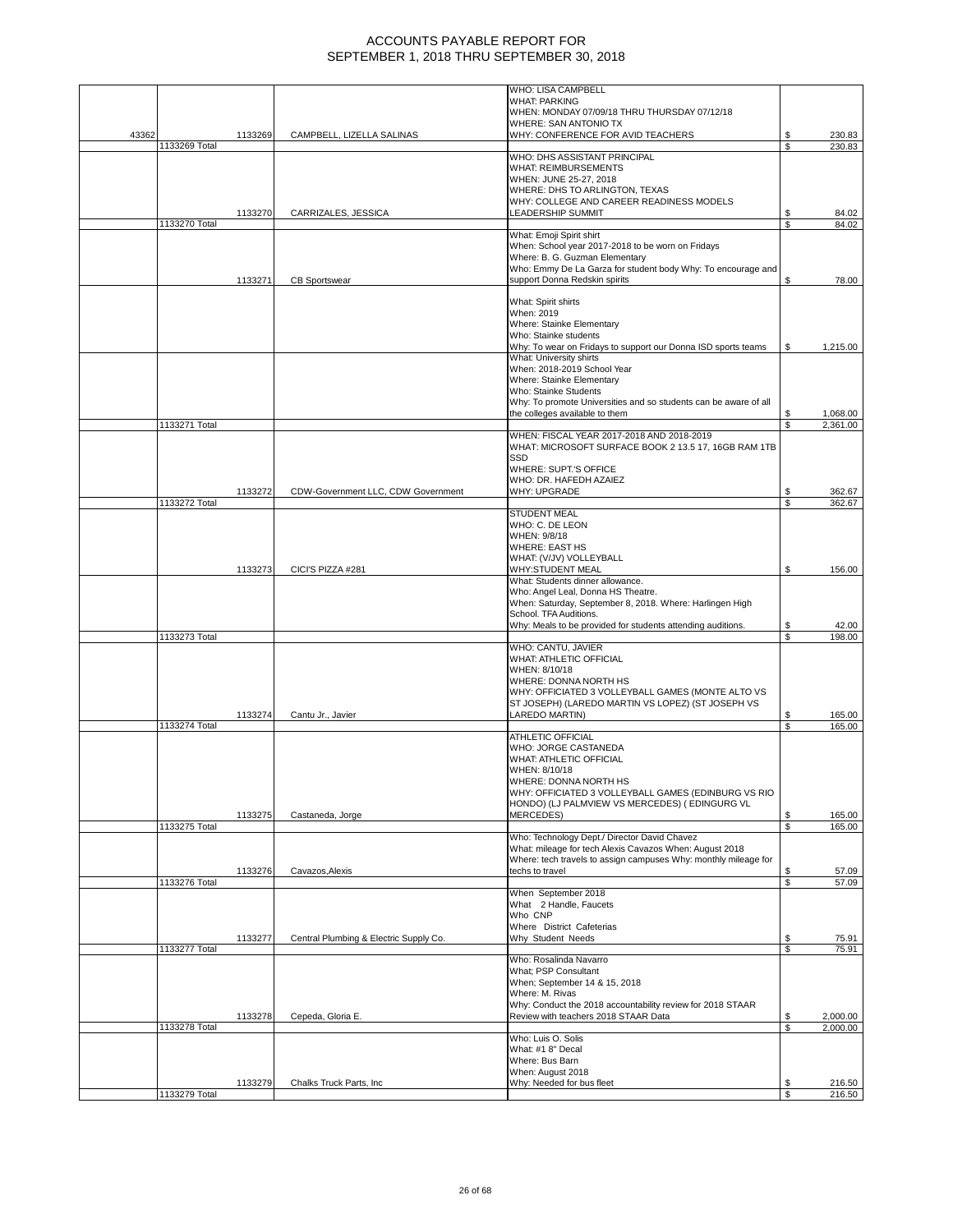|       |               |         |                                        | WHO: LISA CAMPBELL<br><b>WHAT: PARKING</b>                                                             |          |                  |
|-------|---------------|---------|----------------------------------------|--------------------------------------------------------------------------------------------------------|----------|------------------|
|       |               |         |                                        | WHEN: MONDAY 07/09/18 THRU THURSDAY 07/12/18                                                           |          |                  |
|       |               |         |                                        | WHERE: SAN ANTONIO TX                                                                                  |          |                  |
| 43362 | 1133269 Total | 1133269 | CAMPBELL, LIZELLA SALINAS              | WHY: CONFERENCE FOR AVID TEACHERS                                                                      | \$<br>\$ | 230.83<br>230.83 |
|       |               |         |                                        | WHO: DHS ASSISTANT PRINCIPAL                                                                           |          |                  |
|       |               |         |                                        | <b>WHAT: REIMBURSEMENTS</b>                                                                            |          |                  |
|       |               |         |                                        | WHEN: JUNE 25-27, 2018<br>WHERE: DHS TO ARLINGTON, TEXAS                                               |          |                  |
|       |               |         |                                        | WHY: COLLEGE AND CAREER READINESS MODELS                                                               |          |                  |
|       |               | 1133270 | CARRIZALES, JESSICA                    | <b>LEADERSHIP SUMMIT</b>                                                                               | \$       | 84.02            |
|       | 1133270 Total |         |                                        | What: Emoji Spirit shirt                                                                               | \$       | 84.02            |
|       |               |         |                                        | When: School year 2017-2018 to be worn on Fridays                                                      |          |                  |
|       |               |         |                                        | Where: B. G. Guzman Elementary<br>Who: Emmy De La Garza for student body Why: To encourage and         |          |                  |
|       |               | 1133271 | <b>CB Sportswear</b>                   | support Donna Redskin spirits                                                                          | \$       | 78.00            |
|       |               |         |                                        |                                                                                                        |          |                  |
|       |               |         |                                        | What: Spirit shirts<br>When: 2019                                                                      |          |                  |
|       |               |         |                                        | Where: Stainke Elementary                                                                              |          |                  |
|       |               |         |                                        | Who: Stainke students                                                                                  |          |                  |
|       |               |         |                                        | Why: To wear on Fridays to support our Donna ISD sports teams<br>What: University shirts               | \$       | 1,215.00         |
|       |               |         |                                        | When: 2018-2019 School Year                                                                            |          |                  |
|       |               |         |                                        | Where: Stainke Elementary                                                                              |          |                  |
|       |               |         |                                        | Who: Stainke Students<br>Why: To promote Universities and so students can be aware of all              |          |                  |
|       |               |         |                                        | the colleges available to them                                                                         | \$       | 1,068.00         |
|       | 1133271 Total |         |                                        |                                                                                                        | \$       | 2,361.00         |
|       |               |         |                                        | WHEN: FISCAL YEAR 2017-2018 AND 2018-2019<br>WHAT: MICROSOFT SURFACE BOOK 2 13.5 17, 16GB RAM 1TB      |          |                  |
|       |               |         |                                        | SSD                                                                                                    |          |                  |
|       |               |         |                                        | WHERE: SUPT.'S OFFICE                                                                                  |          |                  |
|       |               | 1133272 | CDW-Government LLC, CDW Government     | WHO: DR. HAFEDH AZAIEZ<br><b>WHY: UPGRADE</b>                                                          |          |                  |
|       | 1133272 Total |         |                                        |                                                                                                        | \$<br>\$ | 362.67<br>362.67 |
|       |               |         |                                        | <b>STUDENT MEAL</b>                                                                                    |          |                  |
|       |               |         |                                        | WHO: C. DE LEON<br>WHEN: 9/8/18                                                                        |          |                  |
|       |               |         |                                        | <b>WHERE: EAST HS</b>                                                                                  |          |                  |
|       |               |         |                                        | WHAT: (V/JV) VOLLEYBALL                                                                                |          |                  |
|       |               | 1133273 | CICI'S PIZZA #281                      | WHY:STUDENT MEAL<br>What: Students dinner allowance.                                                   | \$       | 156.00           |
|       |               |         |                                        | Who: Angel Leal, Donna HS Theatre.                                                                     |          |                  |
|       |               |         |                                        | When: Saturday, September 8, 2018. Where: Harlingen High                                               |          |                  |
|       |               |         |                                        | School. TFA Auditions.<br>Why: Meals to be provided for students attending auditions.                  | \$       | 42.00            |
|       | 1133273 Total |         |                                        |                                                                                                        | S        | 198.00           |
|       |               |         |                                        | WHO: CANTU, JAVIER                                                                                     |          |                  |
|       |               |         |                                        | WHAT: ATHLETIC OFFICIAL<br>WHEN: 8/10/18                                                               |          |                  |
|       |               |         |                                        | WHERE: DONNA NORTH HS                                                                                  |          |                  |
|       |               |         |                                        | WHY: OFFICIATED 3 VOLLEYBALL GAMES (MONTE ALTO VS<br>ST JOSEPH) (LAREDO MARTIN VS LOPEZ) (ST JOSEPH VS |          |                  |
|       |               | 1133274 | Cantu Jr., Javier                      | LAREDO MARTIN)                                                                                         |          | 165.00           |
|       | 1133274 Total |         |                                        |                                                                                                        | S.       | 165.00           |
|       |               |         |                                        | <b>ATHLETIC OFFICIAL</b><br>WHO: JORGE CASTANEDA                                                       |          |                  |
|       |               |         |                                        | <b>WHAT: ATHLETIC OFFICIAL</b>                                                                         |          |                  |
|       |               |         |                                        | WHEN: 8/10/18                                                                                          |          |                  |
|       |               |         |                                        | WHERE: DONNA NORTH HS<br>WHY: OFFICIATED 3 VOLLEYBALL GAMES (EDINBURG VS RIO                           |          |                  |
|       |               |         |                                        | HONDO) (LJ PALMVIEW VS MERCEDES) (EDINGURG VL                                                          |          |                  |
|       |               | 1133275 | Castaneda, Jorge                       | <b>MERCEDES)</b>                                                                                       | \$       | 165.00           |
|       | 1133275 Total |         |                                        | Who: Technology Dept./ Director David Chavez                                                           | \$       | 165.00           |
|       |               |         |                                        | What: mileage for tech Alexis Cavazos When: August 2018                                                |          |                  |
|       |               |         |                                        | Where: tech travels to assign campuses Why: monthly mileage for                                        |          |                  |
|       | 1133276 Total | 1133276 | Cavazos, Alexis                        | techs to travel                                                                                        | \$<br>\$ | 57.09<br>57.09   |
|       |               |         |                                        | When September 2018                                                                                    |          |                  |
|       |               |         |                                        | What 2 Handle, Faucets                                                                                 |          |                  |
|       |               |         |                                        | Who CNP<br>Where District Cafeterias                                                                   |          |                  |
|       |               | 1133277 | Central Plumbing & Electric Supply Co. | Why Student Needs                                                                                      | \$       | 75.91            |
|       | 1133277 Total |         |                                        | Who: Rosalinda Navarro                                                                                 | \$       | 75.91            |
|       |               |         |                                        | What; PSP Consultant                                                                                   |          |                  |
|       |               |         |                                        | When; September 14 & 15, 2018                                                                          |          |                  |
|       |               |         |                                        | Where: M. Rivas<br>Why: Conduct the 2018 accountability review for 2018 STAAR                          |          |                  |
|       |               | 1133278 | Cepeda, Gloria E.                      | Review with teachers 2018 STAAR Data                                                                   | \$       | 2,000.00         |
|       | 1133278 Total |         |                                        |                                                                                                        | \$       | 2,000.00         |
|       |               |         |                                        | Who: Luis O. Solis<br>What: #1 8" Decal                                                                |          |                  |
|       |               |         |                                        | Where: Bus Barn                                                                                        |          |                  |
|       |               |         |                                        | When: August 2018                                                                                      |          |                  |
|       |               | 1133279 | Chalks Truck Parts, Inc                | Why: Needed for bus fleet                                                                              |          | 216.50           |
|       | 1133279 Total |         |                                        |                                                                                                        | \$       | 216.50           |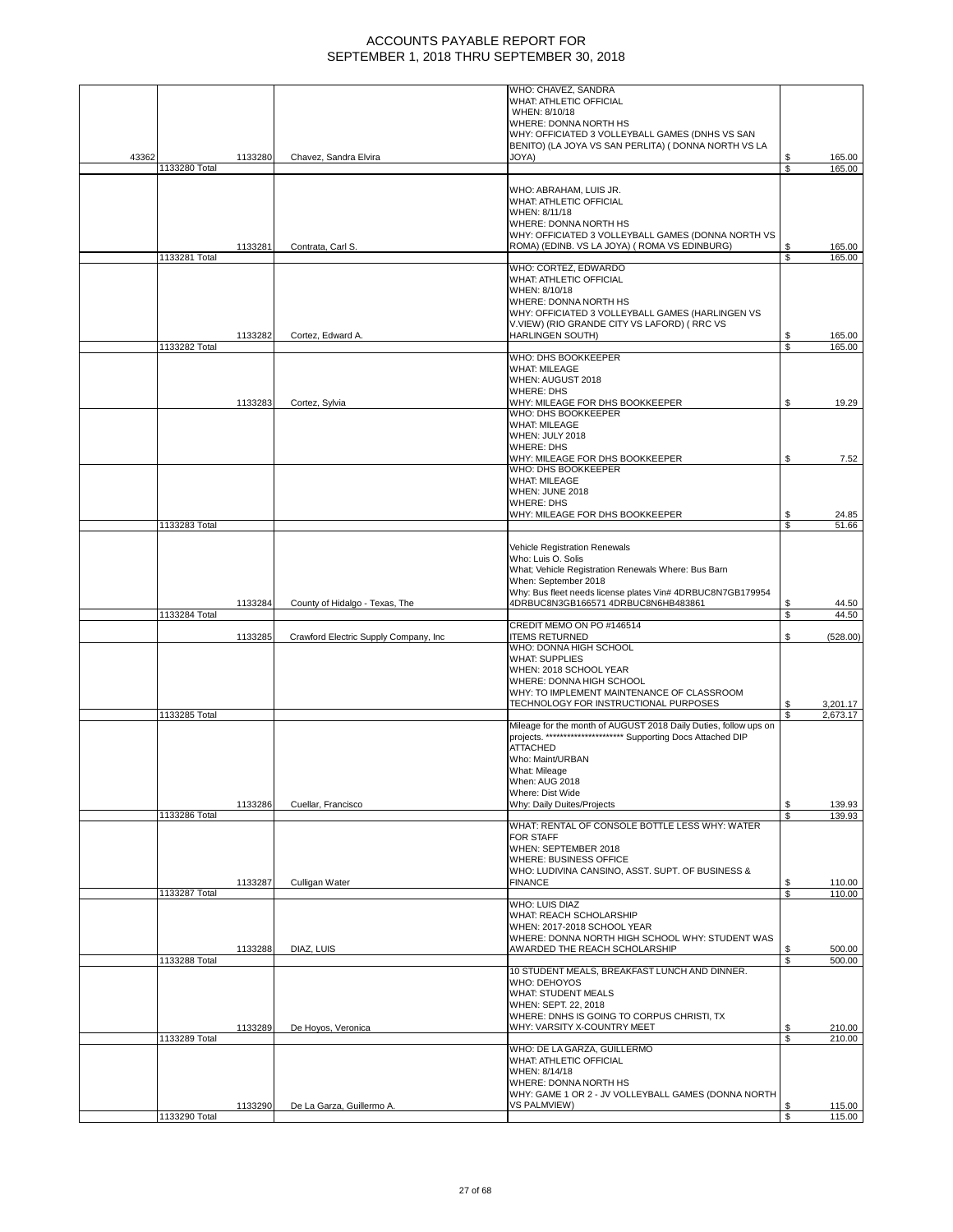|       |               |         |                                       | WHO: CHAVEZ, SANDRA                                                        |    |          |
|-------|---------------|---------|---------------------------------------|----------------------------------------------------------------------------|----|----------|
|       |               |         |                                       | WHAT: ATHLETIC OFFICIAL                                                    |    |          |
|       |               |         |                                       | WHEN: 8/10/18                                                              |    |          |
|       |               |         |                                       | WHERE: DONNA NORTH HS                                                      |    |          |
|       |               |         |                                       | WHY: OFFICIATED 3 VOLLEYBALL GAMES (DNHS VS SAN                            |    |          |
|       |               |         |                                       | BENITO) (LA JOYA VS SAN PERLITA) ( DONNA NORTH VS LA                       |    |          |
| 43362 |               | 1133280 | Chavez, Sandra Elvira                 | JOYA)                                                                      | \$ | 165.00   |
|       | 1133280 Total |         |                                       |                                                                            | \$ | 165.00   |
|       |               |         |                                       |                                                                            |    |          |
|       |               |         |                                       | WHO: ABRAHAM, LUIS JR.                                                     |    |          |
|       |               |         |                                       | WHAT: ATHLETIC OFFICIAL                                                    |    |          |
|       |               |         |                                       | WHEN: 8/11/18                                                              |    |          |
|       |               |         |                                       | WHERE: DONNA NORTH HS                                                      |    |          |
|       |               |         |                                       | WHY: OFFICIATED 3 VOLLEYBALL GAMES (DONNA NORTH VS                         |    |          |
|       |               | 1133281 | Contrata, Carl S.                     | ROMA) (EDINB. VS LA JOYA) (ROMA VS EDINBURG)                               | \$ | 165.00   |
|       | 1133281 Total |         |                                       |                                                                            | \$ | 165.00   |
|       |               |         |                                       | WHO: CORTEZ, EDWARDO                                                       |    |          |
|       |               |         |                                       | WHAT: ATHLETIC OFFICIAL                                                    |    |          |
|       |               |         |                                       | WHEN: 8/10/18                                                              |    |          |
|       |               |         |                                       | WHERE: DONNA NORTH HS                                                      |    |          |
|       |               |         |                                       |                                                                            |    |          |
|       |               |         |                                       | WHY: OFFICIATED 3 VOLLEYBALL GAMES (HARLINGEN VS                           |    |          |
|       |               |         |                                       | V.VIEW) (RIO GRANDE CITY VS LAFORD) (RRC VS                                |    |          |
|       |               | 1133282 | Cortez, Edward A.                     | <b>HARLINGEN SOUTH)</b>                                                    | \$ | 165.00   |
|       | 1133282 Total |         |                                       |                                                                            | \$ | 165.00   |
|       |               |         |                                       | WHO: DHS BOOKKEEPER                                                        |    |          |
|       |               |         |                                       | <b>WHAT: MILEAGE</b>                                                       |    |          |
|       |               |         |                                       | WHEN: AUGUST 2018                                                          |    |          |
|       |               |         |                                       | <b>WHERE: DHS</b>                                                          |    |          |
|       |               | 1133283 | Cortez, Sylvia                        | WHY: MILEAGE FOR DHS BOOKKEEPER                                            | \$ | 19.29    |
|       |               |         |                                       | WHO: DHS BOOKKEEPER                                                        |    |          |
|       |               |         |                                       | <b>WHAT: MILEAGE</b>                                                       |    |          |
|       |               |         |                                       | WHEN: JULY 2018                                                            |    |          |
|       |               |         |                                       | <b>WHERE: DHS</b>                                                          |    |          |
|       |               |         |                                       | WHY: MILEAGE FOR DHS BOOKKEEPER                                            | \$ | 7.52     |
|       |               |         |                                       | WHO: DHS BOOKKEEPER                                                        |    |          |
|       |               |         |                                       | <b>WHAT: MILEAGE</b>                                                       |    |          |
|       |               |         |                                       | WHEN: JUNE 2018                                                            |    |          |
|       |               |         |                                       | <b>WHERE: DHS</b>                                                          |    |          |
|       |               |         |                                       | WHY: MILEAGE FOR DHS BOOKKEEPER                                            | \$ | 24.85    |
|       | 1133283 Total |         |                                       |                                                                            | \$ | 51.66    |
|       |               |         |                                       |                                                                            |    |          |
|       |               |         |                                       | Vehicle Registration Renewals                                              |    |          |
|       |               |         |                                       | Who: Luis O. Solis                                                         |    |          |
|       |               |         |                                       | What; Vehicle Registration Renewals Where: Bus Barn                        |    |          |
|       |               |         |                                       | When: September 2018                                                       |    |          |
|       |               |         |                                       |                                                                            |    |          |
|       |               |         |                                       | Why: Bus fleet needs license plates Vin# 4DRBUC8N7GB179954                 |    |          |
|       |               |         |                                       |                                                                            |    |          |
|       |               | 1133284 | County of Hidalgo - Texas, The        | 4DRBUC8N3GB166571 4DRBUC8N6HB483861                                        | \$ | 44.50    |
|       | 1133284 Total |         |                                       |                                                                            | \$ | 44.50    |
|       |               |         |                                       | CREDIT MEMO ON PO #146514                                                  |    |          |
|       |               | 1133285 | Crawford Electric Supply Company, Inc | <b>ITEMS RETURNED</b>                                                      | \$ | (528.00) |
|       |               |         |                                       | WHO: DONNA HIGH SCHOOL                                                     |    |          |
|       |               |         |                                       | <b>WHAT: SUPPLIES</b>                                                      |    |          |
|       |               |         |                                       | WHEN: 2018 SCHOOL YEAR                                                     |    |          |
|       |               |         |                                       | WHERE: DONNA HIGH SCHOOL                                                   |    |          |
|       |               |         |                                       | WHY: TO IMPLEMENT MAINTENANCE OF CLASSROOM                                 |    |          |
|       |               |         |                                       | TECHNOLOGY FOR INSTRUCTIONAL PURPOSES                                      | \$ | 3,201.17 |
|       | 1133285 Total |         |                                       |                                                                            | S  | 2,673.17 |
|       |               |         |                                       | Mileage for the month of AUGUST 2018 Daily Duties, follow ups on           |    |          |
|       |               |         |                                       | projects. ********************** Supporting Docs Attached DIP              |    |          |
|       |               |         |                                       | <b>ATTACHED</b>                                                            |    |          |
|       |               |         |                                       | Who: Maint/URBAN                                                           |    |          |
|       |               |         |                                       | What: Mileage                                                              |    |          |
|       |               |         |                                       | When: AUG 2018                                                             |    |          |
|       |               |         |                                       | Where: Dist Wide                                                           |    |          |
|       |               | 1133286 | Cuellar, Francisco                    | Why: Daily Duites/Projects                                                 | \$ | 139.93   |
|       | 1133286 Total |         |                                       |                                                                            | S  | 139.93   |
|       |               |         |                                       | WHAT: RENTAL OF CONSOLE BOTTLE LESS WHY: WATER                             |    |          |
|       |               |         |                                       | FOR STAFF                                                                  |    |          |
|       |               |         |                                       | WHEN: SEPTEMBER 2018                                                       |    |          |
|       |               |         |                                       |                                                                            |    |          |
|       |               |         |                                       | WHERE: BUSINESS OFFICE<br>WHO: LUDIVINA CANSINO, ASST. SUPT. OF BUSINESS & |    |          |
|       |               |         |                                       | <b>FINANCE</b>                                                             | \$ | 110.00   |
|       |               | 1133287 | Culligan Water                        |                                                                            | \$ |          |
|       | 1133287 Total |         |                                       |                                                                            |    | 110.00   |
|       |               |         |                                       | <b>WHO: LUIS DIAZ</b>                                                      |    |          |
|       |               |         |                                       | WHAT: REACH SCHOLARSHIP                                                    |    |          |
|       |               |         |                                       | WHEN: 2017-2018 SCHOOL YEAR                                                |    |          |
|       |               |         |                                       | WHERE: DONNA NORTH HIGH SCHOOL WHY: STUDENT WAS                            |    |          |
|       |               | 1133288 | DIAZ, LUIS                            | AWARDED THE REACH SCHOLARSHIP                                              | \$ | 500.00   |
|       | 1133288 Total |         |                                       |                                                                            | S  | 500.00   |
|       |               |         |                                       | 10 STUDENT MEALS, BREAKFAST LUNCH AND DINNER.                              |    |          |
|       |               |         |                                       | WHO: DEHOYOS                                                               |    |          |
|       |               |         |                                       | <b>WHAT: STUDENT MEALS</b>                                                 |    |          |
|       |               |         |                                       | WHEN: SEPT. 22, 2018                                                       |    |          |
|       |               |         |                                       | WHERE: DNHS IS GOING TO CORPUS CHRISTI, TX                                 |    |          |
|       |               | 1133289 | De Hoyos, Veronica                    | WHY: VARSITY X-COUNTRY MEET                                                | \$ | 210.00   |
|       | 1133289 Total |         |                                       |                                                                            | \$ | 210.00   |
|       |               |         |                                       | WHO: DE LA GARZA, GUILLERMO                                                |    |          |
|       |               |         |                                       | WHAT: ATHLETIC OFFICIAL                                                    |    |          |
|       |               |         |                                       | WHEN: 8/14/18                                                              |    |          |
|       |               |         |                                       | WHERE: DONNA NORTH HS                                                      |    |          |
|       |               |         |                                       | WHY: GAME 1 OR 2 - JV VOLLEYBALL GAMES (DONNA NORTH                        |    |          |
|       |               | 1133290 | De La Garza, Guillermo A.             | VS PALMVIEW)                                                               | \$ | 115.00   |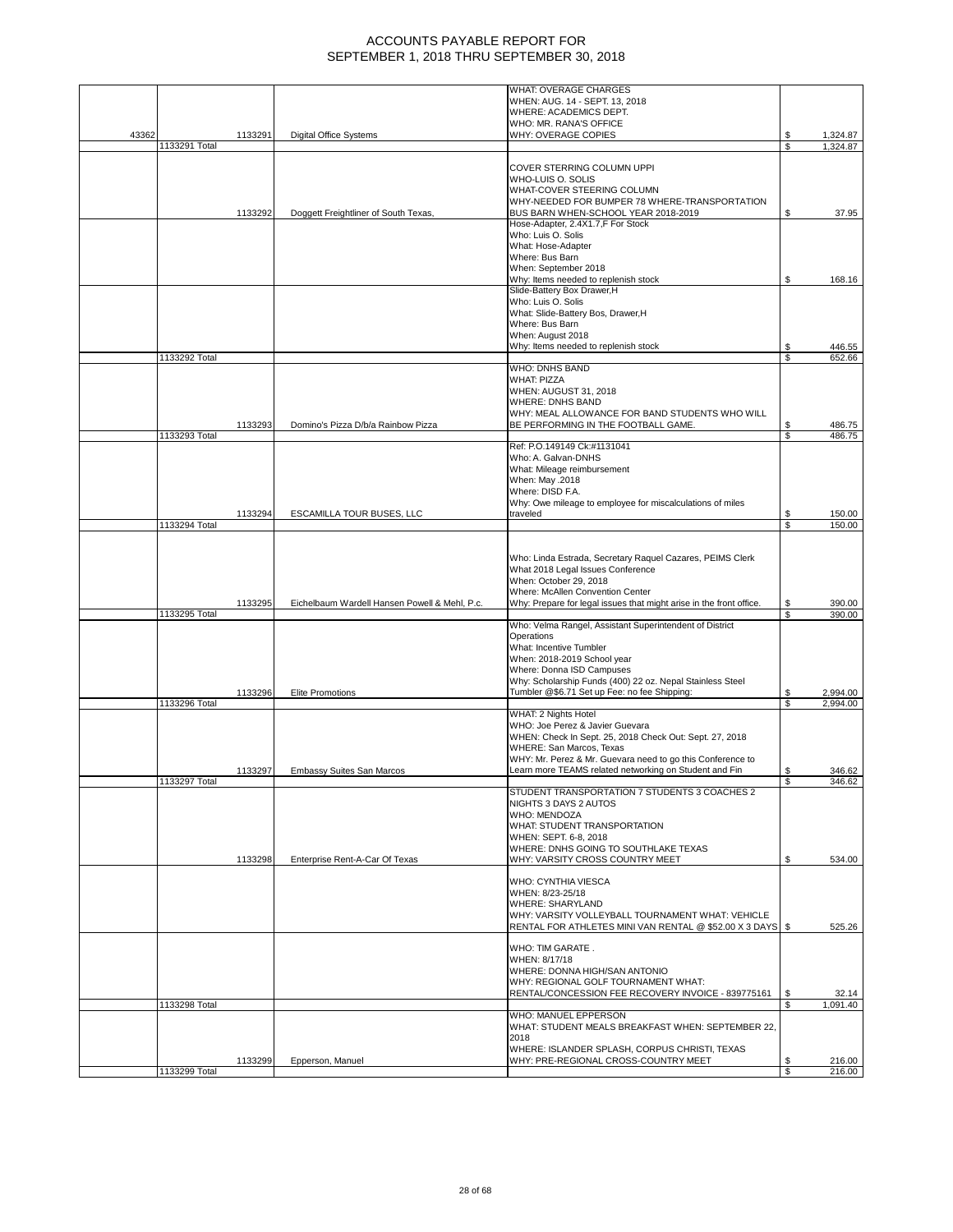|       |               |         |                                               | WHAT: OVERAGE CHARGES<br>WHEN: AUG. 14 - SEPT. 13, 2018                                                              |          |                      |
|-------|---------------|---------|-----------------------------------------------|----------------------------------------------------------------------------------------------------------------------|----------|----------------------|
|       |               |         |                                               | WHERE: ACADEMICS DEPT.                                                                                               |          |                      |
| 43362 |               |         | <b>Digital Office Systems</b>                 | WHO: MR. RANA'S OFFICE                                                                                               | S        |                      |
|       | 1133291 Total | 1133291 |                                               | WHY: OVERAGE COPIES                                                                                                  | S        | 1,324.87<br>1,324.87 |
|       |               |         |                                               |                                                                                                                      |          |                      |
|       |               |         |                                               | COVER STERRING COLUMN UPPI<br>WHO-LUIS O. SOLIS                                                                      |          |                      |
|       |               |         |                                               | WHAT-COVER STEERING COLUMN                                                                                           |          |                      |
|       |               | 1133292 | Doggett Freightliner of South Texas,          | WHY-NEEDED FOR BUMPER 78 WHERE-TRANSPORTATION<br>BUS BARN WHEN-SCHOOL YEAR 2018-2019                                 | S        | 37.95                |
|       |               |         |                                               | Hose-Adapter, 2.4X1.7,F For Stock                                                                                    |          |                      |
|       |               |         |                                               | Who: Luis O. Solis                                                                                                   |          |                      |
|       |               |         |                                               | What: Hose-Adapter<br>Where: Bus Barn                                                                                |          |                      |
|       |               |         |                                               | When: September 2018                                                                                                 |          |                      |
|       |               |         |                                               | Why: Items needed to replenish stock<br>Slide-Battery Box Drawer, H                                                  | \$       | 168.16               |
|       |               |         |                                               | Who: Luis O. Solis                                                                                                   |          |                      |
|       |               |         |                                               | What: Slide-Battery Bos, Drawer, H                                                                                   |          |                      |
|       |               |         |                                               | Where: Bus Barn<br>When: August 2018                                                                                 |          |                      |
|       |               |         |                                               | Why: Items needed to replenish stock                                                                                 | S        | 446.55               |
|       | 1133292 Total |         |                                               |                                                                                                                      | S        | 652.66               |
|       |               |         |                                               | <b>WHO: DNHS BAND</b><br><b>WHAT: PIZZA</b>                                                                          |          |                      |
|       |               |         |                                               | WHEN: AUGUST 31, 2018                                                                                                |          |                      |
|       |               |         |                                               | <b>WHERE: DNHS BAND</b>                                                                                              |          |                      |
|       |               | 1133293 | Domino's Pizza D/b/a Rainbow Pizza            | WHY: MEAL ALLOWANCE FOR BAND STUDENTS WHO WILL<br>BE PERFORMING IN THE FOOTBALL GAME.                                | \$       | 486.75               |
|       | 1133293 Total |         |                                               |                                                                                                                      | \$       | 486.75               |
|       |               |         |                                               | Ref: P.O.149149 Ck:#1131041<br>Who: A. Galvan-DNHS                                                                   |          |                      |
|       |               |         |                                               | What: Mileage reimbursement                                                                                          |          |                      |
|       |               |         |                                               | When: May .2018<br>Where: DISD F.A.                                                                                  |          |                      |
|       |               |         |                                               | Why: Owe mileage to employee for miscalculations of miles                                                            |          |                      |
|       |               | 1133294 | ESCAMILLA TOUR BUSES, LLC                     | traveled                                                                                                             | S        | 150.00               |
|       | 1133294 Total |         |                                               |                                                                                                                      | \$       | 150.00               |
|       |               |         |                                               |                                                                                                                      |          |                      |
|       |               |         |                                               | Who: Linda Estrada, Secretary Raquel Cazares, PEIMS Clerk                                                            |          |                      |
|       |               |         |                                               | What 2018 Legal Issues Conference<br>When: October 29, 2018                                                          |          |                      |
|       |               |         |                                               | Where: McAllen Convention Center                                                                                     |          |                      |
|       | 1133295 Total | 1133295 | Eichelbaum Wardell Hansen Powell & Mehl, P.c. | Why: Prepare for legal issues that might arise in the front office.                                                  | \$<br>\$ | 390.00<br>390.00     |
|       |               |         |                                               | Who: Velma Rangel, Assistant Superintendent of District                                                              |          |                      |
|       |               |         |                                               | Operations<br>What: Incentive Tumbler                                                                                |          |                      |
|       |               |         |                                               | When: 2018-2019 School year                                                                                          |          |                      |
|       |               |         |                                               | Where: Donna ISD Campuses                                                                                            |          |                      |
|       |               | 1133296 | Elite Promotions                              | Why: Scholarship Funds (400) 22 oz. Nepal Stainless Steel<br>Tumbler @\$6.71 Set up Fee: no fee Shipping:            | \$       | 2,994.00             |
|       | 1133296 Total |         |                                               |                                                                                                                      | \$       | 2,994.00             |
|       |               |         |                                               | WHAT: 2 Nights Hotel<br>WHO: Joe Perez & Javier Guevara                                                              |          |                      |
|       |               |         |                                               | WHEN: Check In Sept. 25, 2018 Check Out: Sept. 27, 2018                                                              |          |                      |
|       |               |         |                                               | WHERE: San Marcos, Texas                                                                                             |          |                      |
|       |               | 1133297 | <b>Embassy Suites San Marcos</b>              | WHY: Mr. Perez & Mr. Guevara need to go this Conference to<br>Learn more TEAMS related networking on Student and Fin | \$       | 346.62               |
|       | 1133297 Total |         |                                               |                                                                                                                      |          | 346.62               |
|       |               |         |                                               | STUDENT TRANSPORTATION 7 STUDENTS 3 COACHES 2<br>NIGHTS 3 DAYS 2 AUTOS                                               |          |                      |
|       |               |         |                                               | <b>WHO: MENDOZA</b>                                                                                                  |          |                      |
|       |               |         |                                               | WHAT: STUDENT TRANSPORTATION                                                                                         |          |                      |
|       |               |         |                                               | WHEN: SEPT, 6-8, 2018<br>WHERE: DNHS GOING TO SOUTHLAKE TEXAS                                                        |          |                      |
|       |               | 1133298 | Enterprise Rent-A-Car Of Texas                | WHY: VARSITY CROSS COUNTRY MEET                                                                                      | S        | 534.00               |
|       |               |         |                                               | <b>WHO: CYNTHIA VIESCA</b>                                                                                           |          |                      |
|       |               |         |                                               | WHEN: 8/23-25/18                                                                                                     |          |                      |
|       |               |         |                                               | <b>WHERE: SHARYLAND</b>                                                                                              |          |                      |
|       |               |         |                                               | WHY: VARSITY VOLLEYBALL TOURNAMENT WHAT: VEHICLE<br>RENTAL FOR ATHLETES MINI VAN RENTAL @ \$52.00 X 3 DAYS           | - \$     | 525.26               |
|       |               |         |                                               |                                                                                                                      |          |                      |
|       |               |         |                                               | WHO: TIM GARATE.<br>WHEN: 8/17/18                                                                                    |          |                      |
|       |               |         |                                               | WHERE: DONNA HIGH/SAN ANTONIO                                                                                        |          |                      |
|       |               |         |                                               | WHY: REGIONAL GOLF TOURNAMENT WHAT:                                                                                  |          |                      |
|       | 1133298 Total |         |                                               | RENTAL/CONCESSION FEE RECOVERY INVOICE - 839775161                                                                   | \$       | 32.14<br>1,091.40    |
|       |               |         |                                               | WHO: MANUEL EPPERSON                                                                                                 |          |                      |
|       |               |         |                                               | WHAT: STUDENT MEALS BREAKFAST WHEN: SEPTEMBER 22,<br>2018                                                            |          |                      |
|       |               |         |                                               | WHERE: ISLANDER SPLASH, CORPUS CHRISTI, TEXAS                                                                        |          |                      |
|       |               | 1133299 | Epperson, Manuel                              | WHY: PRE-REGIONAL CROSS-COUNTRY MEET                                                                                 |          | 216.00<br>216.00     |
|       | 1133299 Total |         |                                               |                                                                                                                      | \$       |                      |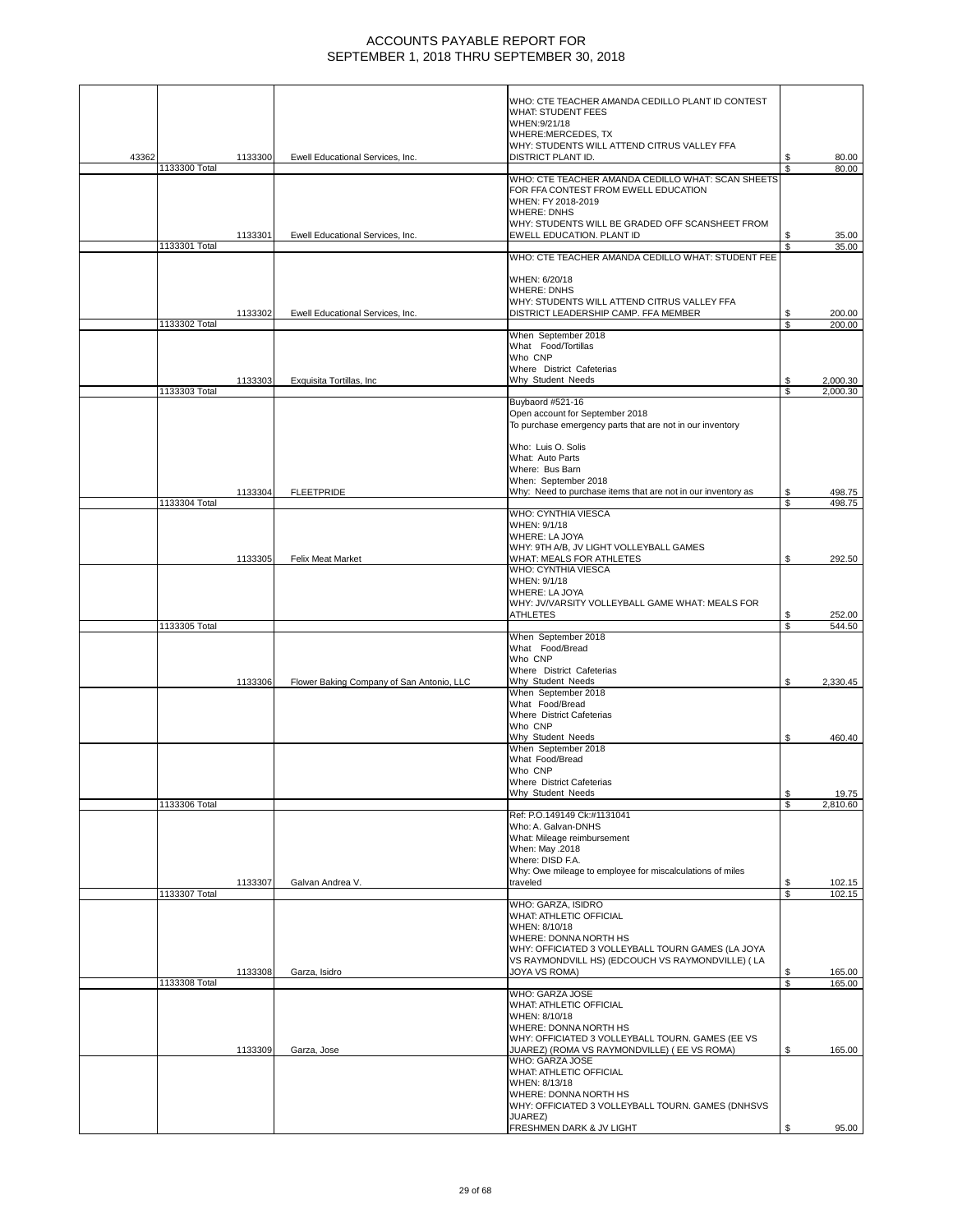|       |               |         |                                           | WHO: CTE TEACHER AMANDA CEDILLO PLANT ID CONTEST                                                 |          |                  |
|-------|---------------|---------|-------------------------------------------|--------------------------------------------------------------------------------------------------|----------|------------------|
|       |               |         |                                           | <b>WHAT: STUDENT FEES</b><br>WHEN:9/21/18                                                        |          |                  |
|       |               |         |                                           | WHERE:MERCEDES, TX                                                                               |          |                  |
| 43362 |               | 1133300 | Ewell Educational Services, Inc.          | WHY: STUDENTS WILL ATTEND CITRUS VALLEY FFA<br>DISTRICT PLANT ID.                                | S        | 80.00            |
|       | 1133300 Total |         |                                           |                                                                                                  | S        | 80.00            |
|       |               |         |                                           | WHO: CTE TEACHER AMANDA CEDILLO WHAT: SCAN SHEETS<br>FOR FFA CONTEST FROM EWELL EDUCATION        |          |                  |
|       |               |         |                                           | WHEN: FY 2018-2019                                                                               |          |                  |
|       |               |         |                                           | <b>WHERE: DNHS</b><br>WHY: STUDENTS WILL BE GRADED OFF SCANSHEET FROM                            |          |                  |
|       | 1133301 Total | 1133301 | Ewell Educational Services, Inc.          | EWELL EDUCATION. PLANT ID                                                                        | S        | 35.00<br>35.00   |
|       |               |         |                                           | WHO: CTE TEACHER AMANDA CEDILLO WHAT: STUDENT FEE                                                |          |                  |
|       |               |         |                                           | WHEN: 6/20/18                                                                                    |          |                  |
|       |               |         |                                           | <b>WHERE: DNHS</b>                                                                               |          |                  |
|       |               | 1133302 | Ewell Educational Services, Inc.          | WHY: STUDENTS WILL ATTEND CITRUS VALLEY FFA<br>DISTRICT LEADERSHIP CAMP. FFA MEMBER              | \$       | 200.00           |
|       | 1133302 Total |         |                                           |                                                                                                  | \$       | 200.00           |
|       |               |         |                                           | When September 2018<br>What Food/Tortillas                                                       |          |                  |
|       |               |         |                                           | Who CNP                                                                                          |          |                  |
|       |               | 1133303 | Exquisita Tortillas, Inc                  | Where District Cafeterias<br>Why Student Needs                                                   |          | 2,000.30         |
|       | 1133303 Total |         |                                           |                                                                                                  | \$       | 2.000.30         |
|       |               |         |                                           | Buybaord #521-16<br>Open account for September 2018                                              |          |                  |
|       |               |         |                                           | To purchase emergency parts that are not in our inventory                                        |          |                  |
|       |               |         |                                           | Who: Luis O. Solis                                                                               |          |                  |
|       |               |         |                                           | What: Auto Parts<br>Where: Bus Barn                                                              |          |                  |
|       |               |         |                                           | When: September 2018                                                                             |          |                  |
|       | 1133304 Total | 1133304 | <b>FLEETPRIDE</b>                         | Why: Need to purchase items that are not in our inventory as                                     | S<br>\$  | 498.75<br>498.75 |
|       |               |         |                                           | WHO: CYNTHIA VIESCA                                                                              |          |                  |
|       |               |         |                                           | WHEN: 9/1/18<br><b>WHERE: LA JOYA</b>                                                            |          |                  |
|       |               |         |                                           | WHY: 9TH A/B, JV LIGHT VOLLEYBALL GAMES                                                          |          |                  |
|       |               | 1133305 | Felix Meat Market                         | WHAT: MEALS FOR ATHLETES<br>WHO: CYNTHIA VIESCA                                                  | S.       | 292.50           |
|       |               |         |                                           | WHEN: 9/1/18                                                                                     |          |                  |
|       |               |         |                                           | <b>WHERE: LA JOYA</b><br>WHY: JV/VARSITY VOLLEYBALL GAME WHAT: MEALS FOR                         |          |                  |
|       |               |         |                                           | <b>ATHLETES</b>                                                                                  |          | 252.00           |
|       | 1133305 Total |         |                                           | When September 2018                                                                              | S        | 544.50           |
|       |               |         |                                           | What Food/Bread                                                                                  |          |                  |
|       |               |         |                                           | Who CNP<br>Where District Cafeterias                                                             |          |                  |
|       |               | 1133306 | Flower Baking Company of San Antonio, LLC | Why Student Needs                                                                                | \$       | 2,330.45         |
|       |               |         |                                           | When September 2018<br>What Food/Bread                                                           |          |                  |
|       |               |         |                                           | Where District Cafeterias<br>Who CNP                                                             |          |                  |
|       |               |         |                                           | Why Student Needs                                                                                | \$       | 460.40           |
|       |               |         |                                           | When September 2018<br>What Food/Bread                                                           |          |                  |
|       |               |         |                                           | Who CNP                                                                                          |          |                  |
|       |               |         |                                           | <b>Where District Cafeterias</b><br>Why Student Needs                                            | \$       | 19.75            |
|       | 1133306 Total |         |                                           |                                                                                                  | \$       | 2,810.60         |
|       |               |         |                                           | Ref: P.O.149149 Ck:#1131041<br>Who: A. Galvan-DNHS                                               |          |                  |
|       |               |         |                                           | What: Mileage reimbursement                                                                      |          |                  |
|       |               |         |                                           | When: May .2018<br>Where: DISD F.A.                                                              |          |                  |
|       |               |         |                                           | Why: Owe mileage to employee for miscalculations of miles<br>traveled                            |          |                  |
|       | 1133307 Total | 1133307 | Galvan Andrea V.                          |                                                                                                  | \$<br>\$ | 102.15<br>102.15 |
|       |               |         |                                           | WHO: GARZA, ISIDRO<br>WHAT: ATHLETIC OFFICIAL                                                    |          |                  |
|       |               |         |                                           | WHEN: 8/10/18                                                                                    |          |                  |
|       |               |         |                                           | WHERE: DONNA NORTH HS<br>WHY: OFFICIATED 3 VOLLEYBALL TOURN GAMES (LA JOYA                       |          |                  |
|       |               |         |                                           | VS RAYMONDVILL HS) (EDCOUCH VS RAYMONDVILLE) (LA                                                 |          |                  |
|       | 1133308 Total | 1133308 | Garza, Isidro                             | JOYA VS ROMA)                                                                                    | \$<br>\$ | 165.00<br>165.00 |
|       |               |         |                                           | WHO: GARZA JOSE                                                                                  |          |                  |
|       |               |         |                                           | WHAT: ATHLETIC OFFICIAL<br>WHEN: 8/10/18                                                         |          |                  |
|       |               |         |                                           | WHERE: DONNA NORTH HS                                                                            |          |                  |
|       |               | 1133309 | Garza, Jose                               | WHY: OFFICIATED 3 VOLLEYBALL TOURN. GAMES (EE VS<br>JUAREZ) (ROMA VS RAYMONDVILLE) ( EE VS ROMA) | \$       | 165.00           |
|       |               |         |                                           | WHO: GARZA JOSE                                                                                  |          |                  |
|       |               |         |                                           | WHAT: ATHLETIC OFFICIAL<br>WHEN: 8/13/18                                                         |          |                  |
|       |               |         |                                           | WHERE: DONNA NORTH HS                                                                            |          |                  |
|       |               |         |                                           | WHY: OFFICIATED 3 VOLLEYBALL TOURN. GAMES (DNHSVS<br>JUAREZ)                                     |          |                  |
|       |               |         |                                           | FRESHMEN DARK & JV LIGHT                                                                         |          | 95.00            |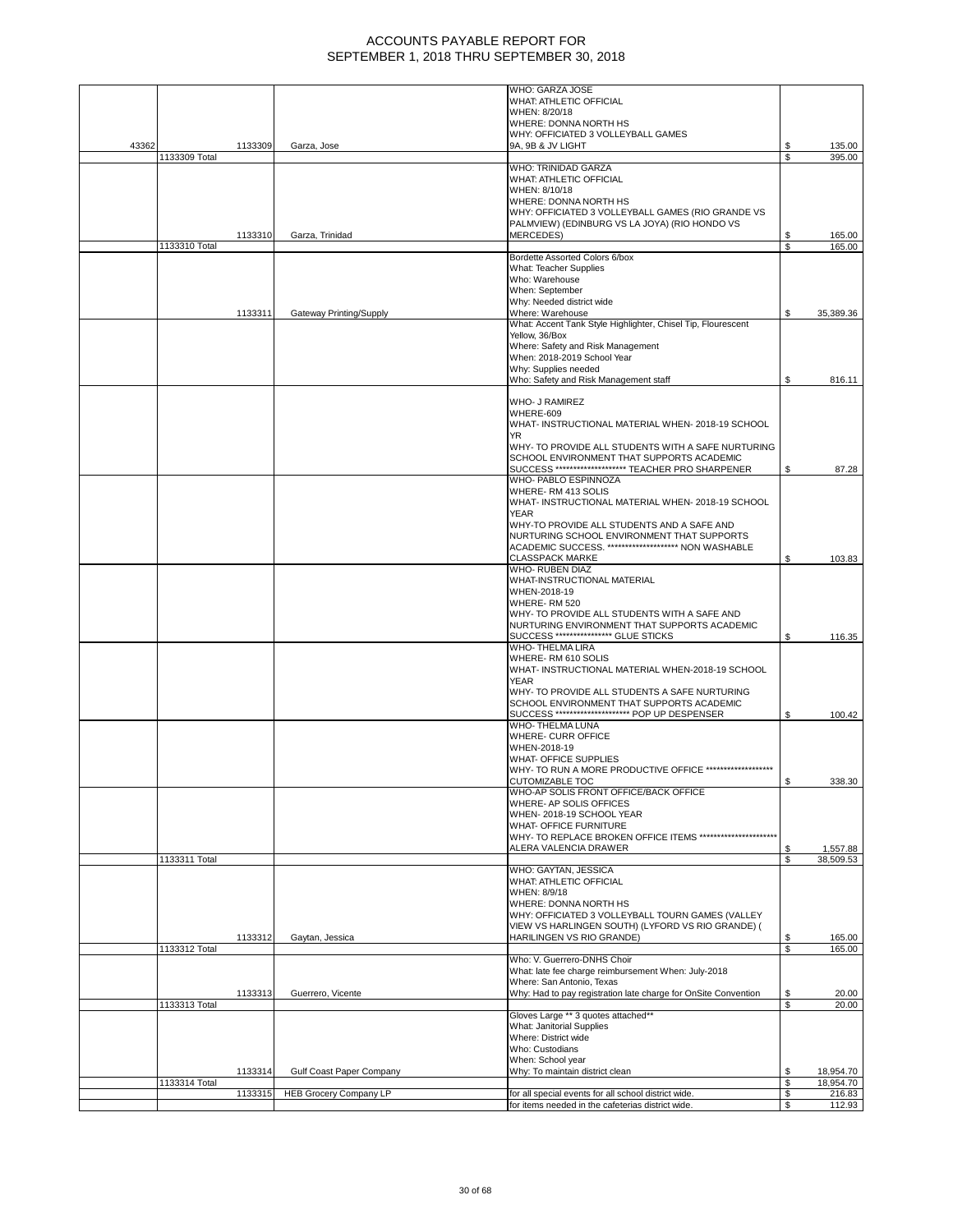|       |               |         |                                 | WHO: GARZA JOSE                                                |    |           |
|-------|---------------|---------|---------------------------------|----------------------------------------------------------------|----|-----------|
|       |               |         |                                 | WHAT: ATHLETIC OFFICIAL                                        |    |           |
|       |               |         |                                 | WHEN: 8/20/18                                                  |    |           |
|       |               |         |                                 | WHERE: DONNA NORTH HS                                          |    |           |
|       |               |         |                                 | WHY: OFFICIATED 3 VOLLEYBALL GAMES                             |    |           |
| 43362 |               | 1133309 | Garza, Jose                     | 9A, 9B & JV LIGHT                                              |    | 135.00    |
|       | 1133309 Total |         |                                 |                                                                | \$ | 395.00    |
|       |               |         |                                 | WHO: TRINIDAD GARZA                                            |    |           |
|       |               |         |                                 | <b>WHAT: ATHLETIC OFFICIAL</b>                                 |    |           |
|       |               |         |                                 | WHEN: 8/10/18                                                  |    |           |
|       |               |         |                                 |                                                                |    |           |
|       |               |         |                                 | WHERE: DONNA NORTH HS                                          |    |           |
|       |               |         |                                 | WHY: OFFICIATED 3 VOLLEYBALL GAMES (RIO GRANDE VS              |    |           |
|       |               |         |                                 | PALMVIEW) (EDINBURG VS LA JOYA) (RIO HONDO VS                  |    |           |
|       |               | 1133310 | Garza, Trinidad                 | <b>MERCEDES)</b>                                               | \$ | 165.00    |
|       | 1133310 Total |         |                                 |                                                                | \$ | 165.00    |
|       |               |         |                                 | Bordette Assorted Colors 6/box                                 |    |           |
|       |               |         |                                 | What: Teacher Supplies                                         |    |           |
|       |               |         |                                 | Who: Warehouse                                                 |    |           |
|       |               |         |                                 | When: September                                                |    |           |
|       |               |         |                                 | Why: Needed district wide                                      |    |           |
|       |               | 1133311 | Gateway Printing/Supply         | Where: Warehouse                                               | \$ | 35,389.36 |
|       |               |         |                                 | What: Accent Tank Style Highlighter, Chisel Tip, Flourescent   |    |           |
|       |               |         |                                 |                                                                |    |           |
|       |               |         |                                 | Yellow, 36/Box                                                 |    |           |
|       |               |         |                                 | Where: Safety and Risk Management                              |    |           |
|       |               |         |                                 | When: 2018-2019 School Year                                    |    |           |
|       |               |         |                                 | Why: Supplies needed                                           |    |           |
|       |               |         |                                 | Who: Safety and Risk Management staff                          | \$ | 816.11    |
|       |               |         |                                 |                                                                |    |           |
|       |               |         |                                 | <b>WHO- J RAMIREZ</b>                                          |    |           |
|       |               |         |                                 | WHERE-609                                                      |    |           |
|       |               |         |                                 | WHAT- INSTRUCTIONAL MATERIAL WHEN-2018-19 SCHOOL               |    |           |
|       |               |         |                                 | YR                                                             |    |           |
|       |               |         |                                 |                                                                |    |           |
|       |               |         |                                 | WHY- TO PROVIDE ALL STUDENTS WITH A SAFE NURTURING             |    |           |
|       |               |         |                                 | SCHOOL ENVIRONMENT THAT SUPPORTS ACADEMIC                      |    |           |
|       |               |         |                                 | SUCCESS ********************* TEACHER PRO SHARPENER            | S  | 87.28     |
|       |               |         |                                 | WHO- PABLO ESPINNOZA                                           |    |           |
|       |               |         |                                 | WHERE-RM 413 SOLIS                                             |    |           |
|       |               |         |                                 | WHAT- INSTRUCTIONAL MATERIAL WHEN-2018-19 SCHOOL               |    |           |
|       |               |         |                                 | <b>YEAR</b>                                                    |    |           |
|       |               |         |                                 | WHY-TO PROVIDE ALL STUDENTS AND A SAFE AND                     |    |           |
|       |               |         |                                 | NURTURING SCHOOL ENVIRONMENT THAT SUPPORTS                     |    |           |
|       |               |         |                                 | ACADEMIC SUCCESS. ******************** NON WASHABLE            |    |           |
|       |               |         |                                 |                                                                |    |           |
|       |               |         |                                 | <b>CLASSPACK MARKE</b>                                         | S  | 103.83    |
|       |               |         |                                 | WHO- RUBEN DIAZ                                                |    |           |
|       |               |         |                                 | WHAT-INSTRUCTIONAL MATERIAL                                    |    |           |
|       |               |         |                                 | WHEN-2018-19                                                   |    |           |
|       |               |         |                                 | WHERE-RM 520                                                   |    |           |
|       |               |         |                                 | WHY- TO PROVIDE ALL STUDENTS WITH A SAFE AND                   |    |           |
|       |               |         |                                 | NURTURING ENVIRONMENT THAT SUPPORTS ACADEMIC                   |    |           |
|       |               |         |                                 | SUCCESS **************** GLUE STICKS                           | \$ | 116.35    |
|       |               |         |                                 | WHO-THELMA LIRA                                                |    |           |
|       |               |         |                                 |                                                                |    |           |
|       |               |         |                                 | WHERE-RM 610 SOLIS                                             |    |           |
|       |               |         |                                 | WHAT- INSTRUCTIONAL MATERIAL WHEN-2018-19 SCHOOL               |    |           |
|       |               |         |                                 | <b>YEAR</b>                                                    |    |           |
|       |               |         |                                 | WHY- TO PROVIDE ALL STUDENTS A SAFE NURTURING                  |    |           |
|       |               |         |                                 | SCHOOL ENVIRONMENT THAT SUPPORTS ACADEMIC                      |    |           |
|       |               |         |                                 | SUCCESS *********************** POP UP DESPENSER               | \$ | 100.42    |
|       |               |         |                                 | WHO-THELMA LUNA                                                |    |           |
|       |               |         |                                 | WHERE- CURR OFFICE                                             |    |           |
|       |               |         |                                 |                                                                |    |           |
|       |               |         |                                 | WHEN-2018-19                                                   |    |           |
|       |               |         |                                 | WHAT- OFFICE SUPPLIES                                          |    |           |
|       |               |         |                                 | WHY- TO RUN A MORE PRODUCTIVE OFFICE *******************       |    |           |
|       |               |         |                                 | CUTOMIZABLE TOC                                                | Ъ  | 338.30    |
|       |               |         |                                 | WHO-AP SOLIS FRONT OFFICE/BACK OFFICE                          |    |           |
|       |               |         |                                 | WHERE- AP SOLIS OFFICES                                        |    |           |
|       |               |         |                                 | WHEN-2018-19 SCHOOL YEAR                                       |    |           |
|       |               |         |                                 | WHAT- OFFICE FURNITURE                                         |    |           |
|       |               |         |                                 | WHY- TO REPLACE BROKEN OFFICE ITEMS **********************     |    |           |
|       |               |         |                                 | ALERA VALENCIA DRAWER                                          | \$ | 1,557.88  |
|       |               |         |                                 |                                                                |    |           |
|       | 1133311 Total |         |                                 |                                                                | S  | 38,509.53 |
|       |               |         |                                 | WHO: GAYTAN, JESSICA                                           |    |           |
|       |               |         |                                 | WHAT: ATHLETIC OFFICIAL                                        |    |           |
|       |               |         |                                 | WHEN: 8/9/18                                                   |    |           |
|       |               |         |                                 | WHERE: DONNA NORTH HS                                          |    |           |
|       |               |         |                                 | WHY: OFFICIATED 3 VOLLEYBALL TOURN GAMES (VALLEY               |    |           |
|       |               |         |                                 | VIEW VS HARLINGEN SOUTH) (LYFORD VS RIO GRANDE) (              |    |           |
|       |               | 1133312 | Gaytan, Jessica                 | HARILINGEN VS RIO GRANDE)                                      | \$ | 165.00    |
|       | 1133312 Total |         |                                 |                                                                | \$ | 165.00    |
|       |               |         |                                 | Who: V. Guerrero-DNHS Choir                                    |    |           |
|       |               |         |                                 | What: late fee charge reimbursement When: July-2018            |    |           |
|       |               |         |                                 | Where: San Antonio, Texas                                      |    |           |
|       |               |         |                                 |                                                                |    |           |
|       |               | 1133313 | Guerrero, Vicente               | Why: Had to pay registration late charge for OnSite Convention | \$ | 20.00     |
|       | 1133313 Total |         |                                 |                                                                | \$ | 20.00     |
|       |               |         |                                 | Gloves Large ** 3 quotes attached**                            |    |           |
|       |               |         |                                 | What: Janitorial Supplies                                      |    |           |
|       |               |         |                                 | Where: District wide                                           |    |           |
|       |               |         |                                 | Who: Custodians                                                |    |           |
|       |               |         |                                 | When: School year                                              |    |           |
|       |               | 1133314 | <b>Gulf Coast Paper Company</b> | Why: To maintain district clean                                | \$ | 18,954.70 |
|       |               |         |                                 |                                                                |    |           |
|       | 1133314 Total |         |                                 |                                                                | \$ | 18,954.70 |
|       |               | 1133315 | <b>HEB Grocery Company LP</b>   | for all special events for all school district wide.           | \$ | 216.83    |
|       |               |         |                                 | for items needed in the cafeterias district wide.              | \$ | 112.93    |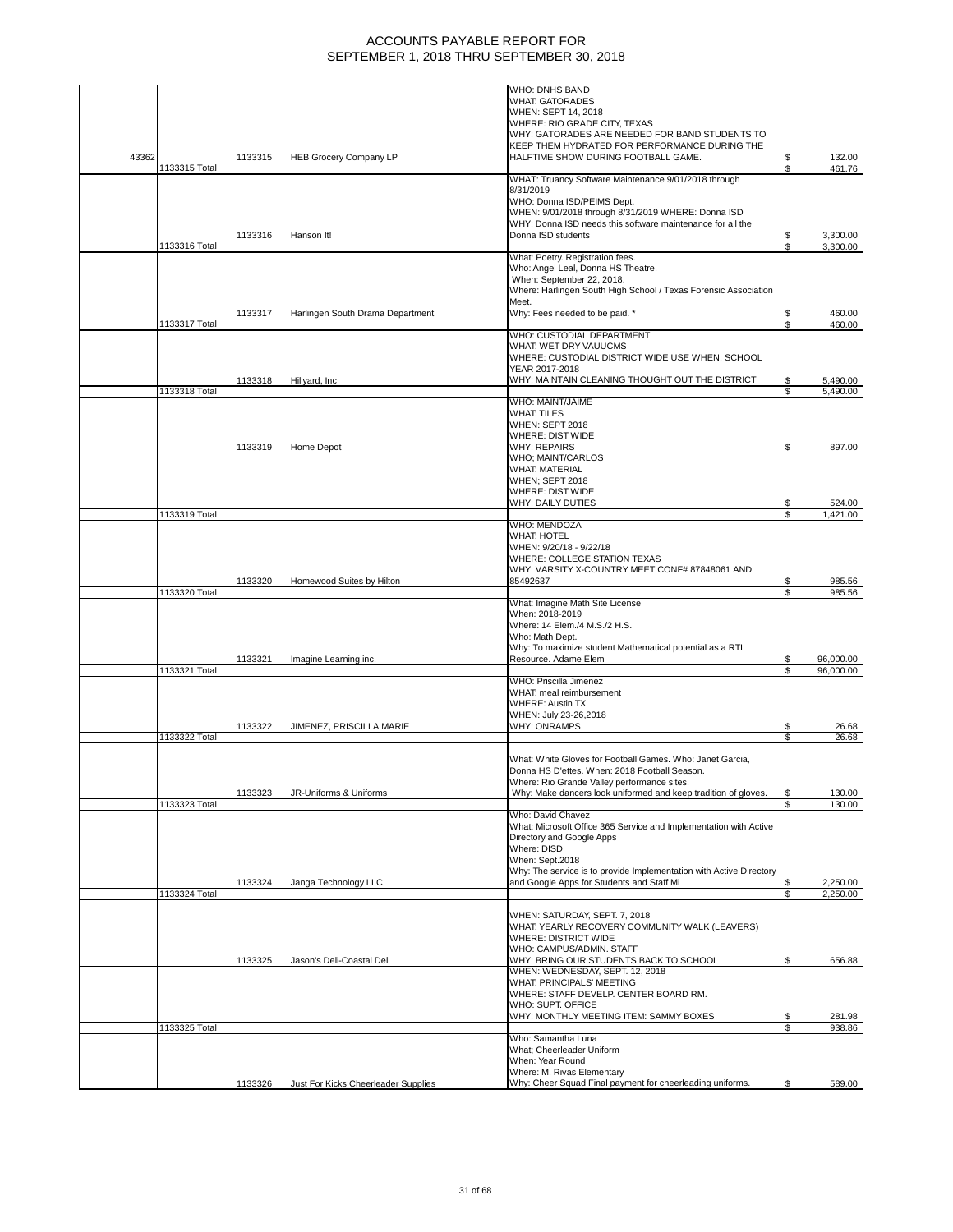|       |               |         |                                     | WHO: DNHS BAND                                                                               |                |                  |
|-------|---------------|---------|-------------------------------------|----------------------------------------------------------------------------------------------|----------------|------------------|
|       |               |         |                                     | <b>WHAT: GATORADES</b>                                                                       |                |                  |
|       |               |         |                                     | WHEN: SEPT 14, 2018                                                                          |                |                  |
|       |               |         |                                     | WHERE: RIO GRADE CITY, TEXAS<br>WHY: GATORADES ARE NEEDED FOR BAND STUDENTS TO               |                |                  |
|       |               |         |                                     | KEEP THEM HYDRATED FOR PERFORMANCE DURING THE                                                |                |                  |
| 43362 |               | 1133315 | <b>HEB Grocery Company LP</b>       | HALFTIME SHOW DURING FOOTBALL GAME.                                                          | \$             | 132.00           |
|       | 1133315 Total |         |                                     |                                                                                              | S              | 461.76           |
|       |               |         |                                     | WHAT: Truancy Software Maintenance 9/01/2018 through<br>8/31/2019                            |                |                  |
|       |               |         |                                     | WHO: Donna ISD/PEIMS Dept.                                                                   |                |                  |
|       |               |         |                                     | WHEN: 9/01/2018 through 8/31/2019 WHERE: Donna ISD                                           |                |                  |
|       |               |         |                                     | WHY: Donna ISD needs this software maintenance for all the                                   |                |                  |
|       |               | 1133316 | Hanson It!                          | Donna ISD students                                                                           | \$             | 3,300.00         |
|       | 1133316 Total |         |                                     | What: Poetry. Registration fees.                                                             | S              | 3,300.00         |
|       |               |         |                                     | Who: Angel Leal, Donna HS Theatre.                                                           |                |                  |
|       |               |         |                                     | When: September 22, 2018.                                                                    |                |                  |
|       |               |         |                                     | Where: Harlingen South High School / Texas Forensic Association                              |                |                  |
|       |               |         |                                     | Meet.                                                                                        |                |                  |
|       | 1133317 Total | 1133317 | Harlingen South Drama Department    | Why: Fees needed to be paid. *                                                               | \$<br><b>S</b> | 460.00<br>460.00 |
|       |               |         |                                     | WHO: CUSTODIAL DEPARTMENT                                                                    |                |                  |
|       |               |         |                                     | WHAT: WET DRY VAUUCMS                                                                        |                |                  |
|       |               |         |                                     | WHERE: CUSTODIAL DISTRICT WIDE USE WHEN: SCHOOL                                              |                |                  |
|       |               |         |                                     | YEAR 2017-2018                                                                               |                |                  |
|       |               | 1133318 | Hillyard, Inc.                      | WHY: MAINTAIN CLEANING THOUGHT OUT THE DISTRICT                                              | \$<br>S        | 5,490.00         |
|       | 1133318 Total |         |                                     | <b>WHO: MAINT/JAIME</b>                                                                      |                | 5,490.00         |
|       |               |         |                                     | <b>WHAT: TILES</b>                                                                           |                |                  |
|       |               |         |                                     | WHEN: SEPT 2018                                                                              |                |                  |
|       |               |         |                                     | WHERE: DIST WIDE                                                                             |                |                  |
|       |               | 1133319 | Home Depot                          | <b>WHY: REPAIRS</b><br>WHO; MAINT/CARLOS                                                     | \$             | 897.00           |
|       |               |         |                                     | <b>WHAT: MATERIAL</b>                                                                        |                |                  |
|       |               |         |                                     | WHEN; SEPT 2018                                                                              |                |                  |
|       |               |         |                                     | WHERE: DIST WIDE                                                                             |                |                  |
|       |               |         |                                     | <b>WHY: DAILY DUTIES</b>                                                                     | \$             | 524.00           |
|       | 1133319 Total |         |                                     | <b>WHO: MENDOZA</b>                                                                          | S              | 1.421.00         |
|       |               |         |                                     | <b>WHAT: HOTEL</b>                                                                           |                |                  |
|       |               |         |                                     | WHEN: 9/20/18 - 9/22/18                                                                      |                |                  |
|       |               |         |                                     | WHERE: COLLEGE STATION TEXAS                                                                 |                |                  |
|       |               |         |                                     | WHY: VARSITY X-COUNTRY MEET CONF# 87848061 AND                                               |                |                  |
|       | 1133320 Total | 1133320 | Homewood Suites by Hilton           | 85492637                                                                                     | S<br>S         | 985.56<br>985.56 |
|       |               |         |                                     | What: Imagine Math Site License                                                              |                |                  |
|       |               |         |                                     | When: 2018-2019                                                                              |                |                  |
|       |               |         |                                     | Where: 14 Elem./4 M.S./2 H.S.                                                                |                |                  |
|       |               |         |                                     | Who: Math Dept.                                                                              |                |                  |
|       |               | 1133321 | Imagine Learning, inc.              | Why: To maximize student Mathematical potential as a RTI<br>Resource. Adame Elem             | S              | 96,000.00        |
|       | 1133321 Total |         |                                     |                                                                                              | S              | 96,000.00        |
|       |               |         |                                     | WHO: Priscilla Jimenez                                                                       |                |                  |
|       |               |         |                                     | WHAT: meal reimbursement                                                                     |                |                  |
|       |               |         |                                     | <b>WHERE: Austin TX</b><br>WHEN: July 23-26,2018                                             |                |                  |
|       |               | 1133322 | JIMENEZ, PRISCILLA MARIE            | <b>WHY: ONRAMPS</b>                                                                          | \$             | 26.68            |
|       | 1133322 Total |         |                                     |                                                                                              | \$             | 26.68            |
|       |               |         |                                     |                                                                                              |                |                  |
|       |               |         |                                     | What: White Gloves for Football Games. Who: Janet Garcia,                                    |                |                  |
|       |               |         |                                     | Donna HS D'ettes. When: 2018 Football Season.<br>Where: Rio Grande Valley performance sites. |                |                  |
|       |               | 1133323 | JR-Uniforms & Uniforms              | Why: Make dancers look uniformed and keep tradition of gloves.                               | \$             | 130.00           |
|       | 1133323 Total |         |                                     |                                                                                              | \$             | 130.00           |
|       |               |         |                                     | Who: David Chavez                                                                            |                |                  |
|       |               |         |                                     | What: Microsoft Office 365 Service and Implementation with Active                            |                |                  |
|       |               |         |                                     | Directory and Google Apps<br>Where: DISD                                                     |                |                  |
|       |               |         |                                     | When: Sept.2018                                                                              |                |                  |
|       |               |         |                                     | Why: The service is to provide Implementation with Active Directory                          |                |                  |
|       |               | 1133324 | Janga Technology LLC                | and Google Apps for Students and Staff Mi                                                    | S              | 2,250.00         |
|       | 1133324 Total |         |                                     |                                                                                              | \$             | 2,250.00         |
|       |               |         |                                     | WHEN: SATURDAY, SEPT. 7, 2018                                                                |                |                  |
|       |               |         |                                     | WHAT: YEARLY RECOVERY COMMUNITY WALK (LEAVERS)                                               |                |                  |
|       |               |         |                                     | <b>WHERE: DISTRICT WIDE</b>                                                                  |                |                  |
|       |               |         |                                     | WHO: CAMPUS/ADMIN. STAFF                                                                     |                |                  |
|       |               | 1133325 | Jason's Deli-Coastal Deli           | WHY: BRING OUR STUDENTS BACK TO SCHOOL                                                       | \$             | 656.88           |
|       |               |         |                                     | WHEN: WEDNESDAY, SEPT. 12, 2018<br>WHAT: PRINCIPALS' MEETING                                 |                |                  |
|       |               |         |                                     | WHERE: STAFF DEVELP. CENTER BOARD RM.                                                        |                |                  |
|       |               |         |                                     | WHO: SUPT. OFFICE                                                                            |                |                  |
|       |               |         |                                     | WHY: MONTHLY MEETING ITEM: SAMMY BOXES                                                       | \$             | 281.98           |
|       | 1133325 Total |         |                                     |                                                                                              | S              | 938.86           |
|       |               |         |                                     | Who: Samantha Luna<br>What; Cheerleader Uniform                                              |                |                  |
|       |               |         |                                     | When: Year Round                                                                             |                |                  |
|       |               |         |                                     | Where: M. Rivas Elementary                                                                   |                |                  |
|       |               | 1133326 | Just For Kicks Cheerleader Supplies | Why: Cheer Squad Final payment for cheerleading uniforms.                                    | \$             | 589.00           |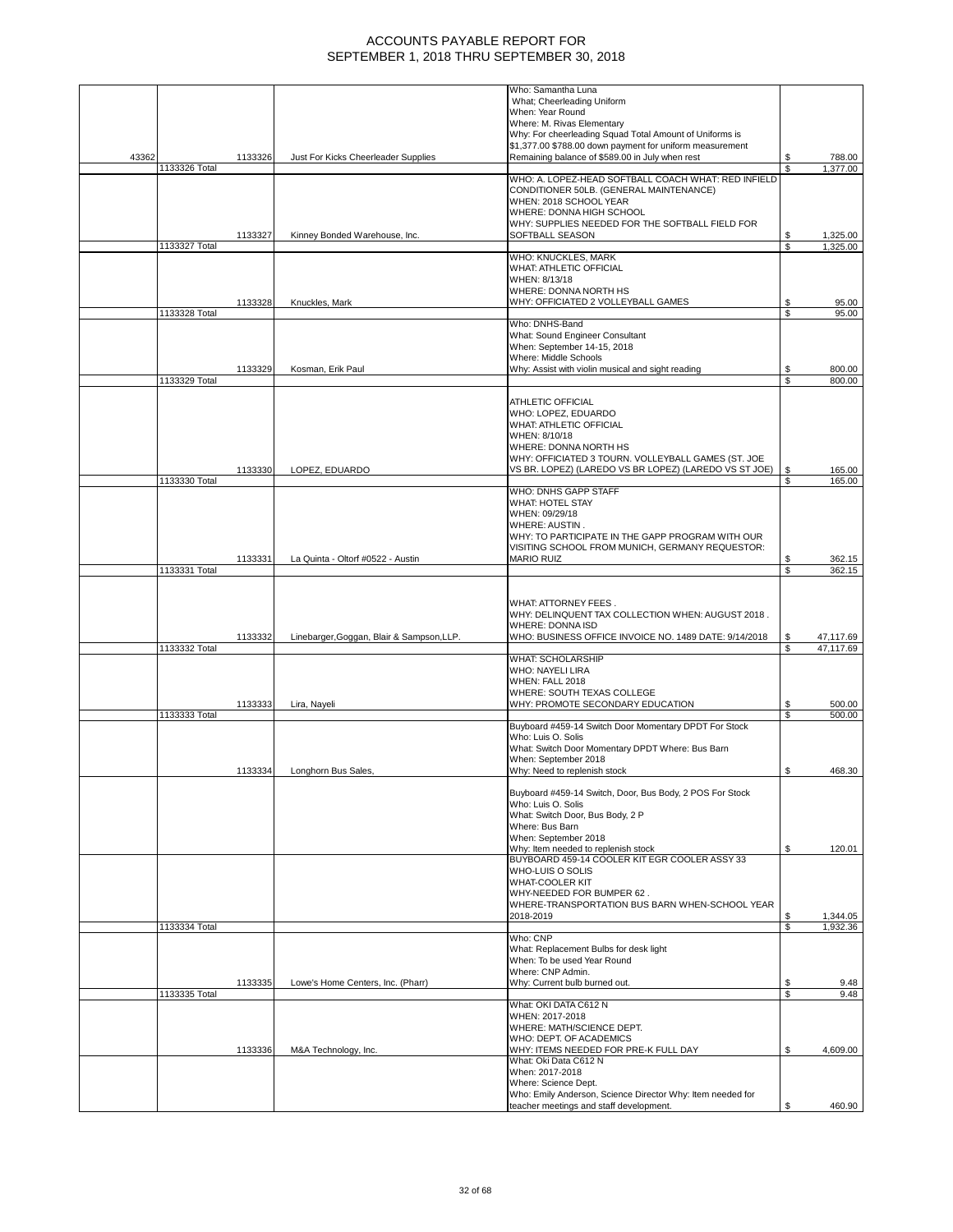|       |               |         |                                           | Who: Samantha Luna                                                                    |          |                |
|-------|---------------|---------|-------------------------------------------|---------------------------------------------------------------------------------------|----------|----------------|
|       |               |         |                                           | What; Cheerleading Uniform                                                            |          |                |
|       |               |         |                                           | When: Year Round                                                                      |          |                |
|       |               |         |                                           | Where: M. Rivas Elementary<br>Why: For cheerleading Squad Total Amount of Uniforms is |          |                |
|       |               |         |                                           | \$1,377.00 \$788.00 down payment for uniform measurement                              |          |                |
| 43362 |               | 1133326 | Just For Kicks Cheerleader Supplies       | Remaining balance of \$589.00 in July when rest                                       | \$       | 788.00         |
|       | 1133326 Total |         |                                           |                                                                                       | S        | 1,377.00       |
|       |               |         |                                           | WHO: A. LOPEZ-HEAD SOFTBALL COACH WHAT: RED INFIELD                                   |          |                |
|       |               |         |                                           | CONDITIONER 50LB. (GENERAL MAINTENANCE)                                               |          |                |
|       |               |         |                                           | WHEN: 2018 SCHOOL YEAR                                                                |          |                |
|       |               |         |                                           | WHERE: DONNA HIGH SCHOOL                                                              |          |                |
|       |               | 1133327 | Kinney Bonded Warehouse, Inc.             | WHY: SUPPLIES NEEDED FOR THE SOFTBALL FIELD FOR<br>SOFTBALL SEASON                    | \$       | 1,325.00       |
|       | 1133327 Total |         |                                           |                                                                                       | \$       | 1,325.00       |
|       |               |         |                                           | WHO: KNUCKLES, MARK                                                                   |          |                |
|       |               |         |                                           | WHAT: ATHLETIC OFFICIAL                                                               |          |                |
|       |               |         |                                           | WHEN: 8/13/18                                                                         |          |                |
|       |               |         |                                           | WHERE: DONNA NORTH HS                                                                 |          |                |
|       | 1133328 Total | 1133328 | Knuckles, Mark                            | WHY: OFFICIATED 2 VOLLEYBALL GAMES                                                    | \$<br>\$ | 95.00<br>95.00 |
|       |               |         |                                           | Who: DNHS-Band                                                                        |          |                |
|       |               |         |                                           | What: Sound Engineer Consultant                                                       |          |                |
|       |               |         |                                           | When: September 14-15, 2018                                                           |          |                |
|       |               |         |                                           | Where: Middle Schools                                                                 |          |                |
|       |               | 1133329 | Kosman, Erik Paul                         | Why: Assist with violin musical and sight reading                                     | \$       | 800.00         |
|       | 1133329 Total |         |                                           |                                                                                       | S        | 800.00         |
|       |               |         |                                           | ATHLETIC OFFICIAL                                                                     |          |                |
|       |               |         |                                           | WHO: LOPEZ, EDUARDO                                                                   |          |                |
|       |               |         |                                           | <b>WHAT: ATHLETIC OFFICIAL</b>                                                        |          |                |
|       |               |         |                                           | WHEN: 8/10/18                                                                         |          |                |
|       |               |         |                                           | WHERE: DONNA NORTH HS                                                                 |          |                |
|       |               |         |                                           | WHY: OFFICIATED 3 TOURN. VOLLEYBALL GAMES (ST. JOE                                    |          |                |
|       |               | 1133330 | LOPEZ, EDUARDO                            | VS BR. LOPEZ) (LAREDO VS BR LOPEZ) (LAREDO VS ST JOE)                                 | \$       | 165.00         |
|       | 1133330 Total |         |                                           | WHO: DNHS GAPP STAFF                                                                  | \$       | 165.00         |
|       |               |         |                                           | <b>WHAT: HOTEL STAY</b>                                                               |          |                |
|       |               |         |                                           | WHEN: 09/29/18                                                                        |          |                |
|       |               |         |                                           | WHERE: AUSTIN.                                                                        |          |                |
|       |               |         |                                           | WHY: TO PARTICIPATE IN THE GAPP PROGRAM WITH OUR                                      |          |                |
|       |               |         |                                           | VISITING SCHOOL FROM MUNICH, GERMANY REQUESTOR:                                       |          |                |
|       |               | 1133331 | La Quinta - Oltorf #0522 - Austin         | <b>MARIO RUIZ</b>                                                                     | \$       | 362.15         |
|       | 1133331 Total |         |                                           |                                                                                       | \$       | 362.15         |
|       |               |         |                                           |                                                                                       |          |                |
|       |               |         |                                           | WHAT: ATTORNEY FEES.                                                                  |          |                |
|       |               |         |                                           | WHY: DELINQUENT TAX COLLECTION WHEN: AUGUST 2018.                                     |          |                |
|       |               |         |                                           | <b>WHERE: DONNA ISD</b>                                                               |          |                |
|       |               | 1133332 | Linebarger, Goggan, Blair & Sampson, LLP. | WHO: BUSINESS OFFICE INVOICE NO. 1489 DATE: 9/14/2018                                 | \$       | 47,117.69      |
|       | 1133332 Total |         |                                           |                                                                                       | \$       | 47,117.69      |
|       |               |         |                                           | <b>WHAT: SCHOLARSHIP</b>                                                              |          |                |
|       |               |         |                                           | <b>WHO: NAYELI LIRA</b>                                                               |          |                |
|       |               |         |                                           | WHEN: FALL 2018<br>WHERE: SOUTH TEXAS COLLEGE                                         |          |                |
|       |               | 1133333 | Lira, Nayeli                              | WHY: PROMOTE SECONDARY EDUCATION                                                      | \$       | 500.00         |
|       | 1133333 Total |         |                                           |                                                                                       | \$       | 500.00         |
|       |               |         |                                           | Buyboard #459-14 Switch Door Momentary DPDT For Stock                                 |          |                |
|       |               |         |                                           | Who: Luis O. Solis                                                                    |          |                |
|       |               |         |                                           | What: Switch Door Momentary DPDT Where: Bus Barn                                      |          |                |
|       |               |         |                                           | When: September 2018                                                                  |          |                |
|       |               | 1133334 | Longhorn Bus Sales,                       | Why: Need to replenish stock                                                          | \$       | 468.30         |
|       |               |         |                                           | Buyboard #459-14 Switch, Door, Bus Body, 2 POS For Stock                              |          |                |
|       |               |         |                                           | Who: Luis O. Solis                                                                    |          |                |
|       |               |         |                                           | What: Switch Door, Bus Body, 2 P                                                      |          |                |
|       |               |         |                                           | Where: Bus Barn                                                                       |          |                |
|       |               |         |                                           | When: September 2018                                                                  |          |                |
|       |               |         |                                           | Why: Item needed to replenish stock                                                   | \$       | 120.01         |
|       |               |         |                                           | BUYBOARD 459-14 COOLER KIT EGR COOLER ASSY 33                                         |          |                |
|       |               |         |                                           | WHO-LUIS O SOLIS<br>WHAT-COOLER KIT                                                   |          |                |
|       |               |         |                                           | WHY-NEEDED FOR BUMPER 62.                                                             |          |                |
|       |               |         |                                           | WHERE-TRANSPORTATION BUS BARN WHEN-SCHOOL YEAR                                        |          |                |
|       |               |         |                                           | 2018-2019                                                                             | \$       | 1,344.05       |
|       | 1133334 Total |         |                                           |                                                                                       | \$       | 1,932.36       |
|       |               |         |                                           | Who: CNP                                                                              |          |                |
|       |               |         |                                           | What: Replacement Bulbs for desk light                                                |          |                |
|       |               |         |                                           | When: To be used Year Round<br>Where: CNP Admin.                                      |          |                |
|       |               | 1133335 | Lowe's Home Centers, Inc. (Pharr)         | Why: Current bulb burned out.                                                         | \$       | 9.48           |
|       | 1133335 Total |         |                                           |                                                                                       | \$       | 9.48           |
|       |               |         |                                           | What: OKI DATA C612 N                                                                 |          |                |
|       |               |         |                                           | WHEN: 2017-2018                                                                       |          |                |
|       |               |         |                                           | WHERE: MATH/SCIENCE DEPT.                                                             |          |                |
|       |               |         |                                           | WHO: DEPT. OF ACADEMICS                                                               |          |                |
|       |               | 1133336 | M&A Technology, Inc.                      | WHY: ITEMS NEEDED FOR PRE-K FULL DAY<br>What: Oki Data C612 N                         | \$       | 4,609.00       |
|       |               |         |                                           |                                                                                       |          |                |
|       |               |         |                                           |                                                                                       |          |                |
|       |               |         |                                           | When: 2017-2018                                                                       |          |                |
|       |               |         |                                           | Where: Science Dept.<br>Who: Emily Anderson, Science Director Why: Item needed for    |          |                |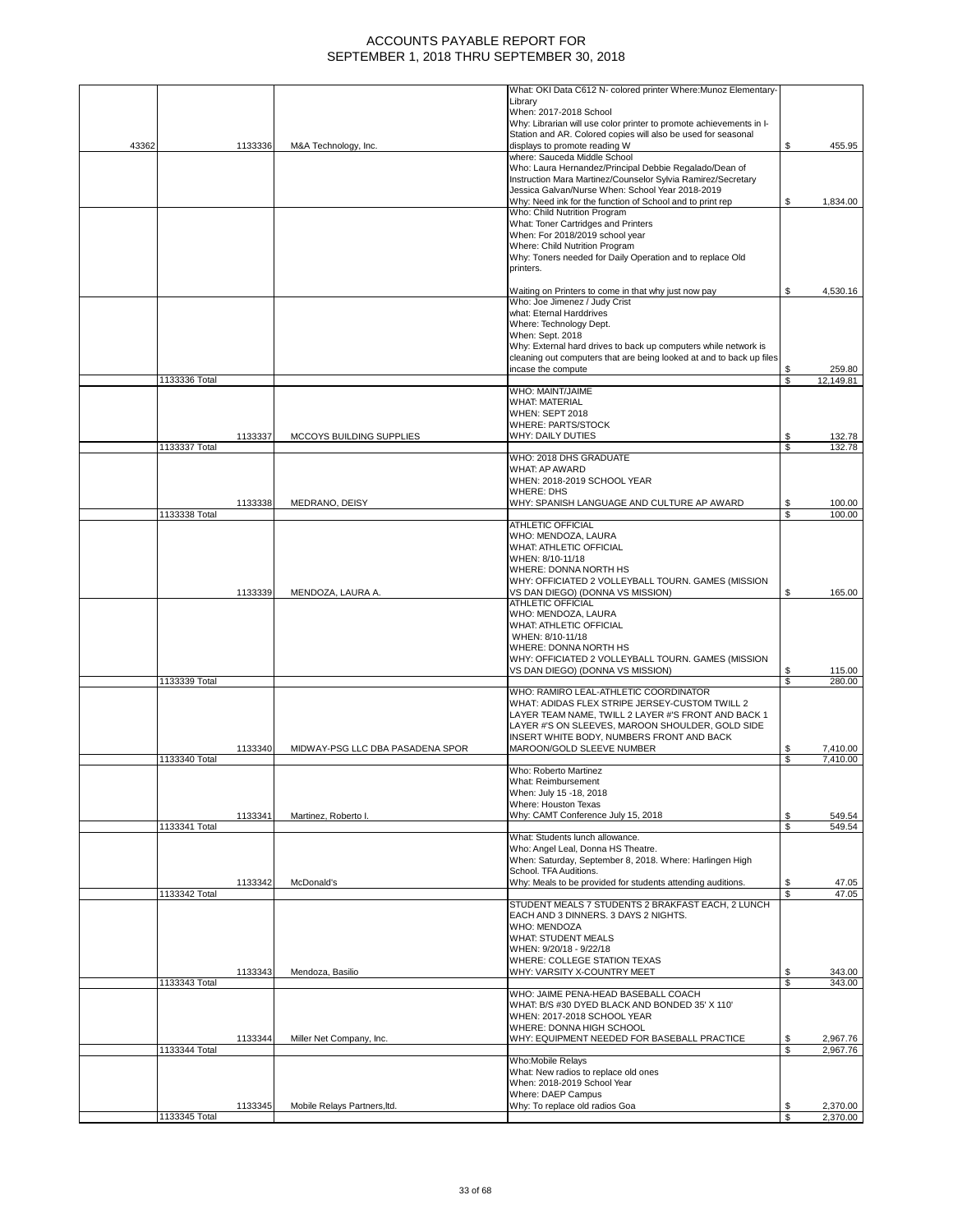|       |               |         |                                  | What: OKI Data C612 N- colored printer Where: Munoz Elementary-                                                  |          |                      |
|-------|---------------|---------|----------------------------------|------------------------------------------------------------------------------------------------------------------|----------|----------------------|
|       |               |         |                                  | Library<br>When: 2017-2018 School                                                                                |          |                      |
|       |               |         |                                  | Why: Librarian will use color printer to promote achievements in I-                                              |          |                      |
| 43362 |               | 1133336 | M&A Technology, Inc.             | Station and AR. Colored copies will also be used for seasonal<br>displays to promote reading W                   | \$       | 455.95               |
|       |               |         |                                  | where: Sauceda Middle School                                                                                     |          |                      |
|       |               |         |                                  | Who: Laura Hernandez/Principal Debbie Regalado/Dean of                                                           |          |                      |
|       |               |         |                                  | Instruction Mara Martinez/Counselor Sylvia Ramirez/Secretary<br>Jessica Galvan/Nurse When: School Year 2018-2019 |          |                      |
|       |               |         |                                  | Why: Need ink for the function of School and to print rep                                                        | \$       | 1,834.00             |
|       |               |         |                                  | Who: Child Nutrition Program                                                                                     |          |                      |
|       |               |         |                                  | What: Toner Cartridges and Printers                                                                              |          |                      |
|       |               |         |                                  | When: For 2018/2019 school year<br>Where: Child Nutrition Program                                                |          |                      |
|       |               |         |                                  | Why: Toners needed for Daily Operation and to replace Old                                                        |          |                      |
|       |               |         |                                  | printers.                                                                                                        |          |                      |
|       |               |         |                                  | Waiting on Printers to come in that why just now pay                                                             | \$       | 4,530.16             |
|       |               |         |                                  | Who: Joe Jimenez / Judy Crist                                                                                    |          |                      |
|       |               |         |                                  | what: Eternal Harddrives                                                                                         |          |                      |
|       |               |         |                                  | Where: Technology Dept.<br>When: Sept. 2018                                                                      |          |                      |
|       |               |         |                                  | Why: External hard drives to back up computers while network is                                                  |          |                      |
|       |               |         |                                  | cleaning out computers that are being looked at and to back up files                                             |          |                      |
|       |               |         |                                  | incase the compute                                                                                               | \$       | 259.80               |
|       | 1133336 Total |         |                                  | WHO: MAINT/JAIME                                                                                                 | \$       | 12,149.81            |
|       |               |         |                                  | <b>WHAT: MATERIAL</b>                                                                                            |          |                      |
|       |               |         |                                  | WHEN: SEPT 2018                                                                                                  |          |                      |
|       |               |         |                                  | <b>WHERE: PARTS/STOCK</b>                                                                                        |          |                      |
|       | 1133337 Total | 1133337 | MCCOYS BUILDING SUPPLIES         | WHY: DAILY DUTIES                                                                                                | \$<br>\$ | 132.78<br>132.78     |
|       |               |         |                                  | WHO: 2018 DHS GRADUATE                                                                                           |          |                      |
|       |               |         |                                  | WHAT: AP AWARD                                                                                                   |          |                      |
|       |               |         |                                  | WHEN: 2018-2019 SCHOOL YEAR<br><b>WHERE: DHS</b>                                                                 |          |                      |
|       |               | 1133338 | MEDRANO, DEISY                   | WHY: SPANISH LANGUAGE AND CULTURE AP AWARD                                                                       | \$       | 100.00               |
|       | 1133338 Total |         |                                  |                                                                                                                  | \$       | 100.00               |
|       |               |         |                                  | ATHLETIC OFFICIAL                                                                                                |          |                      |
|       |               |         |                                  | WHO: MENDOZA, LAURA<br>WHAT: ATHLETIC OFFICIAL                                                                   |          |                      |
|       |               |         |                                  | WHEN: 8/10-11/18                                                                                                 |          |                      |
|       |               |         |                                  | WHERE: DONNA NORTH HS                                                                                            |          |                      |
|       |               | 1133339 | MENDOZA, LAURA A.                | WHY: OFFICIATED 2 VOLLEYBALL TOURN. GAMES (MISSION<br>VS DAN DIEGO) (DONNA VS MISSION)                           | \$       | 165.00               |
|       |               |         |                                  | ATHLETIC OFFICIAL                                                                                                |          |                      |
|       |               |         |                                  | WHO: MENDOZA, LAURA                                                                                              |          |                      |
|       |               |         |                                  | WHAT: ATHLETIC OFFICIAL<br>WHEN: 8/10-11/18                                                                      |          |                      |
|       |               |         |                                  | WHERE: DONNA NORTH HS                                                                                            |          |                      |
|       |               |         |                                  | WHY: OFFICIATED 2 VOLLEYBALL TOURN. GAMES (MISSION                                                               |          |                      |
|       |               |         |                                  | VS DAN DIEGO) (DONNA VS MISSION)                                                                                 | \$       | 115.00               |
|       | 1133339 Total |         |                                  | WHO: RAMIRO LEAL-ATHLETIC COORDINATOR                                                                            | \$       | 280.00               |
|       |               |         |                                  | WHAT: ADIDAS FLEX STRIPE JERSEY-CUSTOM TWILL 2                                                                   |          |                      |
|       |               |         |                                  | LAYER TEAM NAME, TWILL 2 LAYER #'S FRONT AND BACK 1                                                              |          |                      |
|       |               |         |                                  | LAYER #'S ON SLEEVES, MAROON SHOULDER, GOLD SIDE<br>INSERT WHITE BODY, NUMBERS FRONT AND BACK                    |          |                      |
|       |               | 1133340 | MIDWAY-PSG LLC DBA PASADENA SPOR | MAROON/GOLD SLEEVE NUMBER                                                                                        | \$       | 7,410.00             |
|       | 1133340 Total |         |                                  |                                                                                                                  | S        | 7,410.00             |
|       |               |         |                                  | Who: Roberto Martinez                                                                                            |          |                      |
|       |               |         |                                  | What: Reimbursement<br>When: July 15 -18, 2018                                                                   |          |                      |
|       |               |         |                                  | Where: Houston Texas                                                                                             |          |                      |
|       |               | 1133341 | Martinez, Roberto I.             | Why: CAMT Conference July 15, 2018                                                                               | \$       | 549.54               |
|       | 1133341 Total |         |                                  |                                                                                                                  | \$       | 549.54               |
|       |               |         |                                  | What: Students lunch allowance.<br>Who: Angel Leal, Donna HS Theatre.                                            |          |                      |
|       |               |         |                                  | When: Saturday, September 8, 2018. Where: Harlingen High                                                         |          |                      |
|       |               |         |                                  | School. TFA Auditions.                                                                                           |          |                      |
|       | 1133342 Total | 1133342 | McDonald's                       | Why: Meals to be provided for students attending auditions.                                                      | \$<br>\$ | 47.05<br>47.05       |
|       |               |         |                                  | STUDENT MEALS 7 STUDENTS 2 BRAKFAST EACH, 2 LUNCH                                                                |          |                      |
|       |               |         |                                  | EACH AND 3 DINNERS. 3 DAYS 2 NIGHTS.                                                                             |          |                      |
|       |               |         |                                  | WHO: MENDOZA<br><b>WHAT: STUDENT MEALS</b>                                                                       |          |                      |
|       |               |         |                                  | WHEN: 9/20/18 - 9/22/18                                                                                          |          |                      |
|       |               |         |                                  | WHERE: COLLEGE STATION TEXAS                                                                                     |          |                      |
|       |               | 1133343 | Mendoza, Basilio                 | WHY: VARSITY X-COUNTRY MEET                                                                                      | \$       | 343.00               |
|       | 1133343 Total |         |                                  | WHO: JAIME PENA-HEAD BASEBALL COACH                                                                              | \$       | 343.00               |
|       |               |         |                                  | WHAT: B/S #30 DYED BLACK AND BONDED 35' X 110'                                                                   |          |                      |
|       |               |         |                                  | WHEN: 2017-2018 SCHOOL YEAR                                                                                      |          |                      |
|       |               |         |                                  | WHERE: DONNA HIGH SCHOOL<br>WHY: EQUIPMENT NEEDED FOR BASEBALL PRACTICE                                          |          |                      |
|       | 1133344 Total | 1133344 | Miller Net Company, Inc.         |                                                                                                                  | \$<br>\$ | 2,967.76<br>2,967.76 |
|       |               |         |                                  | Who:Mobile Relays                                                                                                |          |                      |
|       |               |         |                                  | What: New radios to replace old ones                                                                             |          |                      |
|       |               |         |                                  | When: 2018-2019 School Year<br>Where: DAEP Campus                                                                |          |                      |
|       |               | 1133345 | Mobile Relays Partners, Itd.     | Why: To replace old radios Goa                                                                                   | \$       | 2,370.00             |
|       |               |         |                                  |                                                                                                                  | S        | 2,370.00             |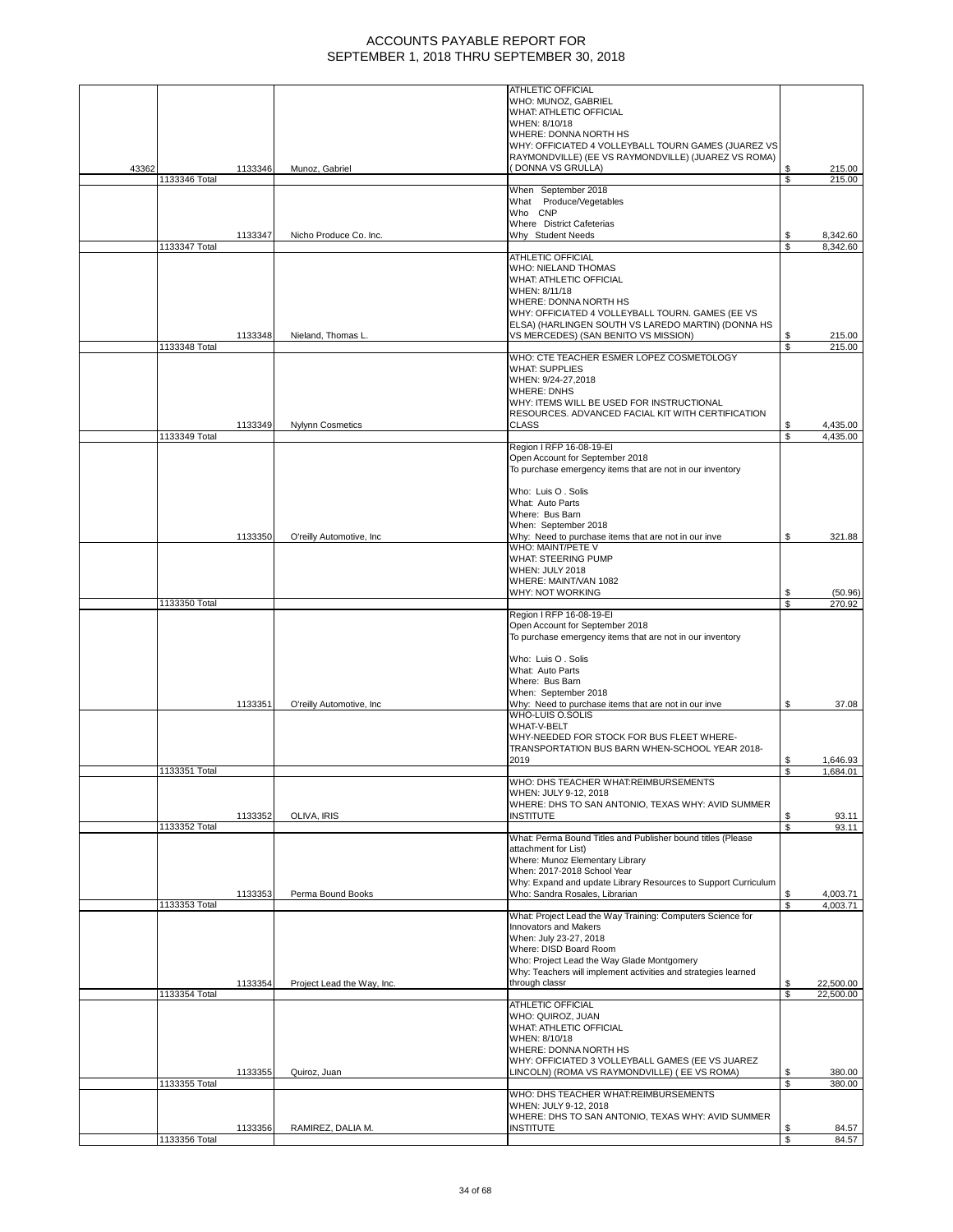|       |               |         |                            | <b>ATHLETIC OFFICIAL</b>                                                            |          |                  |
|-------|---------------|---------|----------------------------|-------------------------------------------------------------------------------------|----------|------------------|
|       |               |         |                            | WHO: MUNOZ, GABRIEL                                                                 |          |                  |
|       |               |         |                            | WHAT: ATHLETIC OFFICIAL<br>WHEN: 8/10/18                                            |          |                  |
|       |               |         |                            | WHERE: DONNA NORTH HS                                                               |          |                  |
|       |               |         |                            | WHY: OFFICIATED 4 VOLLEYBALL TOURN GAMES (JUAREZ VS                                 |          |                  |
|       |               |         |                            | RAYMONDVILLE) (EE VS RAYMONDVILLE) (JUAREZ VS ROMA)                                 |          |                  |
| 43362 |               | 1133346 | Munoz, Gabriel             | (DONNA VS GRULLA)                                                                   |          | 215.00           |
|       | 1133346 Total |         |                            |                                                                                     | \$       | 215.00           |
|       |               |         |                            | When September 2018                                                                 |          |                  |
|       |               |         |                            | What Produce/Vegetables<br>Who CNP                                                  |          |                  |
|       |               |         |                            | Where District Cafeterias                                                           |          |                  |
|       |               | 1133347 | Nicho Produce Co. Inc.     | Why Student Needs                                                                   | S        | 8,342.60         |
|       | 1133347 Total |         |                            |                                                                                     | \$       | 8,342.60         |
|       |               |         |                            | <b>ATHLETIC OFFICIAL</b>                                                            |          |                  |
|       |               |         |                            | WHO: NIELAND THOMAS                                                                 |          |                  |
|       |               |         |                            | WHAT: ATHLETIC OFFICIAL<br>WHEN: 8/11/18                                            |          |                  |
|       |               |         |                            | WHERE: DONNA NORTH HS                                                               |          |                  |
|       |               |         |                            | WHY: OFFICIATED 4 VOLLEYBALL TOURN. GAMES (EE VS                                    |          |                  |
|       |               |         |                            | ELSA) (HARLINGEN SOUTH VS LAREDO MARTIN) (DONNA HS                                  |          |                  |
|       |               | 1133348 | Nieland, Thomas L          | VS MERCEDES) (SAN BENITO VS MISSION)                                                | \$       | 215.00           |
|       | 1133348 Total |         |                            |                                                                                     | \$       | 215.00           |
|       |               |         |                            | WHO: CTE TEACHER ESMER LOPEZ COSMETOLOGY<br><b>WHAT: SUPPLIES</b>                   |          |                  |
|       |               |         |                            | WHEN: 9/24-27,2018                                                                  |          |                  |
|       |               |         |                            | <b>WHERE: DNHS</b>                                                                  |          |                  |
|       |               |         |                            | WHY: ITEMS WILL BE USED FOR INSTRUCTIONAL                                           |          |                  |
|       |               |         |                            | RESOURCES. ADVANCED FACIAL KIT WITH CERTIFICATION                                   |          |                  |
|       |               | 1133349 | <b>Nylynn Cosmetics</b>    | <b>CLASS</b>                                                                        |          | 4,435.00         |
|       | 1133349 Total |         |                            | Region I RFP 16-08-19-EI                                                            | S        | 4,435.00         |
|       |               |         |                            | Open Account for September 2018                                                     |          |                  |
|       |               |         |                            | To purchase emergency items that are not in our inventory                           |          |                  |
|       |               |         |                            |                                                                                     |          |                  |
|       |               |         |                            | Who: Luis O. Solis                                                                  |          |                  |
|       |               |         |                            | What: Auto Parts                                                                    |          |                  |
|       |               |         |                            | Where: Bus Barn                                                                     |          |                  |
|       |               |         |                            | When: September 2018                                                                | S        |                  |
|       |               | 1133350 | O'reilly Automotive, Inc   | Why: Need to purchase items that are not in our inve<br>WHO: MAINT/PETE V           |          | 321.88           |
|       |               |         |                            | <b>WHAT: STEERING PUMP</b>                                                          |          |                  |
|       |               |         |                            | WHEN: JULY 2018                                                                     |          |                  |
|       |               |         |                            | WHERE: MAINT/VAN 1082                                                               |          |                  |
|       |               |         |                            | WHY: NOT WORKING                                                                    | S        | (50.96)          |
|       | 1133350 Total |         |                            | Region I RFP 16-08-19-EI                                                            | \$       | 270.92           |
|       |               |         |                            | Open Account for September 2018                                                     |          |                  |
|       |               |         |                            | To purchase emergency items that are not in our inventory                           |          |                  |
|       |               |         |                            |                                                                                     |          |                  |
|       |               |         |                            | Who: Luis O. Solis                                                                  |          |                  |
|       |               |         |                            | What: Auto Parts                                                                    |          |                  |
|       |               |         |                            | Where: Bus Barn                                                                     |          |                  |
|       |               | 1133351 | O'reilly Automotive, Inc.  | When: September 2018                                                                | \$       | 37.08            |
|       |               |         |                            | Why: Need to purchase items that are not in our inve<br><b>WHO-LUIS O.SOLIS</b>     |          |                  |
|       |               |         |                            | WHAT-V-BELT                                                                         |          |                  |
|       |               |         |                            | WHY-NEEDED FOR STOCK FOR BUS FLEET WHERE-                                           |          |                  |
|       |               |         |                            | TRANSPORTATION BUS BARN WHEN-SCHOOL YEAR 2018-                                      |          |                  |
|       |               |         |                            | 2019                                                                                | S        | 1,646.93         |
|       | 1133351 Total |         |                            | WHO: DHS TEACHER WHAT:REIMBURSEMENTS                                                | \$       | 1,684.01         |
|       |               |         |                            | WHEN: JULY 9-12, 2018                                                               |          |                  |
|       |               |         |                            | WHERE: DHS TO SAN ANTONIO, TEXAS WHY: AVID SUMMER                                   |          |                  |
|       |               | 1133352 | OLIVA, IRIS                | <b>INSTITUTE</b>                                                                    | \$       | 93.11            |
|       | 1133352 Total |         |                            |                                                                                     | \$       | 93.11            |
|       |               |         |                            | What: Perma Bound Titles and Publisher bound titles (Please<br>attachment for List) |          |                  |
|       |               |         |                            | Where: Munoz Elementary Library                                                     |          |                  |
|       |               |         |                            | When: 2017-2018 School Year                                                         |          |                  |
|       |               |         |                            | Why: Expand and update Library Resources to Support Curriculum                      |          |                  |
|       |               | 1133353 | Perma Bound Books          | Who: Sandra Rosales, Librarian                                                      | \$       | 4,003.71         |
|       | 1133353 Total |         |                            |                                                                                     | \$       | 4.003.71         |
|       |               |         |                            | What: Project Lead the Way Training: Computers Science for<br>Innovators and Makers |          |                  |
|       |               |         |                            | When: July 23-27, 2018                                                              |          |                  |
|       |               |         |                            | Where: DISD Board Room                                                              |          |                  |
|       |               |         |                            | Who: Project Lead the Way Glade Montgomery                                          |          |                  |
|       |               |         |                            | Why: Teachers will implement activities and strategies learned                      |          |                  |
|       |               | 1133354 | Project Lead the Way, Inc. | through classr                                                                      | \$       | 22,500.00        |
|       | 1133354 Total |         |                            | ATHLETIC OFFICIAL                                                                   | \$       | 22,500.00        |
|       |               |         |                            | WHO: QUIROZ, JUAN                                                                   |          |                  |
|       |               |         |                            | WHAT: ATHLETIC OFFICIAL                                                             |          |                  |
|       |               |         |                            | WHEN: 8/10/18                                                                       |          |                  |
|       |               |         |                            | WHERE: DONNA NORTH HS                                                               |          |                  |
|       |               |         |                            | WHY: OFFICIATED 3 VOLLEYBALL GAMES (EE VS JUAREZ                                    |          |                  |
|       | 1133355 Total | 1133355 | Quiroz, Juan               | LINCOLN) (ROMA VS RAYMONDVILLE) ( EE VS ROMA)                                       | \$<br>\$ | 380.00<br>380.00 |
|       |               |         |                            | WHO: DHS TEACHER WHAT:REIMBURSEMENTS                                                |          |                  |
|       |               |         |                            | WHEN: JULY 9-12, 2018                                                               |          |                  |
|       |               |         |                            | WHERE: DHS TO SAN ANTONIO, TEXAS WHY: AVID SUMMER                                   |          |                  |
|       |               | 1133356 | RAMIREZ, DALIA M.          | <b>INSTITUTE</b>                                                                    | \$       | 84.57            |
|       | 1133356 Total |         |                            |                                                                                     | \$       | 84.57            |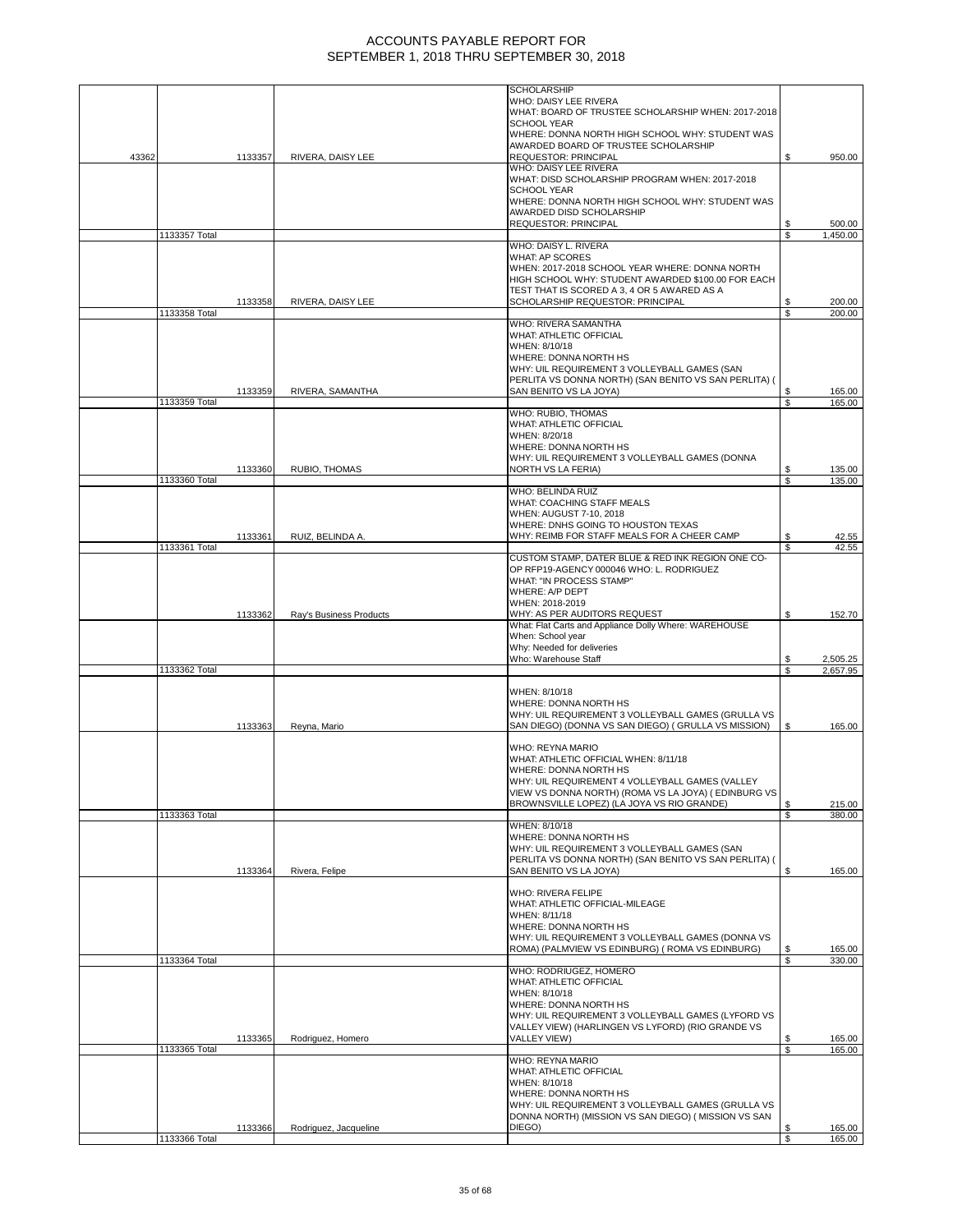|       |               |         |                         | <b>SCHOLARSHIP</b><br>WHO: DAISY LEE RIVERA<br>WHAT: BOARD OF TRUSTEE SCHOLARSHIP WHEN: 2017-2018<br><b>SCHOOL YEAR</b><br>WHERE: DONNA NORTH HIGH SCHOOL WHY: STUDENT WAS                                                                                                                                  |          |                  |
|-------|---------------|---------|-------------------------|-------------------------------------------------------------------------------------------------------------------------------------------------------------------------------------------------------------------------------------------------------------------------------------------------------------|----------|------------------|
| 43362 |               | 1133357 | RIVERA, DAISY LEE       | AWARDED BOARD OF TRUSTEE SCHOLARSHIP<br><b>REQUESTOR: PRINCIPAL</b>                                                                                                                                                                                                                                         | \$       | 950.00           |
|       |               |         |                         | WHO: DAISY LEE RIVERA<br>WHAT: DISD SCHOLARSHIP PROGRAM WHEN: 2017-2018<br><b>SCHOOL YEAR</b><br>WHERE: DONNA NORTH HIGH SCHOOL WHY: STUDENT WAS<br>AWARDED DISD SCHOLARSHIP<br>REQUESTOR: PRINCIPAL                                                                                                        |          | 500.00           |
|       | 1133357 Total |         |                         |                                                                                                                                                                                                                                                                                                             | \$<br>\$ | 1,450.00         |
|       |               | 1133358 | RIVERA, DAISY LEE       | WHO: DAISY L. RIVERA<br><b>WHAT: AP SCORES</b><br>WHEN: 2017-2018 SCHOOL YEAR WHERE: DONNA NORTH<br>HIGH SCHOOL WHY: STUDENT AWARDED \$100.00 FOR EACH<br>TEST THAT IS SCORED A 3, 4 OR 5 AWARED AS A<br>SCHOLARSHIP REQUESTOR: PRINCIPAL                                                                   | \$       | 200.00           |
|       | 1133358 Total |         |                         | WHO: RIVERA SAMANTHA<br>WHAT: ATHLETIC OFFICIAL<br>WHEN: 8/10/18<br>WHERE: DONNA NORTH HS<br>WHY: UIL REQUIREMENT 3 VOLLEYBALL GAMES (SAN                                                                                                                                                                   | S        | 200.00           |
|       |               | 1133359 | RIVERA, SAMANTHA        | PERLITA VS DONNA NORTH) (SAN BENITO VS SAN PERLITA) (<br>SAN BENITO VS LA JOYA)                                                                                                                                                                                                                             | \$       | 165.00           |
|       | 1133359 Total |         |                         | WHO: RUBIO, THOMAS<br>WHAT: ATHLETIC OFFICIAL<br>WHEN: 8/20/18<br>WHERE: DONNA NORTH HS<br>WHY: UIL REQUIREMENT 3 VOLLEYBALL GAMES (DONNA                                                                                                                                                                   | S        | 165.00           |
|       | 1133360 Total | 1133360 | RUBIO, THOMAS           | <b>NORTH VS LA FERIA)</b>                                                                                                                                                                                                                                                                                   | \$<br>S  | 135.00<br>135.00 |
|       |               |         |                         | WHO: BELINDA RUIZ<br>WHAT: COACHING STAFF MEALS<br>WHEN: AUGUST 7-10, 2018<br>WHERE: DNHS GOING TO HOUSTON TEXAS                                                                                                                                                                                            |          |                  |
|       | 1133361 Total | 1133361 | RUIZ, BELINDA A.        | WHY: REIMB FOR STAFF MEALS FOR A CHEER CAMP                                                                                                                                                                                                                                                                 | \$<br>\$ | 42.55<br>42.55   |
|       |               | 1133362 | Ray's Business Products | CUSTOM STAMP, DATER BLUE & RED INK REGION ONE CO-<br>OP RFP19-AGENCY 000046 WHO: L. RODRIGUEZ<br>WHAT: "IN PROCESS STAMP"<br>WHERE: A/P DEPT<br>WHEN: 2018-2019<br>WHY: AS PER AUDITORS REQUEST<br>What: Flat Carts and Appliance Dolly Where: WAREHOUSE<br>When: School year<br>Why: Needed for deliveries | \$       | 152.70           |
|       |               |         |                         | Who: Warehouse Staff                                                                                                                                                                                                                                                                                        | \$       | 2,505.25         |
|       | 1133362 Total |         |                         |                                                                                                                                                                                                                                                                                                             | \$       | 2,657.95         |
|       |               | 1133363 | Reyna, Mario            | WHEN: 8/10/18<br>WHERE: DONNA NORTH HS<br>WHY: UIL REQUIREMENT 3 VOLLEYBALL GAMES (GRULLA VS<br>SAN DIEGO) (DONNA VS SAN DIEGO) (GRULLA VS MISSION)                                                                                                                                                         | \$       | 165.00           |
|       |               |         |                         | WHO: REYNA MARIO<br>WHAT: ATHLETIC OFFICIAL WHEN: 8/11/18<br>WHERE: DONNA NORTH HS<br>WHY: UIL REQUIREMENT 4 VOLLEYBALL GAMES (VALLEY<br>VIEW VS DONNA NORTH) (ROMA VS LA JOYA) (EDINBURG VS<br>BROWNSVILLE LOPEZ) (LA JOYA VS RIO GRANDE)                                                                  | \$       | 215.00           |
|       | 1133363 Total |         |                         | WHEN: 8/10/18                                                                                                                                                                                                                                                                                               | \$       | 380.00           |
|       |               | 1133364 | Rivera, Felipe          | WHERE: DONNA NORTH HS<br>WHY: UIL REQUIREMENT 3 VOLLEYBALL GAMES (SAN<br>PERLITA VS DONNA NORTH) (SAN BENITO VS SAN PERLITA) (<br>SAN BENITO VS LA JOYA)                                                                                                                                                    | \$       | 165.00           |
|       |               |         |                         | <b>WHO: RIVERA FELIPE</b><br>WHAT: ATHLETIC OFFICIAL-MILEAGE<br>WHEN: 8/11/18<br>WHERE: DONNA NORTH HS<br>WHY: UIL REQUIREMENT 3 VOLLEYBALL GAMES (DONNA VS<br>ROMA) (PALMVIEW VS EDINBURG) (ROMA VS EDINBURG)                                                                                              | \$       | 165.00           |
|       | 1133364 Total |         |                         |                                                                                                                                                                                                                                                                                                             | \$       | 330.00           |
|       |               | 1133365 | Rodriguez, Homero       | WHO: RODRIUGEZ, HOMERO<br>WHAT: ATHLETIC OFFICIAL<br>WHEN: 8/10/18<br>WHERE: DONNA NORTH HS<br>WHY: UIL REQUIREMENT 3 VOLLEYBALL GAMES (LYFORD VS<br>VALLEY VIEW) (HARLINGEN VS LYFORD) (RIO GRANDE VS<br>VALLEY VIEW)                                                                                      | \$       | 165.00           |
|       | 1133365 Total |         |                         | WHO: REYNA MARIO<br>WHAT: ATHLETIC OFFICIAL<br>WHEN: 8/10/18<br>WHERE: DONNA NORTH HS                                                                                                                                                                                                                       | \$       | 165.00           |
|       |               | 1133366 | Rodriguez, Jacqueline   | WHY: UIL REQUIREMENT 3 VOLLEYBALL GAMES (GRULLA VS<br>DONNA NORTH) (MISSION VS SAN DIEGO) ( MISSION VS SAN<br>DIEGO)                                                                                                                                                                                        | \$       | 165.00           |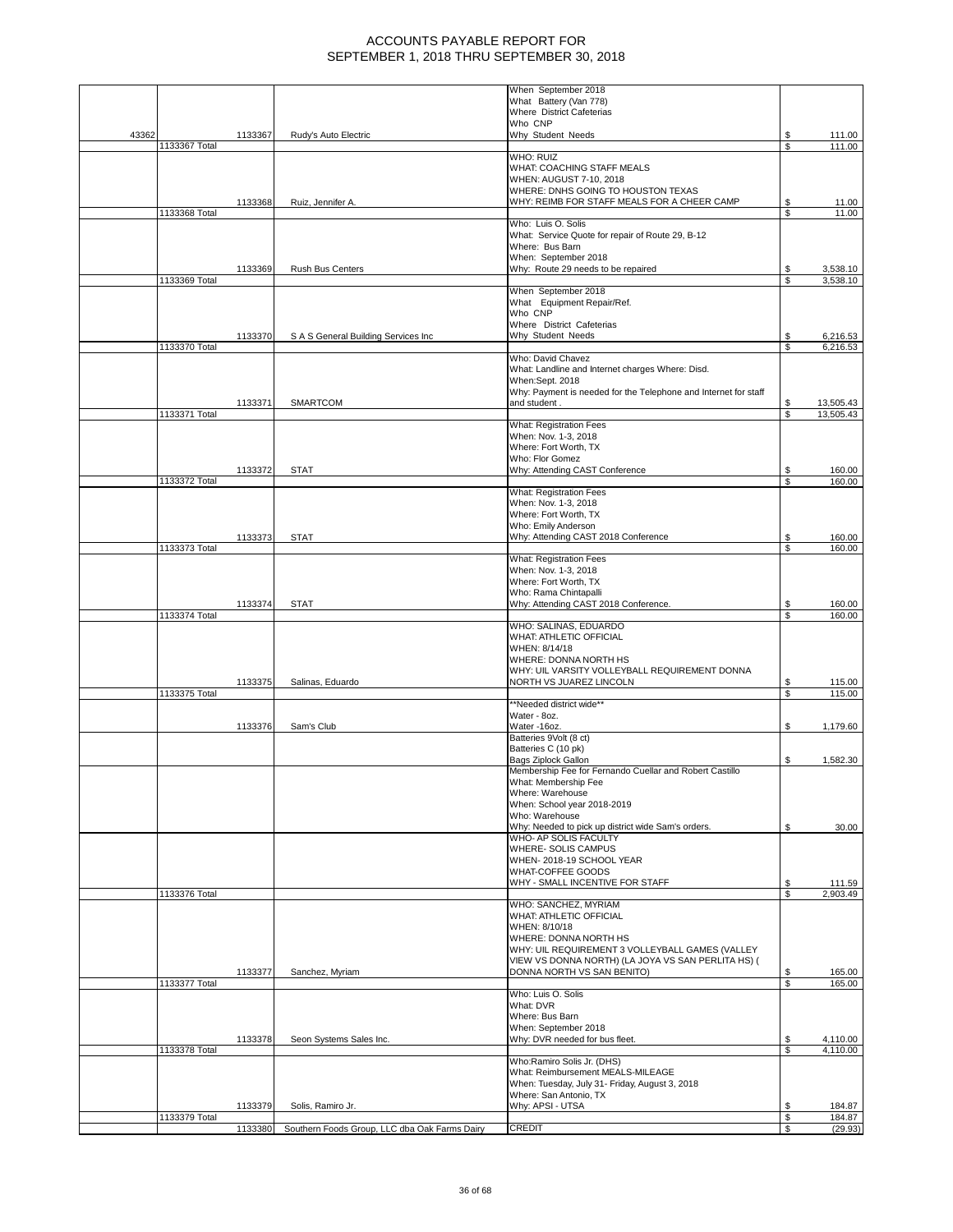|       |               |         |                                               | When September 2018<br>What Battery (Van 778)                                      |          |                        |
|-------|---------------|---------|-----------------------------------------------|------------------------------------------------------------------------------------|----------|------------------------|
|       |               |         |                                               | Where District Cafeterias<br>Who CNP                                               |          |                        |
| 43362 |               | 1133367 | Rudy's Auto Electric                          | Why Student Needs                                                                  | \$       | 111.00                 |
|       | 1133367 Total |         |                                               | <b>WHO: RUIZ</b>                                                                   | S        | 111.00                 |
|       |               |         |                                               | WHAT: COACHING STAFF MEALS<br>WHEN: AUGUST 7-10, 2018                              |          |                        |
|       |               |         |                                               | WHERE: DNHS GOING TO HOUSTON TEXAS                                                 |          |                        |
|       | 1133368 Total | 1133368 | Ruiz, Jennifer A.                             | WHY: REIMB FOR STAFF MEALS FOR A CHEER CAMP                                        | S<br>\$  | 11.00<br>11.00         |
|       |               |         |                                               | Who: Luis O. Solis<br>What: Service Quote for repair of Route 29, B-12             |          |                        |
|       |               |         |                                               | Where: Bus Barn<br>When: September 2018                                            |          |                        |
|       | 1133369 Total | 1133369 | Rush Bus Centers                              | Why: Route 29 needs to be repaired                                                 | S<br>\$  | 3,538.10<br>3,538.10   |
|       |               |         |                                               | When September 2018                                                                |          |                        |
|       |               |         |                                               | What Equipment Repair/Ref.<br>Who CNP                                              |          |                        |
|       |               | 1133370 | S A S General Building Services Inc           | Where District Cafeterias<br>Why Student Needs                                     | S        | 6,216.53               |
|       | 1133370 Total |         |                                               | Who: David Chavez                                                                  | S        | 6,216.53               |
|       |               |         |                                               | What: Landline and Internet charges Where: Disd.                                   |          |                        |
|       |               |         |                                               | When:Sept. 2018<br>Why: Payment is needed for the Telephone and Internet for staff |          |                        |
|       | 1133371 Total | 1133371 | SMARTCOM                                      | and student.                                                                       | S<br>S   | 13,505.43<br>13,505.43 |
|       |               |         |                                               | <b>What: Registration Fees</b><br>When: Nov. 1-3, 2018                             |          |                        |
|       |               |         |                                               | Where: Fort Worth, TX                                                              |          |                        |
|       |               | 1133372 | STAT                                          | Who: Flor Gomez<br>Why: Attending CAST Conference                                  | S        | 160.00                 |
|       | 1133372 Total |         |                                               | What: Registration Fees                                                            | \$.      | 160.00                 |
|       |               |         |                                               | When: Nov. 1-3, 2018                                                               |          |                        |
|       |               |         |                                               | Where: Fort Worth, TX<br>Who: Emily Anderson                                       |          |                        |
|       | 1133373 Total | 1133373 | <b>STAT</b>                                   | Why: Attending CAST 2018 Conference                                                | \$<br>\$ | 160.00<br>160.00       |
|       |               |         |                                               | <b>What: Registration Fees</b><br>When: Nov. 1-3, 2018                             |          |                        |
|       |               |         |                                               | Where: Fort Worth, TX                                                              |          |                        |
|       |               | 1133374 | <b>STAT</b>                                   | Who: Rama Chintapalli<br>Why: Attending CAST 2018 Conference.                      | S        | 160.00                 |
|       | 1133374 Total |         |                                               | WHO: SALINAS, EDUARDO                                                              | \$       | 160.00                 |
|       |               |         |                                               | WHAT: ATHLETIC OFFICIAL<br>WHEN: 8/14/18                                           |          |                        |
|       |               |         |                                               | WHERE: DONNA NORTH HS                                                              |          |                        |
|       |               | 1133375 | Salinas, Eduardo                              | WHY: UIL VARSITY VOLLEYBALL REQUIREMENT DONNA<br>NORTH VS JUAREZ LINCOLN           | \$       | 115.00                 |
|       | 1133375 Total |         |                                               | **Needed district wide**                                                           | \$       | 115.00                 |
|       |               |         | Sam's Club                                    | Water - 8oz.<br>Water-16oz.                                                        |          |                        |
|       |               | 1133376 |                                               | Batteries 9Volt (8 ct)                                                             | S        | 1,179.60               |
|       |               |         |                                               | Batteries C (10 pk)<br>Bags Ziplock Gallon                                         | \$       | 1,582.30               |
|       |               |         |                                               | Membership Fee for Fernando Cuellar and Robert Castillo<br>What: Membership Fee    |          |                        |
|       |               |         |                                               | Where: Warehouse                                                                   |          |                        |
|       |               |         |                                               | When: School year 2018-2019<br>Who: Warehouse                                      |          |                        |
|       |               |         |                                               | Why: Needed to pick up district wide Sam's orders.<br>WHO- AP SOLIS FACULTY        | \$       | 30.00                  |
|       |               |         |                                               | WHERE-SOLIS CAMPUS<br>WHEN-2018-19 SCHOOL YEAR                                     |          |                        |
|       |               |         |                                               | WHAT-COFFEE GOODS                                                                  |          |                        |
|       | 1133376 Total |         |                                               | WHY - SMALL INCENTIVE FOR STAFF                                                    | \$<br>\$ | 111.59<br>2,903.49     |
|       |               |         |                                               | WHO: SANCHEZ, MYRIAM<br>WHAT: ATHLETIC OFFICIAL                                    |          |                        |
|       |               |         |                                               | WHEN: 8/10/18<br>WHERE: DONNA NORTH HS                                             |          |                        |
|       |               |         |                                               | WHY: UIL REQUIREMENT 3 VOLLEYBALL GAMES (VALLEY                                    |          |                        |
|       |               | 1133377 | Sanchez, Myriam                               | VIEW VS DONNA NORTH) (LA JOYA VS SAN PERLITA HS) (<br>DONNA NORTH VS SAN BENITO)   | \$       | 165.00                 |
|       | 1133377 Total |         |                                               | Who: Luis O. Solis                                                                 | \$       | 165.00                 |
|       |               |         |                                               | What: DVR<br>Where: Bus Barn                                                       |          |                        |
|       |               |         |                                               | When: September 2018                                                               |          |                        |
|       | 1133378 Total | 1133378 | Seon Systems Sales Inc.                       | Why: DVR needed for bus fleet.                                                     | \$<br>\$ | 4,110.00<br>4,110.00   |
|       |               |         |                                               | Who:Ramiro Solis Jr. (DHS)<br>What: Reimbursement MEALS-MILEAGE                    |          |                        |
|       |               |         |                                               | When: Tuesday, July 31- Friday, August 3, 2018                                     |          |                        |
|       |               | 1133379 | Solis, Ramiro Jr.                             | Where: San Antonio, TX<br>Why: APSI - UTSA                                         | \$       | 184.87                 |
|       | 1133379 Total | 1133380 | Southern Foods Group, LLC dba Oak Farms Dairy | <b>CREDIT</b>                                                                      | \$<br>\$ | 184.87<br>(29.93)      |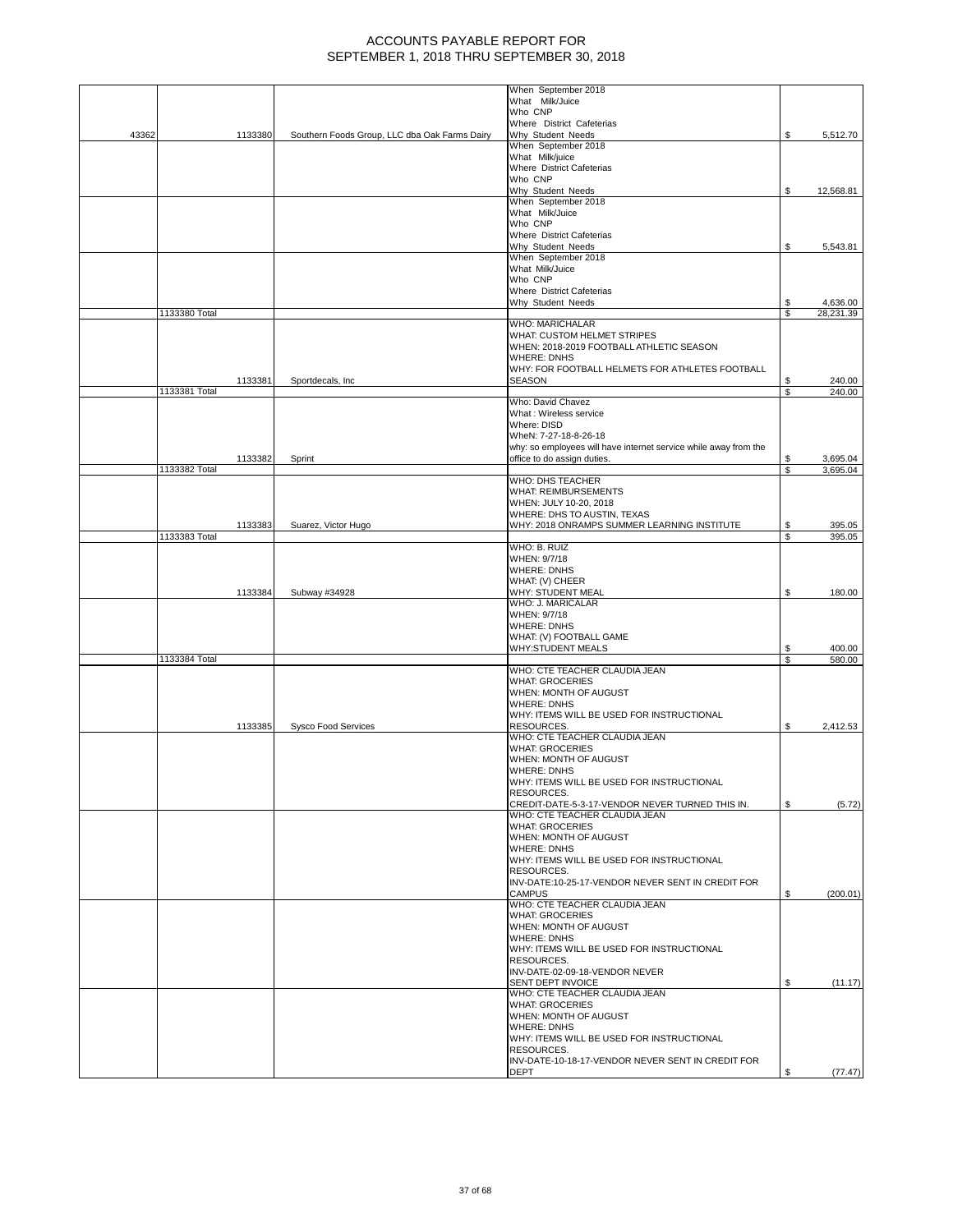|       |               |         |                                               | When September 2018                                              |     |           |
|-------|---------------|---------|-----------------------------------------------|------------------------------------------------------------------|-----|-----------|
|       |               |         |                                               | What Milk/Juice                                                  |     |           |
|       |               |         |                                               | Who CNP                                                          |     |           |
|       |               |         |                                               | Where District Cafeterias                                        |     |           |
| 43362 |               | 1133380 | Southern Foods Group, LLC dba Oak Farms Dairy | Why Student Needs                                                | \$  | 5,512.70  |
|       |               |         |                                               | When September 2018                                              |     |           |
|       |               |         |                                               | What Milk/juice                                                  |     |           |
|       |               |         |                                               | Where District Cafeterias                                        |     |           |
|       |               |         |                                               | Who CNP                                                          |     |           |
|       |               |         |                                               | Why Student Needs                                                | \$  | 12,568.81 |
|       |               |         |                                               | When September 2018                                              |     |           |
|       |               |         |                                               | What Milk/Juice                                                  |     |           |
|       |               |         |                                               | Who CNP                                                          |     |           |
|       |               |         |                                               | Where District Cafeterias                                        |     |           |
|       |               |         |                                               | Why Student Needs                                                | \$  | 5,543.81  |
|       |               |         |                                               | When September 2018                                              |     |           |
|       |               |         |                                               | What Milk/Juice                                                  |     |           |
|       |               |         |                                               | Who CNP                                                          |     |           |
|       |               |         |                                               | Where District Cafeterias                                        |     |           |
|       |               |         |                                               | Why Student Needs                                                | S   | 4,636.00  |
|       |               |         |                                               |                                                                  | S   | 28,231.39 |
|       | 1133380 Total |         |                                               |                                                                  |     |           |
|       |               |         |                                               | WHO: MARICHALAR                                                  |     |           |
|       |               |         |                                               | WHAT: CUSTOM HELMET STRIPES                                      |     |           |
|       |               |         |                                               | WHEN: 2018-2019 FOOTBALL ATHLETIC SEASON                         |     |           |
|       |               |         |                                               | <b>WHERE: DNHS</b>                                               |     |           |
|       |               |         |                                               | WHY: FOR FOOTBALL HELMETS FOR ATHLETES FOOTBALL                  |     |           |
|       |               | 1133381 | Sportdecals, Inc.                             | SEASON                                                           | S   | 240.00    |
|       | 1133381 Total |         |                                               |                                                                  | \$  | 240.00    |
|       |               |         |                                               | Who: David Chavez                                                |     |           |
|       |               |         |                                               | What: Wireless service                                           |     |           |
|       |               |         |                                               | Where: DISD                                                      |     |           |
|       |               |         |                                               | WheN: 7-27-18-8-26-18                                            |     |           |
|       |               |         |                                               | why: so employees will have internet service while away from the |     |           |
|       |               | 1133382 | Sprint                                        | office to do assign duties.                                      | S   | 3,695.04  |
|       | 1133382 Total |         |                                               |                                                                  | S   | 3,695.04  |
|       |               |         |                                               | <b>WHO: DHS TEACHER</b>                                          |     |           |
|       |               |         |                                               |                                                                  |     |           |
|       |               |         |                                               | <b>WHAT: REIMBURSEMENTS</b>                                      |     |           |
|       |               |         |                                               | WHEN: JULY 10-20, 2018                                           |     |           |
|       |               |         |                                               | WHERE: DHS TO AUSTIN, TEXAS                                      |     |           |
|       |               | 1133383 | Suarez, Victor Hugo                           | WHY: 2018 ONRAMPS SUMMER LEARNING INSTITUTE                      | \$  | 395.05    |
|       | 1133383 Total |         |                                               |                                                                  | S   | 395.05    |
|       |               |         |                                               | WHO: B. RUIZ                                                     |     |           |
|       |               |         |                                               | WHEN: 9/7/18                                                     |     |           |
|       |               |         |                                               | <b>WHERE: DNHS</b>                                               |     |           |
|       |               |         |                                               | WHAT: (V) CHEER                                                  |     |           |
|       |               | 1133384 | Subway #34928                                 | WHY: STUDENT MEAL                                                | \$  | 180.00    |
|       |               |         |                                               | WHO: J. MARICALAR                                                |     |           |
|       |               |         |                                               | WHEN: 9/7/18                                                     |     |           |
|       |               |         |                                               |                                                                  |     |           |
|       |               |         |                                               | <b>WHERE: DNHS</b>                                               |     |           |
|       |               |         |                                               | WHAT: (V) FOOTBALL GAME                                          |     |           |
|       |               |         |                                               | <b>WHY:STUDENT MEALS</b>                                         | \$  | 400.00    |
|       | 1133384 Total |         |                                               |                                                                  | \$  | 580.00    |
|       |               |         |                                               | WHO: CTE TEACHER CLAUDIA JEAN                                    |     |           |
|       |               |         |                                               | <b>WHAT: GROCERIES</b>                                           |     |           |
|       |               |         |                                               | WHEN: MONTH OF AUGUST                                            |     |           |
|       |               |         |                                               | <b>WHERE: DNHS</b>                                               |     |           |
|       |               |         |                                               | WHY: ITEMS WILL BE USED FOR INSTRUCTIONAL                        |     |           |
|       |               | 1133385 | <b>Sysco Food Services</b>                    | RESOURCES.                                                       | \$  | 2,412.53  |
|       |               |         |                                               | WHO: CTE TEACHER CLAUDIA JEAN                                    |     |           |
|       |               |         |                                               | <b>WHAT: GROCERIES</b>                                           |     |           |
|       |               |         |                                               | WHEN: MONTH OF AUGUST                                            |     |           |
|       |               |         |                                               | <b>WHERE: DNHS</b>                                               |     |           |
|       |               |         |                                               | WHY: ITEMS WILL BE USED FOR INSTRUCTIONAL                        |     |           |
|       |               |         |                                               |                                                                  |     |           |
|       |               |         |                                               |                                                                  |     |           |
|       |               |         |                                               | RESOURCES.                                                       |     |           |
|       |               |         |                                               | CREDIT-DATE-5-3-17-VENDOR NEVER TURNED THIS IN.                  | S   | (5.72)    |
|       |               |         |                                               | WHO: CTE TEACHER CLAUDIA JEAN                                    |     |           |
|       |               |         |                                               | <b>WHAT: GROCERIES</b>                                           |     |           |
|       |               |         |                                               | WHEN: MONTH OF AUGUST                                            |     |           |
|       |               |         |                                               | <b>WHERE: DNHS</b>                                               |     |           |
|       |               |         |                                               | WHY: ITEMS WILL BE USED FOR INSTRUCTIONAL                        |     |           |
|       |               |         |                                               | RESOURCES.                                                       |     |           |
|       |               |         |                                               | INV-DATE:10-25-17-VENDOR NEVER SENT IN CREDIT FOR                |     |           |
|       |               |         |                                               | <b>CAMPUS</b>                                                    | \$. | (200.01)  |
|       |               |         |                                               | WHO: CTE TEACHER CLAUDIA JEAN                                    |     |           |
|       |               |         |                                               | <b>WHAT: GROCERIES</b>                                           |     |           |
|       |               |         |                                               | WHEN: MONTH OF AUGUST                                            |     |           |
|       |               |         |                                               | <b>WHERE: DNHS</b>                                               |     |           |
|       |               |         |                                               | WHY: ITEMS WILL BE USED FOR INSTRUCTIONAL                        |     |           |
|       |               |         |                                               |                                                                  |     |           |
|       |               |         |                                               | RESOURCES.                                                       |     |           |
|       |               |         |                                               | INV-DATE-02-09-18-VENDOR NEVER                                   |     |           |
|       |               |         |                                               | SENT DEPT INVOICE                                                | \$  | (11.17)   |
|       |               |         |                                               | WHO: CTE TEACHER CLAUDIA JEAN                                    |     |           |
|       |               |         |                                               | <b>WHAT: GROCERIES</b>                                           |     |           |
|       |               |         |                                               | WHEN: MONTH OF AUGUST                                            |     |           |
|       |               |         |                                               | <b>WHERE: DNHS</b>                                               |     |           |
|       |               |         |                                               | WHY: ITEMS WILL BE USED FOR INSTRUCTIONAL                        |     |           |
|       |               |         |                                               | RESOURCES.                                                       |     |           |
|       |               |         |                                               | INV-DATE-10-18-17-VENDOR NEVER SENT IN CREDIT FOR<br><b>DEPT</b> | \$  | (77.47)   |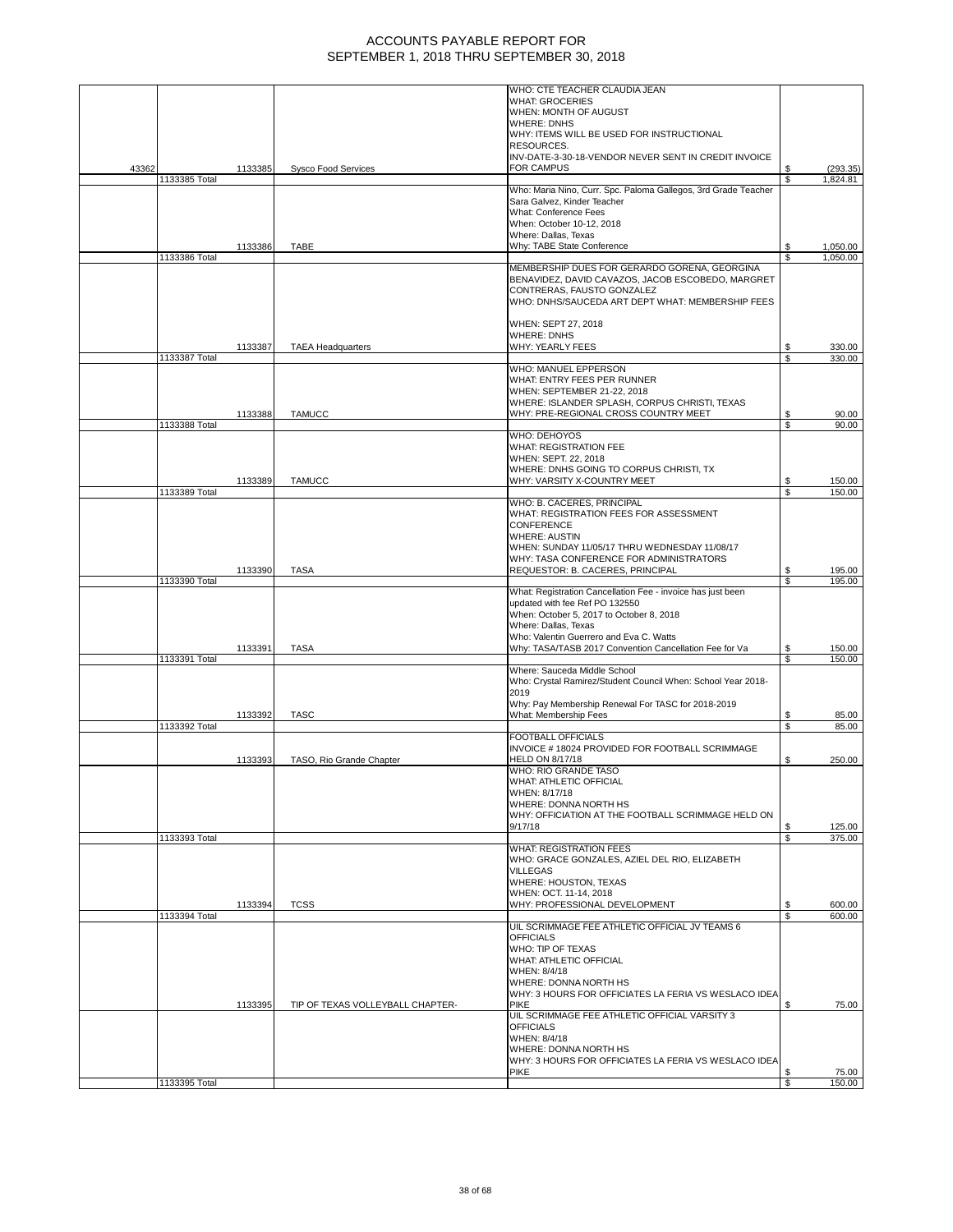|               |         |                                  | WHO: CTE TEACHER CLAUDIA JEAN                                       |         |                  |
|---------------|---------|----------------------------------|---------------------------------------------------------------------|---------|------------------|
|               |         |                                  | <b>WHAT: GROCERIES</b>                                              |         |                  |
|               |         |                                  | WHEN: MONTH OF AUGUST                                               |         |                  |
|               |         |                                  | <b>WHERE: DNHS</b>                                                  |         |                  |
|               |         |                                  | WHY: ITEMS WILL BE USED FOR INSTRUCTIONAL                           |         |                  |
|               |         |                                  | RESOURCES.                                                          |         |                  |
|               |         |                                  | INV-DATE-3-30-18-VENDOR NEVER SENT IN CREDIT INVOICE                |         |                  |
| 43362         | 1133385 | <b>Sysco Food Services</b>       | <b>FOR CAMPUS</b>                                                   | \$      | (293.35)         |
| 1133385 Total |         |                                  |                                                                     | \$      | 1,824.81         |
|               |         |                                  | Who: Maria Nino, Curr. Spc. Paloma Gallegos, 3rd Grade Teacher      |         |                  |
|               |         |                                  | Sara Galvez, Kinder Teacher<br><b>What: Conference Fees</b>         |         |                  |
|               |         |                                  | When: October 10-12, 2018                                           |         |                  |
|               |         |                                  | Where: Dallas, Texas                                                |         |                  |
|               | 1133386 | TABE                             | Why: TABE State Conference                                          | \$      | 1,050.00         |
| 1133386 Total |         |                                  |                                                                     | S       | 1,050.00         |
|               |         |                                  | MEMBERSHIP DUES FOR GERARDO GORENA, GEORGINA                        |         |                  |
|               |         |                                  | BENAVIDEZ, DAVID CAVAZOS, JACOB ESCOBEDO, MARGRET                   |         |                  |
|               |         |                                  | CONTRERAS, FAUSTO GONZALEZ                                          |         |                  |
|               |         |                                  | WHO: DNHS/SAUCEDA ART DEPT WHAT: MEMBERSHIP FEES                    |         |                  |
|               |         |                                  |                                                                     |         |                  |
|               |         |                                  | WHEN: SEPT 27, 2018                                                 |         |                  |
|               |         |                                  | <b>WHERE: DNHS</b>                                                  |         |                  |
|               | 1133387 | <b>TAEA Headquarters</b>         | WHY: YEARLY FEES                                                    | \$      | 330.00           |
| 1133387 Total |         |                                  |                                                                     | \$      | 330.00           |
|               |         |                                  | WHO: MANUEL EPPERSON                                                |         |                  |
|               |         |                                  | WHAT: ENTRY FEES PER RUNNER                                         |         |                  |
|               |         |                                  | WHEN: SEPTEMBER 21-22, 2018                                         |         |                  |
|               |         |                                  | WHERE: ISLANDER SPLASH, CORPUS CHRISTI, TEXAS                       |         |                  |
|               | 1133388 | <b>TAMUCC</b>                    | WHY: PRE-REGIONAL CROSS COUNTRY MEET                                | S       | 90.00            |
| 1133388 Total |         |                                  | WHO: DEHOYOS                                                        | \$      | 90.00            |
|               |         |                                  | WHAT: REGISTRATION FEE                                              |         |                  |
|               |         |                                  | WHEN: SEPT. 22, 2018                                                |         |                  |
|               |         |                                  | WHERE: DNHS GOING TO CORPUS CHRISTI, TX                             |         |                  |
|               | 1133389 | <b>TAMUCC</b>                    | WHY: VARSITY X-COUNTRY MEET                                         | \$      | 150.00           |
| 1133389 Total |         |                                  |                                                                     | S       | 150.00           |
|               |         |                                  | WHO: B. CACERES, PRINCIPAL                                          |         |                  |
|               |         |                                  | WHAT: REGISTRATION FEES FOR ASSESSMENT                              |         |                  |
|               |         |                                  | <b>CONFERENCE</b>                                                   |         |                  |
|               |         |                                  | <b>WHERE: AUSTIN</b>                                                |         |                  |
|               |         |                                  | WHEN: SUNDAY 11/05/17 THRU WEDNESDAY 11/08/17                       |         |                  |
|               |         |                                  | WHY: TASA CONFERENCE FOR ADMINISTRATORS                             |         |                  |
|               | 1133390 | <b>TASA</b>                      | REQUESTOR: B. CACERES, PRINCIPAL                                    | \$      | 195.00           |
| 1133390 Total |         |                                  |                                                                     | S       | 195.00           |
|               |         |                                  | What: Registration Cancellation Fee - invoice has just been         |         |                  |
|               |         |                                  | updated with fee Ref PO 132550                                      |         |                  |
|               |         |                                  | When: October 5, 2017 to October 8, 2018                            |         |                  |
|               |         |                                  | Where: Dallas, Texas                                                |         |                  |
|               |         |                                  | Who: Valentin Guerrero and Eva C. Watts                             |         |                  |
| 1133391 Total | 1133391 | <b>TASA</b>                      | Why: TASA/TASB 2017 Convention Cancellation Fee for Va              | \$<br>S | 150.00<br>150.00 |
|               |         |                                  | Where: Sauceda Middle School                                        |         |                  |
|               |         |                                  | Who: Crystal Ramirez/Student Council When: School Year 2018-        |         |                  |
|               |         |                                  | 2019                                                                |         |                  |
|               |         |                                  |                                                                     |         |                  |
|               |         |                                  |                                                                     |         |                  |
|               |         |                                  | Why: Pay Membership Renewal For TASC for 2018-2019                  |         |                  |
| 1133392 Total | 1133392 | <b>TASC</b>                      | What: Membership Fees                                               | \$<br>S | 85.00<br>85.00   |
|               |         |                                  | <b>FOOTBALL OFFICIALS</b>                                           |         |                  |
|               |         |                                  | INVOICE #18024 PROVIDED FOR FOOTBALL SCRIMMAGE                      |         |                  |
|               | 1133393 | TASO, Rio Grande Chapter         | HELD ON 8/17/18                                                     | \$      | 250.00           |
|               |         |                                  | WHO: RIO GRANDE TASO                                                |         |                  |
|               |         |                                  | WHAT: ATHLETIC OFFICIAL                                             |         |                  |
|               |         |                                  | WHEN: 8/17/18                                                       |         |                  |
|               |         |                                  | WHERE: DONNA NORTH HS                                               |         |                  |
|               |         |                                  | WHY: OFFICIATION AT THE FOOTBALL SCRIMMAGE HELD ON                  |         |                  |
|               |         |                                  | 9/17/18                                                             | S.      | 125.00           |
| 1133393 Total |         |                                  |                                                                     | \$      | 375.00           |
|               |         |                                  | <b>WHAT: REGISTRATION FEES</b>                                      |         |                  |
|               |         |                                  | WHO: GRACE GONZALES, AZIEL DEL RIO, ELIZABETH                       |         |                  |
|               |         |                                  | <b>VILLEGAS</b>                                                     |         |                  |
|               |         |                                  | WHERE: HOUSTON, TEXAS<br>WHEN: OCT. 11-14, 2018                     |         |                  |
|               | 1133394 | <b>TCSS</b>                      | WHY: PROFESSIONAL DEVELOPMENT                                       | \$      | 600.00           |
| 1133394 Total |         |                                  |                                                                     | S       | 600.00           |
|               |         |                                  | UIL SCRIMMAGE FEE ATHLETIC OFFICIAL JV TEAMS 6                      |         |                  |
|               |         |                                  | <b>OFFICIALS</b>                                                    |         |                  |
|               |         |                                  | WHO: TIP OF TEXAS                                                   |         |                  |
|               |         |                                  | WHAT: ATHLETIC OFFICIAL                                             |         |                  |
|               |         |                                  | WHEN: 8/4/18                                                        |         |                  |
|               |         |                                  | WHERE: DONNA NORTH HS                                               |         |                  |
|               |         |                                  | WHY: 3 HOURS FOR OFFICIATES LA FERIA VS WESLACO IDEA                |         |                  |
|               | 1133395 | TIP OF TEXAS VOLLEYBALL CHAPTER- | <b>PIKE</b>                                                         | \$      | 75.00            |
|               |         |                                  | UIL SCRIMMAGE FEE ATHLETIC OFFICIAL VARSITY 3                       |         |                  |
|               |         |                                  | <b>OFFICIALS</b>                                                    |         |                  |
|               |         |                                  | WHEN: 8/4/18                                                        |         |                  |
|               |         |                                  | WHERE: DONNA NORTH HS                                               |         |                  |
|               |         |                                  | WHY: 3 HOURS FOR OFFICIATES LA FERIA VS WESLACO IDEA<br><b>PIKE</b> | S       | 75.00            |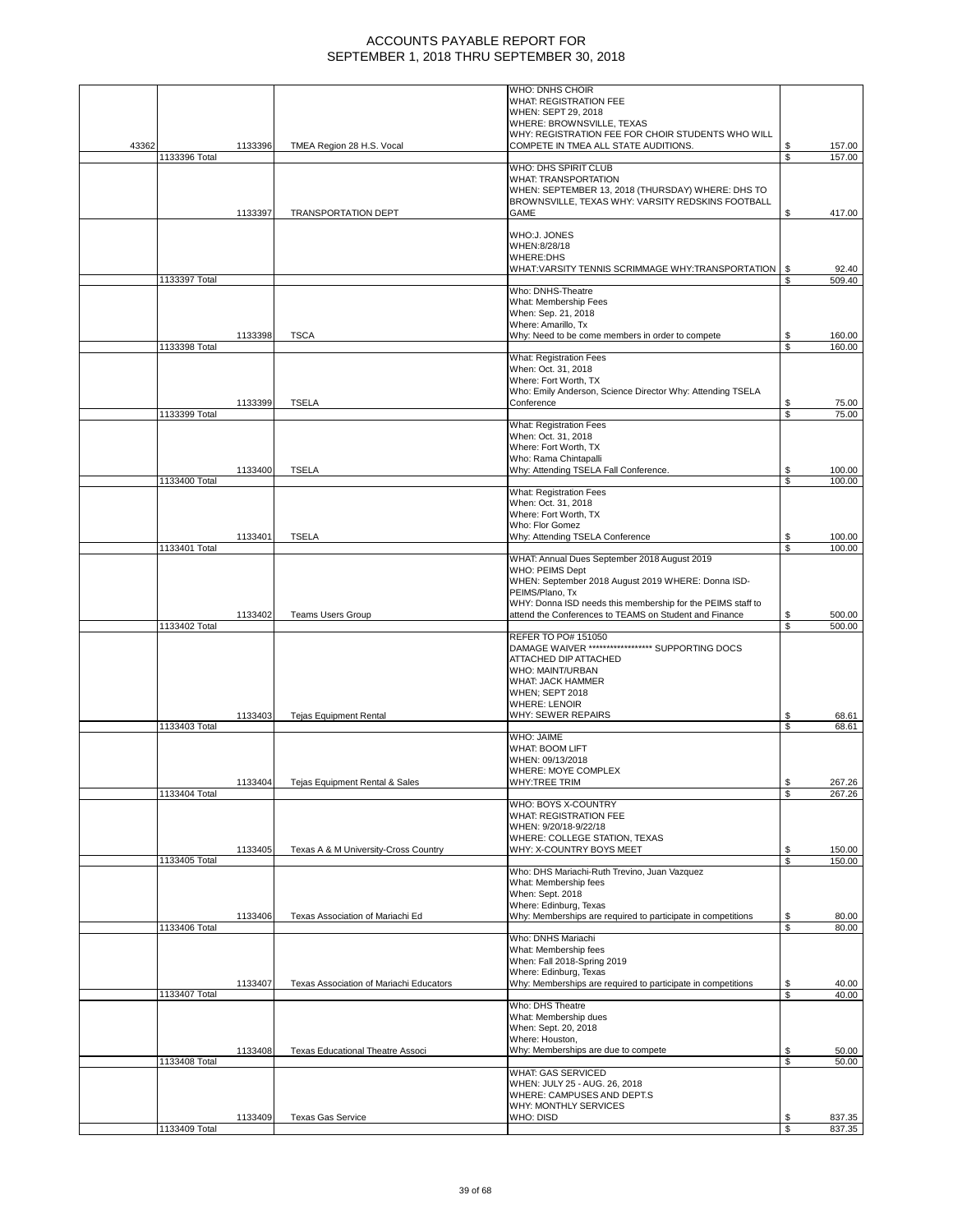|       |               |         |                                         | <b>WHO: DNHS CHOIR</b>                                                                                                |          |                  |
|-------|---------------|---------|-----------------------------------------|-----------------------------------------------------------------------------------------------------------------------|----------|------------------|
|       |               |         |                                         | WHAT: REGISTRATION FEE<br>WHEN: SEPT 29, 2018                                                                         |          |                  |
|       |               |         |                                         | WHERE: BROWNSVILLE, TEXAS                                                                                             |          |                  |
|       |               |         |                                         | WHY: REGISTRATION FEE FOR CHOIR STUDENTS WHO WILL                                                                     |          |                  |
| 43362 |               | 1133396 | TMEA Region 28 H.S. Vocal               | COMPETE IN TMEA ALL STATE AUDITIONS.                                                                                  | \$       | 157.00           |
|       | 1133396 Total |         |                                         |                                                                                                                       | \$       | 157.00           |
|       |               |         |                                         | WHO: DHS SPIRIT CLUB                                                                                                  |          |                  |
|       |               |         |                                         | <b>WHAT: TRANSPORTATION</b>                                                                                           |          |                  |
|       |               |         |                                         | WHEN: SEPTEMBER 13, 2018 (THURSDAY) WHERE: DHS TO<br>BROWNSVILLE, TEXAS WHY: VARSITY REDSKINS FOOTBALL                |          |                  |
|       |               | 1133397 | <b>TRANSPORTATION DEPT</b>              | GAME                                                                                                                  | S        | 417.00           |
|       |               |         |                                         |                                                                                                                       |          |                  |
|       |               |         |                                         | WHO:J. JONES                                                                                                          |          |                  |
|       |               |         |                                         | WHEN:8/28/18                                                                                                          |          |                  |
|       |               |         |                                         | <b>WHERE:DHS</b><br>WHAT:VARSITY TENNIS SCRIMMAGE WHY:TRANSPORTATION                                                  | \$       | 92.40            |
|       | 1133397 Total |         |                                         |                                                                                                                       | \$       | 509.40           |
|       |               |         |                                         | Who: DNHS-Theatre                                                                                                     |          |                  |
|       |               |         |                                         | What: Membership Fees                                                                                                 |          |                  |
|       |               |         |                                         | When: Sep. 21, 2018                                                                                                   |          |                  |
|       |               | 1133398 | <b>TSCA</b>                             | Where: Amarillo, Tx<br>Why: Need to be come members in order to compete                                               | \$       | 160.00           |
|       | 1133398 Total |         |                                         |                                                                                                                       | S        | 160.00           |
|       |               |         |                                         | What: Registration Fees                                                                                               |          |                  |
|       |               |         |                                         | When: Oct. 31, 2018                                                                                                   |          |                  |
|       |               |         |                                         | Where: Fort Worth, TX                                                                                                 |          |                  |
|       |               |         |                                         | Who: Emily Anderson, Science Director Why: Attending TSELA<br>Conference                                              |          |                  |
|       | 1133399 Total | 1133399 | <b>TSELA</b>                            |                                                                                                                       | \$<br>\$ | 75.00<br>75.00   |
|       |               |         |                                         | <b>What: Registration Fees</b>                                                                                        |          |                  |
|       |               |         |                                         | When: Oct. 31, 2018                                                                                                   |          |                  |
|       |               |         |                                         | Where: Fort Worth, TX                                                                                                 |          |                  |
|       |               |         |                                         | Who: Rama Chintapalli                                                                                                 |          |                  |
|       | 1133400 Total | 1133400 | <b>TSELA</b>                            | Why: Attending TSELA Fall Conference.                                                                                 | \$<br>\$ | 100.00<br>100.00 |
|       |               |         |                                         | <b>What: Registration Fees</b>                                                                                        |          |                  |
|       |               |         |                                         | When: Oct. 31, 2018                                                                                                   |          |                  |
|       |               |         |                                         | Where: Fort Worth, TX                                                                                                 |          |                  |
|       |               |         |                                         | Who: Flor Gomez                                                                                                       |          |                  |
|       | 1133401 Total | 1133401 | <b>TSELA</b>                            | Why: Attending TSELA Conference                                                                                       | S<br>\$  | 100.00<br>100.00 |
|       |               |         |                                         | WHAT: Annual Dues September 2018 August 2019                                                                          |          |                  |
|       |               |         |                                         | WHO: PEIMS Dept                                                                                                       |          |                  |
|       |               |         |                                         | WHEN: September 2018 August 2019 WHERE: Donna ISD-                                                                    |          |                  |
|       |               |         |                                         | PEIMS/Plano, Tx                                                                                                       |          |                  |
|       |               | 1133402 | <b>Teams Users Group</b>                | WHY: Donna ISD needs this membership for the PEIMS staff to<br>attend the Conferences to TEAMS on Student and Finance | \$       | 500.00           |
|       |               |         |                                         |                                                                                                                       |          |                  |
|       |               |         |                                         |                                                                                                                       | \$       | 500.00           |
|       | 1133402 Total |         |                                         | REFER TO PO# 151050                                                                                                   |          |                  |
|       |               |         |                                         | DAMAGE WAIVER ****************** SUPPORTING DOCS                                                                      |          |                  |
|       |               |         |                                         | ATTACHED DIP ATTACHED                                                                                                 |          |                  |
|       |               |         |                                         | WHO: MAINT/URBAN                                                                                                      |          |                  |
|       |               |         |                                         | <b>WHAT: JACK HAMMER</b>                                                                                              |          |                  |
|       |               |         |                                         | WHEN; SEPT 2018<br><b>WHERE: LENOIR</b>                                                                               |          |                  |
|       |               | 1133403 | <b>Tejas Equipment Rental</b>           | WHY: SEWER REPAIRS                                                                                                    | \$       | 68.61            |
|       | 1133403 Total |         |                                         |                                                                                                                       | S        | 68.61            |
|       |               |         |                                         | WHO: JAIME                                                                                                            |          |                  |
|       |               |         |                                         | <b>WHAT: BOOM LIFT</b>                                                                                                |          |                  |
|       |               |         |                                         | WHEN: 09/13/2018<br>WHERE: MOYE COMPLEX                                                                               |          |                  |
|       |               | 1133404 | Tejas Equipment Rental & Sales          | WHY:TREE TRIM                                                                                                         | \$       | 267.26           |
|       | 1133404 Total |         |                                         |                                                                                                                       | \$       | 267.26           |
|       |               |         |                                         | WHO: BOYS X-COUNTRY                                                                                                   |          |                  |
|       |               |         |                                         | WHAT: REGISTRATION FEE                                                                                                |          |                  |
|       |               |         |                                         | WHEN: 9/20/18-9/22/18                                                                                                 |          |                  |
|       |               | 1133405 | Texas A & M University-Cross Country    | WHERE: COLLEGE STATION, TEXAS<br>WHY: X-COUNTRY BOYS MEET                                                             | \$       | 150.00           |
|       | 1133405 Total |         |                                         |                                                                                                                       | \$       | 150.00           |
|       |               |         |                                         | Who: DHS Mariachi-Ruth Trevino, Juan Vazquez                                                                          |          |                  |
|       |               |         |                                         | What: Membership fees                                                                                                 |          |                  |
|       |               |         |                                         | When: Sept. 2018<br>Where: Edinburg, Texas                                                                            |          |                  |
|       |               | 1133406 | Texas Association of Mariachi Ed        | Why: Memberships are required to participate in competitions                                                          | \$       | 80.00            |
|       | 1133406 Total |         |                                         |                                                                                                                       | S        | 80.00            |
|       |               |         |                                         | Who: DNHS Mariachi                                                                                                    |          |                  |
|       |               |         |                                         | What: Membership fees                                                                                                 |          |                  |
|       |               |         |                                         | When: Fall 2018-Spring 2019<br>Where: Edinburg, Texas                                                                 |          |                  |
|       |               | 1133407 | Texas Association of Mariachi Educators | Why: Memberships are required to participate in competitions                                                          | \$       | 40.00            |
|       | 1133407 Total |         |                                         |                                                                                                                       | \$       | 40.00            |
|       |               |         |                                         | Who: DHS Theatre                                                                                                      |          |                  |
|       |               |         |                                         | What: Membership dues                                                                                                 |          |                  |
|       |               |         |                                         | When: Sept. 20, 2018<br>Where: Houston,                                                                               |          |                  |
|       |               | 1133408 | Texas Educational Theatre Associ        | Why: Memberships are due to compete                                                                                   | \$       | 50.00            |
|       | 1133408 Total |         |                                         |                                                                                                                       | \$       | 50.00            |
|       |               |         |                                         | <b>WHAT: GAS SERVICED</b>                                                                                             |          |                  |
|       |               |         |                                         | WHEN: JULY 25 - AUG. 26, 2018                                                                                         |          |                  |
|       |               |         |                                         | WHERE: CAMPUSES AND DEPT.S<br>WHY: MONTHLY SERVICES                                                                   |          |                  |
|       | 1133409 Total | 1133409 | <b>Texas Gas Service</b>                | WHO: DISD                                                                                                             | \$       | 837.35           |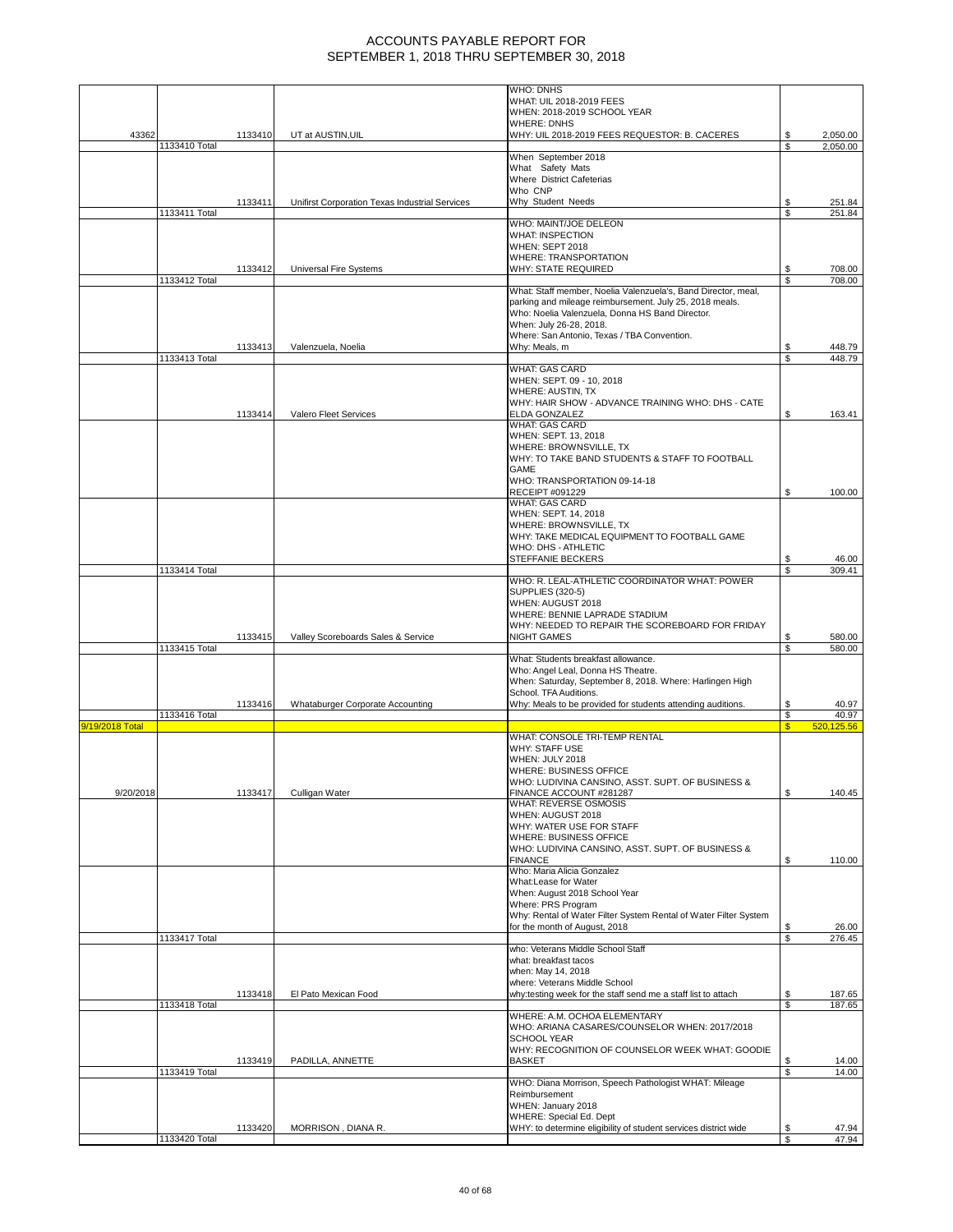|                 |               |         |                                                | <b>WHO: DNHS</b>                                                      |              |                      |
|-----------------|---------------|---------|------------------------------------------------|-----------------------------------------------------------------------|--------------|----------------------|
|                 |               |         |                                                | WHAT: UIL 2018-2019 FEES                                              |              |                      |
|                 |               |         |                                                | WHEN: 2018-2019 SCHOOL YEAR                                           |              |                      |
| 43362           |               |         |                                                | <b>WHERE: DNHS</b>                                                    |              |                      |
|                 | 1133410 Total | 1133410 | UT at AUSTIN, UIL                              | WHY: UIL 2018-2019 FEES REQUESTOR: B. CACERES                         | S<br>\$.     | 2,050.00<br>2,050.00 |
|                 |               |         |                                                | When September 2018                                                   |              |                      |
|                 |               |         |                                                | What Safety Mats                                                      |              |                      |
|                 |               |         |                                                | Where District Cafeterias                                             |              |                      |
|                 |               |         |                                                | Who CNP                                                               |              |                      |
|                 |               | 1133411 | Unifirst Corporation Texas Industrial Services | Why Student Needs                                                     |              | 251.84               |
|                 | 1133411 Total |         |                                                |                                                                       | \$           | 251.84               |
|                 |               |         |                                                | WHO: MAINT/JOE DELEON<br><b>WHAT: INSPECTION</b>                      |              |                      |
|                 |               |         |                                                | WHEN: SEPT 2018                                                       |              |                      |
|                 |               |         |                                                | WHERE: TRANSPORTATION                                                 |              |                      |
|                 |               | 1133412 | <b>Universal Fire Systems</b>                  | WHY: STATE REQUIRED                                                   |              | 708.00               |
|                 | 1133412 Total |         |                                                |                                                                       | \$           | 708.00               |
|                 |               |         |                                                | What: Staff member, Noelia Valenzuela's, Band Director, meal,         |              |                      |
|                 |               |         |                                                | parking and mileage reimbursement. July 25, 2018 meals.               |              |                      |
|                 |               |         |                                                | Who: Noelia Valenzuela, Donna HS Band Director.                       |              |                      |
|                 |               |         |                                                | When: July 26-28, 2018.                                               |              |                      |
|                 |               |         |                                                | Where: San Antonio, Texas / TBA Convention.                           |              |                      |
|                 |               | 1133413 | Valenzuela, Noelia                             | Why: Meals, m                                                         | \$<br>S      | 448.79               |
|                 | 1133413 Total |         |                                                | <b>WHAT: GAS CARD</b>                                                 |              | 448.79               |
|                 |               |         |                                                | WHEN: SEPT. 09 - 10, 2018                                             |              |                      |
|                 |               |         |                                                | WHERE: AUSTIN, TX                                                     |              |                      |
|                 |               |         |                                                | WHY: HAIR SHOW - ADVANCE TRAINING WHO: DHS - CATE                     |              |                      |
|                 |               | 1133414 | Valero Fleet Services                          | ELDA GONZALEZ                                                         | \$           | 163.41               |
|                 |               |         |                                                | <b>WHAT: GAS CARD</b>                                                 |              |                      |
|                 |               |         |                                                | WHEN: SEPT. 13, 2018                                                  |              |                      |
|                 |               |         |                                                | WHERE: BROWNSVILLE, TX                                                |              |                      |
|                 |               |         |                                                | WHY: TO TAKE BAND STUDENTS & STAFF TO FOOTBALL                        |              |                      |
|                 |               |         |                                                | GAME                                                                  |              |                      |
|                 |               |         |                                                | WHO: TRANSPORTATION 09-14-18<br>RECEIPT #091229                       | S            | 100.00               |
|                 |               |         |                                                | <b>WHAT: GAS CARD</b>                                                 |              |                      |
|                 |               |         |                                                | WHEN: SEPT. 14, 2018                                                  |              |                      |
|                 |               |         |                                                | WHERE: BROWNSVILLE, TX                                                |              |                      |
|                 |               |         |                                                | WHY: TAKE MEDICAL EQUIPMENT TO FOOTBALL GAME                          |              |                      |
|                 |               |         |                                                | WHO: DHS - ATHLETIC                                                   |              |                      |
|                 |               |         |                                                | STEFFANIE BECKERS                                                     | S            | 46.00                |
|                 | 1133414 Total |         |                                                |                                                                       | S            | 309.41               |
|                 |               |         |                                                | WHO: R. LEAL-ATHLETIC COORDINATOR WHAT: POWER                         |              |                      |
|                 |               |         |                                                | <b>SUPPLIES (320-5)</b>                                               |              |                      |
|                 |               |         |                                                | WHEN: AUGUST 2018                                                     |              |                      |
|                 |               |         |                                                | WHERE: BENNIE LAPRADE STADIUM                                         |              |                      |
|                 |               | 1133415 | Valley Scoreboards Sales & Service             | WHY: NEEDED TO REPAIR THE SCOREBOARD FOR FRIDAY<br><b>NIGHT GAMES</b> |              | 580.00               |
|                 | 1133415 Total |         |                                                |                                                                       | \$<br>\$     | 580.00               |
|                 |               |         |                                                | What: Students breakfast allowance.                                   |              |                      |
|                 |               |         |                                                | Who: Angel Leal, Donna HS Theatre.                                    |              |                      |
|                 |               |         |                                                | When: Saturday, September 8, 2018. Where: Harlingen High              |              |                      |
|                 |               |         |                                                | School. TFA Auditions.                                                |              |                      |
|                 |               | 1133416 | Whataburger Corporate Accounting               | Why: Meals to be provided for students attending auditions.           | \$           | 40.97                |
|                 | 1133416 Total |         |                                                |                                                                       | \$           | 40.97                |
| 9/19/2018 Total |               |         |                                                |                                                                       | $\mathsf{s}$ | 520,125.56           |
|                 |               |         |                                                | WHAT: CONSOLE TRI-TEMP RENTAL                                         |              |                      |
|                 |               |         |                                                | <b>WHY: STAFF USE</b><br>WHEN: JULY 2018                              |              |                      |
|                 |               |         |                                                | WHERE: BUSINESS OFFICE                                                |              |                      |
|                 |               |         |                                                | WHO: LUDIVINA CANSINO, ASST. SUPT. OF BUSINESS &                      |              |                      |
| 9/20/2018       |               | 1133417 | Culligan Water                                 | FINANCE ACCOUNT #281287                                               | \$           | 140.45               |
|                 |               |         |                                                | <b>WHAT: REVERSE OSMOSIS</b>                                          |              |                      |
|                 |               |         |                                                | WHEN: AUGUST 2018                                                     |              |                      |
|                 |               |         |                                                | WHY: WATER USE FOR STAFF                                              |              |                      |
|                 |               |         |                                                | WHERE: BUSINESS OFFICE                                                |              |                      |
|                 |               |         |                                                | WHO: LUDIVINA CANSINO, ASST. SUPT. OF BUSINESS &                      |              |                      |
|                 |               |         |                                                | <b>FINANCE</b>                                                        | \$           | 110.00               |
|                 |               |         |                                                | Who: Maria Alicia Gonzalez<br>What:Lease for Water                    |              |                      |
|                 |               |         |                                                | When: August 2018 School Year                                         |              |                      |
|                 |               |         |                                                | Where: PRS Program                                                    |              |                      |
|                 |               |         |                                                | Why: Rental of Water Filter System Rental of Water Filter System      |              |                      |
|                 |               |         |                                                | for the month of August, 2018                                         | \$           | 26.00                |
|                 | 1133417 Total |         |                                                |                                                                       | S            | 276.45               |
|                 |               |         |                                                | who: Veterans Middle School Staff                                     |              |                      |
|                 |               |         |                                                | what: breakfast tacos                                                 |              |                      |
|                 |               |         |                                                | when: May 14, 2018                                                    |              |                      |
|                 |               |         |                                                | where: Veterans Middle School                                         |              |                      |
|                 | 1133418 Total | 1133418 | El Pato Mexican Food                           | why:testing week for the staff send me a staff list to attach         | \$<br>\$     | 187.65<br>187.65     |
|                 |               |         |                                                | WHERE: A.M. OCHOA ELEMENTARY                                          |              |                      |
|                 |               |         |                                                | WHO: ARIANA CASARES/COUNSELOR WHEN: 2017/2018                         |              |                      |
|                 |               |         |                                                | <b>SCHOOL YEAR</b>                                                    |              |                      |
|                 |               |         |                                                | WHY: RECOGNITION OF COUNSELOR WEEK WHAT: GOODIE                       |              |                      |
|                 |               | 1133419 | PADILLA, ANNETTE                               | <b>BASKET</b>                                                         | \$           | 14.00                |
|                 | 1133419 Total |         |                                                |                                                                       | \$           | 14.00                |
|                 |               |         |                                                | WHO: Diana Morrison, Speech Pathologist WHAT: Mileage                 |              |                      |
|                 |               |         |                                                | Reimbursement                                                         |              |                      |
|                 |               |         |                                                | WHEN: January 2018                                                    |              |                      |
|                 |               |         |                                                | <b>WHERE: Special Ed. Dept</b>                                        |              |                      |
|                 |               | 1133420 | MORRISON, DIANA R.                             | WHY: to determine eligibility of student services district wide       | \$           | 47.94                |
|                 | 1133420 Total |         |                                                |                                                                       | \$           | 47.94                |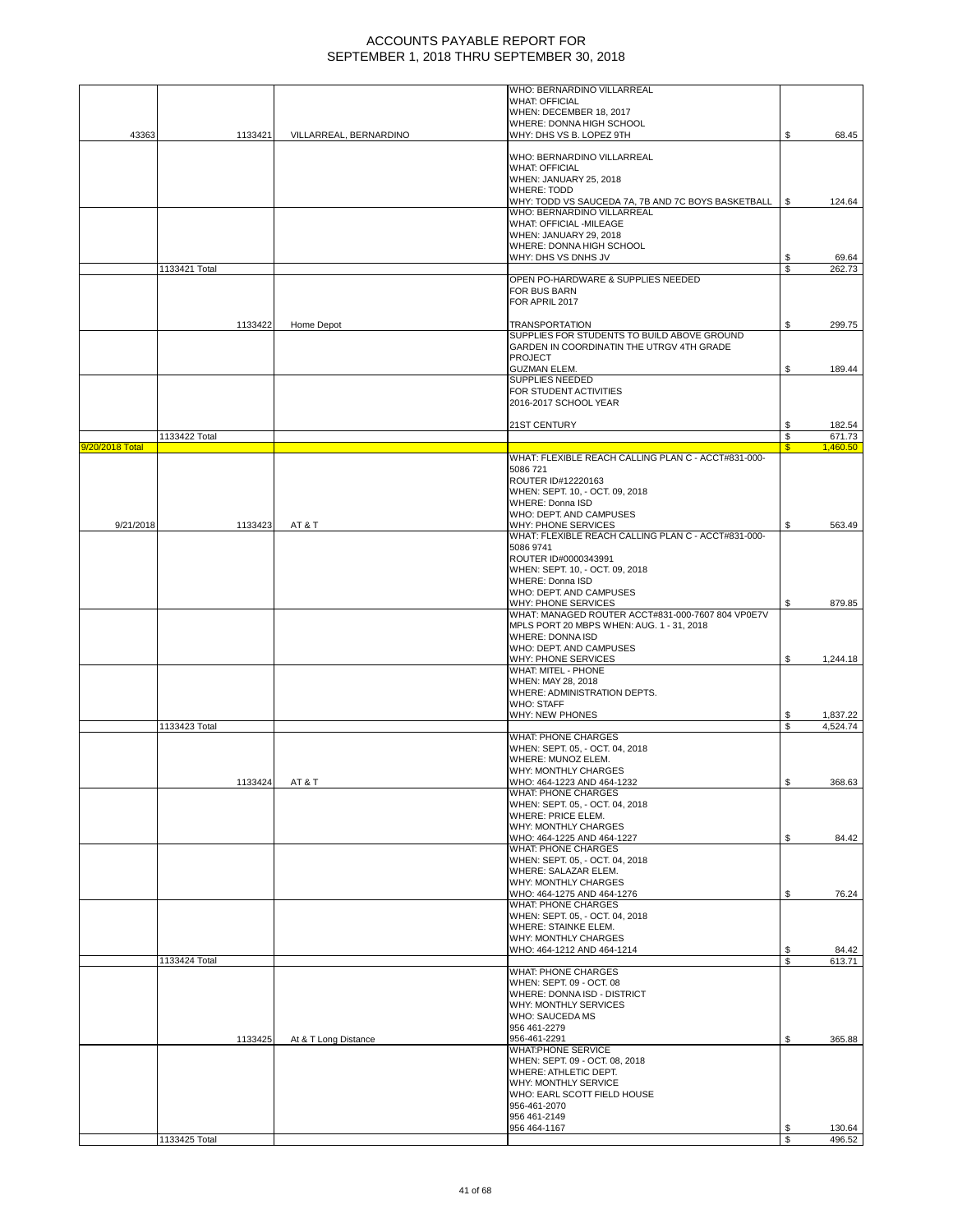|                 |               |                        | WHO: BERNARDINO VILLARREAL                                                       |          |                      |
|-----------------|---------------|------------------------|----------------------------------------------------------------------------------|----------|----------------------|
|                 |               |                        | <b>WHAT: OFFICIAL</b><br>WHEN: DECEMBER 18, 2017                                 |          |                      |
|                 |               |                        | WHERE: DONNA HIGH SCHOOL                                                         |          |                      |
| 43363           | 1133421       | VILLARREAL, BERNARDINO | WHY: DHS VS B. LOPEZ 9TH                                                         | S        | 68.45                |
|                 |               |                        | WHO: BERNARDINO VILLARREAL                                                       |          |                      |
|                 |               |                        | <b>WHAT: OFFICIAL</b><br>WHEN: JANUARY 25, 2018                                  |          |                      |
|                 |               |                        | <b>WHERE: TODD</b>                                                               |          |                      |
|                 |               |                        | WHY: TODD VS SAUCEDA 7A, 7B AND 7C BOYS BASKETBALL<br>WHO: BERNARDINO VILLARREAL | \$       | 124.64               |
|                 |               |                        | <b>WHAT: OFFICIAL -MILEAGE</b>                                                   |          |                      |
|                 |               |                        | WHEN: JANUARY 29, 2018                                                           |          |                      |
|                 |               |                        | WHERE: DONNA HIGH SCHOOL<br>WHY: DHS VS DNHS JV                                  | \$       | 69.64                |
|                 | 1133421 Total |                        |                                                                                  | \$       | 262.73               |
|                 |               |                        | OPEN PO-HARDWARE & SUPPLIES NEEDED<br>FOR BUS BARN                               |          |                      |
|                 |               |                        | FOR APRIL 2017                                                                   |          |                      |
|                 | 1133422       |                        |                                                                                  |          |                      |
|                 |               | Home Depot             | TRANSPORTATION<br>SUPPLIES FOR STUDENTS TO BUILD ABOVE GROUND                    | \$       | 299.75               |
|                 |               |                        | GARDEN IN COORDINATIN THE UTRGV 4TH GRADE                                        |          |                      |
|                 |               |                        | <b>PROJECT</b><br><b>GUZMAN ELEM.</b>                                            | \$       | 189.44               |
|                 |               |                        | SUPPLIES NEEDED                                                                  |          |                      |
|                 |               |                        | FOR STUDENT ACTIVITIES                                                           |          |                      |
|                 |               |                        | 2016-2017 SCHOOL YEAR                                                            |          |                      |
|                 |               |                        | 21ST CENTURY                                                                     |          | 182.54               |
| 9/20/2018 Total | 1133422 Total |                        |                                                                                  | \$<br>£. | 671.73<br>1.460.50   |
|                 |               |                        | WHAT: FLEXIBLE REACH CALLING PLAN C - ACCT#831-000-                              |          |                      |
|                 |               |                        | 5086721                                                                          |          |                      |
|                 |               |                        | ROUTER ID#12220163<br>WHEN: SEPT. 10, - OCT. 09, 2018                            |          |                      |
|                 |               |                        | <b>WHERE: Donna ISD</b>                                                          |          |                      |
| 9/21/2018       | 1133423       | AT&T                   | WHO: DEPT. AND CAMPUSES<br>WHY: PHONE SERVICES                                   | S        | 563.49               |
|                 |               |                        | WHAT: FLEXIBLE REACH CALLING PLAN C - ACCT#831-000-                              |          |                      |
|                 |               |                        | 5086 9741                                                                        |          |                      |
|                 |               |                        | ROUTER ID#0000343991<br>WHEN: SEPT. 10, - OCT. 09, 2018                          |          |                      |
|                 |               |                        | <b>WHERE: Donna ISD</b>                                                          |          |                      |
|                 |               |                        | WHO: DEPT. AND CAMPUSES<br>WHY: PHONE SERVICES                                   |          |                      |
|                 |               |                        | WHAT: MANAGED ROUTER ACCT#831-000-7607 804 VP0E7V                                |          | 879.85               |
|                 |               |                        | MPLS PORT 20 MBPS WHEN: AUG. 1 - 31, 2018                                        |          |                      |
|                 |               |                        | <b>WHERE: DONNA ISD</b><br>WHO: DEPT. AND CAMPUSES                               |          |                      |
|                 |               |                        | WHY: PHONE SERVICES                                                              | S        | 1,244.18             |
|                 |               |                        | WHAT: MITEL - PHONE<br>WHEN: MAY 28, 2018                                        |          |                      |
|                 |               |                        | WHERE: ADMINISTRATION DEPTS.                                                     |          |                      |
|                 |               |                        | <b>WHO: STAFF</b>                                                                |          |                      |
|                 | 1133423 Total |                        | <b>WHY: NEW PHONES</b>                                                           | \$       | 1,837.22<br>4,524.74 |
|                 |               |                        | <b>WHAT: PHONE CHARGES</b>                                                       |          |                      |
|                 |               |                        | WHEN: SEPT. 05, - OCT. 04, 2018<br>WHERE: MUNOZ ELEM.                            |          |                      |
|                 |               |                        | WHY: MONTHLY CHARGES                                                             |          |                      |
|                 | 1133424       | AT & T                 | WHO: 464-1223 AND 464-1232                                                       | \$       | 368.63               |
|                 |               |                        | WHAT: PHONE CHARGES<br>WHEN: SEPT. 05, - OCT. 04, 2018                           |          |                      |
|                 |               |                        | WHERE: PRICE ELEM.                                                               |          |                      |
|                 |               |                        | <b>WHY: MONTHLY CHARGES</b>                                                      |          |                      |
|                 |               |                        | WHO: 464-1225 AND 464-1227<br>WHAT: PHONE CHARGES                                | \$       | 84.42                |
|                 |               |                        | WHEN: SEPT. 05, - OCT. 04, 2018                                                  |          |                      |
|                 |               |                        | WHERE: SALAZAR ELEM.<br>WHY: MONTHLY CHARGES                                     |          |                      |
|                 |               |                        | WHO: 464-1275 AND 464-1276                                                       | \$       | 76.24                |
|                 |               |                        | <b>WHAT: PHONE CHARGES</b><br>WHEN: SEPT. 05, - OCT. 04, 2018                    |          |                      |
|                 |               |                        | WHERE: STAINKE ELEM.                                                             |          |                      |
|                 |               |                        | WHY: MONTHLY CHARGES                                                             |          |                      |
|                 | 1133424 Total |                        | WHO: 464-1212 AND 464-1214                                                       | S<br>S   | 84.42<br>613.71      |
|                 |               |                        | <b>WHAT: PHONE CHARGES</b>                                                       |          |                      |
|                 |               |                        | WHEN: SEPT. 09 - OCT. 08<br>WHERE: DONNA ISD - DISTRICT                          |          |                      |
|                 |               |                        | WHY: MONTHLY SERVICES                                                            |          |                      |
|                 |               |                        | <b>WHO: SAUCEDA MS</b>                                                           |          |                      |
|                 | 1133425       | At & T Long Distance   | 956 461-2279<br>956-461-2291                                                     | \$       | 365.88               |
|                 |               |                        | <b>WHAT:PHONE SERVICE</b>                                                        |          |                      |
|                 |               |                        | WHEN: SEPT. 09 - OCT. 08, 2018                                                   |          |                      |
|                 |               |                        | WHERE: ATHLETIC DEPT.<br>WHY: MONTHLY SERVICE                                    |          |                      |
|                 |               |                        | WHO: EARL SCOTT FIELD HOUSE                                                      |          |                      |
|                 |               |                        | 956-461-2070<br>956 461-2149                                                     |          |                      |
|                 |               |                        | 956 464-1167                                                                     | \$       | 130.64               |
|                 | 1133425 Total |                        |                                                                                  | \$       | 496.52               |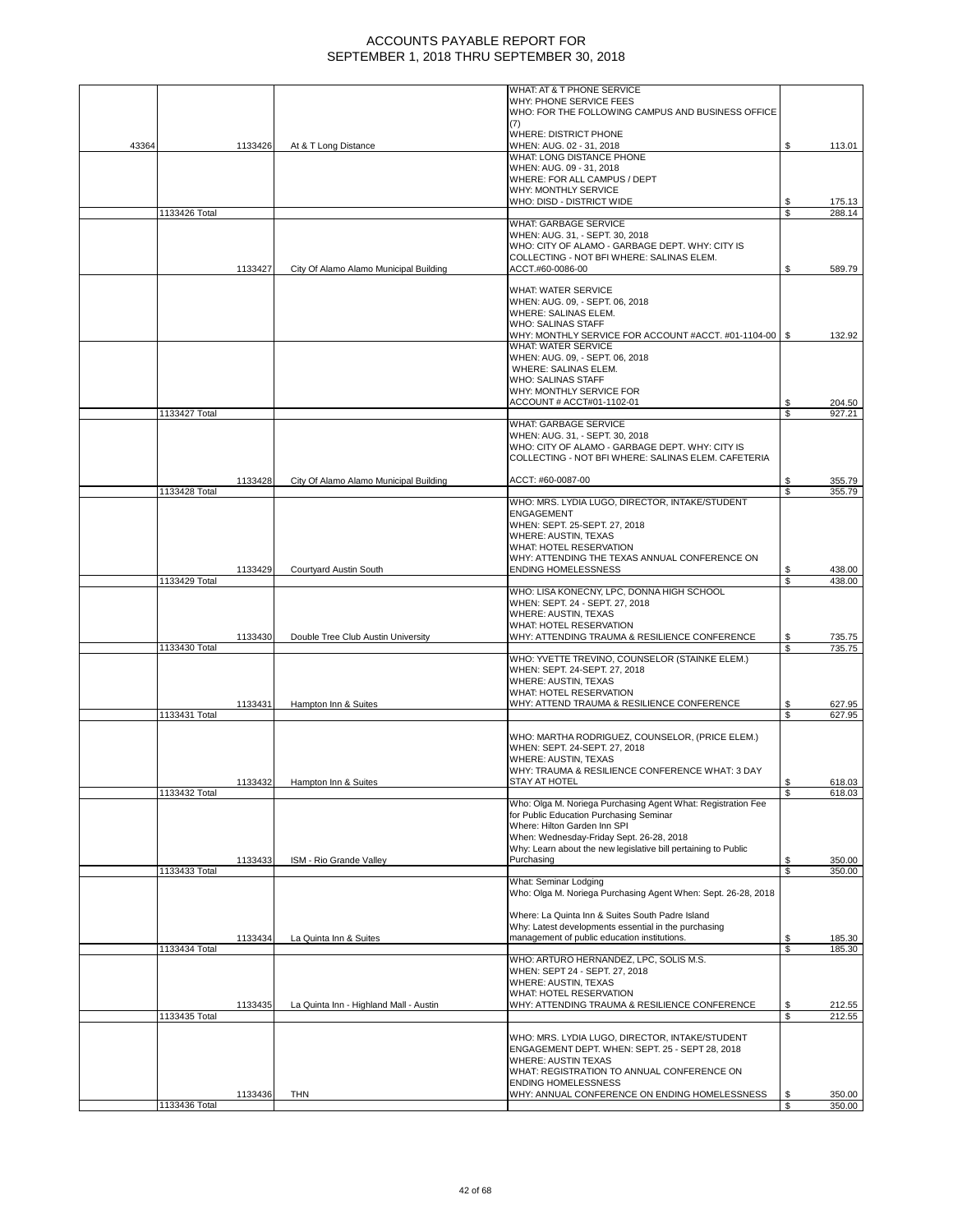|       |               |         |                                        | WHAT: AT & T PHONE SERVICE                                                                                 |          |                  |
|-------|---------------|---------|----------------------------------------|------------------------------------------------------------------------------------------------------------|----------|------------------|
|       |               |         |                                        | WHY: PHONE SERVICE FEES<br>WHO: FOR THE FOLLOWING CAMPUS AND BUSINESS OFFICE                               |          |                  |
|       |               |         |                                        | (7)<br><b>WHERE: DISTRICT PHONE</b>                                                                        |          |                  |
| 43364 |               | 1133426 | At & T Long Distance                   | WHEN: AUG. 02 - 31, 2018                                                                                   | \$       | 113.01           |
|       |               |         |                                        | WHAT: LONG DISTANCE PHONE<br>WHEN: AUG. 09 - 31, 2018                                                      |          |                  |
|       |               |         |                                        | WHERE: FOR ALL CAMPUS / DEPT                                                                               |          |                  |
|       |               |         |                                        | WHY: MONTHLY SERVICE<br>WHO: DISD - DISTRICT WIDE                                                          | \$       | 175.13           |
|       | 1133426 Total |         |                                        |                                                                                                            | \$       | 288.14           |
|       |               |         |                                        | <b>WHAT: GARBAGE SERVICE</b><br>WHEN: AUG. 31, - SEPT. 30, 2018                                            |          |                  |
|       |               |         |                                        | WHO: CITY OF ALAMO - GARBAGE DEPT. WHY: CITY IS                                                            |          |                  |
|       |               | 1133427 | City Of Alamo Alamo Municipal Building | COLLECTING - NOT BFI WHERE: SALINAS ELEM.<br>ACCT.#60-0086-00                                              | \$       | 589.79           |
|       |               |         |                                        |                                                                                                            |          |                  |
|       |               |         |                                        | WHAT: WATER SERVICE<br>WHEN: AUG. 09, - SEPT. 06, 2018                                                     |          |                  |
|       |               |         |                                        | WHERE: SALINAS ELEM.                                                                                       |          |                  |
|       |               |         |                                        | <b>WHO: SALINAS STAFF</b><br>WHY: MONTHLY SERVICE FOR ACCOUNT #ACCT. #01-1104-00   \$                      |          | 132.92           |
|       |               |         |                                        | WHAT: WATER SERVICE                                                                                        |          |                  |
|       |               |         |                                        | WHEN: AUG. 09, - SEPT. 06, 2018<br>WHERE: SALINAS ELEM.                                                    |          |                  |
|       |               |         |                                        | <b>WHO: SALINAS STAFF</b>                                                                                  |          |                  |
|       |               |         |                                        | WHY: MONTHLY SERVICE FOR<br>ACCOUNT # ACCT#01-1102-01                                                      | \$       | 204.50           |
|       | 1133427 Total |         |                                        |                                                                                                            | \$       | 927.21           |
|       |               |         |                                        | WHAT: GARBAGE SERVICE<br>WHEN: AUG. 31, - SEPT. 30, 2018                                                   |          |                  |
|       |               |         |                                        | WHO: CITY OF ALAMO - GARBAGE DEPT. WHY: CITY IS                                                            |          |                  |
|       |               |         |                                        | COLLECTING - NOT BFI WHERE: SALINAS ELEM. CAFETERIA                                                        |          |                  |
|       |               | 1133428 | City Of Alamo Alamo Municipal Building | ACCT: #60-0087-00                                                                                          | \$       | 355.79           |
|       | 1133428 Total |         |                                        | WHO: MRS. LYDIA LUGO, DIRECTOR, INTAKE/STUDENT                                                             | \$       | 355.79           |
|       |               |         |                                        | <b>ENGAGEMENT</b>                                                                                          |          |                  |
|       |               |         |                                        | WHEN: SEPT. 25-SEPT. 27, 2018<br>WHERE: AUSTIN, TEXAS                                                      |          |                  |
|       |               |         |                                        | <b>WHAT: HOTEL RESERVATION</b>                                                                             |          |                  |
|       |               |         |                                        | WHY: ATTENDING THE TEXAS ANNUAL CONFERENCE ON                                                              |          |                  |
|       | 1133429 Total | 1133429 | Courtyard Austin South                 | <b>ENDING HOMELESSNESS</b>                                                                                 | \$<br>s, | 438.00<br>438.00 |
|       |               |         |                                        | WHO: LISA KONECNY, LPC, DONNA HIGH SCHOOL                                                                  |          |                  |
|       |               |         |                                        | WHEN: SEPT. 24 - SEPT. 27, 2018<br>WHERE: AUSTIN, TEXAS                                                    |          |                  |
|       |               |         |                                        | <b>WHAT: HOTEL RESERVATION</b>                                                                             |          |                  |
|       | 1133430 Total | 1133430 | Double Tree Club Austin University     | WHY: ATTENDING TRAUMA & RESILIENCE CONFERENCE                                                              | \$<br>\$ | 735.75<br>735.75 |
|       |               |         |                                        | WHO: YVETTE TREVINO, COUNSELOR (STAINKE ELEM.)                                                             |          |                  |
|       |               |         |                                        | WHEN: SEPT. 24-SEPT. 27, 2018<br><b>WHERE: AUSTIN, TEXAS</b>                                               |          |                  |
|       |               |         |                                        | WHAT: HOTEL RESERVATION                                                                                    |          |                  |
|       | 1133431 Total | 1133431 | Hampton Inn & Suites                   | WHY: ATTEND TRAUMA & RESILIENCE CONFERENCE                                                                 | \$<br>\$ | 627.95<br>627.95 |
|       |               |         |                                        |                                                                                                            |          |                  |
|       |               |         |                                        | WHO: MARTHA RODRIGUEZ, COUNSELOR, (PRICE ELEM.)<br>WHEN: SEPT. 24-SEPT. 27, 2018                           |          |                  |
|       |               |         |                                        | WHERE: AUSTIN, TEXAS                                                                                       |          |                  |
|       |               | 1133432 | Hampton Inn & Suites                   | WHY: TRAUMA & RESILIENCE CONFERENCE WHAT: 3 DAY<br>STAY AT HOTEL                                           |          | 618.03           |
|       | 1133432 Total |         |                                        |                                                                                                            | \$       | 618.03           |
|       |               |         |                                        | Who: Olga M. Noriega Purchasing Agent What: Registration Fee<br>for Public Education Purchasing Seminar    |          |                  |
|       |               |         |                                        | Where: Hilton Garden Inn SPI                                                                               |          |                  |
|       |               |         |                                        | When: Wednesday-Friday Sept. 26-28, 2018<br>Why: Learn about the new legislative bill pertaining to Public |          |                  |
|       |               | 1133433 | ISM - Rio Grande Valley                | Purchasing                                                                                                 | \$       | 350.00           |
|       | 1133433 Total |         |                                        | What: Seminar Lodging                                                                                      | \$       | 350.00           |
|       |               |         |                                        | Who: Olga M. Noriega Purchasing Agent When: Sept. 26-28, 2018                                              |          |                  |
|       |               |         |                                        | Where: La Quinta Inn & Suites South Padre Island                                                           |          |                  |
|       |               | 1133434 | La Quinta Inn & Suites                 | Why: Latest developments essential in the purchasing<br>management of public education institutions.       |          | 185.30           |
|       | 1133434 Total |         |                                        |                                                                                                            | \$<br>\$ | 185.30           |
|       |               |         |                                        | WHO: ARTURO HERNANDEZ, LPC, SOLIS M.S.<br>WHEN: SEPT 24 - SEPT. 27, 2018                                   |          |                  |
|       |               |         |                                        | WHERE: AUSTIN, TEXAS                                                                                       |          |                  |
|       |               |         |                                        | WHAT: HOTEL RESERVATION                                                                                    |          |                  |
|       | 1133435 Total | 1133435 | La Quinta Inn - Highland Mall - Austin | WHY: ATTENDING TRAUMA & RESILIENCE CONFERENCE                                                              | \$<br>\$ | 212.55<br>212.55 |
|       |               |         |                                        |                                                                                                            |          |                  |
|       |               |         |                                        | WHO: MRS. LYDIA LUGO, DIRECTOR, INTAKE/STUDENT<br>ENGAGEMENT DEPT. WHEN: SEPT. 25 - SEPT 28, 2018          |          |                  |
|       |               |         |                                        | <b>WHERE: AUSTIN TEXAS</b>                                                                                 |          |                  |
|       |               |         |                                        | WHAT: REGISTRATION TO ANNUAL CONFERENCE ON<br><b>ENDING HOMELESSNESS</b>                                   |          |                  |
|       |               | 1133436 | THN                                    | WHY: ANNUAL CONFERENCE ON ENDING HOMELESSNESS                                                              | S        | 350.00           |
|       | 1133436 Total |         |                                        |                                                                                                            | \$       | 350.00           |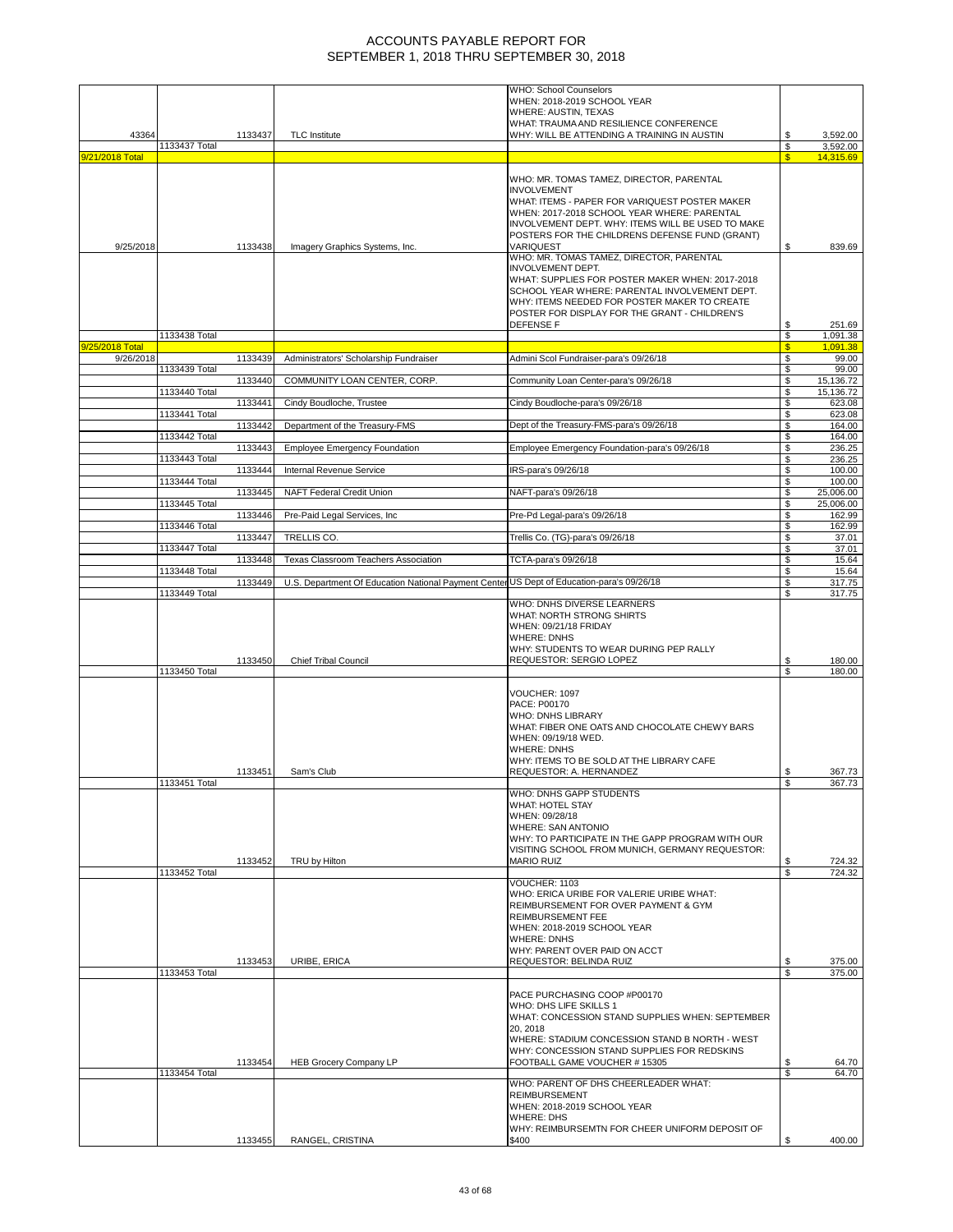|                 |               |         |                                                                                           | <b>WHO: School Counselors</b><br>WHEN: 2018-2019 SCHOOL YEAR                                     |                         |                       |
|-----------------|---------------|---------|-------------------------------------------------------------------------------------------|--------------------------------------------------------------------------------------------------|-------------------------|-----------------------|
|                 |               |         |                                                                                           | <b>WHERE: AUSTIN, TEXAS</b>                                                                      |                         |                       |
|                 |               |         |                                                                                           | WHAT: TRAUMA AND RESILIENCE CONFERENCE                                                           |                         |                       |
| 43364           |               | 1133437 | <b>TLC</b> Institute                                                                      | WHY: WILL BE ATTENDING A TRAINING IN AUSTIN                                                      | S                       | 3,592.00              |
| 9/21/2018 Total | 1133437 Total |         |                                                                                           |                                                                                                  | S<br>$\mathbf{s}$       | 3,592.00<br>14,315.69 |
|                 |               |         |                                                                                           |                                                                                                  |                         |                       |
|                 |               |         |                                                                                           | WHO: MR. TOMAS TAMEZ, DIRECTOR, PARENTAL                                                         |                         |                       |
|                 |               |         |                                                                                           | <b>INVOLVEMENT</b>                                                                               |                         |                       |
|                 |               |         |                                                                                           | WHAT: ITEMS - PAPER FOR VARIQUEST POSTER MAKER                                                   |                         |                       |
|                 |               |         |                                                                                           | WHEN: 2017-2018 SCHOOL YEAR WHERE: PARENTAL<br>INVOLVEMENT DEPT. WHY: ITEMS WILL BE USED TO MAKE |                         |                       |
|                 |               |         |                                                                                           | POSTERS FOR THE CHILDRENS DEFENSE FUND (GRANT)                                                   |                         |                       |
| 9/25/2018       |               | 1133438 | Imagery Graphics Systems, Inc.                                                            | VARIQUEST                                                                                        | \$                      | 839.69                |
|                 |               |         |                                                                                           | WHO: MR. TOMAS TAMEZ, DIRECTOR, PARENTAL                                                         |                         |                       |
|                 |               |         |                                                                                           | <b>INVOLVEMENT DEPT.</b>                                                                         |                         |                       |
|                 |               |         |                                                                                           | WHAT: SUPPLIES FOR POSTER MAKER WHEN: 2017-2018<br>SCHOOL YEAR WHERE: PARENTAL INVOLVEMENT DEPT. |                         |                       |
|                 |               |         |                                                                                           | WHY: ITEMS NEEDED FOR POSTER MAKER TO CREATE                                                     |                         |                       |
|                 |               |         |                                                                                           | POSTER FOR DISPLAY FOR THE GRANT - CHILDREN'S                                                    |                         |                       |
|                 |               |         |                                                                                           | <b>DEFENSE F</b>                                                                                 | \$                      | 251.69                |
|                 | 1133438 Total |         |                                                                                           |                                                                                                  | \$                      | 1,091.38              |
| 9/25/2018 Total |               |         |                                                                                           |                                                                                                  | $\overline{\mathbb{S}}$ | 1,091.38              |
| 9/26/2018       | 1133439 Total | 1133439 | Administrators' Scholarship Fundraiser                                                    | Admini Scol Fundraiser-para's 09/26/18                                                           | \$<br>\$                | 99.00<br>99.00        |
|                 |               | 1133440 | COMMUNITY LOAN CENTER, CORP.                                                              | Community Loan Center-para's 09/26/18                                                            | \$                      | 15,136.72             |
|                 | 1133440 Total |         |                                                                                           |                                                                                                  | \$                      | 15,136.72             |
|                 |               | 1133441 | Cindy Boudloche, Trustee                                                                  | Cindy Boudloche-para's 09/26/18                                                                  | \$                      | 623.08                |
|                 | 1133441 Total | 1133442 | Department of the Treasury-FMS                                                            | Dept of the Treasury-FMS-para's 09/26/18                                                         | \$<br>\$                | 623.08<br>164.00      |
|                 | 1133442 Total |         |                                                                                           |                                                                                                  | \$                      | 164.00                |
|                 |               | 1133443 | <b>Employee Emergency Foundation</b>                                                      | Employee Emergency Foundation-para's 09/26/18                                                    | \$                      | 236.25                |
|                 | 1133443 Total | 1133444 | Internal Revenue Service                                                                  | IRS-para's 09/26/18                                                                              | \$<br>\$                | 236.25<br>100.00      |
|                 | 1133444 Total |         |                                                                                           |                                                                                                  | \$                      | 100.00                |
|                 |               | 1133445 | NAFT Federal Credit Union                                                                 | NAFT-para's 09/26/18                                                                             | \$                      | 25,006.00             |
|                 | 1133445 Total | 1133446 | Pre-Paid Legal Services, Inc.                                                             | Pre-Pd Legal-para's 09/26/18                                                                     | \$<br>\$                | 25,006.00<br>162.99   |
|                 | 1133446 Total |         |                                                                                           |                                                                                                  | \$                      | 162.99                |
|                 |               | 1133447 | TRELLIS CO.                                                                               | Trellis Co. (TG)-para's 09/26/18                                                                 | \$                      | 37.01                 |
|                 | 1133447 Total | 1133448 | <b>Texas Classroom Teachers Association</b>                                               | TCTA-para's 09/26/18                                                                             | \$<br>\$                | 37.01<br>15.64        |
|                 | 1133448 Total |         |                                                                                           |                                                                                                  | \$                      | 15.64                 |
|                 |               | 1133449 | U.S. Department Of Education National Payment Center US Dept of Education-para's 09/26/18 |                                                                                                  | \$                      | 317.75<br>317.75      |
|                 | 1133449 Total |         |                                                                                           | WHO: DNHS DIVERSE LEARNERS                                                                       |                         |                       |
|                 |               |         |                                                                                           | WHAT: NORTH STRONG SHIRTS                                                                        |                         |                       |
|                 |               |         |                                                                                           | WHEN: 09/21/18 FRIDAY                                                                            |                         |                       |
|                 |               |         |                                                                                           | <b>WHERE: DNHS</b>                                                                               |                         |                       |
|                 |               |         | <b>Chief Tribal Council</b>                                                               | WHY: STUDENTS TO WEAR DURING PEP RALLY<br>REQUESTOR: SERGIO LOPEZ                                |                         |                       |
|                 | 1133450 Total | 1133450 |                                                                                           |                                                                                                  | \$<br>\$                | 180.00<br>180.00      |
|                 |               |         |                                                                                           |                                                                                                  |                         |                       |
|                 |               |         |                                                                                           | VOUCHER: 1097                                                                                    |                         |                       |
|                 |               |         |                                                                                           | PACE: P00170                                                                                     |                         |                       |
|                 |               |         |                                                                                           | WHO: DNHS LIBRARY<br>WHAT: FIBER ONE OATS AND CHOCOLATE CHEWY BARS                               |                         |                       |
|                 |               |         |                                                                                           |                                                                                                  |                         |                       |
|                 |               |         |                                                                                           |                                                                                                  |                         |                       |
|                 |               |         |                                                                                           | WHEN: 09/19/18 WED.<br><b>WHERE: DNHS</b>                                                        |                         |                       |
|                 |               |         |                                                                                           | WHY: ITEMS TO BE SOLD AT THE LIBRARY CAFE                                                        |                         |                       |
|                 |               | 1133451 | Sam's Club                                                                                | REQUESTOR: A. HERNANDEZ                                                                          | \$                      | 367.73                |
|                 | 1133451 Total |         |                                                                                           |                                                                                                  | S                       | 367.73                |
|                 |               |         |                                                                                           | WHO: DNHS GAPP STUDENTS<br>WHAT: HOTEL STAY                                                      |                         |                       |
|                 |               |         |                                                                                           | WHEN: 09/28/18                                                                                   |                         |                       |
|                 |               |         |                                                                                           | <b>WHERE: SAN ANTONIO</b>                                                                        |                         |                       |
|                 |               |         |                                                                                           | WHY: TO PARTICIPATE IN THE GAPP PROGRAM WITH OUR                                                 |                         |                       |
|                 |               | 1133452 | TRU by Hilton                                                                             | VISITING SCHOOL FROM MUNICH, GERMANY REQUESTOR:<br><b>MARIO RUIZ</b>                             | \$                      | 724.32                |
|                 | 1133452 Total |         |                                                                                           |                                                                                                  | \$                      | 724.32                |
|                 |               |         |                                                                                           | VOUCHER: 1103                                                                                    |                         |                       |
|                 |               |         |                                                                                           | WHO: ERICA URIBE FOR VALERIE URIBE WHAT:                                                         |                         |                       |
|                 |               |         |                                                                                           | REIMBURSEMENT FOR OVER PAYMENT & GYM<br>REIMBURSEMENT FEE                                        |                         |                       |
|                 |               |         |                                                                                           | WHEN: 2018-2019 SCHOOL YEAR                                                                      |                         |                       |
|                 |               |         |                                                                                           | <b>WHERE: DNHS</b>                                                                               |                         |                       |
|                 |               |         |                                                                                           | WHY: PARENT OVER PAID ON ACCT                                                                    |                         |                       |
|                 | 1133453 Total | 1133453 | URIBE, ERICA                                                                              | REQUESTOR: BELINDA RUIZ                                                                          | \$<br>S                 | 375.00                |
|                 |               |         |                                                                                           |                                                                                                  |                         | 375.00                |
|                 |               |         |                                                                                           | PACE PURCHASING COOP #P00170                                                                     |                         |                       |
|                 |               |         |                                                                                           | WHO: DHS LIFE SKILLS 1                                                                           |                         |                       |
|                 |               |         |                                                                                           | WHAT: CONCESSION STAND SUPPLIES WHEN: SEPTEMBER<br>20, 2018                                      |                         |                       |
|                 |               |         |                                                                                           | WHERE: STADIUM CONCESSION STAND B NORTH - WEST                                                   |                         |                       |
|                 |               |         |                                                                                           | WHY: CONCESSION STAND SUPPLIES FOR REDSKINS                                                      |                         |                       |
|                 | 1133454 Total | 1133454 | <b>HEB Grocery Company LP</b>                                                             | FOOTBALL GAME VOUCHER # 15305                                                                    | \$<br>\$                | 64.70<br>64.70        |
|                 |               |         |                                                                                           | WHO: PARENT OF DHS CHEERLEADER WHAT:                                                             |                         |                       |
|                 |               |         |                                                                                           | <b>REIMBURSEMENT</b>                                                                             |                         |                       |
|                 |               |         |                                                                                           | WHEN: 2018-2019 SCHOOL YEAR                                                                      |                         |                       |
|                 |               |         |                                                                                           | <b>WHERE: DHS</b><br>WHY: REIMBURSEMTN FOR CHEER UNIFORM DEPOSIT OF                              |                         |                       |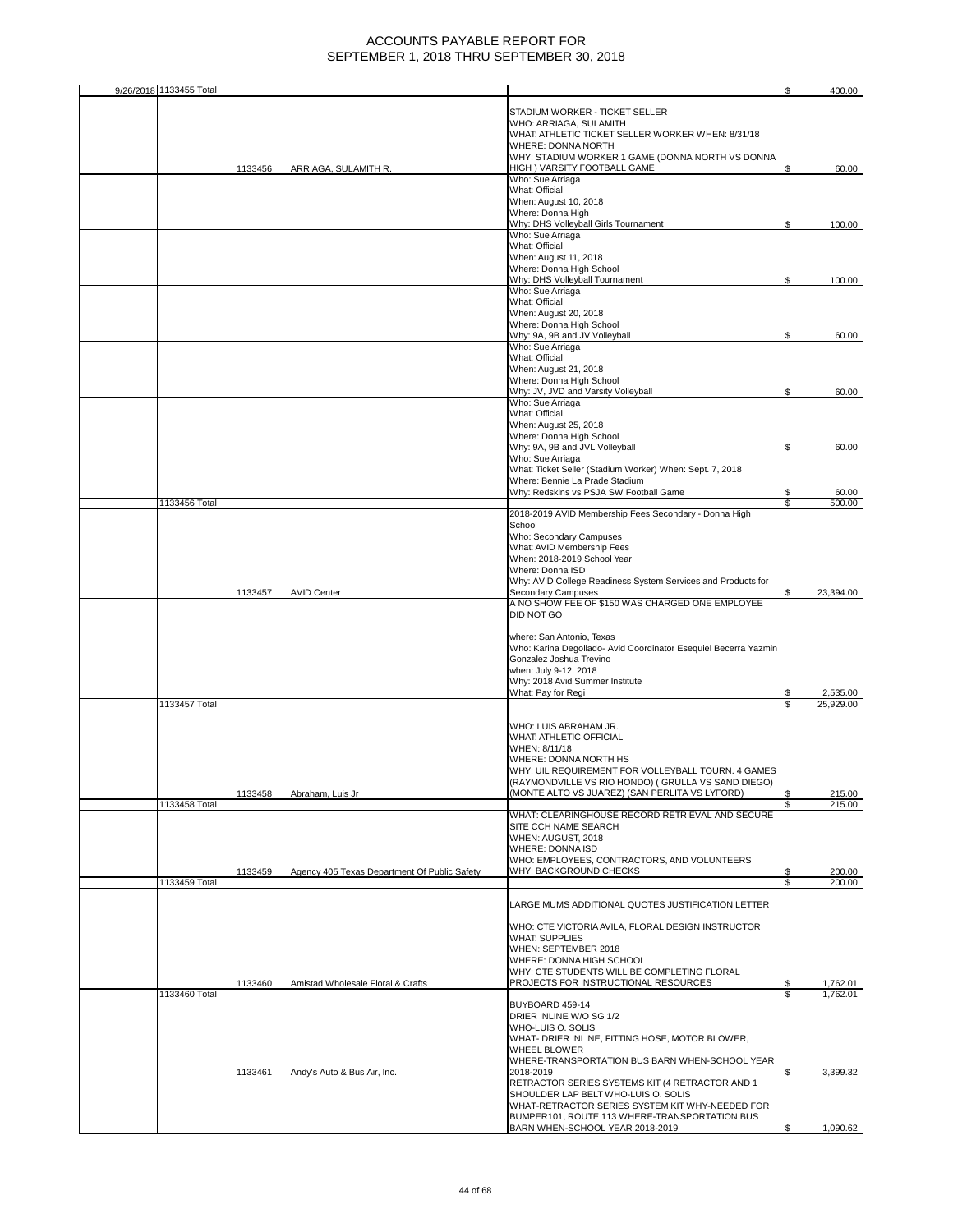| 9/26/2018 1133455 Total |         |                                              |                                                                                            | \$  | 400.00           |
|-------------------------|---------|----------------------------------------------|--------------------------------------------------------------------------------------------|-----|------------------|
|                         |         |                                              |                                                                                            |     |                  |
|                         |         |                                              | STADIUM WORKER - TICKET SELLER<br>WHO: ARRIAGA, SULAMITH                                   |     |                  |
|                         |         |                                              | WHAT: ATHLETIC TICKET SELLER WORKER WHEN: 8/31/18                                          |     |                  |
|                         |         |                                              | WHERE: DONNA NORTH                                                                         |     |                  |
|                         |         |                                              | WHY: STADIUM WORKER 1 GAME (DONNA NORTH VS DONNA                                           |     |                  |
|                         | 1133456 | ARRIAGA, SULAMITH R.                         | HIGH ) VARSITY FOOTBALL GAME<br>Who: Sue Arriaga                                           | \$  | 60.00            |
|                         |         |                                              | What: Official                                                                             |     |                  |
|                         |         |                                              | When: August 10, 2018                                                                      |     |                  |
|                         |         |                                              | Where: Donna High                                                                          |     |                  |
|                         |         |                                              | Why: DHS Volleyball Girls Tournament                                                       | \$  | 100.00           |
|                         |         |                                              | Who: Sue Arriaga<br>What: Official                                                         |     |                  |
|                         |         |                                              | When: August 11, 2018                                                                      |     |                  |
|                         |         |                                              | Where: Donna High School                                                                   |     |                  |
|                         |         |                                              | Why: DHS Volleyball Tournament                                                             | \$  | 100.00           |
|                         |         |                                              | Who: Sue Arriaga                                                                           |     |                  |
|                         |         |                                              | What: Official                                                                             |     |                  |
|                         |         |                                              | When: August 20, 2018<br>Where: Donna High School                                          |     |                  |
|                         |         |                                              | Why: 9A, 9B and JV Volleyball                                                              | \$  | 60.00            |
|                         |         |                                              | Who: Sue Arriaga                                                                           |     |                  |
|                         |         |                                              | What: Official                                                                             |     |                  |
|                         |         |                                              | When: August 21, 2018                                                                      |     |                  |
|                         |         |                                              | Where: Donna High School                                                                   |     |                  |
|                         |         |                                              | Why: JV, JVD and Varsity Volleyball<br>Who: Sue Arriaga                                    | \$  | 60.00            |
|                         |         |                                              | What: Official                                                                             |     |                  |
|                         |         |                                              | When: August 25, 2018                                                                      |     |                  |
|                         |         |                                              | Where: Donna High School                                                                   |     |                  |
|                         |         |                                              | Why: 9A, 9B and JVL Volleyball                                                             | \$  | 60.00            |
|                         |         |                                              | Who: Sue Arriaga                                                                           |     |                  |
|                         |         |                                              | What: Ticket Seller (Stadium Worker) When: Sept. 7, 2018<br>Where: Bennie La Prade Stadium |     |                  |
|                         |         |                                              | Why: Redskins vs PSJA SW Football Game                                                     | \$  | 60.00            |
| 1133456 Total           |         |                                              |                                                                                            | \$  | 500.00           |
|                         |         |                                              | 2018-2019 AVID Membership Fees Secondary - Donna High                                      |     |                  |
|                         |         |                                              | School                                                                                     |     |                  |
|                         |         |                                              | Who: Secondary Campuses<br>What: AVID Membership Fees                                      |     |                  |
|                         |         |                                              | When: 2018-2019 School Year                                                                |     |                  |
|                         |         |                                              | Where: Donna ISD                                                                           |     |                  |
|                         |         |                                              | Why: AVID College Readiness System Services and Products for                               |     |                  |
|                         | 1133457 | <b>AVID Center</b>                           | <b>Secondary Campuses</b>                                                                  | \$  | 23,394.00        |
|                         |         |                                              | A NO SHOW FEE OF \$150 WAS CHARGED ONE EMPLOYEE                                            |     |                  |
|                         |         |                                              | DID NOT GO                                                                                 |     |                  |
|                         |         |                                              | where: San Antonio, Texas                                                                  |     |                  |
|                         |         |                                              | Who: Karina Degollado- Avid Coordinator Esequiel Becerra Yazmin                            |     |                  |
|                         |         |                                              | Gonzalez Joshua Trevino                                                                    |     |                  |
|                         |         |                                              | when: July 9-12, 2018                                                                      |     |                  |
|                         |         |                                              | Why: 2018 Avid Summer Institute                                                            |     |                  |
|                         |         |                                              | What: Pay for Regi                                                                         | \$  | 2,535.00         |
| 1133457 Total           |         |                                              |                                                                                            | \$  | 25,929.00        |
|                         |         |                                              | WHO: LUIS ABRAHAM JR.                                                                      |     |                  |
|                         |         |                                              | WHAT: ATHLETIC OFFICIAL                                                                    |     |                  |
|                         |         |                                              | WHEN: 8/11/18                                                                              |     |                  |
|                         |         |                                              | WHERE: DONNA NORTH HS                                                                      |     |                  |
|                         |         |                                              | WHY: UIL REQUIREMENT FOR VOLLEYBALL TOURN. 4 GAMES                                         |     |                  |
|                         |         | Abraham, Luis Jr                             | (RAYMONDVILLE VS RIO HONDO) ( GRULLA VS SAND DIEGO)                                        | \$  |                  |
| 1133458 Total           | 1133458 |                                              | (MONTE ALTO VS JUAREZ) (SAN PERLITA VS LYFORD)                                             | \$. | 215.00<br>215.00 |
|                         |         |                                              | WHAT: CLEARINGHOUSE RECORD RETRIEVAL AND SECURE                                            |     |                  |
|                         |         |                                              | SITE CCH NAME SEARCH                                                                       |     |                  |
|                         |         |                                              | WHEN: AUGUST, 2018                                                                         |     |                  |
|                         |         |                                              | WHERE: DONNA ISD                                                                           |     |                  |
|                         | 1133459 | Agency 405 Texas Department Of Public Safety | WHO: EMPLOYEES, CONTRACTORS, AND VOLUNTEERS<br>WHY: BACKGROUND CHECKS                      | \$  | 200.00           |
| 1133459 Total           |         |                                              |                                                                                            | \$  | 200.00           |
|                         |         |                                              |                                                                                            |     |                  |
|                         |         |                                              | LARGE MUMS ADDITIONAL QUOTES JUSTIFICATION LETTER                                          |     |                  |
|                         |         |                                              |                                                                                            |     |                  |
|                         |         |                                              | WHO: CTE VICTORIA AVILA, FLORAL DESIGN INSTRUCTOR<br><b>WHAT: SUPPLIES</b>                 |     |                  |
|                         |         |                                              | WHEN: SEPTEMBER 2018                                                                       |     |                  |
|                         |         |                                              | WHERE: DONNA HIGH SCHOOL                                                                   |     |                  |
|                         |         |                                              | WHY: CTE STUDENTS WILL BE COMPLETING FLORAL                                                |     |                  |
|                         | 1133460 | Amistad Wholesale Floral & Crafts            | PROJECTS FOR INSTRUCTIONAL RESOURCES                                                       | \$  | 1,762.01         |
| 1133460 Total           |         |                                              |                                                                                            | \$  | 1,762.01         |
|                         |         |                                              | BUYBOARD 459-14<br>DRIER INLINE W/O SG 1/2                                                 |     |                  |
|                         |         |                                              | WHO-LUIS O. SOLIS                                                                          |     |                  |
|                         |         |                                              | WHAT- DRIER INLINE, FITTING HOSE, MOTOR BLOWER,                                            |     |                  |
|                         |         |                                              | <b>WHEEL BLOWER</b>                                                                        |     |                  |
|                         |         |                                              | WHERE-TRANSPORTATION BUS BARN WHEN-SCHOOL YEAR                                             |     |                  |
|                         | 1133461 | Andy's Auto & Bus Air, Inc.                  | 2018-2019                                                                                  | \$  | 3,399.32         |
|                         |         |                                              | RETRACTOR SERIES SYSTEMS KIT (4 RETRACTOR AND 1<br>SHOULDER LAP BELT WHO-LUIS O. SOLIS     |     |                  |
|                         |         |                                              | WHAT-RETRACTOR SERIES SYSTEM KIT WHY-NEEDED FOR                                            |     |                  |
|                         |         |                                              | BUMPER101, ROUTE 113 WHERE-TRANSPORTATION BUS                                              |     |                  |
|                         |         |                                              | BARN WHEN-SCHOOL YEAR 2018-2019                                                            | S   | 1,090.62         |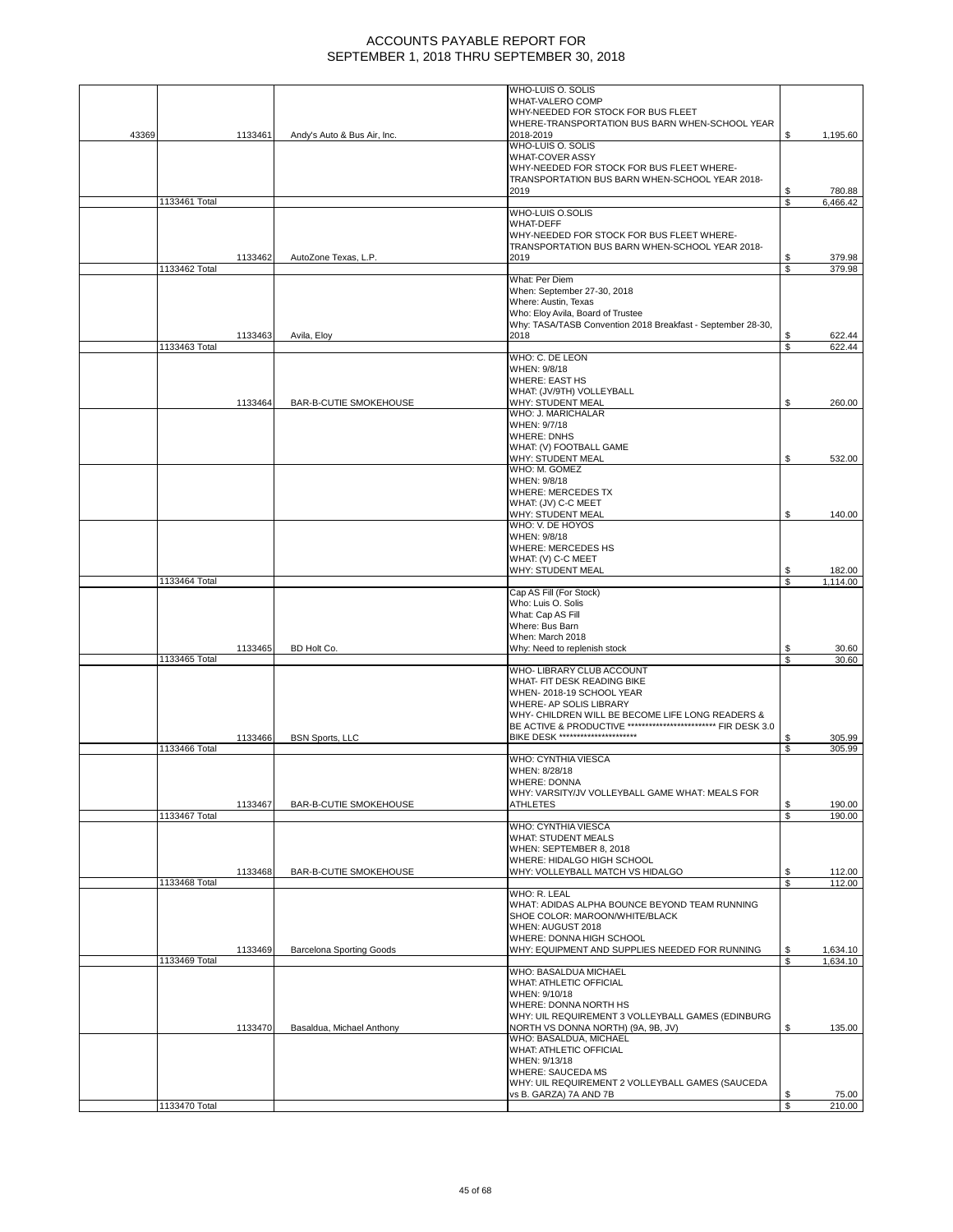|       |               |         |                                 | WHO-LUIS O. SOLIS                                                                                                  |         |                    |
|-------|---------------|---------|---------------------------------|--------------------------------------------------------------------------------------------------------------------|---------|--------------------|
|       |               |         |                                 | WHAT-VALERO COMP<br>WHY-NEEDED FOR STOCK FOR BUS FLEET                                                             |         |                    |
|       |               |         |                                 | WHERE-TRANSPORTATION BUS BARN WHEN-SCHOOL YEAR                                                                     |         |                    |
| 43369 |               | 1133461 | Andy's Auto & Bus Air, Inc.     | 2018-2019                                                                                                          | \$      | 1,195.60           |
|       |               |         |                                 | WHO-LUIS O. SOLIS                                                                                                  |         |                    |
|       |               |         |                                 | <b>WHAT-COVER ASSY</b><br>WHY-NEEDED FOR STOCK FOR BUS FLEET WHERE-                                                |         |                    |
|       |               |         |                                 | TRANSPORTATION BUS BARN WHEN-SCHOOL YEAR 2018-                                                                     |         |                    |
|       |               |         |                                 | 2019                                                                                                               |         | 780.88             |
|       | 1133461 Total |         |                                 | WHO-LUIS O.SOLIS                                                                                                   | S       | 6,466.42           |
|       |               |         |                                 | <b>WHAT-DEFF</b>                                                                                                   |         |                    |
|       |               |         |                                 | WHY-NEEDED FOR STOCK FOR BUS FLEET WHERE-                                                                          |         |                    |
|       |               |         |                                 | TRANSPORTATION BUS BARN WHEN-SCHOOL YEAR 2018-                                                                     |         |                    |
|       | 1133462 Total | 1133462 | AutoZone Texas, L.P.            | 2019                                                                                                               | S<br>\$ | 379.98<br>379.98   |
|       |               |         |                                 | What: Per Diem                                                                                                     |         |                    |
|       |               |         |                                 | When: September 27-30, 2018                                                                                        |         |                    |
|       |               |         |                                 | Where: Austin, Texas                                                                                               |         |                    |
|       |               |         |                                 | Who: Eloy Avila, Board of Trustee<br>Why: TASA/TASB Convention 2018 Breakfast - September 28-30,                   |         |                    |
|       |               | 1133463 | Avila, Eloy                     | 2018                                                                                                               |         | 622.44             |
|       | 1133463 Total |         |                                 |                                                                                                                    | S       | 622.44             |
|       |               |         |                                 | WHO: C. DE LEON<br>WHEN: 9/8/18                                                                                    |         |                    |
|       |               |         |                                 | <b>WHERE: EAST HS</b>                                                                                              |         |                    |
|       |               |         |                                 | WHAT: (JV/9TH) VOLLEYBALL                                                                                          |         |                    |
|       |               | 1133464 | BAR-B-CUTIE SMOKEHOUSE          | WHY: STUDENT MEAL<br>WHO: J. MARICHALAR                                                                            | \$      | 260.00             |
|       |               |         |                                 | WHEN: 9/7/18                                                                                                       |         |                    |
|       |               |         |                                 | <b>WHERE: DNHS</b>                                                                                                 |         |                    |
|       |               |         |                                 | WHAT: (V) FOOTBALL GAME                                                                                            |         |                    |
|       |               |         |                                 | WHY: STUDENT MEAL<br>WHO: M. GOMEZ                                                                                 | \$      | 532.00             |
|       |               |         |                                 | WHEN: 9/8/18                                                                                                       |         |                    |
|       |               |         |                                 | WHERE: MERCEDES TX                                                                                                 |         |                    |
|       |               |         |                                 | WHAT: (JV) C-C MEET                                                                                                |         |                    |
|       |               |         |                                 | WHY: STUDENT MEAL<br>WHO: V. DE HOYOS                                                                              | \$      | 140.00             |
|       |               |         |                                 | WHEN: 9/8/18                                                                                                       |         |                    |
|       |               |         |                                 | WHERE: MERCEDES HS                                                                                                 |         |                    |
|       |               |         |                                 | WHAT: (V) C-C MEET                                                                                                 |         |                    |
|       | 1133464 Total |         |                                 | WHY: STUDENT MEAL                                                                                                  | \$<br>S | 182.00<br>1,114.00 |
|       |               |         |                                 | Cap AS Fill (For Stock)                                                                                            |         |                    |
|       |               |         |                                 | Who: Luis O. Solis                                                                                                 |         |                    |
|       |               |         |                                 | What: Cap AS Fill<br>Where: Bus Barn                                                                               |         |                    |
|       |               |         |                                 | When: March 2018                                                                                                   |         |                    |
|       |               | 1133465 | BD Holt Co.                     | Why: Need to replenish stock                                                                                       |         | 30.60              |
|       | 1133465 Total |         |                                 | WHO- LIBRARY CLUB ACCOUNT                                                                                          | S       | 30.60              |
|       |               |         |                                 | WHAT- FIT DESK READING BIKE                                                                                        |         |                    |
|       |               |         |                                 | WHEN-2018-19 SCHOOL YEAR                                                                                           |         |                    |
|       |               |         |                                 | WHERE- AP SOLIS LIBRARY                                                                                            |         |                    |
|       |               |         |                                 | WHY- CHILDREN WILL BE BECOME LIFE LONG READERS &<br>BE ACTIVE & PRODUCTIVE ************************** FIR DESK 3.0 |         |                    |
|       |               | 1133466 | <b>BSN Sports, LLC</b>          | <b>BIKE DESK **********************</b>                                                                            | \$      | 305.99             |
|       | 1133466 Total |         |                                 |                                                                                                                    | S       | 305.99             |
|       |               |         |                                 | WHO: CYNTHIA VIESCA<br>WHEN: 8/28/18                                                                               |         |                    |
|       |               |         |                                 | WHERE: DONNA                                                                                                       |         |                    |
|       |               |         |                                 | WHY: VARSITY/JV VOLLEYBALL GAME WHAT: MEALS FOR                                                                    |         |                    |
|       |               | 1133467 | BAR-B-CUTIE SMOKEHOUSE          | <b>ATHLETES</b>                                                                                                    | \$      | 190.00             |
|       | 1133467 Total |         |                                 | WHO: CYNTHIA VIESCA                                                                                                | \$      | 190.00             |
|       |               |         |                                 | <b>WHAT: STUDENT MEALS</b>                                                                                         |         |                    |
|       |               |         |                                 | WHEN: SEPTEMBER 8, 2018                                                                                            |         |                    |
|       |               | 1133468 | BAR-B-CUTIE SMOKEHOUSE          | WHERE: HIDALGO HIGH SCHOOL<br>WHY: VOLLEYBALL MATCH VS HIDALGO                                                     | \$      | 112.00             |
|       | 1133468 Total |         |                                 |                                                                                                                    | S       | 112.00             |
|       |               |         |                                 | WHO: R. LEAL                                                                                                       |         |                    |
|       |               |         |                                 | WHAT: ADIDAS ALPHA BOUNCE BEYOND TEAM RUNNING                                                                      |         |                    |
|       |               |         |                                 | SHOE COLOR: MAROON/WHITE/BLACK<br>WHEN: AUGUST 2018                                                                |         |                    |
|       |               |         |                                 | WHERE: DONNA HIGH SCHOOL                                                                                           |         |                    |
|       |               | 1133469 | <b>Barcelona Sporting Goods</b> | WHY: EQUIPMENT AND SUPPLIES NEEDED FOR RUNNING                                                                     | \$      | 1,634.10           |
|       | 1133469 Total |         |                                 | WHO: BASALDUA MICHAEL                                                                                              | \$      | 1,634.10           |
|       |               |         |                                 | WHAT: ATHLETIC OFFICIAL                                                                                            |         |                    |
|       |               |         |                                 | WHEN: 9/10/18                                                                                                      |         |                    |
|       |               |         |                                 | WHERE: DONNA NORTH HS                                                                                              |         |                    |
|       |               | 1133470 | Basaldua, Michael Anthony       | WHY: UIL REQUIREMENT 3 VOLLEYBALL GAMES (EDINBURG<br>NORTH VS DONNA NORTH) (9A, 9B, JV)                            | \$      | 135.00             |
|       |               |         |                                 | WHO: BASALDUA, MICHAEL                                                                                             |         |                    |
|       |               |         |                                 | WHAT: ATHLETIC OFFICIAL                                                                                            |         |                    |
|       |               |         |                                 | WHEN: 9/13/18                                                                                                      |         |                    |
|       |               |         |                                 | <b>WHERE: SAUCEDA MS</b><br>WHY: UIL REQUIREMENT 2 VOLLEYBALL GAMES (SAUCEDA                                       |         |                    |
|       |               |         |                                 | vs B. GARZA) 7A AND 7B                                                                                             | \$      | 75.00              |
|       | 1133470 Total |         |                                 |                                                                                                                    | \$      | 210.00             |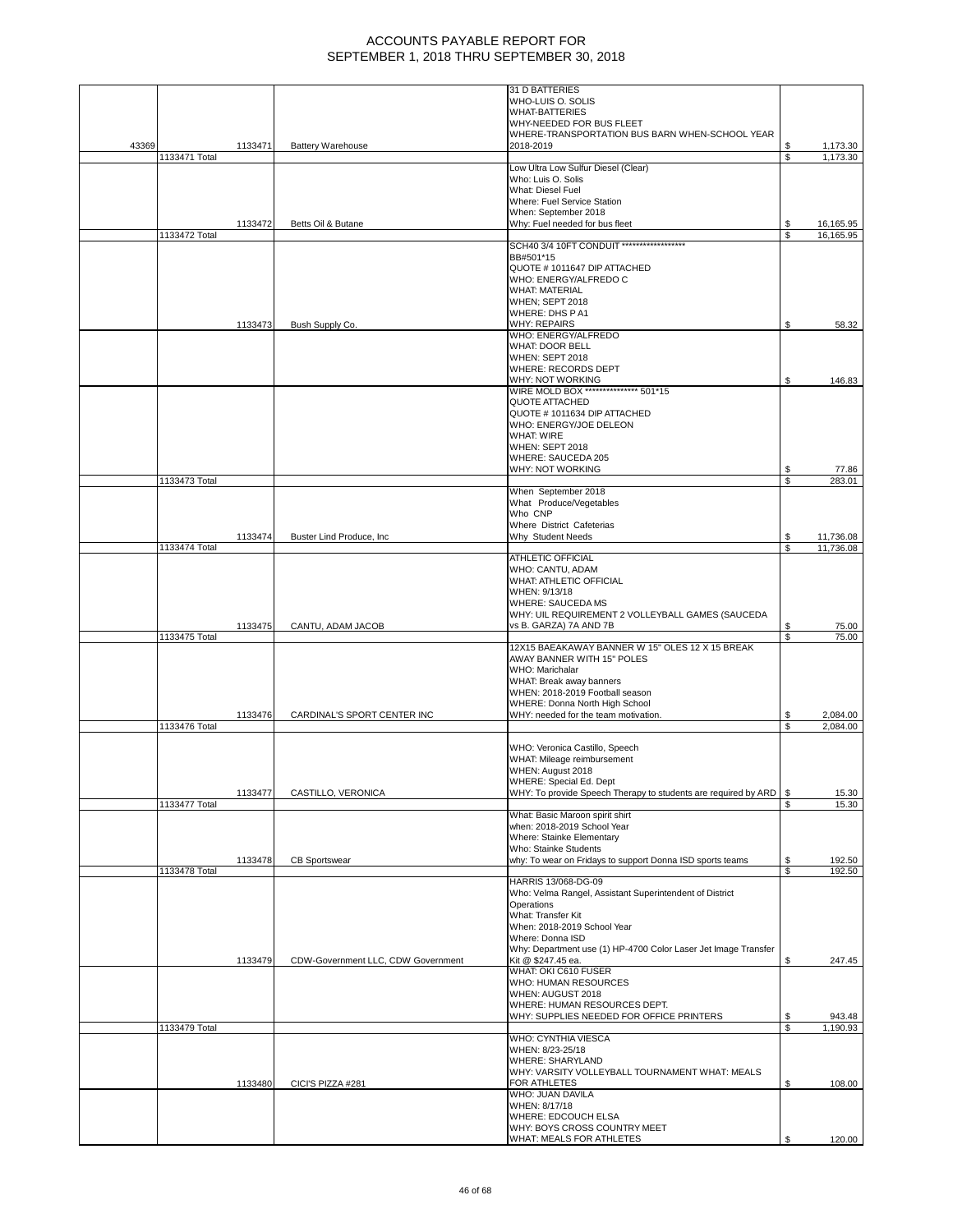|       |               |         |                                    | 31 D BATTERIES                                                                     |          |                        |
|-------|---------------|---------|------------------------------------|------------------------------------------------------------------------------------|----------|------------------------|
|       |               |         |                                    | WHO-LUIS O. SOLIS                                                                  |          |                        |
|       |               |         |                                    | <b>WHAT-BATTERIES</b>                                                              |          |                        |
|       |               |         |                                    | WHY-NEEDED FOR BUS FLEET<br>WHERE-TRANSPORTATION BUS BARN WHEN-SCHOOL YEAR         |          |                        |
| 43369 |               | 1133471 | <b>Battery Warehouse</b>           | 2018-2019                                                                          | \$       | 1,173.30               |
|       | 1133471 Total |         |                                    |                                                                                    | \$       | 1,173.30               |
|       |               |         |                                    | Low Ultra Low Sulfur Diesel (Clear)                                                |          |                        |
|       |               |         |                                    | Who: Luis O. Solis                                                                 |          |                        |
|       |               |         |                                    | What: Diesel Fuel                                                                  |          |                        |
|       |               |         |                                    | Where: Fuel Service Station                                                        |          |                        |
|       |               | 1133472 | Betts Oil & Butane                 | When: September 2018<br>Why: Fuel needed for bus fleet                             | \$       | 16,165.95              |
|       | 1133472 Total |         |                                    |                                                                                    | \$       | 16,165.95              |
|       |               |         |                                    | SCH40 3/4 10FT CONDUIT *******************                                         |          |                        |
|       |               |         |                                    | BB#501*15                                                                          |          |                        |
|       |               |         |                                    | QUOTE #1011647 DIP ATTACHED                                                        |          |                        |
|       |               |         |                                    | WHO: ENERGY/ALFREDO C<br><b>WHAT: MATERIAL</b>                                     |          |                        |
|       |               |         |                                    | <b>WHEN; SEPT 2018</b>                                                             |          |                        |
|       |               |         |                                    | WHERE: DHS PA1                                                                     |          |                        |
|       |               | 1133473 | Bush Supply Co.                    | <b>WHY: REPAIRS</b>                                                                | S        | 58.32                  |
|       |               |         |                                    | WHO: ENERGY/ALFREDO                                                                |          |                        |
|       |               |         |                                    | <b>WHAT: DOOR BELL</b>                                                             |          |                        |
|       |               |         |                                    | <b>WHEN: SEPT 2018</b>                                                             |          |                        |
|       |               |         |                                    | WHERE: RECORDS DEPT<br>WHY: NOT WORKING                                            | \$       |                        |
|       |               |         |                                    | WIRE MOLD BOX *************** 501*15                                               |          | 146.83                 |
|       |               |         |                                    | QUOTE ATTACHED                                                                     |          |                        |
|       |               |         |                                    | QUOTE #1011634 DIP ATTACHED                                                        |          |                        |
|       |               |         |                                    | WHO: ENERGY/JOE DELEON                                                             |          |                        |
|       |               |         |                                    | <b>WHAT: WIRE</b>                                                                  |          |                        |
|       |               |         |                                    | <b>WHEN: SEPT 2018</b>                                                             |          |                        |
|       |               |         |                                    | WHERE: SAUCEDA 205<br>WHY: NOT WORKING                                             | \$       | 77.86                  |
|       | 1133473 Total |         |                                    |                                                                                    | \$       | 283.01                 |
|       |               |         |                                    | When September 2018                                                                |          |                        |
|       |               |         |                                    | What Produce/Vegetables                                                            |          |                        |
|       |               |         |                                    | Who CNP                                                                            |          |                        |
|       |               |         |                                    | Where District Cafeterias                                                          |          |                        |
|       | 1133474 Total | 1133474 | Buster Lind Produce, Inc.          | Why Student Needs                                                                  | \$<br>\$ | 11,736.08<br>11,736.08 |
|       |               |         |                                    | <b>ATHLETIC OFFICIAL</b>                                                           |          |                        |
|       |               |         |                                    | WHO: CANTU, ADAM                                                                   |          |                        |
|       |               |         |                                    | <b>WHAT: ATHLETIC OFFICIAL</b>                                                     |          |                        |
|       |               |         |                                    | WHEN: 9/13/18                                                                      |          |                        |
|       |               |         |                                    | <b>WHERE: SAUCEDA MS</b>                                                           |          |                        |
|       |               | 1133475 | CANTU, ADAM JACOB                  | WHY: UIL REQUIREMENT 2 VOLLEYBALL GAMES (SAUCEDA<br>vs B. GARZA) 7A AND 7B         | \$       | 75.00                  |
|       | 1133475 Total |         |                                    |                                                                                    | \$.      | 75.00                  |
|       |               |         |                                    | 12X15 BAEAKAWAY BANNER W 15" OLES 12 X 15 BREAK                                    |          |                        |
|       |               |         |                                    | AWAY BANNER WITH 15" POLES                                                         |          |                        |
|       |               |         |                                    | WHO: Marichalar                                                                    |          |                        |
|       |               |         |                                    | WHAT: Break away banners                                                           |          |                        |
|       |               |         |                                    | WHEN: 2018-2019 Football season<br>WHERE: Donna North High School                  |          |                        |
|       |               | 1133476 | CARDINAL'S SPORT CENTER INC        | WHY: needed for the team motivation.                                               | \$       | 2,084.00               |
|       | 1133476 Total |         |                                    |                                                                                    | \$       | 2,084.00               |
|       |               |         |                                    |                                                                                    |          |                        |
|       |               |         |                                    | WHO: Veronica Castillo, Speech                                                     |          |                        |
|       |               |         |                                    | WHAT: Mileage reimbursement                                                        |          |                        |
|       |               |         |                                    | WHEN: August 2018<br>WHERE: Special Ed. Dept                                       |          |                        |
|       |               | 1133477 | CASTILLO, VERONICA                 | WHY: To provide Speech Therapy to students are required by ARD                     | \$       | 15.30                  |
|       | 1133477 Total |         |                                    |                                                                                    | \$.      | 15.30                  |
|       |               |         |                                    | What: Basic Maroon spirit shirt                                                    |          |                        |
|       |               |         |                                    | when: 2018-2019 School Year                                                        |          |                        |
|       |               |         |                                    | Where: Stainke Elementary                                                          |          |                        |
|       |               |         |                                    | Who: Stainke Students<br>why: To wear on Fridays to support Donna ISD sports teams | \$       |                        |
|       | 1133478 Total | 1133478 | <b>CB Sportswear</b>               |                                                                                    | \$       | 192.50<br>192.50       |
|       |               |         |                                    | HARRIS 13/068-DG-09                                                                |          |                        |
|       |               |         |                                    | Who: Velma Rangel, Assistant Superintendent of District                            |          |                        |
|       |               |         |                                    | Operations                                                                         |          |                        |
|       |               |         |                                    | What: Transfer Kit                                                                 |          |                        |
|       |               |         |                                    | When: 2018-2019 School Year<br>Where: Donna ISD                                    |          |                        |
|       |               |         |                                    | Why: Department use (1) HP-4700 Color Laser Jet Image Transfer                     |          |                        |
|       |               | 1133479 | CDW-Government LLC, CDW Government | Kit @ \$247.45 ea.                                                                 | \$       | 247.45                 |
|       |               |         |                                    | WHAT: OKI C610 FUSER                                                               |          |                        |
|       |               |         |                                    | WHO: HUMAN RESOURCES                                                               |          |                        |
|       |               |         |                                    | WHEN: AUGUST 2018                                                                  |          |                        |
|       |               |         |                                    | WHERE: HUMAN RESOURCES DEPT.                                                       | \$       | 943.48                 |
|       | 1133479 Total |         |                                    | WHY: SUPPLIES NEEDED FOR OFFICE PRINTERS                                           | \$       | 1,190.93               |
|       |               |         |                                    | WHO: CYNTHIA VIESCA                                                                |          |                        |
|       |               |         |                                    | WHEN: 8/23-25/18                                                                   |          |                        |
|       |               |         |                                    | <b>WHERE: SHARYLAND</b>                                                            |          |                        |
|       |               |         |                                    | WHY: VARSITY VOLLEYBALL TOURNAMENT WHAT: MEALS                                     |          |                        |
|       |               | 1133480 | CICI'S PIZZA #281                  | FOR ATHLETES                                                                       | \$       | 108.00                 |
|       |               |         |                                    | WHO: JUAN DAVILA<br>WHEN: 8/17/18                                                  |          |                        |
|       |               |         |                                    | WHERE: EDCOUCH ELSA                                                                |          |                        |
|       |               |         |                                    | WHY: BOYS CROSS COUNTRY MEET                                                       |          |                        |
|       |               |         |                                    | WHAT: MEALS FOR ATHLETES                                                           |          | 120.00                 |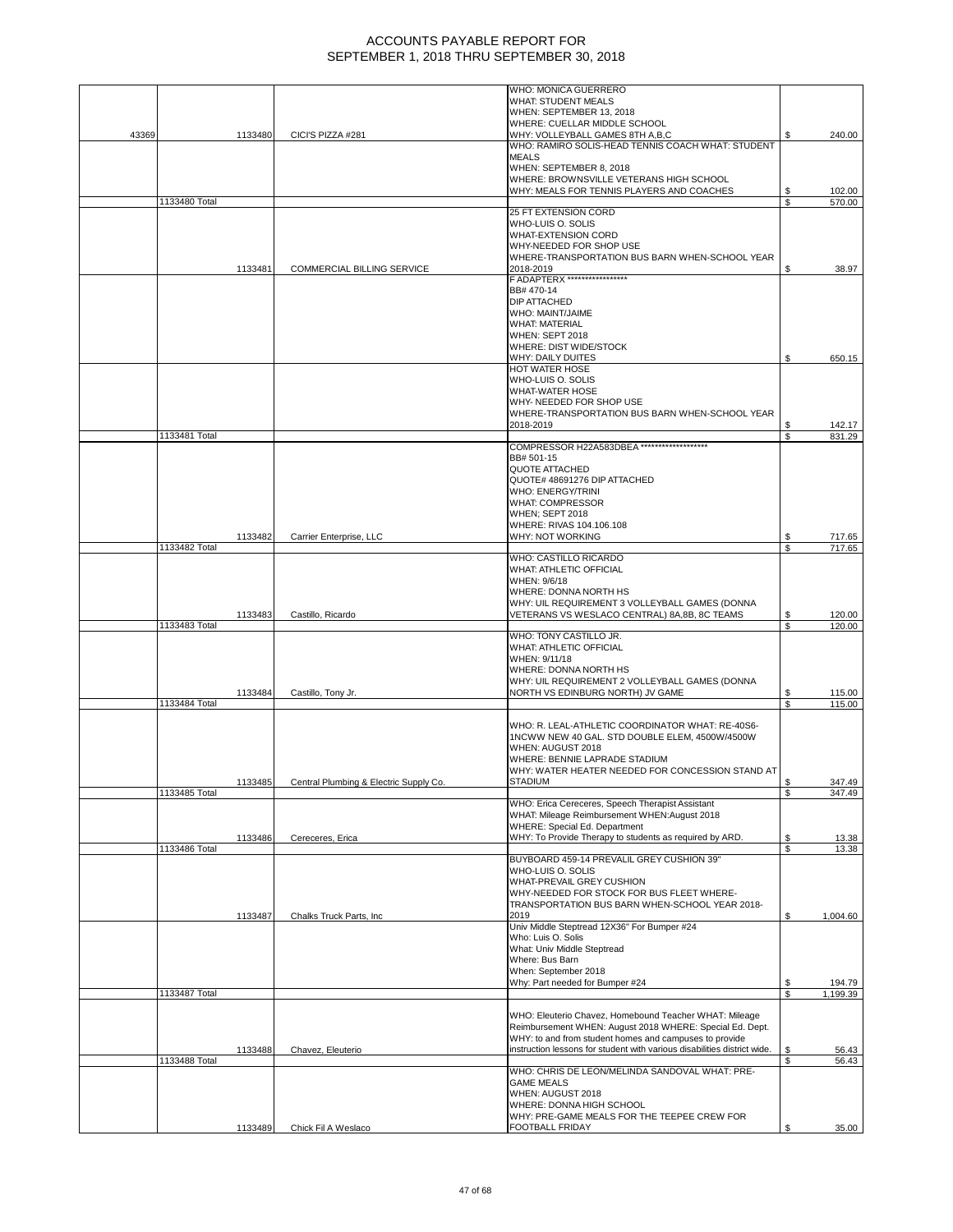|       |               |         |                                        | WHO: MONICA GUERRERO                                                                        |          |                  |
|-------|---------------|---------|----------------------------------------|---------------------------------------------------------------------------------------------|----------|------------------|
|       |               |         |                                        | <b>WHAT: STUDENT MEALS</b>                                                                  |          |                  |
|       |               |         |                                        | WHEN: SEPTEMBER 13, 2018                                                                    |          |                  |
| 43369 |               | 1133480 | CICI'S PIZZA #281                      | WHERE: CUELLAR MIDDLE SCHOOL<br>WHY: VOLLEYBALL GAMES 8TH A,B,C                             |          | 240.00           |
|       |               |         |                                        | WHO: RAMIRO SOLIS-HEAD TENNIS COACH WHAT: STUDENT                                           |          |                  |
|       |               |         |                                        | <b>MEALS</b>                                                                                |          |                  |
|       |               |         |                                        | WHEN: SEPTEMBER 8, 2018                                                                     |          |                  |
|       |               |         |                                        | WHERE: BROWNSVILLE VETERANS HIGH SCHOOL                                                     |          |                  |
|       |               |         |                                        | WHY: MEALS FOR TENNIS PLAYERS AND COACHES                                                   |          | 102.00           |
|       | 1133480 Total |         |                                        | <b>25 FT EXTENSION CORD</b>                                                                 | \$       | 570.00           |
|       |               |         |                                        | WHO-LUIS O. SOLIS                                                                           |          |                  |
|       |               |         |                                        | WHAT-EXTENSION CORD                                                                         |          |                  |
|       |               |         |                                        | WHY-NEEDED FOR SHOP USE                                                                     |          |                  |
|       |               |         |                                        | WHERE-TRANSPORTATION BUS BARN WHEN-SCHOOL YEAR                                              |          |                  |
|       |               | 1133481 | COMMERCIAL BILLING SERVICE             | 2018-2019<br>F ADAPTERX *****************                                                   | S        | 38.97            |
|       |               |         |                                        | BB# 470-14                                                                                  |          |                  |
|       |               |         |                                        | <b>DIP ATTACHED</b>                                                                         |          |                  |
|       |               |         |                                        | WHO: MAINT/JAIME                                                                            |          |                  |
|       |               |         |                                        | <b>WHAT: MATERIAL</b>                                                                       |          |                  |
|       |               |         |                                        | WHEN: SEPT 2018<br>WHERE: DIST WIDE/STOCK                                                   |          |                  |
|       |               |         |                                        | WHY: DAILY DUITES                                                                           | \$       | 650.15           |
|       |               |         |                                        | HOT WATER HOSE                                                                              |          |                  |
|       |               |         |                                        | WHO-LUIS O. SOLIS                                                                           |          |                  |
|       |               |         |                                        | <b>WHAT-WATER HOSE</b>                                                                      |          |                  |
|       |               |         |                                        | WHY- NEEDED FOR SHOP USE<br>WHERE-TRANSPORTATION BUS BARN WHEN-SCHOOL YEAR                  |          |                  |
|       |               |         |                                        | 2018-2019                                                                                   |          | 142.17           |
|       | 1133481 Total |         |                                        |                                                                                             | \$       | 831.29           |
|       |               |         |                                        | COMPRESSOR H22A583DBEA *******************                                                  |          |                  |
|       |               |         |                                        | BB# 501-15                                                                                  |          |                  |
|       |               |         |                                        | QUOTE ATTACHED<br>QUOTE# 48691276 DIP ATTACHED                                              |          |                  |
|       |               |         |                                        | <b>WHO: ENERGY/TRINI</b>                                                                    |          |                  |
|       |               |         |                                        | <b>WHAT: COMPRESSOR</b>                                                                     |          |                  |
|       |               |         |                                        | WHEN; SEPT 2018                                                                             |          |                  |
|       |               | 1133482 | Carrier Enterprise, LLC                | WHERE: RIVAS 104.106.108<br>WHY: NOT WORKING                                                |          | 717.65           |
|       | 1133482 Total |         |                                        |                                                                                             | \$       | 717.65           |
|       |               |         |                                        | WHO: CASTILLO RICARDO                                                                       |          |                  |
|       |               |         |                                        | WHAT: ATHLETIC OFFICIAL                                                                     |          |                  |
|       |               |         |                                        | WHEN: 9/6/18                                                                                |          |                  |
|       |               |         |                                        | WHERE: DONNA NORTH HS<br>WHY: UIL REQUIREMENT 3 VOLLEYBALL GAMES (DONNA                     |          |                  |
|       |               | 1133483 | Castillo, Ricardo                      | VETERANS VS WESLACO CENTRAL) 8A,8B, 8C TEAMS                                                | \$       | 120.00           |
|       | 1133483 Total |         |                                        |                                                                                             | \$       | 120.00           |
|       |               |         |                                        | WHO: TONY CASTILLO JR.                                                                      |          |                  |
|       |               |         |                                        | <b>WHAT: ATHLETIC OFFICIAL</b><br>WHEN: 9/11/18                                             |          |                  |
|       |               |         |                                        | WHERE: DONNA NORTH HS                                                                       |          |                  |
|       |               |         |                                        | WHY: UIL REQUIREMENT 2 VOLLEYBALL GAMES (DONNA                                              |          |                  |
|       |               | 1133484 | Castillo, Tony Jr.                     | NORTH VS EDINBURG NORTH) JV GAME                                                            |          | 115.00           |
|       | 1133484 Total |         |                                        |                                                                                             | \$       | 115.00           |
|       |               |         |                                        | WHO: R. LEAL-ATHLETIC COORDINATOR WHAT: RE-40S6-                                            |          |                  |
|       |               |         |                                        | 1NCWW NEW 40 GAL. STD DOUBLE ELEM, 4500W/4500W                                              |          |                  |
|       |               |         |                                        | WHEN: AUGUST 2018                                                                           |          |                  |
|       |               |         |                                        | WHERE: BENNIE LAPRADE STADIUM                                                               |          |                  |
|       |               |         |                                        | WHY: WATER HEATER NEEDED FOR CONCESSION STAND AT                                            |          |                  |
|       | 1133485 Total | 1133485 | Central Plumbing & Electric Supply Co. | STADIUM                                                                                     | \$<br>\$ | 347.49<br>347.49 |
|       |               |         |                                        | WHO: Erica Cereceres, Speech Therapist Assistant                                            |          |                  |
|       |               |         |                                        | WHAT: Mileage Reimbursement WHEN:August 2018                                                |          |                  |
|       |               |         |                                        | WHERE: Special Ed. Department                                                               |          |                  |
|       | 1133486 Total | 1133486 | Cereceres, Erica                       | WHY: To Provide Therapy to students as required by ARD.                                     | \$<br>\$ | 13.38<br>13.38   |
|       |               |         |                                        | BUYBOARD 459-14 PREVALIL GREY CUSHION 39"                                                   |          |                  |
|       |               |         |                                        | WHO-LUIS O. SOLIS                                                                           |          |                  |
|       |               |         |                                        | WHAT-PREVAIL GREY CUSHION                                                                   |          |                  |
|       |               |         |                                        | WHY-NEEDED FOR STOCK FOR BUS FLEET WHERE-<br>TRANSPORTATION BUS BARN WHEN-SCHOOL YEAR 2018- |          |                  |
|       |               | 1133487 | Chalks Truck Parts, Inc.               | 2019                                                                                        | \$       | 1,004.60         |
|       |               |         |                                        | Univ Middle Steptread 12X36" For Bumper #24                                                 |          |                  |
|       |               |         |                                        | Who: Luis O. Solis                                                                          |          |                  |
|       |               |         |                                        | What: Univ Middle Steptread<br>Where: Bus Barn                                              |          |                  |
|       |               |         |                                        | When: September 2018                                                                        |          |                  |
|       |               |         |                                        | Why: Part needed for Bumper #24                                                             | \$       | 194.79           |
|       | 1133487 Total |         |                                        |                                                                                             | \$       | 1,199.39         |
|       |               |         |                                        | WHO: Eleuterio Chavez, Homebound Teacher WHAT: Mileage                                      |          |                  |
|       |               |         |                                        | Reimbursement WHEN: August 2018 WHERE: Special Ed. Dept.                                    |          |                  |
|       |               |         |                                        | WHY: to and from student homes and campuses to provide                                      |          |                  |
|       |               | 1133488 | Chavez, Eleuterio                      | instruction lessons for student with various disabilities district wide.                    | \$       | 56.43            |
|       | 1133488 Total |         |                                        | WHO: CHRIS DE LEON/MELINDA SANDOVAL WHAT: PRE-                                              | \$       | 56.43            |
|       |               |         |                                        | <b>GAME MEALS</b>                                                                           |          |                  |
|       |               |         |                                        | WHEN: AUGUST 2018                                                                           |          |                  |
|       |               |         |                                        | WHERE: DONNA HIGH SCHOOL                                                                    |          |                  |
|       |               |         |                                        | WHY: PRE-GAME MEALS FOR THE TEEPEE CREW FOR                                                 |          |                  |
|       |               | 1133489 | Chick Fil A Weslaco                    | <b>FOOTBALL FRIDAY</b>                                                                      | S        | 35.00            |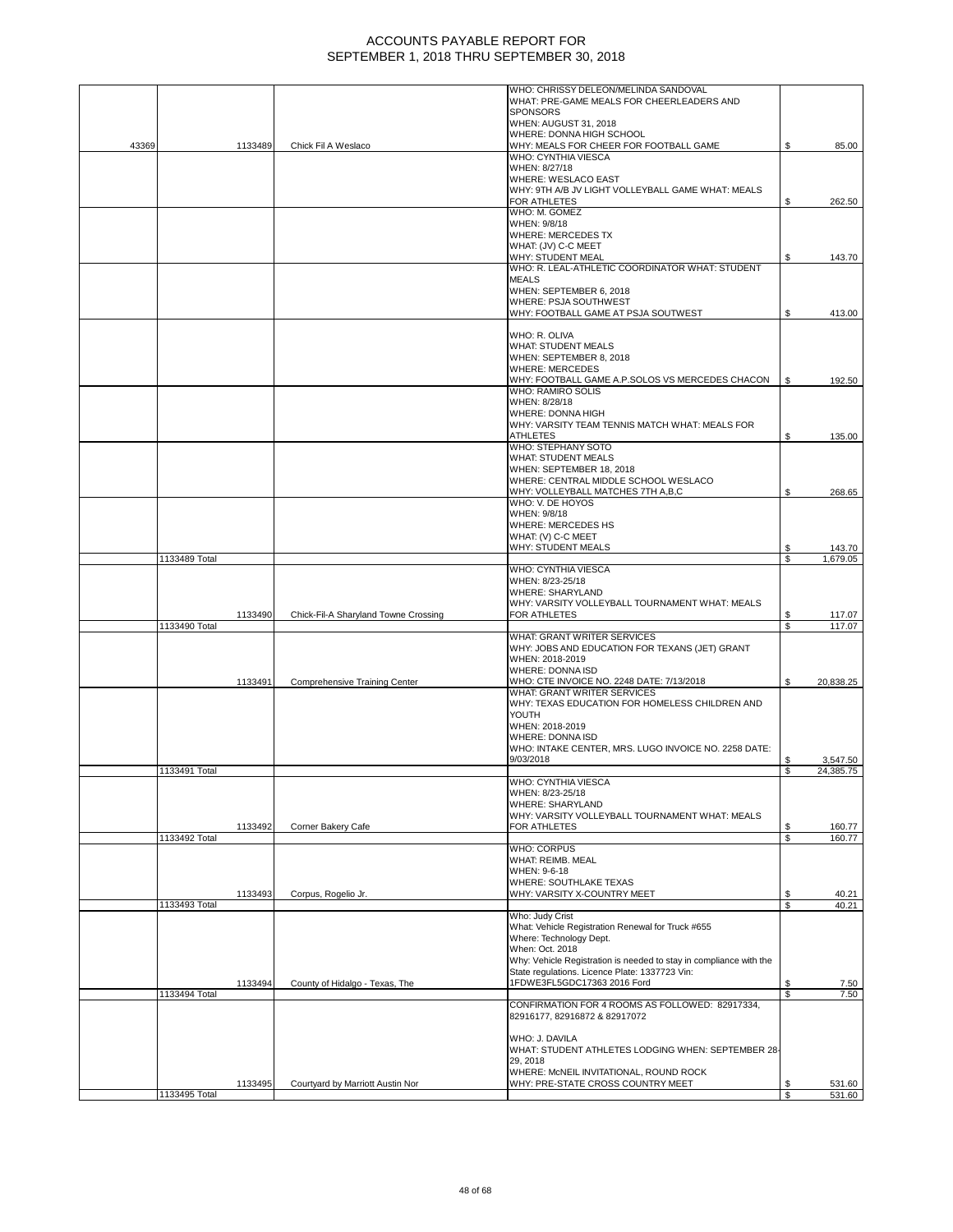|       |               |         |                                      | WHO: CHRISSY DELEON/MELINDA SANDOVAL                                        |          |                  |
|-------|---------------|---------|--------------------------------------|-----------------------------------------------------------------------------|----------|------------------|
|       |               |         |                                      | WHAT: PRE-GAME MEALS FOR CHEERLEADERS AND                                   |          |                  |
|       |               |         |                                      | <b>SPONSORS</b>                                                             |          |                  |
|       |               |         |                                      | WHEN: AUGUST 31, 2018                                                       |          |                  |
|       |               |         |                                      | WHERE: DONNA HIGH SCHOOL                                                    |          |                  |
| 43369 |               | 1133489 | Chick Fil A Weslaco                  | WHY: MEALS FOR CHEER FOR FOOTBALL GAME<br>WHO: CYNTHIA VIESCA               | S        | 85.00            |
|       |               |         |                                      | WHEN: 8/27/18                                                               |          |                  |
|       |               |         |                                      | <b>WHERE: WESLACO EAST</b>                                                  |          |                  |
|       |               |         |                                      | WHY: 9TH A/B JV LIGHT VOLLEYBALL GAME WHAT: MEALS                           |          |                  |
|       |               |         |                                      | FOR ATHLETES                                                                | \$       | 262.50           |
|       |               |         |                                      | WHO: M. GOMEZ                                                               |          |                  |
|       |               |         |                                      | WHEN: 9/8/18                                                                |          |                  |
|       |               |         |                                      | <b>WHERE: MERCEDES TX</b>                                                   |          |                  |
|       |               |         |                                      | WHAT: (JV) C-C MEET                                                         |          |                  |
|       |               |         |                                      | WHY: STUDENT MEAL                                                           | S        | 143.70           |
|       |               |         |                                      | WHO: R. LEAL-ATHLETIC COORDINATOR WHAT: STUDENT                             |          |                  |
|       |               |         |                                      | <b>MEALS</b>                                                                |          |                  |
|       |               |         |                                      | WHEN: SEPTEMBER 6, 2018                                                     |          |                  |
|       |               |         |                                      | WHERE: PSJA SOUTHWEST                                                       |          |                  |
|       |               |         |                                      | WHY: FOOTBALL GAME AT PSJA SOUTWEST                                         | S        | 413.00           |
|       |               |         |                                      |                                                                             |          |                  |
|       |               |         |                                      | WHO: R. OLIVA<br><b>WHAT: STUDENT MEALS</b>                                 |          |                  |
|       |               |         |                                      | WHEN: SEPTEMBER 8, 2018                                                     |          |                  |
|       |               |         |                                      | <b>WHERE: MERCEDES</b>                                                      |          |                  |
|       |               |         |                                      | WHY: FOOTBALL GAME A.P.SOLOS VS MERCEDES CHACON                             | \$       | 192.50           |
|       |               |         |                                      | WHO: RAMIRO SOLIS                                                           |          |                  |
|       |               |         |                                      | WHEN: 8/28/18                                                               |          |                  |
|       |               |         |                                      | WHERE: DONNA HIGH                                                           |          |                  |
|       |               |         |                                      | WHY: VARSITY TEAM TENNIS MATCH WHAT: MEALS FOR                              |          |                  |
|       |               |         |                                      | ATHLETES                                                                    | \$       | 135.00           |
|       |               |         |                                      | WHO: STEPHANY SOTO                                                          |          |                  |
|       |               |         |                                      | <b>WHAT: STUDENT MEALS</b>                                                  |          |                  |
|       |               |         |                                      | WHEN: SEPTEMBER 18, 2018                                                    |          |                  |
|       |               |         |                                      | WHERE: CENTRAL MIDDLE SCHOOL WESLACO                                        |          |                  |
|       |               |         |                                      | WHY: VOLLEYBALL MATCHES 7TH A,B,C                                           | \$       | 268.65           |
|       |               |         |                                      | WHO: V. DE HOYOS                                                            |          |                  |
|       |               |         |                                      | WHEN: 9/8/18                                                                |          |                  |
|       |               |         |                                      | WHERE: MERCEDES HS                                                          |          |                  |
|       |               |         |                                      | WHAT: (V) C-C MEET                                                          |          |                  |
|       |               |         |                                      | <b>WHY: STUDENT MEALS</b>                                                   | S        | 143.70           |
|       | 1133489 Total |         |                                      |                                                                             | \$       | 1,679.05         |
|       |               |         |                                      | WHO: CYNTHIA VIESCA                                                         |          |                  |
|       |               |         |                                      | WHEN: 8/23-25/18                                                            |          |                  |
|       |               |         |                                      | <b>WHERE: SHARYLAND</b>                                                     |          |                  |
|       |               |         |                                      | WHY: VARSITY VOLLEYBALL TOURNAMENT WHAT: MEALS                              |          |                  |
|       | 1133490 Total | 1133490 | Chick-Fil-A Sharyland Towne Crossing | FOR ATHLETES                                                                | S.<br>\$ | 117.07<br>117.07 |
|       |               |         |                                      | WHAT: GRANT WRITER SERVICES                                                 |          |                  |
|       |               |         |                                      | WHY: JOBS AND EDUCATION FOR TEXANS (JET) GRANT                              |          |                  |
|       |               |         |                                      | WHEN: 2018-2019                                                             |          |                  |
|       |               |         |                                      | WHERE: DONNA ISD                                                            |          |                  |
|       |               | 1133491 | <b>Comprehensive Training Center</b> | WHO: CTE INVOICE NO. 2248 DATE: 7/13/2018                                   | \$       | 20,838.25        |
|       |               |         |                                      | <b>WHAT: GRANT WRITER SERVICES</b>                                          |          |                  |
|       |               |         |                                      | WHY: TEXAS EDUCATION FOR HOMELESS CHILDREN AND                              |          |                  |
|       |               |         |                                      | YOUTH                                                                       |          |                  |
|       |               |         |                                      |                                                                             |          |                  |
|       |               |         |                                      | WHEN: 2018-2019                                                             |          |                  |
|       |               |         |                                      | <b>WHERE: DONNA ISD</b>                                                     |          |                  |
|       |               |         |                                      | WHO: INTAKE CENTER, MRS. LUGO INVOICE NO. 2258 DATE:                        |          |                  |
|       |               |         |                                      | 9/03/2018                                                                   |          | 3,547.50         |
|       | 1133491 Total |         |                                      |                                                                             | S        | 24,385.75        |
|       |               |         |                                      | WHO: CYNTHIA VIESCA                                                         |          |                  |
|       |               |         |                                      | WHEN: 8/23-25/18                                                            |          |                  |
|       |               |         |                                      | <b>WHERE: SHARYLAND</b>                                                     |          |                  |
|       |               |         |                                      | WHY: VARSITY VOLLEYBALL TOURNAMENT WHAT: MEALS                              |          |                  |
|       |               | 1133492 | Corner Bakery Cafe                   | FOR ATHLETES                                                                | \$       | 160.77           |
|       | 1133492 Total |         |                                      |                                                                             | \$       | 160.77           |
|       |               |         |                                      | <b>WHO: CORPUS</b>                                                          |          |                  |
|       |               |         |                                      | WHAT: REIMB. MEAL                                                           |          |                  |
|       |               |         |                                      | WHEN: 9-6-18                                                                |          |                  |
|       |               | 1133493 | Corpus, Rogelio Jr.                  | WHERE: SOUTHLAKE TEXAS<br>WHY: VARSITY X-COUNTRY MEET                       | \$       | 40.21            |
|       | 1133493 Total |         |                                      |                                                                             | \$       | 40.21            |
|       |               |         |                                      | Who: Judy Crist                                                             |          |                  |
|       |               |         |                                      | What: Vehicle Registration Renewal for Truck #655                           |          |                  |
|       |               |         |                                      | Where: Technology Dept.                                                     |          |                  |
|       |               |         |                                      | When: Oct. 2018                                                             |          |                  |
|       |               |         |                                      | Why: Vehicle Registration is needed to stay in compliance with the          |          |                  |
|       |               |         |                                      | State regulations. Licence Plate: 1337723 Vin:                              |          |                  |
|       |               | 1133494 | County of Hidalgo - Texas, The       | 1FDWE3FL5GDC17363 2016 Ford                                                 | \$       | 7.50             |
|       | 1133494 Total |         |                                      |                                                                             | S.       | 7.50             |
|       |               |         |                                      | CONFIRMATION FOR 4 ROOMS AS FOLLOWED: 82917334,                             |          |                  |
|       |               |         |                                      | 82916177, 82916872 & 82917072                                               |          |                  |
|       |               |         |                                      |                                                                             |          |                  |
|       |               |         |                                      | WHO: J. DAVILA                                                              |          |                  |
|       |               |         |                                      | WHAT: STUDENT ATHLETES LODGING WHEN: SEPTEMBER 28-                          |          |                  |
|       |               |         |                                      | 29, 2018                                                                    |          |                  |
|       |               | 1133495 | Courtyard by Marriott Austin Nor     | WHERE: McNEIL INVITATIONAL, ROUND ROCK<br>WHY: PRE-STATE CROSS COUNTRY MEET | \$       | 531.60           |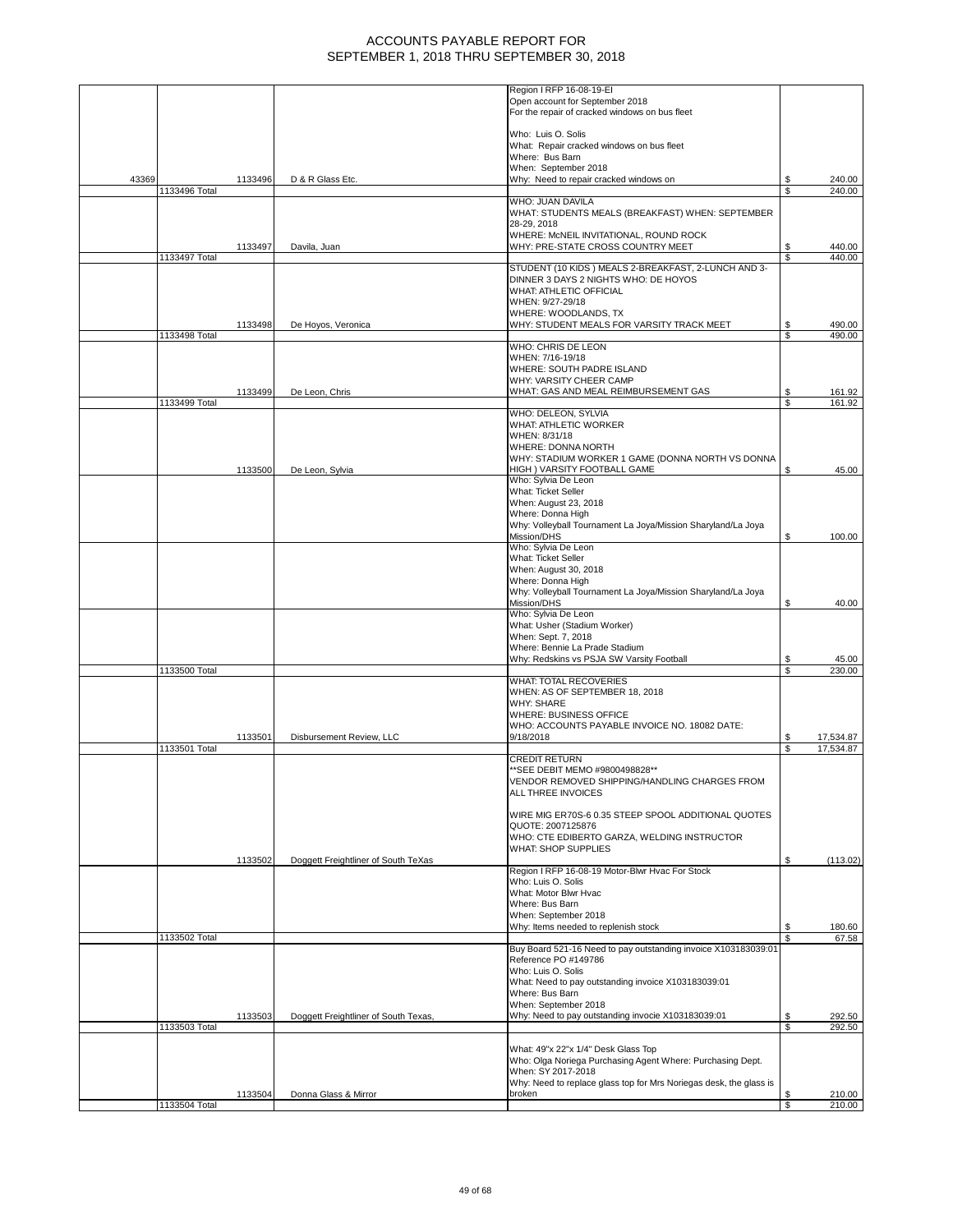|       |               |         |                                      | Region I RFP 16-08-19-EI                                                    |          |                        |
|-------|---------------|---------|--------------------------------------|-----------------------------------------------------------------------------|----------|------------------------|
|       |               |         |                                      | Open account for September 2018                                             |          |                        |
|       |               |         |                                      | For the repair of cracked windows on bus fleet                              |          |                        |
|       |               |         |                                      | Who: Luis O. Solis                                                          |          |                        |
|       |               |         |                                      | What: Repair cracked windows on bus fleet                                   |          |                        |
|       |               |         |                                      | Where: Bus Barn                                                             |          |                        |
|       |               |         |                                      | When: September 2018                                                        |          |                        |
| 43369 | 1133496 Total | 1133496 | D & R Glass Etc.                     | Why: Need to repair cracked windows on                                      | \$<br>S. | 240.00<br>240.00       |
|       |               |         |                                      | WHO: JUAN DAVILA                                                            |          |                        |
|       |               |         |                                      | WHAT: STUDENTS MEALS (BREAKFAST) WHEN: SEPTEMBER                            |          |                        |
|       |               |         |                                      | 28-29, 2018                                                                 |          |                        |
|       |               |         |                                      | WHERE: McNEIL INVITATIONAL, ROUND ROCK<br>WHY: PRE-STATE CROSS COUNTRY MEET | \$       | 440.00                 |
|       | 1133497 Total | 1133497 | Davila, Juan                         |                                                                             | \$       | 440.00                 |
|       |               |         |                                      | STUDENT (10 KIDS) MEALS 2-BREAKFAST, 2-LUNCH AND 3-                         |          |                        |
|       |               |         |                                      | DINNER 3 DAYS 2 NIGHTS WHO: DE HOYOS                                        |          |                        |
|       |               |         |                                      | WHAT: ATHLETIC OFFICIAL<br>WHEN: 9/27-29/18                                 |          |                        |
|       |               |         |                                      | WHERE: WOODLANDS, TX                                                        |          |                        |
|       |               | 1133498 | De Hoyos, Veronica                   | WHY: STUDENT MEALS FOR VARSITY TRACK MEET                                   | \$       | 490.00                 |
|       | 1133498 Total |         |                                      |                                                                             | S.       | 490.00                 |
|       |               |         |                                      | WHO: CHRIS DE LEON                                                          |          |                        |
|       |               |         |                                      | WHEN: 7/16-19/18<br>WHERE: SOUTH PADRE ISLAND                               |          |                        |
|       |               |         |                                      | WHY: VARSITY CHEER CAMP                                                     |          |                        |
|       |               | 1133499 | De Leon, Chris                       | WHAT: GAS AND MEAL REIMBURSEMENT GAS                                        | \$       | 161.92                 |
|       | 1133499 Total |         |                                      |                                                                             | \$       | 161.92                 |
|       |               |         |                                      | WHO: DELEON, SYLVIA                                                         |          |                        |
|       |               |         |                                      | WHAT: ATHLETIC WORKER<br>WHEN: 8/31/18                                      |          |                        |
|       |               |         |                                      | WHERE: DONNA NORTH                                                          |          |                        |
|       |               |         |                                      | WHY: STADIUM WORKER 1 GAME (DONNA NORTH VS DONNA                            |          |                        |
|       |               | 1133500 | De Leon, Sylvia                      | HIGH ) VARSITY FOOTBALL GAME                                                | \$       | 45.00                  |
|       |               |         |                                      | Who: Sylvia De Leon<br>What: Ticket Seller                                  |          |                        |
|       |               |         |                                      | When: August 23, 2018                                                       |          |                        |
|       |               |         |                                      | Where: Donna High                                                           |          |                        |
|       |               |         |                                      | Why: Volleyball Tournament La Joya/Mission Sharyland/La Joya                |          |                        |
|       |               |         |                                      | Mission/DHS                                                                 | \$       | 100.00                 |
|       |               |         |                                      | Who: Sylvia De Leon<br>What: Ticket Seller                                  |          |                        |
|       |               |         |                                      | When: August 30, 2018                                                       |          |                        |
|       |               |         |                                      | Where: Donna High                                                           |          |                        |
|       |               |         |                                      | Why: Volleyball Tournament La Joya/Mission Sharyland/La Joya                |          |                        |
|       |               |         |                                      | Mission/DHS                                                                 | \$       | 40.00                  |
|       |               |         |                                      | Who: Sylvia De Leon<br>What: Usher (Stadium Worker)                         |          |                        |
|       |               |         |                                      | When: Sept. 7, 2018                                                         |          |                        |
|       |               |         |                                      | Where: Bennie La Prade Stadium                                              |          |                        |
|       |               |         |                                      | Why: Redskins vs PSJA SW Varsity Football                                   | \$       | 45.00                  |
|       | 1133500 Total |         |                                      | WHAT: TOTAL RECOVERIES                                                      | S        | 230.00                 |
|       |               |         |                                      | WHEN: AS OF SEPTEMBER 18, 2018                                              |          |                        |
|       |               |         |                                      | <b>WHY: SHARE</b>                                                           |          |                        |
|       |               |         |                                      | WHERE: BUSINESS OFFICE                                                      |          |                        |
|       |               |         |                                      | WHO: ACCOUNTS PAYABLE INVOICE NO. 18082 DATE:                               |          |                        |
|       | 1133501 Total | 1133501 | Disbursement Review, LLC             | 9/18/2018                                                                   | \$<br>\$ | 17,534.87<br>17,534.87 |
|       |               |         |                                      | <b>CREDIT RETURN</b>                                                        |          |                        |
|       |               |         |                                      | ** SEE DEBIT MEMO #9800498828**                                             |          |                        |
|       |               |         |                                      | VENDOR REMOVED SHIPPING/HANDLING CHARGES FROM                               |          |                        |
|       |               |         |                                      | ALL THREE INVOICES                                                          |          |                        |
|       |               |         |                                      | WIRE MIG ER70S-6 0.35 STEEP SPOOL ADDITIONAL QUOTES                         |          |                        |
|       |               |         |                                      | QUOTE: 2007125876                                                           |          |                        |
|       |               |         |                                      | WHO: CTE EDIBERTO GARZA, WELDING INSTRUCTOR                                 |          |                        |
|       |               |         |                                      | WHAT: SHOP SUPPLIES                                                         |          |                        |
|       |               | 1133502 | Doggett Freightliner of South TeXas  | Region I RFP 16-08-19 Motor-Blwr Hvac For Stock                             | \$       | (113.02)               |
|       |               |         |                                      | Who: Luis O. Solis                                                          |          |                        |
|       |               |         |                                      | What: Motor Blwr Hvac                                                       |          |                        |
|       |               |         |                                      | Where: Bus Barn                                                             |          |                        |
|       |               |         |                                      | When: September 2018<br>Why: Items needed to replenish stock                | \$       | 180.60                 |
|       | 1133502 Total |         |                                      |                                                                             | \$       | 67.58                  |
|       |               |         |                                      | Buy Board 521-16 Need to pay outstanding invoice X103183039:01              |          |                        |
|       |               |         |                                      | Reference PO #149786                                                        |          |                        |
|       |               |         |                                      | Who: Luis O. Solis<br>What: Need to pay outstanding invoice X103183039:01   |          |                        |
|       |               |         |                                      | Where: Bus Barn                                                             |          |                        |
|       |               |         |                                      | When: September 2018                                                        |          |                        |
|       |               | 1133503 | Doggett Freightliner of South Texas, | Why: Need to pay outstanding invocie X103183039:01                          | \$       | 292.50                 |
|       | 1133503 Total |         |                                      |                                                                             | \$       | 292.50                 |
|       |               |         |                                      | What: 49"x 22"x 1/4" Desk Glass Top                                         |          |                        |
|       |               |         |                                      | Who: Olga Noriega Purchasing Agent Where: Purchasing Dept.                  |          |                        |
|       |               |         |                                      | When: SY 2017-2018                                                          |          |                        |
|       |               |         |                                      | Why: Need to replace glass top for Mrs Noriegas desk, the glass is          |          |                        |
|       | 1133504 Total | 1133504 | Donna Glass & Mirror                 | broken                                                                      | S<br>\$  | 210.00<br>210.00       |
|       |               |         |                                      |                                                                             |          |                        |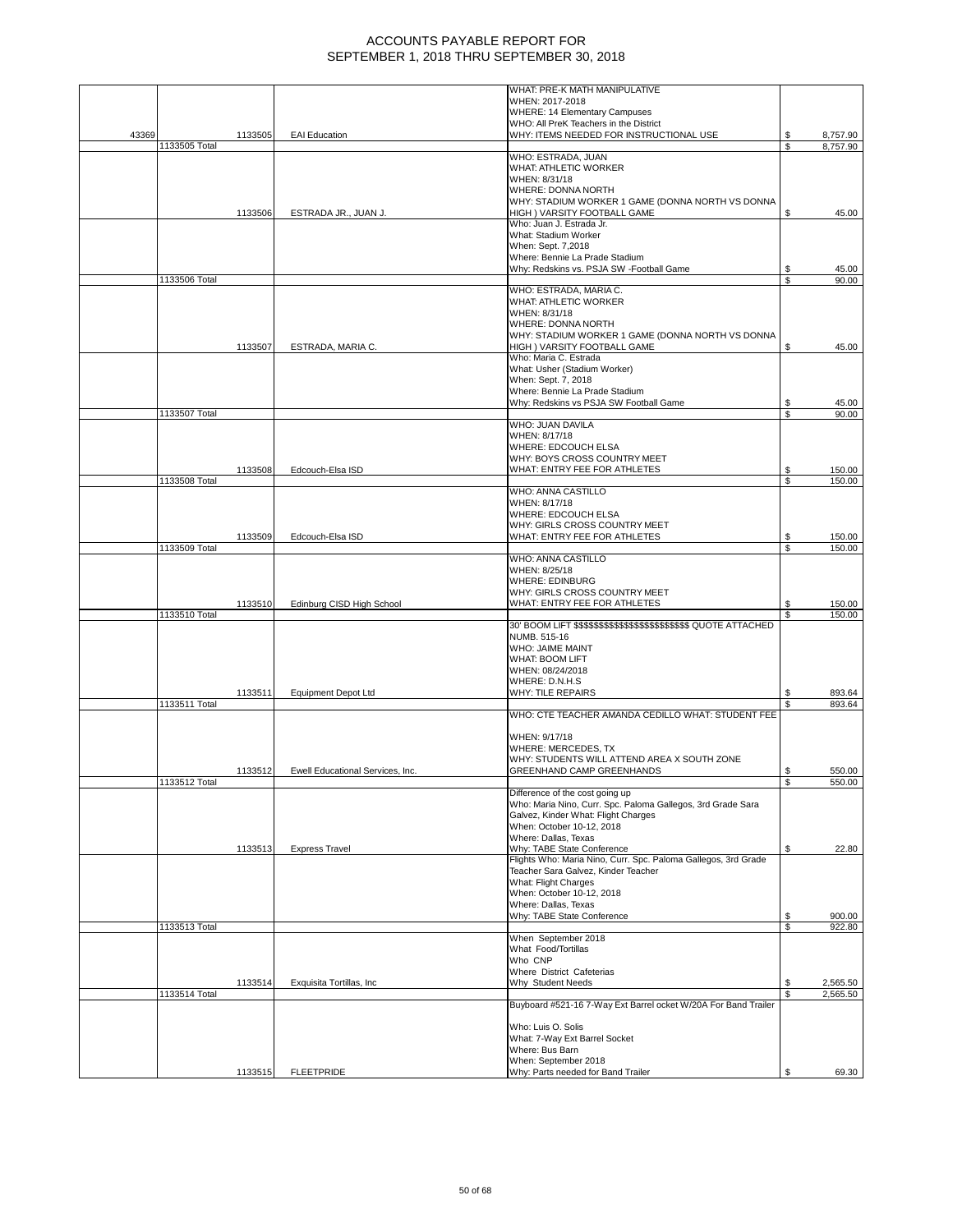|       |               |         |                                  | WHAT: PRE-K MATH MANIPULATIVE                                                                                       |         |                      |
|-------|---------------|---------|----------------------------------|---------------------------------------------------------------------------------------------------------------------|---------|----------------------|
|       |               |         |                                  | WHEN: 2017-2018                                                                                                     |         |                      |
|       |               |         |                                  | <b>WHERE: 14 Elementary Campuses</b>                                                                                |         |                      |
| 43369 |               | 1133505 | <b>EAI</b> Education             | WHO: All PreK Teachers in the District<br>WHY: ITEMS NEEDED FOR INSTRUCTIONAL USE                                   | \$      | 8,757.90             |
|       | 1133505 Total |         |                                  |                                                                                                                     | S       | 8,757.90             |
|       |               |         |                                  | WHO: ESTRADA, JUAN                                                                                                  |         |                      |
|       |               |         |                                  | WHAT: ATHLETIC WORKER                                                                                               |         |                      |
|       |               |         |                                  | WHEN: 8/31/18<br>WHERE: DONNA NORTH                                                                                 |         |                      |
|       |               |         |                                  | WHY: STADIUM WORKER 1 GAME (DONNA NORTH VS DONNA                                                                    |         |                      |
|       |               | 1133506 | ESTRADA JR., JUAN J.             | HIGH ) VARSITY FOOTBALL GAME                                                                                        | \$      | 45.00                |
|       |               |         |                                  | Who: Juan J. Estrada Jr.                                                                                            |         |                      |
|       |               |         |                                  | What: Stadium Worker                                                                                                |         |                      |
|       |               |         |                                  | When: Sept. 7.2018                                                                                                  |         |                      |
|       |               |         |                                  | Where: Bennie La Prade Stadium<br>Why: Redskins vs. PSJA SW -Football Game                                          | \$      | 45.00                |
|       | 1133506 Total |         |                                  |                                                                                                                     | \$      | 90.00                |
|       |               |         |                                  | WHO: ESTRADA, MARIA C.                                                                                              |         |                      |
|       |               |         |                                  | <b>WHAT: ATHLETIC WORKER</b>                                                                                        |         |                      |
|       |               |         |                                  | WHEN: 8/31/18                                                                                                       |         |                      |
|       |               |         |                                  | WHERE: DONNA NORTH                                                                                                  |         |                      |
|       |               |         |                                  | WHY: STADIUM WORKER 1 GAME (DONNA NORTH VS DONNA                                                                    |         |                      |
|       |               | 1133507 | ESTRADA, MARIA C.                | HIGH ) VARSITY FOOTBALL GAME<br>Who: Maria C. Estrada                                                               | \$      | 45.00                |
|       |               |         |                                  | What: Usher (Stadium Worker)                                                                                        |         |                      |
|       |               |         |                                  | When: Sept. 7, 2018                                                                                                 |         |                      |
|       |               |         |                                  | Where: Bennie La Prade Stadium                                                                                      |         |                      |
|       |               |         |                                  | Why: Redskins vs PSJA SW Football Game                                                                              | \$      | 45.00                |
|       | 1133507 Total |         |                                  |                                                                                                                     | S       | 90.00                |
|       |               |         |                                  | WHO: JUAN DAVILA                                                                                                    |         |                      |
|       |               |         |                                  | WHEN: 8/17/18<br><b>WHERE: EDCOUCH ELSA</b>                                                                         |         |                      |
|       |               |         |                                  | WHY: BOYS CROSS COUNTRY MEET                                                                                        |         |                      |
|       |               | 1133508 | Edcouch-Elsa ISD                 | WHAT: ENTRY FEE FOR ATHLETES                                                                                        | \$      | 150.00               |
|       | 1133508 Total |         |                                  |                                                                                                                     | S       | 150.00               |
|       |               |         |                                  | WHO: ANNA CASTILLO                                                                                                  |         |                      |
|       |               |         |                                  | WHEN: 8/17/18                                                                                                       |         |                      |
|       |               |         |                                  | WHERE: EDCOUCH ELSA                                                                                                 |         |                      |
|       |               |         |                                  | WHY: GIRLS CROSS COUNTRY MEET                                                                                       |         |                      |
|       | 1133509 Total | 1133509 | Edcouch-Elsa ISD                 | WHAT: ENTRY FEE FOR ATHLETES                                                                                        | S<br>\$ | 150.00<br>150.00     |
|       |               |         |                                  | WHO: ANNA CASTILLO                                                                                                  |         |                      |
|       |               |         |                                  | WHEN: 8/25/18                                                                                                       |         |                      |
|       |               |         |                                  | <b>WHERE: EDINBURG</b>                                                                                              |         |                      |
|       |               |         |                                  | WHY: GIRLS CROSS COUNTRY MEET                                                                                       |         |                      |
|       |               | 1133510 | Edinburg CISD High School        | WHAT: ENTRY FEE FOR ATHLETES                                                                                        | S       | 150.00               |
|       | 1133510 Total |         |                                  |                                                                                                                     | £.      | 150.00               |
|       |               |         |                                  | 30' BOOM LIFT \$\$\$\$\$\$\$\$\$\$\$\$\$\$\$\$\$\$\$\$\$\$\$\$\$\$\$\$\$\$\$\$\$\$\$ QUOTE ATTACHED<br>NUMB. 515-16 |         |                      |
|       |               |         |                                  | <b>WHO: JAIME MAINT</b>                                                                                             |         |                      |
|       |               |         |                                  | <b>WHAT: BOOM LIFT</b>                                                                                              |         |                      |
|       |               |         |                                  | WHEN: 08/24/2018                                                                                                    |         |                      |
|       |               |         |                                  | WHERE: D.N.H.S                                                                                                      |         |                      |
|       |               | 1133511 | <b>Equipment Depot Ltd</b>       | <b>WHY: TILE REPAIRS</b>                                                                                            | \$      | 893.64               |
|       | 1133511 Total |         |                                  |                                                                                                                     | ፍ       | 893.64               |
|       |               |         |                                  | WHO: CTE TEACHER AMANDA CEDILLO WHAT: STUDENT FEE                                                                   |         |                      |
|       |               |         |                                  | WHEN: 9/17/18                                                                                                       |         |                      |
|       |               |         |                                  | WHERE: MERCEDES, TX                                                                                                 |         |                      |
|       |               |         |                                  | WHY: STUDENTS WILL ATTEND AREA X SOUTH ZONE                                                                         |         |                      |
|       |               | 1133512 | Ewell Educational Services, Inc. | GREENHAND CAMP GREENHANDS                                                                                           | \$      | 550.00               |
|       | 1133512 Total |         |                                  |                                                                                                                     | S       | 550.00               |
|       |               |         |                                  | Difference of the cost going up                                                                                     |         |                      |
|       |               |         |                                  | Who: Maria Nino, Curr. Spc. Paloma Gallegos, 3rd Grade Sara<br>Galvez, Kinder What: Flight Charges                  |         |                      |
|       |               |         |                                  | When: October 10-12, 2018                                                                                           |         |                      |
|       |               |         |                                  | Where: Dallas, Texas                                                                                                |         |                      |
|       |               | 1133513 | <b>Express Travel</b>            | Why: TABE State Conference                                                                                          | S       | 22.80                |
|       |               |         |                                  | Flights Who: Maria Nino, Curr. Spc. Paloma Gallegos, 3rd Grade                                                      |         |                      |
|       |               |         |                                  | Teacher Sara Galvez, Kinder Teacher                                                                                 |         |                      |
|       |               |         |                                  | What: Flight Charges                                                                                                |         |                      |
|       |               |         |                                  | When: October 10-12, 2018<br>Where: Dallas, Texas                                                                   |         |                      |
|       |               |         |                                  | Why: TABE State Conference                                                                                          | \$      | 900.00               |
|       | 1133513 Total |         |                                  |                                                                                                                     | S       | 922.80               |
|       |               |         |                                  | When September 2018                                                                                                 |         |                      |
|       |               |         |                                  | What Food/Tortillas                                                                                                 |         |                      |
|       |               |         |                                  | Who CNP                                                                                                             |         |                      |
|       |               |         |                                  | Where District Cafeterias                                                                                           |         |                      |
|       | 1133514 Total | 1133514 | Exquisita Tortillas, Inc         | Why Student Needs                                                                                                   | \$      | 2,565.50<br>2,565.50 |
|       |               |         |                                  | Buyboard #521-16 7-Way Ext Barrel ocket W/20A For Band Trailer                                                      |         |                      |
|       |               |         |                                  |                                                                                                                     |         |                      |
|       |               |         |                                  | Who: Luis O. Solis                                                                                                  |         |                      |
|       |               |         |                                  | What: 7-Way Ext Barrel Socket                                                                                       |         |                      |
|       |               |         |                                  | Where: Bus Barn                                                                                                     |         |                      |
|       |               |         |                                  | When: September 2018                                                                                                | S       |                      |
|       |               | 1133515 | <b>FLEETPRIDE</b>                | Why: Parts needed for Band Trailer                                                                                  |         | 69.30                |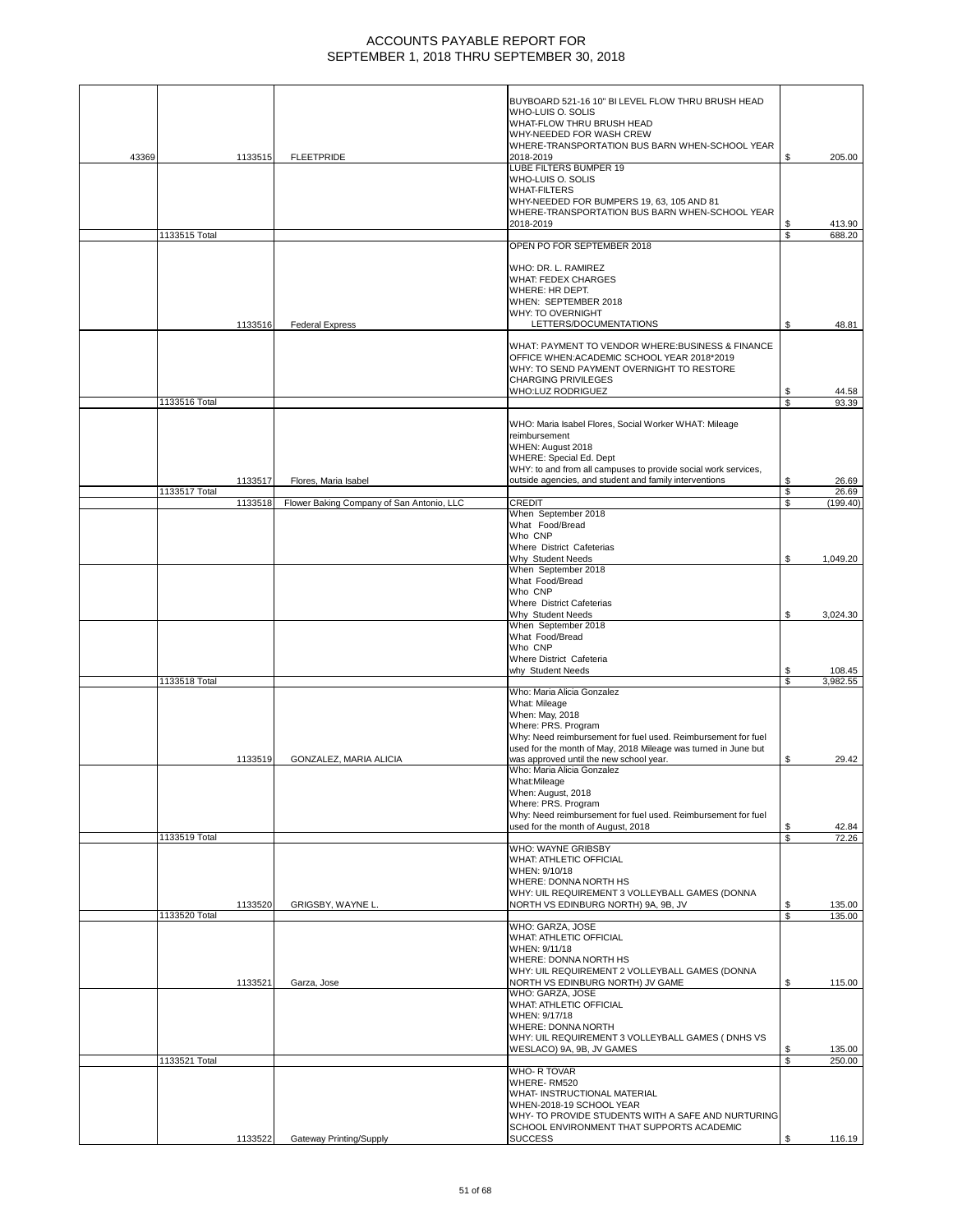|       |                          |                                           | BUYBOARD 521-16 10" BI LEVEL FLOW THRU BRUSH HEAD<br>WHO-LUIS O. SOLIS<br>WHAT-FLOW THRU BRUSH HEAD<br>WHY-NEEDED FOR WASH CREW                                                                                                                    |          |                   |
|-------|--------------------------|-------------------------------------------|----------------------------------------------------------------------------------------------------------------------------------------------------------------------------------------------------------------------------------------------------|----------|-------------------|
| 43369 | 1133515                  | <b>FLEETPRIDE</b>                         | WHERE-TRANSPORTATION BUS BARN WHEN-SCHOOL YEAR<br>2018-2019                                                                                                                                                                                        | \$       | 205.00            |
|       |                          |                                           | LUBE FILTERS BUMPER 19<br>WHO-LUIS O. SOLIS<br><b>WHAT-FILTERS</b><br>WHY-NEEDED FOR BUMPERS 19, 63, 105 AND 81<br>WHERE-TRANSPORTATION BUS BARN WHEN-SCHOOL YEAR<br>2018-2019                                                                     | S        | 413.90            |
|       | 1133515 Total            |                                           | OPEN PO FOR SEPTEMBER 2018                                                                                                                                                                                                                         | \$       | 688.20            |
|       |                          |                                           |                                                                                                                                                                                                                                                    |          |                   |
|       | 1133516                  | <b>Federal Express</b>                    | WHO: DR. L. RAMIREZ<br><b>WHAT: FEDEX CHARGES</b><br>WHERE: HR DEPT.<br>WHEN: SEPTEMBER 2018<br>WHY: TO OVERNIGHT<br>LETTERS/DOCUMENTATIONS                                                                                                        | \$       | 48.81             |
|       |                          |                                           | WHAT: PAYMENT TO VENDOR WHERE:BUSINESS & FINANCE<br>OFFICE WHEN: ACADEMIC SCHOOL YEAR 2018*2019<br>WHY: TO SEND PAYMENT OVERNIGHT TO RESTORE<br><b>CHARGING PRIVILEGES</b><br>WHO:LUZ RODRIGUEZ                                                    | S        | 44.58             |
|       | 1133516 Total            |                                           |                                                                                                                                                                                                                                                    | \$       | 93.39             |
|       | 1133517                  | Flores, Maria Isabel                      | WHO: Maria Isabel Flores, Social Worker WHAT: Mileage<br>reimbursement<br>WHEN: August 2018<br>WHERE: Special Ed. Dept<br>WHY: to and from all campuses to provide social work services,<br>outside agencies, and student and family interventions | \$       | 26.69             |
|       | 1133517 Total<br>1133518 | Flower Baking Company of San Antonio, LLC | <b>CREDIT</b>                                                                                                                                                                                                                                      | \$<br>\$ | 26.69<br>(199.40) |
|       |                          |                                           | When September 2018<br>What Food/Bread<br>Who CNP<br>Where District Cafeterias                                                                                                                                                                     |          |                   |
|       |                          |                                           | Why Student Needs                                                                                                                                                                                                                                  | \$       | 1,049.20          |
|       |                          |                                           | When September 2018<br>What Food/Bread<br>Who CNP<br>Where District Cafeterias<br>Why Student Needs                                                                                                                                                | S        | 3,024.30          |
|       |                          |                                           | When September 2018<br>What Food/Bread<br>Who CNP<br>Where District Cafeteria                                                                                                                                                                      |          |                   |
|       |                          |                                           | why Student Needs                                                                                                                                                                                                                                  | \$       | 108.45            |
|       | 1133518 Total            |                                           | Who: Maria Alicia Gonzalez                                                                                                                                                                                                                         | \$       | 3,982.55          |
|       | 1133519                  | GONZALEZ, MARIA ALICIA                    | What: Mileage<br>When: May, 2018<br>Where: PRS. Program<br>Why: Need reimbursement for fuel used. Reimbursement for fuel<br>used for the month of May, 2018 Mileage was turned in June but<br>was approved until the new school year.              | \$       | 29.42             |
|       |                          |                                           | Who: Maria Alicia Gonzalez<br>What:Mileage<br>When: August, 2018<br>Where: PRS. Program<br>Why: Need reimbursement for fuel used. Reimbursement for fuel                                                                                           |          |                   |
|       | 1133519 Total            |                                           | used for the month of August, 2018                                                                                                                                                                                                                 | \$<br>\$ | 42.84<br>72.26    |
|       |                          |                                           | <b>WHO: WAYNE GRIBSBY</b><br>WHAT: ATHLETIC OFFICIAL<br>WHEN: 9/10/18<br>WHERE: DONNA NORTH HS<br>WHY: UIL REQUIREMENT 3 VOLLEYBALL GAMES (DONNA                                                                                                   |          |                   |
|       | 1133520                  | GRIGSBY, WAYNE L.                         | NORTH VS EDINBURG NORTH) 9A, 9B, JV                                                                                                                                                                                                                | S        | 135.00            |
|       | 1133520 Total            |                                           | WHO: GARZA, JOSE<br>WHAT: ATHLETIC OFFICIAL<br>WHEN: 9/11/18<br>WHERE: DONNA NORTH HS<br>WHY: UIL REQUIREMENT 2 VOLLEYBALL GAMES (DONNA                                                                                                            | \$       | 135.00            |
|       | 1133521                  | Garza, Jose                               | NORTH VS EDINBURG NORTH) JV GAME<br>WHO: GARZA, JOSE<br>WHAT: ATHLETIC OFFICIAL<br>WHEN: 9/17/18<br>WHERE: DONNA NORTH                                                                                                                             | \$       | 115.00            |
|       |                          |                                           | WHY: UIL REQUIREMENT 3 VOLLEYBALL GAMES ( DNHS VS                                                                                                                                                                                                  |          |                   |
|       | 1133521 Total            |                                           | WESLACO) 9A, 9B, JV GAMES                                                                                                                                                                                                                          | S<br>\$  | 135.00<br>250.00  |
|       |                          |                                           | WHO-R TOVAR<br>WHERE-RM520<br>WHAT- INSTRUCTIONAL MATERIAL<br>WHEN-2018-19 SCHOOL YEAR<br>WHY- TO PROVIDE STUDENTS WITH A SAFE AND NURTURING                                                                                                       |          |                   |
|       | 1133522                  | Gateway Printing/Supply                   | SCHOOL ENVIRONMENT THAT SUPPORTS ACADEMIC<br><b>SUCCESS</b>                                                                                                                                                                                        | \$       | 116.19            |
|       |                          |                                           |                                                                                                                                                                                                                                                    |          |                   |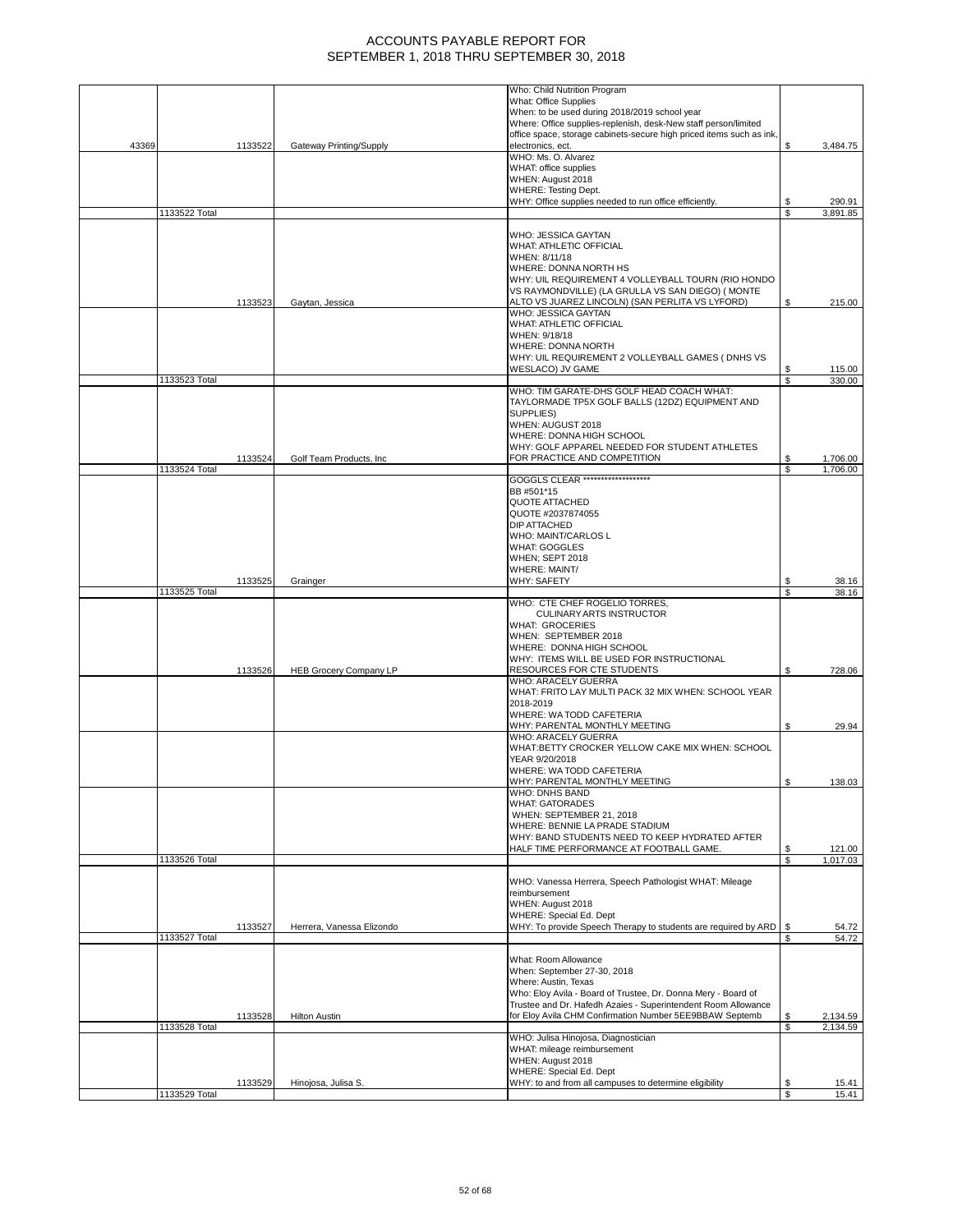|       |               |         |                               | Who: Child Nutrition Program                                            |          |                |
|-------|---------------|---------|-------------------------------|-------------------------------------------------------------------------|----------|----------------|
|       |               |         |                               | <b>What: Office Supplies</b>                                            |          |                |
|       |               |         |                               | When: to be used during 2018/2019 school year                           |          |                |
|       |               |         |                               | Where: Office supplies-replenish, desk-New staff person/limited         |          |                |
|       |               |         |                               | office space, storage cabinets-secure high priced items such as ink,    |          |                |
| 43369 |               | 1133522 | Gateway Printing/Supply       | electronics, ect.                                                       | \$       | 3,484.75       |
|       |               |         |                               | WHO: Ms. O. Alvarez                                                     |          |                |
|       |               |         |                               | WHAT: office supplies                                                   |          |                |
|       |               |         |                               | WHEN: August 2018                                                       |          |                |
|       |               |         |                               | <b>WHERE: Testing Dept.</b>                                             |          |                |
|       |               |         |                               | WHY: Office supplies needed to run office efficiently.                  | S        | 290.91         |
|       | 1133522 Total |         |                               |                                                                         | \$       | 3,891.85       |
|       |               |         |                               | WHO: JESSICA GAYTAN                                                     |          |                |
|       |               |         |                               | <b>WHAT: ATHLETIC OFFICIAL</b>                                          |          |                |
|       |               |         |                               | WHEN: 8/11/18                                                           |          |                |
|       |               |         |                               | WHERE: DONNA NORTH HS                                                   |          |                |
|       |               |         |                               | WHY: UIL REQUIREMENT 4 VOLLEYBALL TOURN (RIO HONDO                      |          |                |
|       |               |         |                               | VS RAYMONDVILLE) (LA GRULLA VS SAN DIEGO) (MONTE                        |          |                |
|       |               | 1133523 | Gaytan, Jessica               | ALTO VS JUAREZ LINCOLN) (SAN PERLITA VS LYFORD)                         | S        | 215.00         |
|       |               |         |                               | WHO: JESSICA GAYTAN                                                     |          |                |
|       |               |         |                               | <b>WHAT: ATHLETIC OFFICIAL</b>                                          |          |                |
|       |               |         |                               | WHEN: 9/18/18                                                           |          |                |
|       |               |         |                               | WHERE: DONNA NORTH                                                      |          |                |
|       |               |         |                               | WHY: UIL REQUIREMENT 2 VOLLEYBALL GAMES ( DNHS VS                       |          |                |
|       |               |         |                               | WESLACO) JV GAME                                                        | S        | 115.00         |
|       | 1133523 Total |         |                               |                                                                         | \$       | 330.00         |
|       |               |         |                               | WHO: TIM GARATE-DHS GOLF HEAD COACH WHAT:                               |          |                |
|       |               |         |                               | TAYLORMADE TP5X GOLF BALLS (12DZ) EQUIPMENT AND                         |          |                |
|       |               |         |                               | SUPPLIES)                                                               |          |                |
|       |               |         |                               | WHEN: AUGUST 2018                                                       |          |                |
|       |               |         |                               | WHERE: DONNA HIGH SCHOOL                                                |          |                |
|       |               |         |                               | WHY: GOLF APPAREL NEEDED FOR STUDENT ATHLETES                           |          |                |
|       |               | 1133524 | Golf Team Products, Inc.      | FOR PRACTICE AND COMPETITION                                            |          | 1,706.00       |
|       | 1133524 Total |         |                               |                                                                         | \$       | 1,706.00       |
|       |               |         |                               | GOGGLS CLEAR ********************                                       |          |                |
|       |               |         |                               | BB #501*15                                                              |          |                |
|       |               |         |                               | <b>QUOTE ATTACHED</b>                                                   |          |                |
|       |               |         |                               | QUOTE #2037874055                                                       |          |                |
|       |               |         |                               | DIP ATTACHED                                                            |          |                |
|       |               |         |                               | <b>WHO: MAINT/CARLOS L</b>                                              |          |                |
|       |               |         |                               | <b>WHAT: GOGGLES</b>                                                    |          |                |
|       |               |         |                               | <b>WHEN: SEPT 2018</b>                                                  |          |                |
|       |               |         |                               | WHERE: MAINT/                                                           |          |                |
|       |               | 1133525 | Grainger                      | WHY: SAFETY                                                             | S        | 38.16          |
|       | 1133525 Total |         |                               |                                                                         | S        | 38.16          |
|       |               |         |                               | WHO: CTE CHEF ROGELIO TORRES,                                           |          |                |
|       |               |         |                               | CULINARY ARTS INSTRUCTOR                                                |          |                |
|       |               |         |                               | <b>WHAT: GROCERIES</b>                                                  |          |                |
|       |               |         |                               | WHEN: SEPTEMBER 2018                                                    |          |                |
|       |               |         |                               | WHERE: DONNA HIGH SCHOOL                                                |          |                |
|       |               |         |                               | WHY: ITEMS WILL BE USED FOR INSTRUCTIONAL<br>RESOURCES FOR CTE STUDENTS |          |                |
|       |               | 1133526 | <b>HEB Grocery Company LP</b> | WHO: ARACELY GUERRA                                                     | S        | 728.06         |
|       |               |         |                               | WHAT: FRITO LAY MULTI PACK 32 MIX WHEN: SCHOOL YEAR                     |          |                |
|       |               |         |                               | 2018-2019                                                               |          |                |
|       |               |         |                               | WHERE: WA TODD CAFETERIA                                                |          |                |
|       |               |         |                               | WHY: PARENTAL MONTHLY MEETING                                           | \$       | 29.94          |
|       |               |         |                               | WHO: ARACELY GUERRA                                                     |          |                |
|       |               |         |                               | WHAT:BETTY CROCKER YELLOW CAKE MIX WHEN: SCHOOL                         |          |                |
|       |               |         |                               | YEAR 9/20/2018                                                          |          |                |
|       |               |         |                               | WHERE: WA TODD CAFETERIA                                                |          |                |
|       |               |         |                               | WHY: PARENTAL MONTHLY MEETING                                           | ъ        | 138.03         |
|       |               |         |                               | WHO: DNHS BAND                                                          |          |                |
|       |               |         |                               | WHAT: GATORADES                                                         |          |                |
|       |               |         |                               | WHEN: SEPTEMBER 21, 2018                                                |          |                |
|       |               |         |                               | WHERE: BENNIE LA PRADE STADIUM                                          |          |                |
|       |               |         |                               | WHY: BAND STUDENTS NEED TO KEEP HYDRATED AFTER                          |          |                |
|       |               |         |                               | HALF TIME PERFORMANCE AT FOOTBALL GAME.                                 | \$       | 121.00         |
|       | 1133526 Total |         |                               |                                                                         | \$       | 1,017.03       |
|       |               |         |                               |                                                                         |          |                |
|       |               |         |                               | WHO: Vanessa Herrera, Speech Pathologist WHAT: Mileage                  |          |                |
|       |               |         |                               | reimbursement                                                           |          |                |
|       |               |         |                               | WHEN: August 2018                                                       |          |                |
|       |               |         |                               | WHERE: Special Ed. Dept                                                 |          |                |
|       |               | 1133527 | Herrera, Vanessa Elizondo     | WHY: To provide Speech Therapy to students are required by ARD          | \$       | 54.72          |
|       | 1133527 Total |         |                               |                                                                         | S        | 54.72          |
|       |               |         |                               |                                                                         |          |                |
|       |               |         |                               | What: Room Allowance                                                    |          |                |
|       |               |         |                               | When: September 27-30, 2018                                             |          |                |
|       |               |         |                               | Where: Austin, Texas                                                    |          |                |
|       |               |         |                               | Who: Eloy Avila - Board of Trustee, Dr. Donna Mery - Board of           |          |                |
|       |               |         |                               | Trustee and Dr. Hafedh Azaies - Superintendent Room Allowance           |          |                |
|       |               | 1133528 | <b>Hilton Austin</b>          | for Eloy Avila CHM Confirmation Number 5EE9BBAW Septemb                 | \$       | 2,134.59       |
|       | 1133528 Total |         |                               |                                                                         | \$       | 2,134.59       |
|       |               |         |                               | WHO: Julisa Hinojosa, Diagnostician                                     |          |                |
|       |               |         |                               | WHAT: mileage reimbursement                                             |          |                |
|       |               |         |                               | WHEN: August 2018                                                       |          |                |
|       |               |         |                               |                                                                         |          |                |
|       |               |         |                               | WHERE: Special Ed. Dept                                                 |          |                |
|       | 1133529 Total | 1133529 | Hinojosa, Julisa S.           | WHY: to and from all campuses to determine eligibility                  | \$<br>\$ | 15.41<br>15.41 |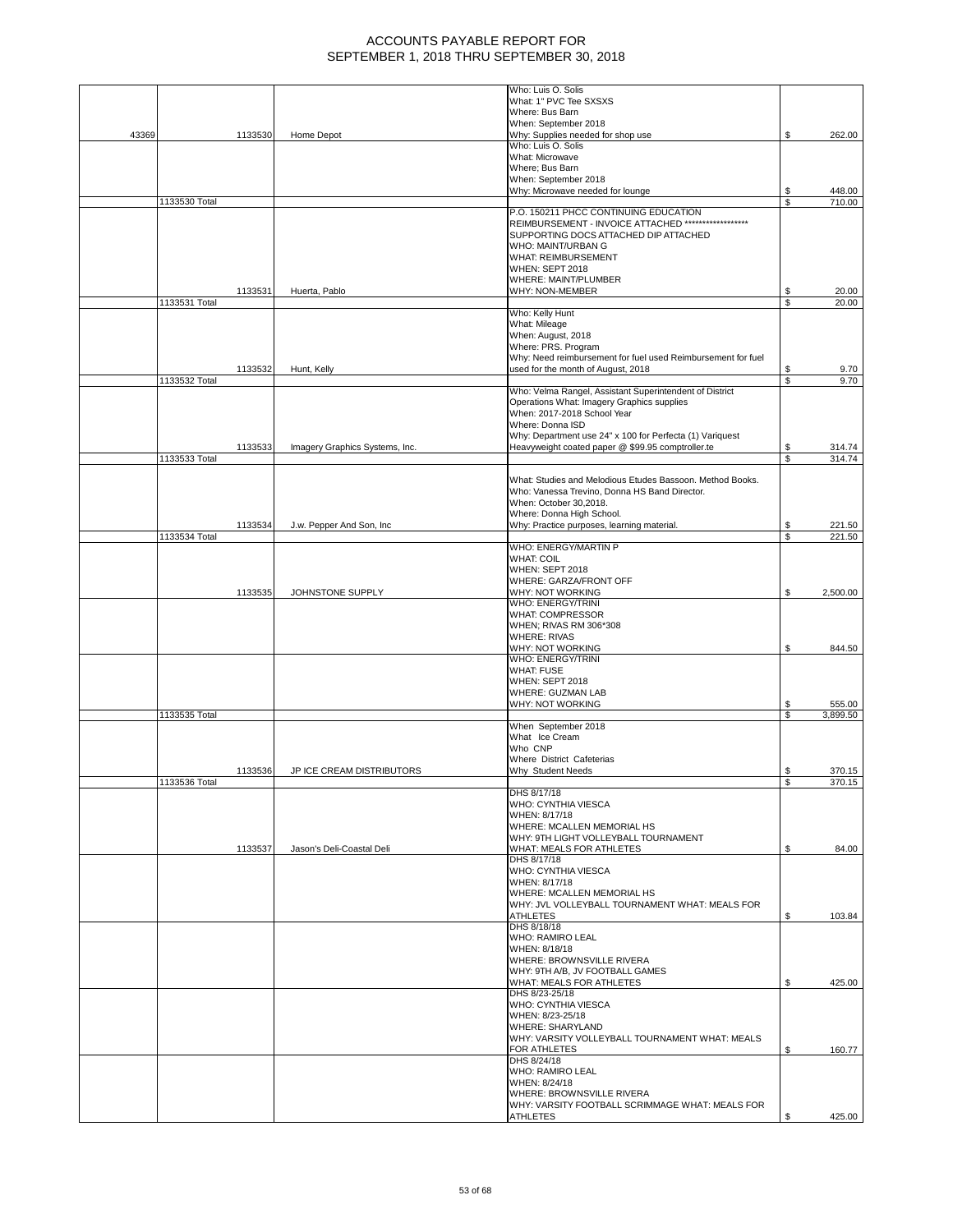|       |               |         |                                | Who: Luis O. Solis<br>What: 1" PVC Tee SXSXS                              |          |                    |
|-------|---------------|---------|--------------------------------|---------------------------------------------------------------------------|----------|--------------------|
|       |               |         |                                | Where: Bus Barn                                                           |          |                    |
| 43369 |               | 1133530 | Home Depot                     | When: September 2018<br>Why: Supplies needed for shop use                 | \$       | 262.00             |
|       |               |         |                                | Who: Luis O. Solis                                                        |          |                    |
|       |               |         |                                | What: Microwave<br>Where: Bus Barn                                        |          |                    |
|       |               |         |                                | When: September 2018                                                      |          |                    |
|       |               |         |                                | Why: Microwave needed for lounge                                          | \$       | 448.00             |
|       | 1133530 Total |         |                                | P.O. 150211 PHCC CONTINUING EDUCATION                                     | \$       | 710.00             |
|       |               |         |                                | REIMBURSEMENT - INVOICE ATTACHED *******************                      |          |                    |
|       |               |         |                                | SUPPORTING DOCS ATTACHED DIP ATTACHED                                     |          |                    |
|       |               |         |                                | WHO: MAINT/URBAN G<br>WHAT: REIMBURSEMENT                                 |          |                    |
|       |               |         |                                | WHEN: SEPT 2018                                                           |          |                    |
|       |               |         |                                | WHERE: MAINT/PLUMBER<br>WHY: NON-MEMBER                                   | \$       | 20.00              |
|       | 1133531 Total | 1133531 | Huerta, Pablo                  |                                                                           | \$       | 20.00              |
|       |               |         |                                | Who: Kelly Hunt                                                           |          |                    |
|       |               |         |                                | What: Mileage<br>When: August, 2018                                       |          |                    |
|       |               |         |                                | Where: PRS. Program                                                       |          |                    |
|       |               |         |                                | Why: Need reimbursement for fuel used Reimbursement for fuel              |          |                    |
|       | 1133532 Total | 1133532 | Hunt, Kelly                    | used for the month of August, 2018                                        | \$<br>\$ | 9.70<br>9.70       |
|       |               |         |                                | Who: Velma Rangel, Assistant Superintendent of District                   |          |                    |
|       |               |         |                                | Operations What: Imagery Graphics supplies<br>When: 2017-2018 School Year |          |                    |
|       |               |         |                                | Where: Donna ISD                                                          |          |                    |
|       |               |         |                                | Why: Department use 24" x 100 for Perfecta (1) Variquest                  |          |                    |
|       |               | 1133533 | Imagery Graphics Systems, Inc. | Heavyweight coated paper @ \$99.95 comptroller.te                         | \$       | 314.74             |
|       | 1133533 Total |         |                                |                                                                           | \$       | 314.74             |
|       |               |         |                                | What: Studies and Melodious Etudes Bassoon. Method Books.                 |          |                    |
|       |               |         |                                | Who: Vanessa Trevino, Donna HS Band Director.<br>When: October 30,2018.   |          |                    |
|       |               |         |                                | Where: Donna High School.                                                 |          |                    |
|       |               | 1133534 | J.w. Pepper And Son, Inc.      | Why: Practice purposes, learning material.                                | \$       | 221.50             |
|       | 1133534 Total |         |                                | WHO: ENERGY/MARTIN P                                                      | \$       | 221.50             |
|       |               |         |                                | <b>WHAT: COIL</b>                                                         |          |                    |
|       |               |         |                                | <b>WHEN: SEPT 2018</b>                                                    |          |                    |
|       |               | 1133535 | JOHNSTONE SUPPLY               | WHERE: GARZA/FRONT OFF<br>WHY: NOT WORKING                                | \$       | 2,500.00           |
|       |               |         |                                | WHO: ENERGY/TRINI                                                         |          |                    |
|       |               |         |                                | <b>WHAT: COMPRESSOR</b>                                                   |          |                    |
|       |               |         |                                | WHEN; RIVAS RM 306*308<br><b>WHERE: RIVAS</b>                             |          |                    |
|       |               |         |                                | WHY: NOT WORKING                                                          | \$       | 844.50             |
|       |               |         |                                | WHO: ENERGY/TRINI<br><b>WHAT: FUSE</b>                                    |          |                    |
|       |               |         |                                | WHEN: SEPT 2018                                                           |          |                    |
|       |               |         |                                | WHERE: GUZMAN LAB                                                         |          |                    |
|       | 1133535 Total |         |                                | WHY: NOT WORKING                                                          | \$<br>\$ | 555.00<br>3,899.50 |
|       |               |         |                                | When September 2018                                                       |          |                    |
|       |               |         |                                | What Ice Cream<br>Who CNP                                                 |          |                    |
|       |               |         |                                | Where District Cafeterias                                                 |          |                    |
|       |               | 1133536 | JP ICE CREAM DISTRIBUTORS      | Why Student Needs                                                         | \$       | 370.15             |
|       | 1133536 TOTAL |         |                                | DHS 8/17/18                                                               |          | 370.15             |
|       |               |         |                                | WHO: CYNTHIA VIESCA                                                       |          |                    |
|       |               |         |                                | WHEN: 8/17/18                                                             |          |                    |
|       |               |         |                                | WHERE: MCALLEN MEMORIAL HS<br>WHY: 9TH LIGHT VOLLEYBALL TOURNAMENT        |          |                    |
|       |               | 1133537 | Jason's Deli-Coastal Deli      | WHAT: MEALS FOR ATHLETES                                                  | \$       | 84.00              |
|       |               |         |                                | DHS 8/17/18                                                               |          |                    |
|       |               |         |                                | WHO: CYNTHIA VIESCA<br>WHEN: 8/17/18                                      |          |                    |
|       |               |         |                                | WHERE: MCALLEN MEMORIAL HS                                                |          |                    |
|       |               |         |                                | WHY: JVL VOLLEYBALL TOURNAMENT WHAT: MEALS FOR<br><b>ATHLETES</b>         | \$       | 103.84             |
|       |               |         |                                | DHS 8/18/18                                                               |          |                    |
|       |               |         |                                | <b>WHO: RAMIRO LEAL</b>                                                   |          |                    |
|       |               |         |                                | WHEN: 8/18/18<br>WHERE: BROWNSVILLE RIVERA                                |          |                    |
|       |               |         |                                | WHY: 9TH A/B, JV FOOTBALL GAMES                                           |          |                    |
|       |               |         |                                | WHAT: MEALS FOR ATHLETES<br>DHS 8/23-25/18                                | \$       | 425.00             |
|       |               |         |                                | WHO: CYNTHIA VIESCA                                                       |          |                    |
|       |               |         |                                | WHEN: 8/23-25/18                                                          |          |                    |
|       |               |         |                                | WHERE: SHARYLAND<br>WHY: VARSITY VOLLEYBALL TOURNAMENT WHAT: MEALS        |          |                    |
|       |               |         |                                | FOR ATHLETES                                                              | \$       | 160.77             |
|       |               |         |                                | DHS 8/24/18                                                               |          |                    |
|       |               |         |                                | <b>WHO: RAMIRO LEAL</b><br>WHEN: 8/24/18                                  |          |                    |
|       |               |         |                                | WHERE: BROWNSVILLE RIVERA                                                 |          |                    |
|       |               |         |                                | WHY: VARSITY FOOTBALL SCRIMMAGE WHAT: MEALS FOR                           |          |                    |
|       |               |         |                                | <b>ATHLETES</b>                                                           | \$       | 425.00             |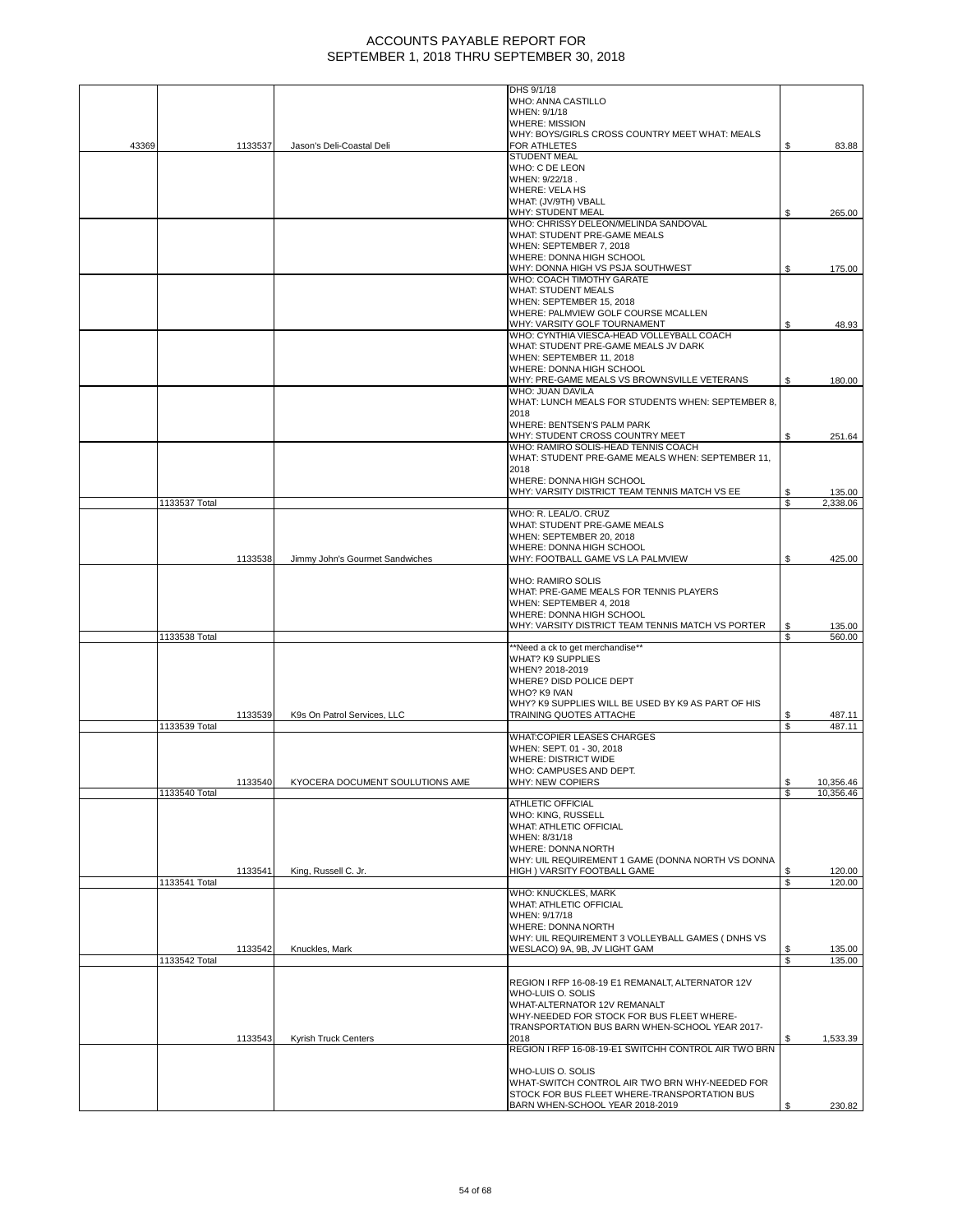|       |               |         |                                 | DHS 9/1/18<br>WHO: ANNA CASTILLO                                                               |    |           |
|-------|---------------|---------|---------------------------------|------------------------------------------------------------------------------------------------|----|-----------|
|       |               |         |                                 | WHEN: 9/1/18                                                                                   |    |           |
|       |               |         |                                 | <b>WHERE: MISSION</b>                                                                          |    |           |
|       |               |         |                                 | WHY: BOYS/GIRLS CROSS COUNTRY MEET WHAT: MEALS                                                 |    |           |
| 43369 |               | 1133537 | Jason's Deli-Coastal Deli       | FOR ATHLETES                                                                                   | \$ | 83.88     |
|       |               |         |                                 | <b>STUDENT MEAL</b>                                                                            |    |           |
|       |               |         |                                 | WHO: C DE LEON                                                                                 |    |           |
|       |               |         |                                 | WHEN: 9/22/18.                                                                                 |    |           |
|       |               |         |                                 | <b>WHERE: VELA HS</b>                                                                          |    |           |
|       |               |         |                                 | WHAT: (JV/9TH) VBALL                                                                           |    |           |
|       |               |         |                                 | WHY: STUDENT MEAL                                                                              | \$ | 265.00    |
|       |               |         |                                 | WHO: CHRISSY DELEON/MELINDA SANDOVAL                                                           |    |           |
|       |               |         |                                 | WHAT: STUDENT PRE-GAME MEALS                                                                   |    |           |
|       |               |         |                                 | WHEN: SEPTEMBER 7, 2018                                                                        |    |           |
|       |               |         |                                 | WHERE: DONNA HIGH SCHOOL                                                                       |    |           |
|       |               |         |                                 | WHY: DONNA HIGH VS PSJA SOUTHWEST                                                              | \$ | 175.00    |
|       |               |         |                                 | WHO: COACH TIMOTHY GARATE                                                                      |    |           |
|       |               |         |                                 | <b>WHAT: STUDENT MEALS</b>                                                                     |    |           |
|       |               |         |                                 | WHEN: SEPTEMBER 15, 2018                                                                       |    |           |
|       |               |         |                                 |                                                                                                |    |           |
|       |               |         |                                 | WHERE: PALMVIEW GOLF COURSE MCALLEN                                                            |    |           |
|       |               |         |                                 | WHY: VARSITY GOLF TOURNAMENT                                                                   | \$ | 48.93     |
|       |               |         |                                 | WHO: CYNTHIA VIESCA-HEAD VOLLEYBALL COACH                                                      |    |           |
|       |               |         |                                 | WHAT: STUDENT PRE-GAME MEALS JV DARK                                                           |    |           |
|       |               |         |                                 | WHEN: SEPTEMBER 11, 2018                                                                       |    |           |
|       |               |         |                                 | WHERE: DONNA HIGH SCHOOL                                                                       |    |           |
|       |               |         |                                 | WHY: PRE-GAME MEALS VS BROWNSVILLE VETERANS                                                    | \$ | 180.00    |
|       |               |         |                                 | WHO: JUAN DAVILA                                                                               |    |           |
|       |               |         |                                 | WHAT: LUNCH MEALS FOR STUDENTS WHEN: SEPTEMBER 8,                                              |    |           |
|       |               |         |                                 | 2018                                                                                           |    |           |
|       |               |         |                                 | WHERE: BENTSEN'S PALM PARK                                                                     |    |           |
|       |               |         |                                 | WHY: STUDENT CROSS COUNTRY MEET                                                                | \$ | 251.64    |
|       |               |         |                                 | WHO: RAMIRO SOLIS-HEAD TENNIS COACH                                                            |    |           |
|       |               |         |                                 | WHAT: STUDENT PRE-GAME MEALS WHEN: SEPTEMBER 11,                                               |    |           |
|       |               |         |                                 | 2018                                                                                           |    |           |
|       |               |         |                                 | WHERE: DONNA HIGH SCHOOL                                                                       |    |           |
|       |               |         |                                 | WHY: VARSITY DISTRICT TEAM TENNIS MATCH VS EE                                                  | \$ | 135.00    |
|       | 1133537 Total |         |                                 |                                                                                                | S  | 2,338.06  |
|       |               |         |                                 | WHO: R. LEAL/O. CRUZ                                                                           |    |           |
|       |               |         |                                 | WHAT: STUDENT PRE-GAME MEALS                                                                   |    |           |
|       |               |         |                                 | WHEN: SEPTEMBER 20, 2018                                                                       |    |           |
|       |               |         |                                 | WHERE: DONNA HIGH SCHOOL                                                                       |    |           |
|       |               | 1133538 | Jimmy John's Gourmet Sandwiches | WHY: FOOTBALL GAME VS LA PALMVIEW                                                              | \$ | 425.00    |
|       |               |         |                                 |                                                                                                |    |           |
|       |               |         |                                 | <b>WHO: RAMIRO SOLIS</b>                                                                       |    |           |
|       |               |         |                                 | WHAT: PRE-GAME MEALS FOR TENNIS PLAYERS                                                        |    |           |
|       |               |         |                                 | WHEN: SEPTEMBER 4, 2018                                                                        |    |           |
|       |               |         |                                 | WHERE: DONNA HIGH SCHOOL                                                                       |    |           |
|       |               |         |                                 | WHY: VARSITY DISTRICT TEAM TENNIS MATCH VS PORTER                                              | \$ | 135.00    |
|       | 1133538 Total |         |                                 |                                                                                                | \$ | 560.00    |
|       |               |         |                                 | "Need a ck to get merchandise""                                                                |    |           |
|       |               |         |                                 | <b>WHAT? K9 SUPPLIES</b>                                                                       |    |           |
|       |               |         |                                 | WHEN? 2018-2019                                                                                |    |           |
|       |               |         |                                 | WHERE? DISD POLICE DEPT                                                                        |    |           |
|       |               |         |                                 | WHO? K9 IVAN                                                                                   |    |           |
|       |               |         |                                 | WHY? K9 SUPPLIES WILL BE USED BY K9 AS PART OF HIS                                             |    |           |
|       |               | 1133539 | K9s On Patrol Services, LLC     | TRAINING QUOTES ATTACHE                                                                        | S  | 487.11    |
|       | 1133539 Total |         |                                 |                                                                                                | \$ | 487.11    |
|       |               |         |                                 | WHAT:COPIER LEASES CHARGES                                                                     |    |           |
|       |               |         |                                 | WHEN: SEPT. 01 - 30, 2018                                                                      |    |           |
|       |               |         |                                 | <b>WHERE: DISTRICT WIDE</b>                                                                    |    |           |
|       |               |         |                                 | WHO: CAMPUSES AND DEPT.                                                                        |    |           |
|       |               | 1133540 | KYOCERA DOCUMENT SOULUTIONS AME | WHY: NEW COPIERS                                                                               |    | 10,356.46 |
|       | 1133540 Total |         |                                 |                                                                                                | \$ | 10,356.46 |
|       |               |         |                                 | <b>ATHLETIC OFFICIAL</b>                                                                       |    |           |
|       |               |         |                                 | WHO: KING, RUSSELL                                                                             |    |           |
|       |               |         |                                 | WHAT: ATHLETIC OFFICIAL                                                                        |    |           |
|       |               |         |                                 | WHEN: 8/31/18                                                                                  |    |           |
|       |               |         |                                 | WHERE: DONNA NORTH                                                                             |    |           |
|       |               |         |                                 |                                                                                                |    |           |
|       |               |         |                                 | WHY: UIL REQUIREMENT 1 GAME (DONNA NORTH VS DONNA                                              |    |           |
|       |               | 1133541 | King, Russell C. Jr.            | HIGH ) VARSITY FOOTBALL GAME                                                                   | \$ | 120.00    |
|       | 1133541 Total |         |                                 |                                                                                                | \$ | 120.00    |
|       |               |         |                                 | WHO: KNUCKLES, MARK                                                                            |    |           |
|       |               |         |                                 | <b>WHAT: ATHLETIC OFFICIAL</b>                                                                 |    |           |
|       |               |         |                                 | WHEN: 9/17/18                                                                                  |    |           |
|       |               |         |                                 | WHERE: DONNA NORTH                                                                             |    |           |
|       |               |         |                                 | WHY: UIL REQUIREMENT 3 VOLLEYBALL GAMES ( DNHS VS                                              |    |           |
|       |               | 1133542 | Knuckles, Mark                  | WESLACO) 9A, 9B, JV LIGHT GAM                                                                  | \$ | 135.00    |
|       | 1133542 Total |         |                                 |                                                                                                | S  | 135.00    |
|       |               |         |                                 |                                                                                                |    |           |
|       |               |         |                                 | REGION I RFP 16-08-19 E1 REMANALT, ALTERNATOR 12V                                              |    |           |
|       |               |         |                                 | WHO-LUIS O. SOLIS                                                                              |    |           |
|       |               |         |                                 | WHAT-ALTERNATOR 12V REMANALT                                                                   |    |           |
|       |               |         |                                 | WHY-NEEDED FOR STOCK FOR BUS FLEET WHERE-                                                      |    |           |
|       |               |         |                                 | TRANSPORTATION BUS BARN WHEN-SCHOOL YEAR 2017-                                                 |    |           |
|       |               | 1133543 | Kyrish Truck Centers            | 2018                                                                                           | \$ | 1,533.39  |
|       |               |         |                                 | REGION I RFP 16-08-19-E1 SWITCHH CONTROL AIR TWO BRN                                           |    |           |
|       |               |         |                                 |                                                                                                |    |           |
|       |               |         |                                 | WHO-LUIS O. SOLIS                                                                              |    |           |
|       |               |         |                                 | WHAT-SWITCH CONTROL AIR TWO BRN WHY-NEEDED FOR<br>STOCK FOR BUS FLEET WHERE-TRANSPORTATION BUS |    |           |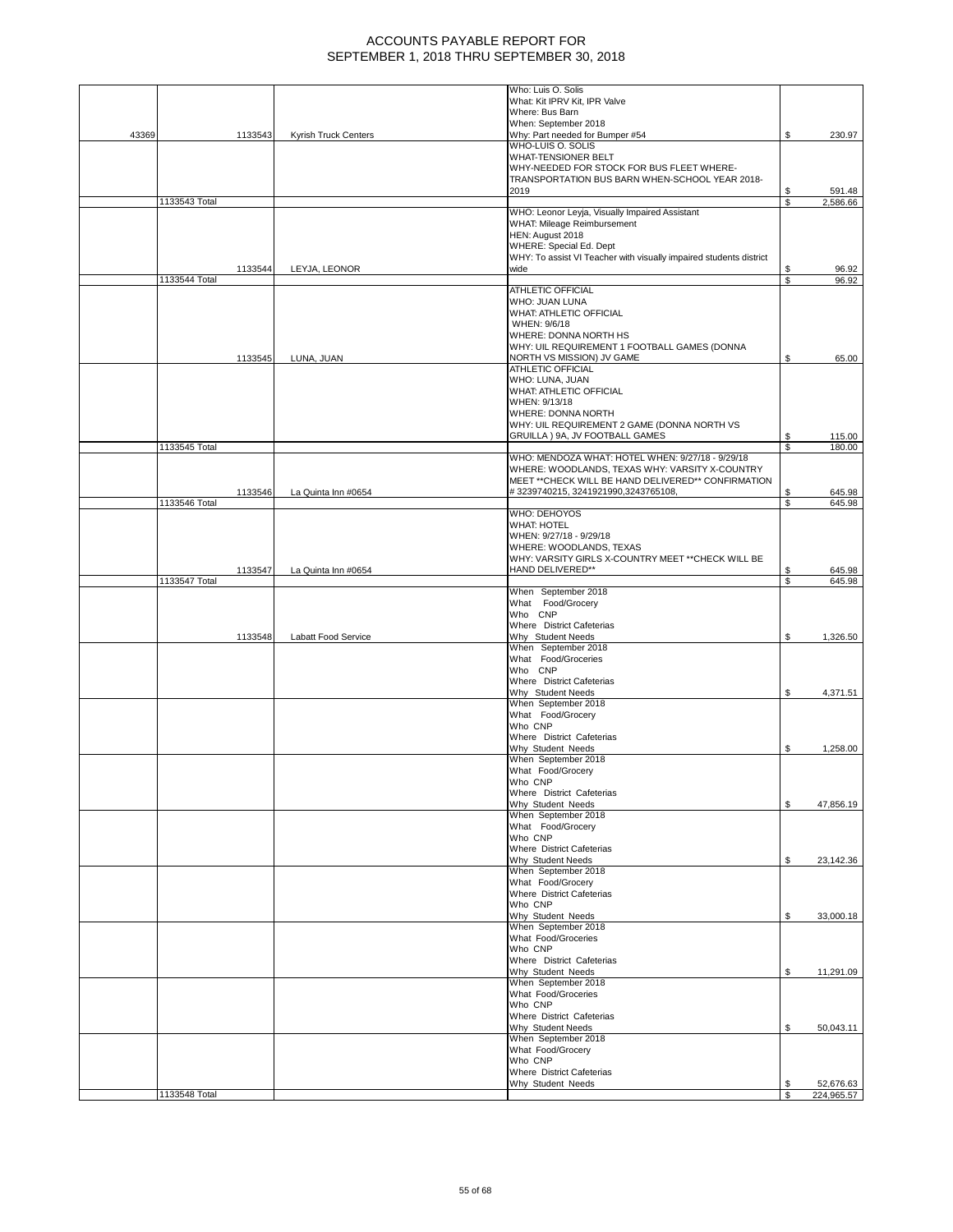|       |               |                      | Who: Luis O. Solis                                                 |          |                    |
|-------|---------------|----------------------|--------------------------------------------------------------------|----------|--------------------|
|       |               |                      | What: Kit IPRV Kit, IPR Valve                                      |          |                    |
|       |               |                      | Where: Bus Barn                                                    |          |                    |
|       |               |                      | When: September 2018                                               |          |                    |
| 43369 | 1133543       | Kyrish Truck Centers | Why: Part needed for Bumper #54                                    | \$       | 230.97             |
|       |               |                      | WHO-LUIS O. SOLIS                                                  |          |                    |
|       |               |                      | WHAT-TENSIONER BELT                                                |          |                    |
|       |               |                      | WHY-NEEDED FOR STOCK FOR BUS FLEET WHERE-                          |          |                    |
|       |               |                      | TRANSPORTATION BUS BARN WHEN-SCHOOL YEAR 2018-                     |          |                    |
|       | 1133543 Total |                      | 2019                                                               | \$<br>\$ | 591.48<br>2,586.66 |
|       |               |                      | WHO: Leonor Leyja, Visually Impaired Assistant                     |          |                    |
|       |               |                      | WHAT: Mileage Reimbursement                                        |          |                    |
|       |               |                      | HEN: August 2018                                                   |          |                    |
|       |               |                      | WHERE: Special Ed. Dept                                            |          |                    |
|       |               |                      | WHY: To assist VI Teacher with visually impaired students district |          |                    |
|       | 1133544       | LEYJA, LEONOR        | wide                                                               |          | 96.92              |
|       | 1133544 Total |                      |                                                                    | \$       | 96.92              |
|       |               |                      | <b>ATHLETIC OFFICIAL</b>                                           |          |                    |
|       |               |                      | <b>WHO: JUAN LUNA</b>                                              |          |                    |
|       |               |                      | WHAT: ATHLETIC OFFICIAL                                            |          |                    |
|       |               |                      | WHEN: 9/6/18                                                       |          |                    |
|       |               |                      | WHERE: DONNA NORTH HS                                              |          |                    |
|       |               |                      | WHY: UIL REQUIREMENT 1 FOOTBALL GAMES (DONNA                       |          |                    |
|       | 1133545       | LUNA, JUAN           | NORTH VS MISSION) JV GAME                                          | \$       | 65.00              |
|       |               |                      | <b>ATHLETIC OFFICIAL</b>                                           |          |                    |
|       |               |                      | WHO: LUNA, JUAN                                                    |          |                    |
|       |               |                      | <b>WHAT: ATHLETIC OFFICIAL</b><br>WHEN: 9/13/18                    |          |                    |
|       |               |                      | WHERE: DONNA NORTH                                                 |          |                    |
|       |               |                      | WHY: UIL REQUIREMENT 2 GAME (DONNA NORTH VS                        |          |                    |
|       |               |                      | GRUILLA) 9A, JV FOOTBALL GAMES                                     | \$       | 115.00             |
|       | 1133545 Total |                      |                                                                    | \$       | 180.00             |
|       |               |                      | WHO: MENDOZA WHAT: HOTEL WHEN: 9/27/18 - 9/29/18                   |          |                    |
|       |               |                      | WHERE: WOODLANDS, TEXAS WHY: VARSITY X-COUNTRY                     |          |                    |
|       |               |                      | MEET ** CHECK WILL BE HAND DELIVERED** CONFIRMATION                |          |                    |
|       | 1133546       | La Quinta Inn #0654  | #3239740215, 3241921990, 3243765108,                               | \$       | 645.98             |
|       | 1133546 Total |                      |                                                                    | \$       | 645.98             |
|       |               |                      | WHO: DEHOYOS                                                       |          |                    |
|       |               |                      | <b>WHAT: HOTEL</b>                                                 |          |                    |
|       |               |                      | WHEN: 9/27/18 - 9/29/18                                            |          |                    |
|       |               |                      | WHERE: WOODLANDS, TEXAS                                            |          |                    |
|       |               |                      | WHY: VARSITY GIRLS X-COUNTRY MEET ** CHECK WILL BE                 |          |                    |
|       | 1133547       | La Quinta Inn #0654  | HAND DELIVERED**                                                   | S        | 645.98             |
|       | 1133547 Total |                      |                                                                    | S        | 645.98             |
|       |               |                      | When September 2018<br>What Food/Grocery                           |          |                    |
|       |               |                      | Who CNP                                                            |          |                    |
|       |               |                      | Where District Cafeterias                                          |          |                    |
|       | 1133548       | Labatt Food Service  | Why Student Needs                                                  | \$       | 1,326.50           |
|       |               |                      | When September 2018                                                |          |                    |
|       |               |                      | What Food/Groceries                                                |          |                    |
|       |               |                      | Who CNP                                                            |          |                    |
|       |               |                      | Where District Cafeterias                                          |          |                    |
|       |               |                      | Why Student Needs                                                  | \$       | 4,371.51           |
|       |               |                      | When September 2018                                                |          |                    |
|       |               |                      | What Food/Grocery                                                  |          |                    |
|       |               |                      | Who CNP                                                            |          |                    |
|       |               |                      | Where District Cafeterias                                          |          |                    |
|       |               |                      | Why Student Needs                                                  | \$       | 1,258.00           |
|       |               |                      | When September 2018                                                |          |                    |
|       |               |                      | What Food/Grocery                                                  |          |                    |
|       |               |                      | Who CNP                                                            |          |                    |
|       |               |                      | Where District Cafeterias<br>Why Student Needs                     |          |                    |
|       |               |                      | When September 2018                                                | S        | 47,856.19          |
|       |               |                      | What Food/Grocery                                                  |          |                    |
|       |               |                      | Who CNP                                                            |          |                    |
|       |               |                      | Where District Cafeterias                                          |          |                    |
|       |               |                      | Why Student Needs                                                  | \$       | 23,142.36          |
|       |               |                      | When September 2018                                                |          |                    |
|       |               |                      | What Food/Grocery                                                  |          |                    |
|       |               |                      | Where District Cafeterias                                          |          |                    |
|       |               |                      | Who CNP                                                            |          |                    |
|       |               |                      | Why Student Needs                                                  | \$       | 33,000.18          |
|       |               |                      | When September 2018                                                |          |                    |
|       |               |                      | What Food/Groceries                                                |          |                    |
|       |               |                      | Who CNP                                                            |          |                    |
|       |               |                      | Where District Cafeterias                                          |          |                    |
|       |               |                      | Why Student Needs<br>When September 2018                           | \$       | 11,291.09          |
|       |               |                      | What Food/Groceries                                                |          |                    |
|       |               |                      | Who CNP                                                            |          |                    |
|       |               |                      | Where District Cafeterias                                          |          |                    |
|       |               |                      | Why Student Needs                                                  | \$       | 50,043.11          |
|       |               |                      | When September 2018                                                |          |                    |
|       |               |                      | What Food/Grocery                                                  |          |                    |
|       |               |                      | Who CNP                                                            |          |                    |
|       |               |                      | Where District Cafeterias                                          |          |                    |
|       |               |                      | Why Student Needs                                                  |          | 52,676.63          |
|       | 1133548 Total |                      |                                                                    | \$       | 224,965.57         |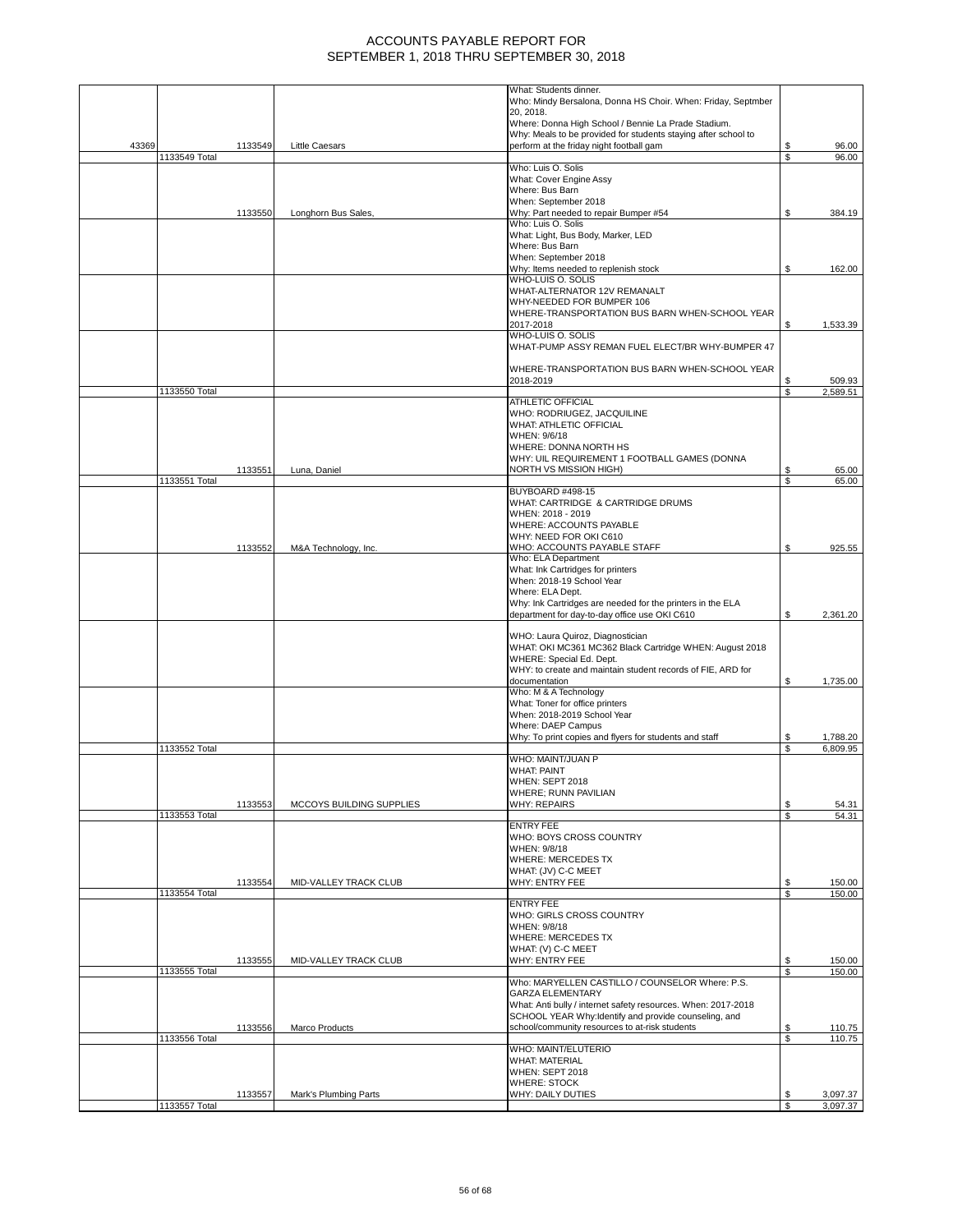|       |               |         |                          | What: Students dinner.                                                                  |          |                  |
|-------|---------------|---------|--------------------------|-----------------------------------------------------------------------------------------|----------|------------------|
|       |               |         |                          | Who: Mindy Bersalona, Donna HS Choir. When: Friday, Septmber                            |          |                  |
|       |               |         |                          | 20, 2018.                                                                               |          |                  |
|       |               |         |                          | Where: Donna High School / Bennie La Prade Stadium.                                     |          |                  |
|       |               |         |                          | Why: Meals to be provided for students staying after school to                          |          |                  |
| 43369 |               | 1133549 | <b>Little Caesars</b>    | perform at the friday night football gam                                                | \$       | 96.00            |
|       | 1133549 Total |         |                          |                                                                                         | \$       | 96.00            |
|       |               |         |                          | Who: Luis O. Solis                                                                      |          |                  |
|       |               |         |                          | What: Cover Engine Assy                                                                 |          |                  |
|       |               |         |                          | Where: Bus Barn<br>When: September 2018                                                 |          |                  |
|       |               | 1133550 | Longhorn Bus Sales,      | Why: Part needed to repair Bumper #54                                                   | \$       | 384.19           |
|       |               |         |                          | Who: Luis O. Solis                                                                      |          |                  |
|       |               |         |                          | What: Light, Bus Body, Marker, LED                                                      |          |                  |
|       |               |         |                          | Where: Bus Barn                                                                         |          |                  |
|       |               |         |                          | When: September 2018                                                                    |          |                  |
|       |               |         |                          | Why: Items needed to replenish stock                                                    | \$       | 162.00           |
|       |               |         |                          | WHO-LUIS O. SOLIS                                                                       |          |                  |
|       |               |         |                          | WHAT-ALTERNATOR 12V REMANALT                                                            |          |                  |
|       |               |         |                          | WHY-NEEDED FOR BUMPER 106                                                               |          |                  |
|       |               |         |                          | WHERE-TRANSPORTATION BUS BARN WHEN-SCHOOL YEAR                                          |          |                  |
|       |               |         |                          | 2017-2018                                                                               | \$       | 1,533.39         |
|       |               |         |                          | WHO-LUIS O. SOLIS                                                                       |          |                  |
|       |               |         |                          | WHAT-PUMP ASSY REMAN FUEL ELECT/BR WHY-BUMPER 47                                        |          |                  |
|       |               |         |                          |                                                                                         |          |                  |
|       |               |         |                          | WHERE-TRANSPORTATION BUS BARN WHEN-SCHOOL YEAR                                          |          |                  |
|       |               |         |                          | 2018-2019                                                                               | \$       | 509.93           |
|       | 1133550 Total |         |                          |                                                                                         | S        | 2.589.51         |
|       |               |         |                          | <b>ATHLETIC OFFICIAL</b>                                                                |          |                  |
|       |               |         |                          | WHO: RODRIUGEZ, JACQUILINE                                                              |          |                  |
|       |               |         |                          | <b>WHAT: ATHLETIC OFFICIAL</b>                                                          |          |                  |
|       |               |         |                          | WHEN: 9/6/18                                                                            |          |                  |
|       |               |         |                          | WHERE: DONNA NORTH HS<br>WHY: UIL REQUIREMENT 1 FOOTBALL GAMES (DONNA                   |          |                  |
|       |               | 1133551 | Luna, Daniel             | <b>NORTH VS MISSION HIGH)</b>                                                           | \$       | 65.00            |
|       | 1133551 Total |         |                          |                                                                                         | \$       | 65.00            |
|       |               |         |                          | BUYBOARD #498-15                                                                        |          |                  |
|       |               |         |                          | WHAT: CARTRIDGE & CARTRIDGE DRUMS                                                       |          |                  |
|       |               |         |                          | WHEN: 2018 - 2019                                                                       |          |                  |
|       |               |         |                          | WHERE: ACCOUNTS PAYABLE                                                                 |          |                  |
|       |               |         |                          | WHY: NEED FOR OKI C610                                                                  |          |                  |
|       |               | 1133552 | M&A Technology, Inc.     | WHO: ACCOUNTS PAYABLE STAFF                                                             | \$       | 925.55           |
|       |               |         |                          | Who: ELA Department                                                                     |          |                  |
|       |               |         |                          | What: Ink Cartridges for printers                                                       |          |                  |
|       |               |         |                          | When: 2018-19 School Year                                                               |          |                  |
|       |               |         |                          | Where: ELA Dept.                                                                        |          |                  |
|       |               |         |                          | Why: Ink Cartridges are needed for the printers in the ELA                              |          |                  |
|       |               |         |                          | department for day-to-day office use OKI C610                                           | S        | 2,361.20         |
|       |               |         |                          |                                                                                         |          |                  |
|       |               |         |                          | WHO: Laura Quiroz, Diagnostician                                                        |          |                  |
|       |               |         |                          | WHAT: OKI MC361 MC362 Black Cartridge WHEN: August 2018                                 |          |                  |
|       |               |         |                          | WHERE: Special Ed. Dept.<br>WHY: to create and maintain student records of FIE, ARD for |          |                  |
|       |               |         |                          | documentation                                                                           | S        | 1,735.00         |
|       |               |         |                          | Who: M & A Technology                                                                   |          |                  |
|       |               |         |                          | What: Toner for office printers                                                         |          |                  |
|       |               |         |                          | When: 2018-2019 School Year                                                             |          |                  |
|       |               |         |                          | Where: DAEP Campus                                                                      |          |                  |
|       |               |         |                          | Why: To print copies and flyers for students and staff                                  | \$       | 1,788.20         |
|       | 1133552 Total |         |                          |                                                                                         | S        | 6,809.95         |
|       |               |         |                          | WHO: MAINT/JUAN P                                                                       |          |                  |
|       |               |         |                          | <b>WHAT: PAINT</b>                                                                      |          |                  |
|       |               |         |                          | WHEN: SEPT 2018                                                                         |          |                  |
|       |               |         |                          | WHERE; RUNN PAVILIAN                                                                    |          |                  |
|       |               | 1133553 | MCCOYS BUILDING SUPPLIES | <b>WHY: REPAIRS</b>                                                                     | \$       | 54.31            |
|       | 1133553 Total |         |                          |                                                                                         | S        | 54.31            |
|       |               |         |                          | <b>ENTRY FEE</b>                                                                        |          |                  |
|       |               |         |                          | WHO: BOYS CROSS COUNTRY<br>WHEN: 9/8/18                                                 |          |                  |
|       |               |         |                          | <b>WHERE: MERCEDES TX</b>                                                               |          |                  |
|       |               |         |                          | WHAT: (JV) C-C MEET                                                                     |          |                  |
|       |               | 1133554 | MID-VALLEY TRACK CLUB    | <b>WHY: ENTRY FEE</b>                                                                   | \$       | 150.00           |
|       | 1133554 Total |         |                          |                                                                                         | \$       | 150.00           |
|       |               |         |                          | <b>ENTRY FEE</b>                                                                        |          |                  |
|       |               |         |                          | WHO: GIRLS CROSS COUNTRY                                                                |          |                  |
|       |               |         |                          | WHEN: 9/8/18                                                                            |          |                  |
|       |               |         |                          | <b>WHERE: MERCEDES TX</b>                                                               |          |                  |
|       |               |         |                          | WHAT: (V) C-C MEET                                                                      |          |                  |
|       |               | 1133555 | MID-VALLEY TRACK CLUB    | WHY: ENTRY FEE                                                                          | \$       | 150.00           |
|       | 1133555 Total |         |                          |                                                                                         | <b>S</b> | 150.00           |
|       |               |         |                          | Who: MARYELLEN CASTILLO / COUNSELOR Where: P.S.                                         |          |                  |
|       |               |         |                          | <b>GARZA ELEMENTARY</b>                                                                 |          |                  |
|       |               |         |                          | What: Anti bully / internet safety resources. When: 2017-2018                           |          |                  |
|       |               |         |                          | SCHOOL YEAR Why: Identify and provide counseling, and                                   |          |                  |
|       | 1133556 Total | 1133556 | Marco Products           | school/community resources to at-risk students                                          | \$<br>\$ | 110.75<br>110.75 |
|       |               |         |                          | WHO: MAINT/ELUTERIO                                                                     |          |                  |
|       |               |         |                          | <b>WHAT: MATERIAL</b>                                                                   |          |                  |
|       |               |         |                          | <b>WHEN: SEPT 2018</b>                                                                  |          |                  |
|       |               |         |                          | <b>WHERE: STOCK</b>                                                                     |          |                  |
|       |               | 1133557 | Mark's Plumbing Parts    | WHY: DAILY DUTIES                                                                       | \$       | 3,097.37         |
|       | 1133557 Total |         |                          |                                                                                         | Ŝ.       | 3,097.37         |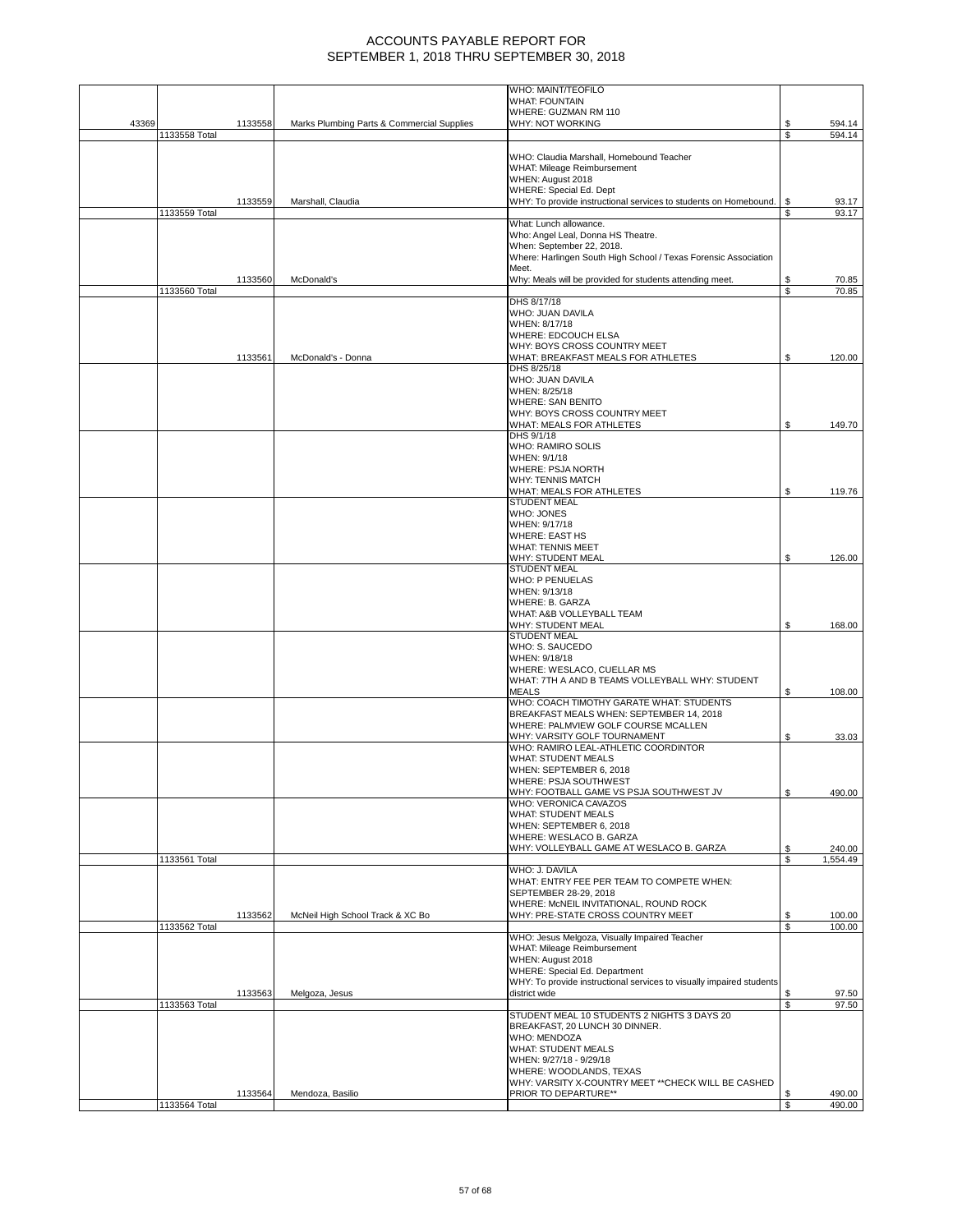|       |               |         |                                            | WHO: MAINT/TEOFILO<br><b>WHAT: FOUNTAIN</b>                                 |          |                |
|-------|---------------|---------|--------------------------------------------|-----------------------------------------------------------------------------|----------|----------------|
|       |               |         |                                            | WHERE: GUZMAN RM 110                                                        |          |                |
| 43369 |               | 1133558 | Marks Plumbing Parts & Commercial Supplies | WHY: NOT WORKING                                                            | \$       | 594.14         |
|       | 1133558 Total |         |                                            |                                                                             | \$       | 594.14         |
|       |               |         |                                            | WHO: Claudia Marshall, Homebound Teacher                                    |          |                |
|       |               |         |                                            | WHAT: Mileage Reimbursement                                                 |          |                |
|       |               |         |                                            | WHEN: August 2018<br><b>WHERE: Special Ed. Dept</b>                         |          |                |
|       |               | 1133559 | Marshall, Claudia                          | WHY: To provide instructional services to students on Homebound.            | \$       | 93.17          |
|       | 1133559 Total |         |                                            | What: Lunch allowance.                                                      | \$       | 93.17          |
|       |               |         |                                            | Who: Angel Leal, Donna HS Theatre.                                          |          |                |
|       |               |         |                                            | When: September 22, 2018.                                                   |          |                |
|       |               |         |                                            | Where: Harlingen South High School / Texas Forensic Association<br>Meet.    |          |                |
|       |               | 1133560 | McDonald's                                 | Why: Meals will be provided for students attending meet.                    | \$       | 70.85          |
|       | 1133560 Total |         |                                            |                                                                             | \$       | 70.85          |
|       |               |         |                                            | DHS 8/17/18<br>WHO: JUAN DAVILA                                             |          |                |
|       |               |         |                                            | WHEN: 8/17/18                                                               |          |                |
|       |               |         |                                            | WHERE: EDCOUCH ELSA                                                         |          |                |
|       |               | 1133561 | McDonald's - Donna                         | WHY: BOYS CROSS COUNTRY MEET<br>WHAT: BREAKFAST MEALS FOR ATHLETES          | \$       | 120.00         |
|       |               |         |                                            | DHS 8/25/18                                                                 |          |                |
|       |               |         |                                            | WHO: JUAN DAVILA                                                            |          |                |
|       |               |         |                                            | WHEN: 8/25/18<br><b>WHERE: SAN BENITO</b>                                   |          |                |
|       |               |         |                                            | WHY: BOYS CROSS COUNTRY MEET                                                |          |                |
|       |               |         |                                            | WHAT: MEALS FOR ATHLETES                                                    | \$       | 149.70         |
|       |               |         |                                            | DHS 9/1/18                                                                  |          |                |
|       |               |         |                                            | WHO: RAMIRO SOLIS<br>WHEN: 9/1/18                                           |          |                |
|       |               |         |                                            | WHERE: PSJA NORTH                                                           |          |                |
|       |               |         |                                            | <b>WHY: TENNIS MATCH</b>                                                    |          |                |
|       |               |         |                                            | WHAT: MEALS FOR ATHLETES<br><b>STUDENT MEAL</b>                             | \$       | 119.76         |
|       |               |         |                                            | WHO: JONES                                                                  |          |                |
|       |               |         |                                            | WHEN: 9/17/18                                                               |          |                |
|       |               |         |                                            | <b>WHERE: EAST HS</b><br><b>WHAT: TENNIS MEET</b>                           |          |                |
|       |               |         |                                            | <b>WHY: STUDENT MEAL</b>                                                    | \$       | 126.00         |
|       |               |         |                                            | <b>STUDENT MEAL</b>                                                         |          |                |
|       |               |         |                                            | <b>WHO: P PENUELAS</b><br>WHEN: 9/13/18                                     |          |                |
|       |               |         |                                            | WHERE: B. GARZA                                                             |          |                |
|       |               |         |                                            | WHAT: A&B VOLLEYBALL TEAM                                                   |          |                |
|       |               |         |                                            | WHY: STUDENT MEAL<br><b>STUDENT MEAL</b>                                    | \$       | 168.00         |
|       |               |         |                                            | WHO: S. SAUCEDO                                                             |          |                |
|       |               |         |                                            | WHEN: 9/18/18                                                               |          |                |
|       |               |         |                                            | WHERE: WESLACO, CUELLAR MS                                                  |          |                |
|       |               |         |                                            | WHAT: 7TH A AND B TEAMS VOLLEYBALL WHY: STUDENT<br><b>MEALS</b>             | \$       | 108.00         |
|       |               |         |                                            | WHO: COACH TIMOTHY GARATE WHAT: STUDENTS                                    |          |                |
|       |               |         |                                            | BREAKFAST MEALS WHEN: SEPTEMBER 14, 2018                                    |          |                |
|       |               |         |                                            | WHERE: PALMVIEW GOLF COURSE MCALLEN<br>WHY: VARSITY GOLF TOURNAMENT         | \$       | 33.03          |
|       |               |         |                                            | WHO: RAMIRO LEAL-ATHLETIC COORDINTOR                                        |          |                |
|       |               |         |                                            | <b>WHAT: STUDENT MEALS</b>                                                  |          |                |
|       |               |         |                                            | WHEN: SEPTEMBER 6, 2018<br>WHERE: PSJA SOUTHWEST                            |          |                |
|       |               |         |                                            | WHY: FOOTBALL GAME VS PSJA SOUTHWEST JV                                     | \$       | 490.00         |
|       |               |         |                                            | WHO: VERONICA CAVAZOS                                                       |          |                |
|       |               |         |                                            | <b>WHAT: STUDENT MEALS</b><br>WHEN: SEPTEMBER 6, 2018                       |          |                |
|       |               |         |                                            | WHERE: WESLACO B. GARZA                                                     |          |                |
|       |               |         |                                            | WHY: VOLLEYBALL GAME AT WESLACO B. GARZA                                    | \$       | 240.00         |
|       | 1133561 Total |         |                                            | WHO: J. DAVILA                                                              | S        | 1,554.49       |
|       |               |         |                                            | WHAT: ENTRY FEE PER TEAM TO COMPETE WHEN:                                   |          |                |
|       |               |         |                                            | SEPTEMBER 28-29, 2018                                                       |          |                |
|       |               | 1133562 | McNeil High School Track & XC Bo           | WHERE: McNEIL INVITATIONAL, ROUND ROCK<br>WHY: PRE-STATE CROSS COUNTRY MEET | \$       | 100.00         |
|       | 1133562 Total |         |                                            |                                                                             | \$       | 100.00         |
|       |               |         |                                            | WHO: Jesus Melgoza, Visually Impaired Teacher                               |          |                |
|       |               |         |                                            | WHAT: Mileage Reimbursement<br>WHEN: August 2018                            |          |                |
|       |               |         |                                            | WHERE: Special Ed. Department                                               |          |                |
|       |               |         |                                            | WHY: To provide instructional services to visually impaired students        |          |                |
|       | 1133563 Total | 1133563 | Melgoza, Jesus                             | district wide                                                               | \$<br>\$ | 97.50<br>97.50 |
|       |               |         |                                            | STUDENT MEAL 10 STUDENTS 2 NIGHTS 3 DAYS 20                                 |          |                |
|       |               |         |                                            | BREAKFAST, 20 LUNCH 30 DINNER.                                              |          |                |
|       |               |         |                                            | <b>WHO: MENDOZA</b><br><b>WHAT: STUDENT MEALS</b>                           |          |                |
|       |               |         |                                            | WHEN: 9/27/18 - 9/29/18                                                     |          |                |
|       |               |         |                                            | WHERE: WOODLANDS, TEXAS                                                     |          |                |
|       |               | 1133564 | Mendoza, Basilio                           | WHY: VARSITY X-COUNTRY MEET ** CHECK WILL BE CASHED<br>PRIOR TO DEPARTURE** | \$       | 490.00         |
|       | 1133564 Total |         |                                            |                                                                             | S        | 490.00         |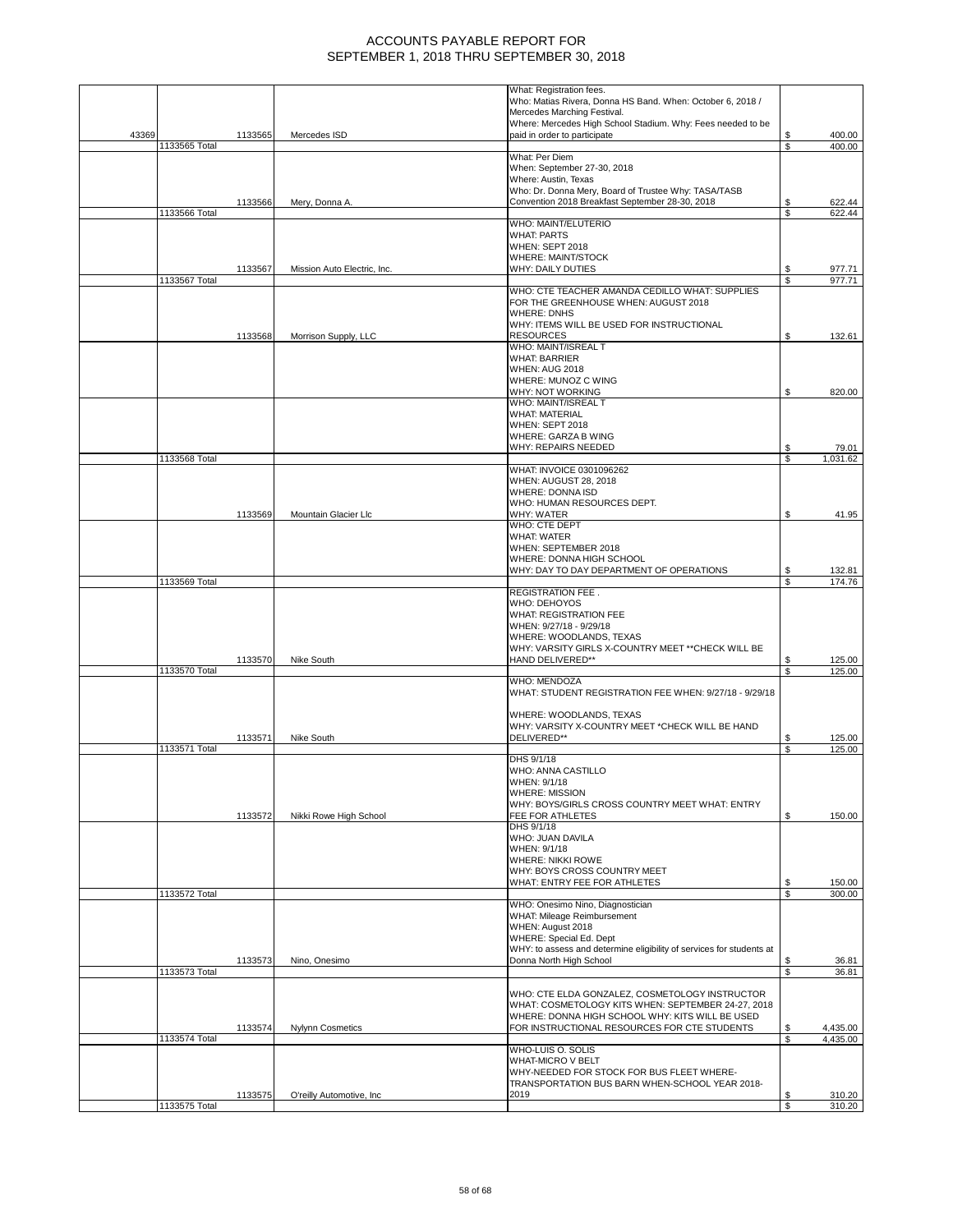|       |               |         |                             | What: Registration fees.<br>Who: Matias Rivera, Donna HS Band. When: October 6, 2018 /                |          |                   |
|-------|---------------|---------|-----------------------------|-------------------------------------------------------------------------------------------------------|----------|-------------------|
|       |               |         |                             | Mercedes Marching Festival.                                                                           |          |                   |
|       |               |         |                             | Where: Mercedes High School Stadium. Why: Fees needed to be                                           |          |                   |
| 43369 | 1133565 Total | 1133565 | Mercedes ISD                | paid in order to participate                                                                          | \$<br>\$ | 400.00<br>400.00  |
|       |               |         |                             | What: Per Diem                                                                                        |          |                   |
|       |               |         |                             | When: September 27-30, 2018<br>Where: Austin, Texas                                                   |          |                   |
|       |               |         |                             | Who: Dr. Donna Mery, Board of Trustee Why: TASA/TASB                                                  |          |                   |
|       |               | 1133566 | Mery, Donna A.              | Convention 2018 Breakfast September 28-30, 2018                                                       | S        | 622.44            |
|       | 1133566 Total |         |                             | WHO: MAINT/ELUTERIO                                                                                   | S        | 622.44            |
|       |               |         |                             | <b>WHAT: PARTS</b>                                                                                    |          |                   |
|       |               |         |                             | <b>WHEN: SEPT 2018</b>                                                                                |          |                   |
|       |               | 1133567 | Mission Auto Electric, Inc. | WHERE: MAINT/STOCK<br><b>WHY: DAILY DUTIES</b>                                                        | S        | 977.71            |
|       | 1133567 Total |         |                             |                                                                                                       | \$       | 977.71            |
|       |               |         |                             | WHO: CTE TEACHER AMANDA CEDILLO WHAT: SUPPLIES                                                        |          |                   |
|       |               |         |                             | FOR THE GREENHOUSE WHEN: AUGUST 2018<br><b>WHERE: DNHS</b>                                            |          |                   |
|       |               |         |                             | WHY: ITEMS WILL BE USED FOR INSTRUCTIONAL                                                             |          |                   |
|       |               | 1133568 | Morrison Supply, LLC        | <b>RESOURCES</b>                                                                                      | \$       | 132.61            |
|       |               |         |                             | WHO: MAINT/ISREAL T                                                                                   |          |                   |
|       |               |         |                             | <b>WHAT: BARRIER</b><br><b>WHEN: AUG 2018</b>                                                         |          |                   |
|       |               |         |                             | WHERE: MUNOZ C WING                                                                                   |          |                   |
|       |               |         |                             | WHY: NOT WORKING                                                                                      | \$       | 820.00            |
|       |               |         |                             | WHO: MAINT/ISREAL T<br><b>WHAT: MATERIAL</b>                                                          |          |                   |
|       |               |         |                             | <b>WHEN: SEPT 2018</b>                                                                                |          |                   |
|       |               |         |                             | <b>WHERE: GARZA B WING</b>                                                                            |          |                   |
|       | 1133568 Total |         |                             | WHY: REPAIRS NEEDED                                                                                   | S<br>\$  | 79.01<br>1,031.62 |
|       |               |         |                             | WHAT: INVOICE 0301096262                                                                              |          |                   |
|       |               |         |                             | <b>WHEN: AUGUST 28, 2018</b>                                                                          |          |                   |
|       |               |         |                             | <b>WHERE: DONNA ISD</b><br>WHO: HUMAN RESOURCES DEPT.                                                 |          |                   |
|       |               | 1133569 | Mountain Glacier Llc        | WHY: WATER                                                                                            | \$       | 41.95             |
|       |               |         |                             | WHO: CTE DEPT                                                                                         |          |                   |
|       |               |         |                             | <b>WHAT: WATER</b><br>WHEN: SEPTEMBER 2018                                                            |          |                   |
|       |               |         |                             | WHERE: DONNA HIGH SCHOOL                                                                              |          |                   |
|       |               |         |                             | WHY: DAY TO DAY DEPARTMENT OF OPERATIONS                                                              |          | 132.81            |
|       | 1133569 Total |         |                             | <b>REGISTRATION FEE.</b>                                                                              | S        | 174.76            |
|       |               |         |                             | WHO: DEHOYOS                                                                                          |          |                   |
|       |               |         |                             | WHAT: REGISTRATION FEE                                                                                |          |                   |
|       |               |         |                             | WHEN: 9/27/18 - 9/29/18                                                                               |          |                   |
|       |               |         |                             | WHERE: WOODLANDS, TEXAS<br>WHY: VARSITY GIRLS X-COUNTRY MEET ** CHECK WILL BE                         |          |                   |
|       |               | 1133570 | Nike South                  | HAND DELIVERED**                                                                                      | \$       | 125.00            |
|       | 1133570 Total |         |                             |                                                                                                       | \$       | 125.00            |
|       |               |         |                             | <b>WHO: MENDOZA</b><br>WHAT: STUDENT REGISTRATION FEE WHEN: 9/27/18 - 9/29/18                         |          |                   |
|       |               |         |                             |                                                                                                       |          |                   |
|       |               |         |                             | WHERE: WOODLANDS, TEXAS                                                                               |          |                   |
|       |               | 1133571 | Nike South                  | WHY: VARSITY X-COUNTRY MEET *CHECK WILL BE HAND<br>DELIVERED**                                        |          | 125.00            |
|       | 1133571 Total |         |                             |                                                                                                       | \$       | 125.00            |
|       |               |         |                             | DHS 9/1/18                                                                                            |          |                   |
|       |               |         |                             | WHO: ANNA CASTILLO<br>WHEN: 9/1/18                                                                    |          |                   |
|       |               |         |                             | <b>WHERE: MISSION</b>                                                                                 |          |                   |
|       |               |         |                             | WHY: BOYS/GIRLS CROSS COUNTRY MEET WHAT: ENTRY                                                        |          |                   |
|       |               | 1133572 | Nikki Rowe High School      | FEE FOR ATHLETES<br>DHS 9/1/18                                                                        | \$       | 150.00            |
|       |               |         |                             | WHO: JUAN DAVILA                                                                                      |          |                   |
|       |               |         |                             | WHEN: 9/1/18                                                                                          |          |                   |
|       |               |         |                             | <b>WHERE: NIKKI ROWE</b><br>WHY: BOYS CROSS COUNTRY MEET                                              |          |                   |
|       |               |         |                             | WHAT: ENTRY FEE FOR ATHLETES                                                                          | S        | 150.00            |
|       | 1133572 Total |         |                             |                                                                                                       | \$       | 300.00            |
|       |               |         |                             | WHO: Onesimo Nino, Diagnostician<br>WHAT: Mileage Reimbursement                                       |          |                   |
|       |               |         |                             | WHEN: August 2018                                                                                     |          |                   |
|       |               |         |                             | WHERE: Special Ed. Dept                                                                               |          |                   |
|       |               |         |                             | WHY: to assess and determine eligibility of services for students at                                  |          |                   |
|       | 1133573 Total | 1133573 | Nino, Onesimo               | Donna North High School                                                                               | \$<br>\$ | 36.81<br>36.81    |
|       |               |         |                             |                                                                                                       |          |                   |
|       |               |         |                             | WHO: CTE ELDA GONZALEZ, COSMETOLOGY INSTRUCTOR                                                        |          |                   |
|       |               |         |                             | WHAT: COSMETOLOGY KITS WHEN: SEPTEMBER 24-27, 2018<br>WHERE: DONNA HIGH SCHOOL WHY: KITS WILL BE USED |          |                   |
|       |               | 1133574 | <b>Nylynn Cosmetics</b>     | FOR INSTRUCTIONAL RESOURCES FOR CTE STUDENTS                                                          |          | 4,435.00          |
|       | 1133574 Total |         |                             |                                                                                                       | S        | 4,435.00          |
|       |               |         |                             | WHO-LUIS O. SOLIS<br><b>WHAT-MICRO V BELT</b>                                                         |          |                   |
|       |               |         |                             | WHY-NEEDED FOR STOCK FOR BUS FLEET WHERE-                                                             |          |                   |
|       |               |         |                             | TRANSPORTATION BUS BARN WHEN-SCHOOL YEAR 2018-                                                        |          |                   |
|       |               | 1133575 | O'reilly Automotive, Inc    | 2019                                                                                                  | \$       | 310.20            |
|       | 1133575 Total |         |                             |                                                                                                       | \$       | 310.20            |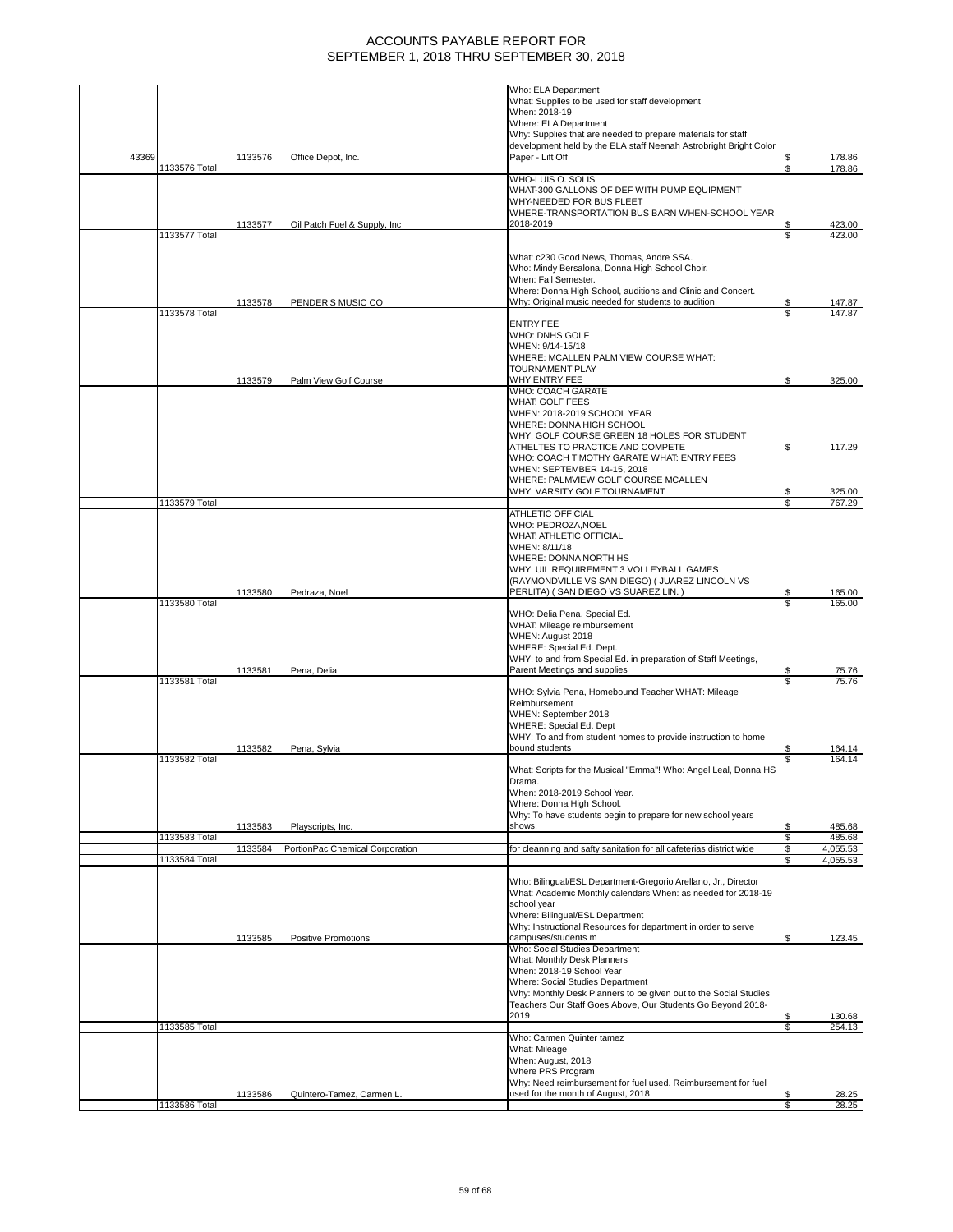|       |               |         |                                 | Who: ELA Department                                                                                 |          |                      |
|-------|---------------|---------|---------------------------------|-----------------------------------------------------------------------------------------------------|----------|----------------------|
|       |               |         |                                 | What: Supplies to be used for staff development                                                     |          |                      |
|       |               |         |                                 | When: 2018-19                                                                                       |          |                      |
|       |               |         |                                 | Where: ELA Department                                                                               |          |                      |
|       |               |         |                                 | Why: Supplies that are needed to prepare materials for staff                                        |          |                      |
|       |               |         |                                 | development held by the ELA staff Neenah Astrobright Bright Color                                   |          |                      |
| 43369 |               | 1133576 | Office Depot, Inc.              | Paper - Lift Off                                                                                    | \$       | 178.86               |
|       | 1133576 Total |         |                                 |                                                                                                     | \$       | 178.86               |
|       |               |         |                                 | WHO-LUIS O. SOLIS                                                                                   |          |                      |
|       |               |         |                                 | WHAT-300 GALLONS OF DEF WITH PUMP EQUIPMENT                                                         |          |                      |
|       |               |         |                                 | WHY-NEEDED FOR BUS FLEET                                                                            |          |                      |
|       |               |         |                                 | WHERE-TRANSPORTATION BUS BARN WHEN-SCHOOL YEAR                                                      |          |                      |
|       |               | 1133577 | Oil Patch Fuel & Supply, Inc.   | 2018-2019                                                                                           | S        | 423.00               |
|       | 1133577 Total |         |                                 |                                                                                                     | \$       | 423.00               |
|       |               |         |                                 |                                                                                                     |          |                      |
|       |               |         |                                 | What: c230 Good News, Thomas, Andre SSA.                                                            |          |                      |
|       |               |         |                                 | Who: Mindy Bersalona, Donna High School Choir.                                                      |          |                      |
|       |               |         |                                 | When: Fall Semester.                                                                                |          |                      |
|       |               |         |                                 | Where: Donna High School, auditions and Clinic and Concert.                                         |          |                      |
|       |               | 1133578 | PENDER'S MUSIC CO               | Why: Original music needed for students to audition.                                                | \$<br>S  | 147.87               |
|       | 1133578 Total |         |                                 | <b>ENTRY FEE</b>                                                                                    |          | 147.87               |
|       |               |         |                                 |                                                                                                     |          |                      |
|       |               |         |                                 | WHO: DNHS GOLF<br>WHEN: 9/14-15/18                                                                  |          |                      |
|       |               |         |                                 | WHERE: MCALLEN PALM VIEW COURSE WHAT:                                                               |          |                      |
|       |               |         |                                 | <b>TOURNAMENT PLAY</b>                                                                              |          |                      |
|       |               | 1133579 | Palm View Golf Course           | WHY:ENTRY FEE                                                                                       | \$       | 325.00               |
|       |               |         |                                 | <b>WHO: COACH GARATE</b>                                                                            |          |                      |
|       |               |         |                                 | <b>WHAT: GOLF FEES</b>                                                                              |          |                      |
|       |               |         |                                 | WHEN: 2018-2019 SCHOOL YEAR                                                                         |          |                      |
|       |               |         |                                 | WHERE: DONNA HIGH SCHOOL                                                                            |          |                      |
|       |               |         |                                 | WHY: GOLF COURSE GREEN 18 HOLES FOR STUDENT                                                         |          |                      |
|       |               |         |                                 | ATHELTES TO PRACTICE AND COMPETE                                                                    | S        | 117.29               |
|       |               |         |                                 | WHO: COACH TIMOTHY GARATE WHAT: ENTRY FEES                                                          |          |                      |
|       |               |         |                                 | WHEN: SEPTEMBER 14-15, 2018                                                                         |          |                      |
|       |               |         |                                 | WHERE: PALMVIEW GOLF COURSE MCALLEN                                                                 |          |                      |
|       |               |         |                                 | WHY: VARSITY GOLF TOURNAMENT                                                                        | S        | 325.00               |
|       | 1133579 Total |         |                                 |                                                                                                     | \$       | 767.29               |
|       |               |         |                                 | <b>ATHLETIC OFFICIAL</b>                                                                            |          |                      |
|       |               |         |                                 | WHO: PEDROZA, NOEL                                                                                  |          |                      |
|       |               |         |                                 | WHAT: ATHLETIC OFFICIAL                                                                             |          |                      |
|       |               |         |                                 | WHEN: 8/11/18                                                                                       |          |                      |
|       |               |         |                                 | WHERE: DONNA NORTH HS                                                                               |          |                      |
|       |               |         |                                 | WHY: UIL REQUIREMENT 3 VOLLEYBALL GAMES                                                             |          |                      |
|       |               |         |                                 | (RAYMONDVILLE VS SAN DIEGO) ( JUAREZ LINCOLN VS<br>PERLITA) (SAN DIEGO VS SUAREZ LIN.)              | S        |                      |
|       | 1133580 Total | 1133580 | Pedraza, Noel                   |                                                                                                     | \$       | 165.00<br>165.00     |
|       |               |         |                                 | WHO: Delia Pena, Special Ed.                                                                        |          |                      |
|       |               |         |                                 | WHAT: Mileage reimbursement                                                                         |          |                      |
|       |               |         |                                 | WHEN: August 2018                                                                                   |          |                      |
|       |               |         |                                 | WHERE: Special Ed. Dept.                                                                            |          |                      |
|       |               |         |                                 | WHY: to and from Special Ed. in preparation of Staff Meetings,                                      |          |                      |
|       |               | 1133581 | Pena, Delia                     | Parent Meetings and supplies                                                                        | \$       | 75.76                |
|       | 1133581 Total |         |                                 |                                                                                                     | S        | 75.76                |
|       |               |         |                                 | WHO: Sylvia Pena, Homebound Teacher WHAT: Mileage                                                   |          |                      |
|       |               |         |                                 | Reimbursement                                                                                       |          |                      |
|       |               |         |                                 | WHEN: September 2018                                                                                |          |                      |
|       |               |         |                                 |                                                                                                     |          |                      |
|       |               |         |                                 | <b>WHERE: Special Ed. Dept</b>                                                                      |          |                      |
|       |               |         |                                 | WHY: To and from student homes to provide instruction to home                                       |          |                      |
|       |               | 1133582 | Pena, Sylvia                    | bound students                                                                                      | \$       | 164.14               |
|       | 1133582 Total |         |                                 |                                                                                                     | S        | 164.14               |
|       |               |         |                                 | What: Scripts for the Musical "Emma"! Who: Angel Leal, Donna HS                                     |          |                      |
|       |               |         |                                 | Drama.                                                                                              |          |                      |
|       |               |         |                                 | When: 2018-2019 School Year.                                                                        |          |                      |
|       |               |         |                                 | Where: Donna High School.                                                                           |          |                      |
|       |               |         |                                 | Why: To have students begin to prepare for new school years                                         |          |                      |
|       |               | 1133583 | Playscripts, Inc.               | shows.                                                                                              | \$       | 485.68               |
|       | 1133583 Total |         |                                 |                                                                                                     | \$       | 485.68               |
|       | 1133584 Total | 1133584 | PortionPac Chemical Corporation | for cleanning and safty sanitation for all cafeterias district wide                                 | \$<br>\$ | 4,055.53<br>4,055.53 |
|       |               |         |                                 |                                                                                                     |          |                      |
|       |               |         |                                 | Who: Bilingual/ESL Department-Gregorio Arellano, Jr., Director                                      |          |                      |
|       |               |         |                                 | What: Academic Monthly calendars When: as needed for 2018-19                                        |          |                      |
|       |               |         |                                 | school year                                                                                         |          |                      |
|       |               |         |                                 | Where: Bilingual/ESL Department                                                                     |          |                      |
|       |               |         |                                 | Why: Instructional Resources for department in order to serve                                       |          |                      |
|       |               | 1133585 | Positive Promotions             | campuses/students m                                                                                 | \$       | 123.45               |
|       |               |         |                                 | Who: Social Studies Department                                                                      |          |                      |
|       |               |         |                                 | What: Monthly Desk Planners                                                                         |          |                      |
|       |               |         |                                 | When: 2018-19 School Year                                                                           |          |                      |
|       |               |         |                                 | Where: Social Studies Department                                                                    |          |                      |
|       |               |         |                                 | Why: Monthly Desk Planners to be given out to the Social Studies                                    |          |                      |
|       |               |         |                                 | Teachers Our Staff Goes Above, Our Students Go Beyond 2018-                                         |          |                      |
|       |               |         |                                 | 2019                                                                                                | S        | 130.68               |
|       | 1133585 Total |         |                                 |                                                                                                     | \$       | 254.13               |
|       |               |         |                                 | Who: Carmen Quinter tamez                                                                           |          |                      |
|       |               |         |                                 | What: Mileage                                                                                       |          |                      |
|       |               |         |                                 | When: August, 2018                                                                                  |          |                      |
|       |               |         |                                 | Where PRS Program                                                                                   |          |                      |
|       |               | 1133586 | Quintero-Tamez, Carmen L.       | Why: Need reimbursement for fuel used. Reimbursement for fuel<br>used for the month of August, 2018 | S        | 28.25                |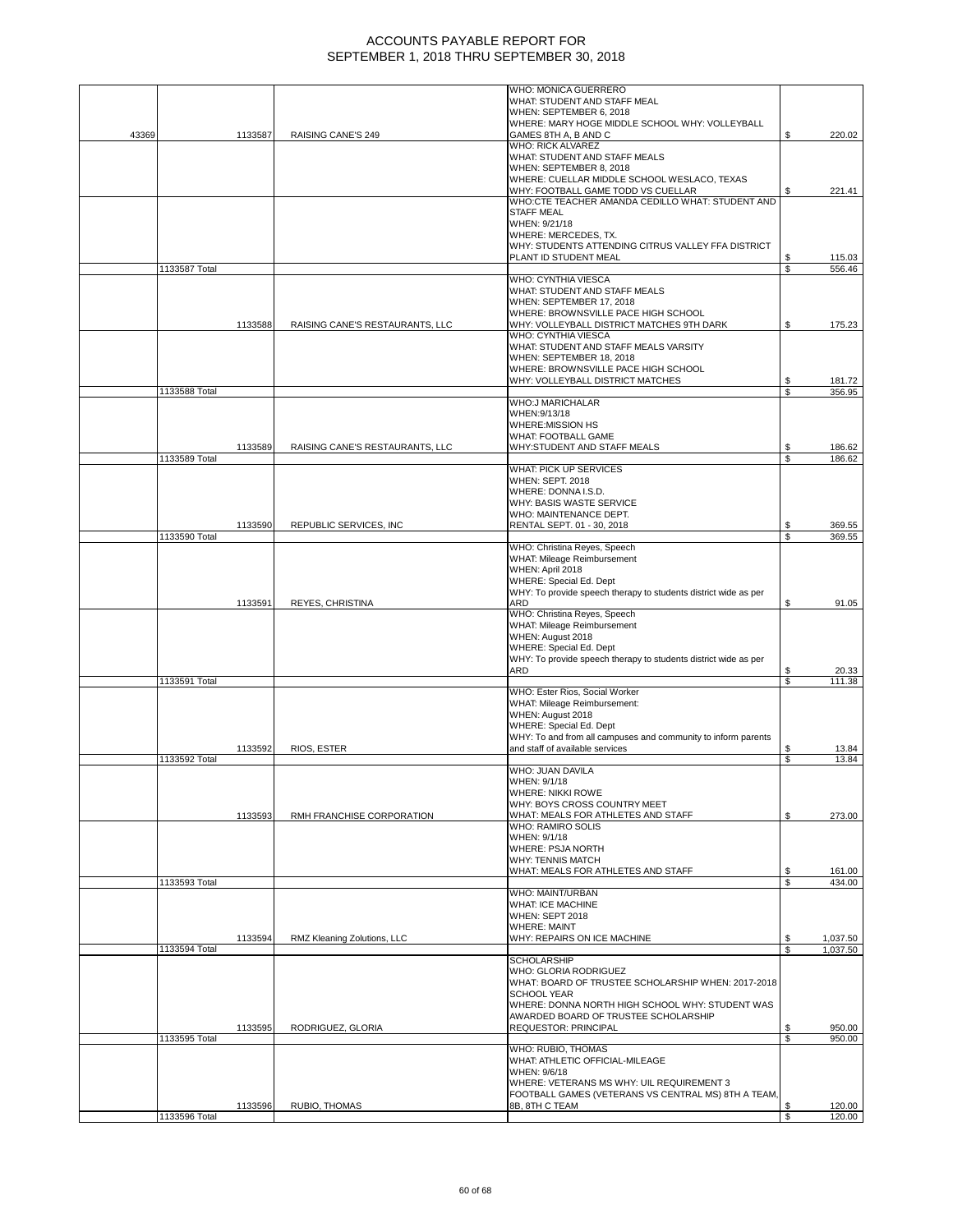|       |               |         |                                 | WHO: MONICA GUERRERO                                            |    |          |
|-------|---------------|---------|---------------------------------|-----------------------------------------------------------------|----|----------|
|       |               |         |                                 | WHAT: STUDENT AND STAFF MEAL                                    |    |          |
|       |               |         |                                 | WHEN: SEPTEMBER 6, 2018                                         |    |          |
|       |               |         |                                 | WHERE: MARY HOGE MIDDLE SCHOOL WHY: VOLLEYBALL                  |    |          |
| 43369 |               | 1133587 | RAISING CANE'S 249              | GAMES 8TH A, B AND C                                            | \$ | 220.02   |
|       |               |         |                                 | WHO: RICK ALVAREZ                                               |    |          |
|       |               |         |                                 | WHAT: STUDENT AND STAFF MEALS                                   |    |          |
|       |               |         |                                 | WHEN: SEPTEMBER 8, 2018                                         |    |          |
|       |               |         |                                 | WHERE: CUELLAR MIDDLE SCHOOL WESLACO, TEXAS                     |    |          |
|       |               |         |                                 | WHY: FOOTBALL GAME TODD VS CUELLAR                              | S  | 221.41   |
|       |               |         |                                 | WHO:CTE TEACHER AMANDA CEDILLO WHAT: STUDENT AND                |    |          |
|       |               |         |                                 | <b>STAFF MEAL</b>                                               |    |          |
|       |               |         |                                 | WHEN: 9/21/18                                                   |    |          |
|       |               |         |                                 | WHERE: MERCEDES, TX.                                            |    |          |
|       |               |         |                                 | WHY: STUDENTS ATTENDING CITRUS VALLEY FFA DISTRICT              |    |          |
|       |               |         |                                 | PLANT ID STUDENT MEAL                                           | \$ | 115.03   |
|       | 1133587 Total |         |                                 |                                                                 | \$ | 556.46   |
|       |               |         |                                 | WHO: CYNTHIA VIESCA                                             |    |          |
|       |               |         |                                 | WHAT: STUDENT AND STAFF MEALS                                   |    |          |
|       |               |         |                                 | WHEN: SEPTEMBER 17, 2018                                        |    |          |
|       |               |         |                                 | WHERE: BROWNSVILLE PACE HIGH SCHOOL                             |    |          |
|       |               | 1133588 | RAISING CANE'S RESTAURANTS, LLC | WHY: VOLLEYBALL DISTRICT MATCHES 9TH DARK                       | \$ | 175.23   |
|       |               |         |                                 | WHO: CYNTHIA VIESCA                                             |    |          |
|       |               |         |                                 | WHAT: STUDENT AND STAFF MEALS VARSITY                           |    |          |
|       |               |         |                                 | WHEN: SEPTEMBER 18, 2018                                        |    |          |
|       |               |         |                                 | WHERE: BROWNSVILLE PACE HIGH SCHOOL                             |    |          |
|       |               |         |                                 | WHY: VOLLEYBALL DISTRICT MATCHES                                | S  | 181.72   |
|       | 1133588 Total |         |                                 |                                                                 | \$ | 356.95   |
|       |               |         |                                 | <b>WHO:J MARICHALAR</b>                                         |    |          |
|       |               |         |                                 | WHEN: 9/13/18                                                   |    |          |
|       |               |         |                                 | WHERE: MISSION HS                                               |    |          |
|       |               |         |                                 | <b>WHAT: FOOTBALL GAME</b>                                      |    |          |
|       |               | 1133589 | RAISING CANE'S RESTAURANTS, LLC | WHY:STUDENT AND STAFF MEALS                                     | \$ | 186.62   |
|       | 1133589 Total |         |                                 | WHAT: PICK UP SERVICES                                          | \$ | 186.62   |
|       |               |         |                                 | <b>WHEN: SEPT. 2018</b>                                         |    |          |
|       |               |         |                                 | WHERE: DONNA I.S.D.                                             |    |          |
|       |               |         |                                 | WHY: BASIS WASTE SERVICE                                        |    |          |
|       |               |         |                                 | WHO: MAINTENANCE DEPT.                                          |    |          |
|       |               | 1133590 | REPUBLIC SERVICES, INC          | RENTAL SEPT. 01 - 30, 2018                                      | \$ | 369.55   |
|       | 1133590 Total |         |                                 |                                                                 | \$ | 369.55   |
|       |               |         |                                 | WHO: Christina Reyes, Speech                                    |    |          |
|       |               |         |                                 | WHAT: Mileage Reimbursement                                     |    |          |
|       |               |         |                                 | WHEN: April 2018                                                |    |          |
|       |               |         |                                 | <b>WHERE: Special Ed. Dept</b>                                  |    |          |
|       |               |         |                                 | WHY: To provide speech therapy to students district wide as per |    |          |
|       |               | 1133591 | REYES, CHRISTINA                | ARD                                                             | \$ | 91.05    |
|       |               |         |                                 | WHO: Christina Reyes, Speech                                    |    |          |
|       |               |         |                                 | WHAT: Mileage Reimbursement                                     |    |          |
|       |               |         |                                 | WHEN: August 2018                                               |    |          |
|       |               |         |                                 | WHERE: Special Ed. Dept                                         |    |          |
|       |               |         |                                 | WHY: To provide speech therapy to students district wide as per |    |          |
|       |               |         |                                 | ARD                                                             | \$ | 20.33    |
|       | 1133591 Total |         |                                 |                                                                 | \$ | 111.38   |
|       |               |         |                                 | WHO: Ester Rios, Social Worker                                  |    |          |
|       |               |         |                                 | WHAT: Mileage Reimbursement:                                    |    |          |
|       |               |         |                                 | WHEN: August 2018                                               |    |          |
|       |               |         |                                 | <b>WHERE: Special Ed. Dept</b>                                  |    |          |
|       |               |         |                                 | WHY: To and from all campuses and community to inform parents   |    |          |
|       |               | 1133592 | RIOS, ESTER                     | and staff of available services                                 |    | 13.84    |
|       | 1133592 Total |         |                                 | WHO: JUAN DAVILA                                                | S  | 13.84    |
|       |               |         |                                 |                                                                 |    |          |
|       |               |         |                                 | WHEN: 9/1/18                                                    |    |          |
|       |               |         |                                 | <b>WHERE: NIKKI ROWE</b><br>WHY: BOYS CROSS COUNTRY MEET        |    |          |
|       |               | 1133593 | RMH FRANCHISE CORPORATION       | WHAT: MEALS FOR ATHLETES AND STAFF                              | \$ | 273.00   |
|       |               |         |                                 | WHO: RAMIRO SOLIS                                               |    |          |
|       |               |         |                                 | WHEN: 9/1/18                                                    |    |          |
|       |               |         |                                 | <b>WHERE: PSJA NORTH</b>                                        |    |          |
|       |               |         |                                 | <b>WHY: TENNIS MATCH</b>                                        |    |          |
|       |               |         |                                 | WHAT: MEALS FOR ATHLETES AND STAFF                              | \$ | 161.00   |
|       | 1133593 Total |         |                                 |                                                                 | \$ | 434.00   |
|       |               |         |                                 | WHO: MAINT/URBAN                                                |    |          |
|       |               |         |                                 | <b>WHAT: ICE MACHINE</b>                                        |    |          |
|       |               |         |                                 | WHEN: SEPT 2018                                                 |    |          |
|       |               |         |                                 | <b>WHERE: MAINT</b>                                             |    |          |
|       |               | 1133594 | RMZ Kleaning Zolutions, LLC     | WHY: REPAIRS ON ICE MACHINE                                     | \$ | 1,037.50 |
|       | 1133594 Total |         |                                 |                                                                 | \$ | 1,037.50 |
|       |               |         |                                 | <b>SCHOLARSHIP</b>                                              |    |          |
|       |               |         |                                 | WHO: GLORIA RODRIGUEZ                                           |    |          |
|       |               |         |                                 | WHAT: BOARD OF TRUSTEE SCHOLARSHIP WHEN: 2017-2018              |    |          |
|       |               |         |                                 | <b>SCHOOL YEAR</b>                                              |    |          |
|       |               |         |                                 | WHERE: DONNA NORTH HIGH SCHOOL WHY: STUDENT WAS                 |    |          |
|       |               |         |                                 | AWARDED BOARD OF TRUSTEE SCHOLARSHIP                            |    |          |
|       |               | 1133595 | RODRIGUEZ, GLORIA               | <b>REQUESTOR: PRINCIPAL</b>                                     | \$ | 950.00   |
|       | 1133595 Total |         |                                 |                                                                 | \$ | 950.00   |
|       |               |         |                                 | WHO: RUBIO, THOMAS                                              |    |          |
|       |               |         |                                 | WHAT: ATHLETIC OFFICIAL-MILEAGE                                 |    |          |
|       |               |         |                                 | WHEN: 9/6/18                                                    |    |          |
|       |               |         |                                 | WHERE: VETERANS MS WHY: UIL REQUIREMENT 3                       |    |          |
|       |               |         |                                 | FOOTBALL GAMES (VETERANS VS CENTRAL MS) 8TH A TEAM,             |    |          |
|       |               | 1133596 | RUBIO, THOMAS                   | 8B, 8TH C TEAM                                                  | \$ | 120.00   |
|       | 1133596 Total |         |                                 |                                                                 | \$ | 120.00   |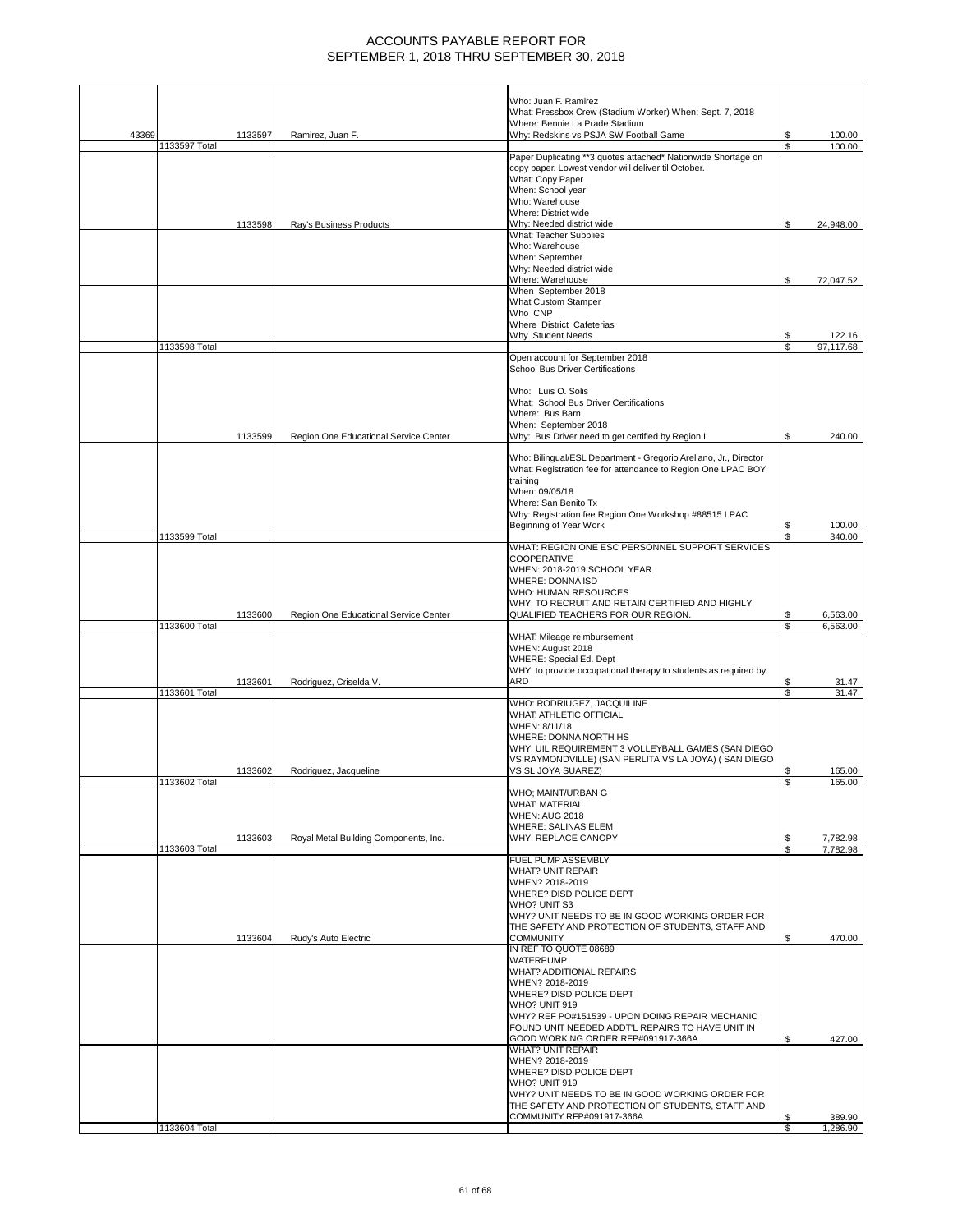|       |               |         |                                       | Who: Juan F. Ramirez<br>What: Pressbox Crew (Stadium Worker) When: Sept. 7, 2018                    |          |                      |
|-------|---------------|---------|---------------------------------------|-----------------------------------------------------------------------------------------------------|----------|----------------------|
|       |               |         |                                       | Where: Bennie La Prade Stadium                                                                      |          |                      |
| 43369 |               | 1133597 | Ramirez, Juan F.                      | Why: Redskins vs PSJA SW Football Game                                                              | S        | 100.00               |
|       | 1133597 Total |         |                                       | Paper Duplicating **3 quotes attached* Nationwide Shortage on                                       | \$       | 100.00               |
|       |               |         |                                       | copy paper. Lowest vendor will deliver til October.                                                 |          |                      |
|       |               |         |                                       | What: Copy Paper                                                                                    |          |                      |
|       |               |         |                                       | When: School year                                                                                   |          |                      |
|       |               |         |                                       | Who: Warehouse<br>Where: District wide                                                              |          |                      |
|       |               | 1133598 | Ray's Business Products               | Why: Needed district wide                                                                           | S        | 24,948.00            |
|       |               |         |                                       | What: Teacher Supplies                                                                              |          |                      |
|       |               |         |                                       | Who: Warehouse                                                                                      |          |                      |
|       |               |         |                                       | When: September                                                                                     |          |                      |
|       |               |         |                                       | Why: Needed district wide<br>Where: Warehouse                                                       | S        | 72,047.52            |
|       |               |         |                                       | When September 2018                                                                                 |          |                      |
|       |               |         |                                       | <b>What Custom Stamper</b>                                                                          |          |                      |
|       |               |         |                                       | Who CNP                                                                                             |          |                      |
|       |               |         |                                       | Where District Cafeterias                                                                           |          |                      |
|       |               |         |                                       | Why Student Needs                                                                                   | S        | 122.16               |
|       | 1133598 Total |         |                                       | Open account for September 2018                                                                     | \$       | 97,117.68            |
|       |               |         |                                       | <b>School Bus Driver Certifications</b>                                                             |          |                      |
|       |               |         |                                       |                                                                                                     |          |                      |
|       |               |         |                                       | Who: Luis O. Solis                                                                                  |          |                      |
|       |               |         |                                       | What: School Bus Driver Certifications                                                              |          |                      |
|       |               |         |                                       | Where: Bus Barn                                                                                     |          |                      |
|       |               | 1133599 | Region One Educational Service Center | When: September 2018<br>Why: Bus Driver need to get certified by Region I                           | \$       | 240.00               |
|       |               |         |                                       |                                                                                                     |          |                      |
|       |               |         |                                       | Who: Bilingual/ESL Department - Gregorio Arellano, Jr., Director                                    |          |                      |
|       |               |         |                                       | What: Registration fee for attendance to Region One LPAC BOY                                        |          |                      |
|       |               |         |                                       | training<br>When: 09/05/18                                                                          |          |                      |
|       |               |         |                                       | Where: San Benito Tx                                                                                |          |                      |
|       |               |         |                                       | Why: Registration fee Region One Workshop #88515 LPAC                                               |          |                      |
|       |               |         |                                       | Beginning of Year Work                                                                              | S        | 100.00               |
|       | 1133599 Total |         |                                       |                                                                                                     |          | 340.00               |
|       |               |         |                                       | WHAT: REGION ONE ESC PERSONNEL SUPPORT SERVICES                                                     |          |                      |
|       |               |         |                                       | <b>COOPERATIVE</b><br>WHEN: 2018-2019 SCHOOL YEAR                                                   |          |                      |
|       |               |         |                                       | WHERE: DONNA ISD                                                                                    |          |                      |
|       |               |         |                                       | WHO: HUMAN RESOURCES                                                                                |          |                      |
|       |               |         |                                       | WHY: TO RECRUIT AND RETAIN CERTIFIED AND HIGHLY                                                     |          |                      |
|       |               | 1133600 | Region One Educational Service Center | QUALIFIED TEACHERS FOR OUR REGION.                                                                  | \$       | 6,563.00             |
|       | 1133600 Total |         |                                       |                                                                                                     | \$       | 6,563.00             |
|       |               |         |                                       | WHAT: Mileage reimbursement<br>WHEN: August 2018                                                    |          |                      |
|       |               |         |                                       | WHERE: Special Ed. Dept                                                                             |          |                      |
|       |               |         |                                       | WHY: to provide occupational therapy to students as required by                                     |          |                      |
|       |               | 1133601 | Rodriguez, Criselda V.                | ARD                                                                                                 | \$       | 31.47                |
|       | 1133601 Total |         |                                       | WHO: RODRIUGEZ, JACQUILINE                                                                          | \$       | 31.47                |
|       |               |         |                                       | WHAT: ATHLETIC OFFICIAL                                                                             |          |                      |
|       |               |         |                                       | WHEN: 8/11/18                                                                                       |          |                      |
|       |               |         |                                       | WHERE: DONNA NORTH HS                                                                               |          |                      |
|       |               |         |                                       | WHY: UIL REQUIREMENT 3 VOLLEYBALL GAMES (SAN DIEGO                                                  |          |                      |
|       |               |         |                                       | VS RAYMONDVILLE) (SAN PERLITA VS LA JOYA) (SAN DIEGO                                                |          |                      |
|       | 1133602 Total | 1133602 | Rodriguez, Jacqueline                 | VS SL JOYA SUAREZ)                                                                                  | \$<br>s, | 165.00<br>165.00     |
|       |               |         |                                       | WHO; MAINT/URBAN G                                                                                  |          |                      |
|       |               |         |                                       | <b>WHAT: MATERIAL</b>                                                                               |          |                      |
|       |               |         |                                       | <b>WHEN: AUG 2018</b>                                                                               |          |                      |
|       |               |         |                                       | <b>WHERE: SALINAS ELEM</b>                                                                          |          |                      |
|       | 1133603 Total | 1133603 | Royal Metal Building Components, Inc. | WHY: REPLACE CANOPY                                                                                 | S<br>S   | 7,782.98<br>7,782.98 |
|       |               |         |                                       | FUEL PUMP ASSEMBLY                                                                                  |          |                      |
|       |               |         |                                       | <b>WHAT? UNIT REPAIR</b>                                                                            |          |                      |
|       |               |         |                                       | WHEN? 2018-2019                                                                                     |          |                      |
|       |               |         |                                       | WHERE? DISD POLICE DEPT                                                                             |          |                      |
|       |               |         |                                       | WHO? UNIT S3                                                                                        |          |                      |
|       |               |         |                                       | WHY? UNIT NEEDS TO BE IN GOOD WORKING ORDER FOR<br>THE SAFETY AND PROTECTION OF STUDENTS. STAFF AND |          |                      |
|       |               | 1133604 | Rudy's Auto Electric                  | <b>COMMUNITY</b>                                                                                    | S        | 470.00               |
|       |               |         |                                       | IN REF TO QUOTE 08689                                                                               |          |                      |
|       |               |         |                                       | <b>WATERPUMP</b>                                                                                    |          |                      |
|       |               |         |                                       | WHAT? ADDITIONAL REPAIRS                                                                            |          |                      |
|       |               |         |                                       | WHEN? 2018-2019<br>WHERE? DISD POLICE DEPT                                                          |          |                      |
|       |               |         |                                       | WHO? UNIT 919                                                                                       |          |                      |
|       |               |         |                                       | WHY? REF PO#151539 - UPON DOING REPAIR MECHANIC                                                     |          |                      |
|       |               |         |                                       | FOUND UNIT NEEDED ADDTL REPAIRS TO HAVE UNIT IN                                                     |          |                      |
|       |               |         |                                       | GOOD WORKING ORDER RFP#091917-366A                                                                  | \$       | 427.00               |
|       |               |         |                                       | <b>WHAT? UNIT REPAIR</b>                                                                            |          |                      |
|       |               |         |                                       | WHEN? 2018-2019<br>WHERE? DISD POLICE DEPT                                                          |          |                      |
|       |               |         |                                       | WHO? UNIT 919                                                                                       |          |                      |
|       |               |         |                                       | WHY? UNIT NEEDS TO BE IN GOOD WORKING ORDER FOR                                                     |          |                      |
|       |               |         |                                       | THE SAFETY AND PROTECTION OF STUDENTS, STAFF AND                                                    |          |                      |
|       |               |         |                                       | COMMUNITY RFP#091917-366A                                                                           |          | 389.90               |
|       | 1133604 Total |         |                                       |                                                                                                     | \$       | 1.286.90             |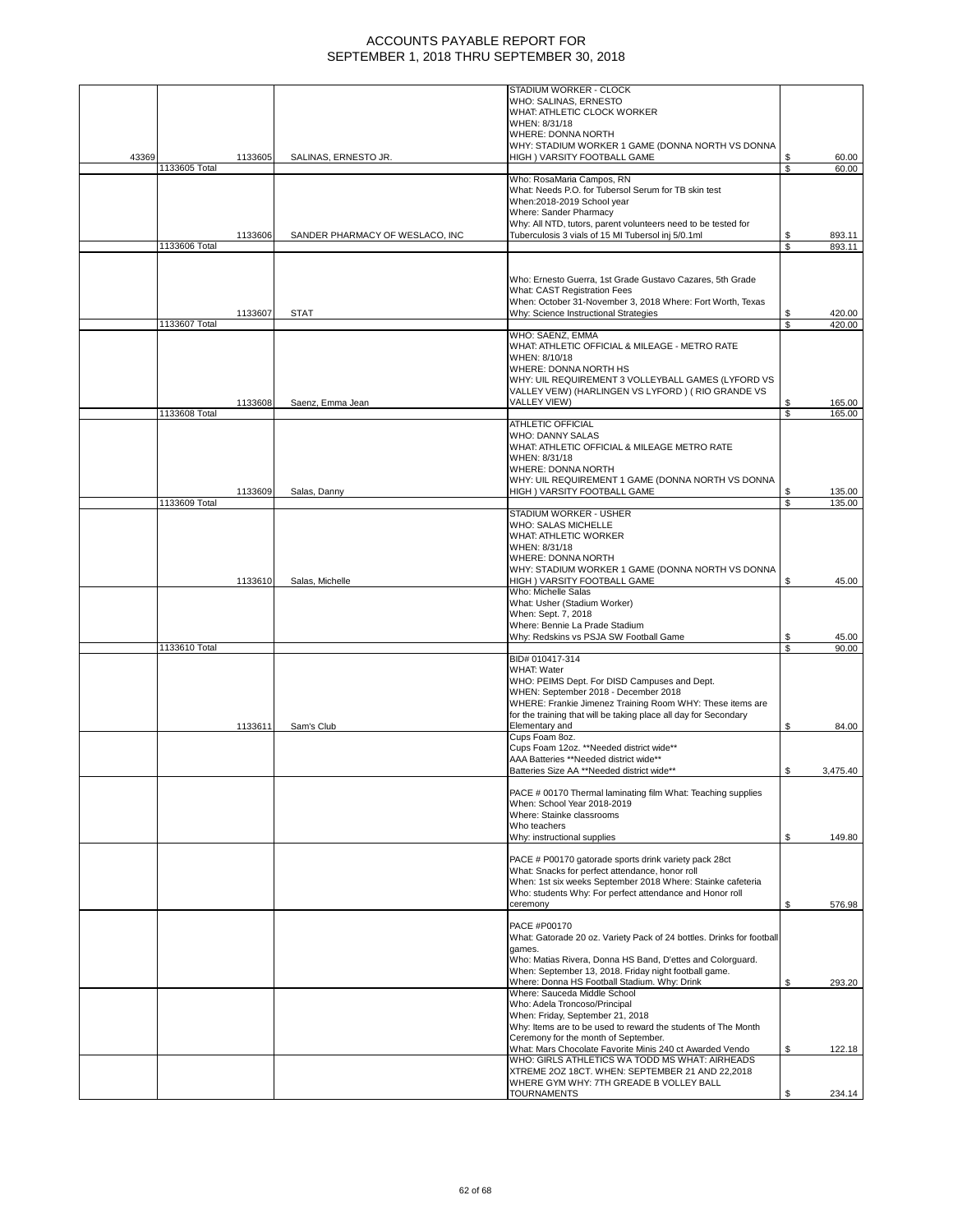|       |               |         |                                 | STADIUM WORKER - CLOCK                                                                                                        |     |          |
|-------|---------------|---------|---------------------------------|-------------------------------------------------------------------------------------------------------------------------------|-----|----------|
|       |               |         |                                 | WHO: SALINAS, ERNESTO                                                                                                         |     |          |
|       |               |         |                                 | WHAT: ATHLETIC CLOCK WORKER                                                                                                   |     |          |
|       |               |         |                                 | WHEN: 8/31/18                                                                                                                 |     |          |
|       |               |         |                                 | WHERE: DONNA NORTH                                                                                                            |     |          |
|       |               |         |                                 | WHY: STADIUM WORKER 1 GAME (DONNA NORTH VS DONNA                                                                              |     |          |
| 43369 |               | 1133605 | SALINAS, ERNESTO JR.            | HIGH ) VARSITY FOOTBALL GAME                                                                                                  | S   | 60.00    |
|       | 1133605 Total |         |                                 |                                                                                                                               | \$  | 60.00    |
|       |               |         |                                 | Who: RosaMaria Campos, RN                                                                                                     |     |          |
|       |               |         |                                 | What: Needs P.O. for Tubersol Serum for TB skin test                                                                          |     |          |
|       |               |         |                                 | When:2018-2019 School year                                                                                                    |     |          |
|       |               |         |                                 | Where: Sander Pharmacy                                                                                                        |     |          |
|       |               |         |                                 | Why: All NTD, tutors, parent volunteers need to be tested for                                                                 |     |          |
|       |               | 1133606 | SANDER PHARMACY OF WESLACO, INC | Tuberculosis 3 vials of 15 MI Tubersol inj 5/0.1ml                                                                            | S   | 893.11   |
|       | 1133606 Total |         |                                 |                                                                                                                               | \$  | 893.11   |
|       |               |         |                                 |                                                                                                                               |     |          |
|       |               |         |                                 | Who: Ernesto Guerra, 1st Grade Gustavo Cazares, 5th Grade                                                                     |     |          |
|       |               |         |                                 | What: CAST Registration Fees                                                                                                  |     |          |
|       |               |         |                                 | When: October 31-November 3, 2018 Where: Fort Worth, Texas                                                                    |     |          |
|       |               | 1133607 | <b>STAT</b>                     | Why: Science Instructional Strategies                                                                                         | S   | 420.00   |
|       | 1133607 Total |         |                                 |                                                                                                                               | Ŝ.  | 420.00   |
|       |               |         |                                 | WHO: SAENZ, EMMA                                                                                                              |     |          |
|       |               |         |                                 | WHAT: ATHLETIC OFFICIAL & MILEAGE - METRO RATE                                                                                |     |          |
|       |               |         |                                 | WHEN: 8/10/18                                                                                                                 |     |          |
|       |               |         |                                 | WHERE: DONNA NORTH HS                                                                                                         |     |          |
|       |               |         |                                 | WHY: UIL REQUIREMENT 3 VOLLEYBALL GAMES (LYFORD VS                                                                            |     |          |
|       |               |         |                                 | VALLEY VEIW) (HARLINGEN VS LYFORD) (RIO GRANDE VS                                                                             |     |          |
|       |               | 1133608 | Saenz, Emma Jean                | VALLEY VIEW)                                                                                                                  |     | 165.00   |
|       | 1133608 Total |         |                                 |                                                                                                                               | \$. | 165.00   |
|       |               |         |                                 | <b>ATHLETIC OFFICIAL</b>                                                                                                      |     |          |
|       |               |         |                                 | <b>WHO: DANNY SALAS</b>                                                                                                       |     |          |
|       |               |         |                                 | WHAT: ATHLETIC OFFICIAL & MILEAGE METRO RATE                                                                                  |     |          |
|       |               |         |                                 | WHEN: 8/31/18                                                                                                                 |     |          |
|       |               |         |                                 | WHERE: DONNA NORTH                                                                                                            |     |          |
|       |               |         |                                 | WHY: UIL REQUIREMENT 1 GAME (DONNA NORTH VS DONNA                                                                             |     |          |
|       |               | 1133609 | Salas, Danny                    | HIGH ) VARSITY FOOTBALL GAME                                                                                                  | \$  | 135.00   |
|       | 1133609 Total |         |                                 |                                                                                                                               | \$  | 135.00   |
|       |               |         |                                 | STADIUM WORKER - USHER                                                                                                        |     |          |
|       |               |         |                                 | <b>WHO: SALAS MICHELLE</b>                                                                                                    |     |          |
|       |               |         |                                 | WHAT: ATHLETIC WORKER                                                                                                         |     |          |
|       |               |         |                                 | WHEN: 8/31/18                                                                                                                 |     |          |
|       |               |         |                                 | WHERE: DONNA NORTH                                                                                                            |     |          |
|       |               |         |                                 | WHY: STADIUM WORKER 1 GAME (DONNA NORTH VS DONNA                                                                              |     |          |
|       |               | 1133610 | Salas, Michelle                 | HIGH ) VARSITY FOOTBALL GAME                                                                                                  | \$  | 45.00    |
|       |               |         |                                 | Who: Michelle Salas                                                                                                           |     |          |
|       |               |         |                                 | What: Usher (Stadium Worker)                                                                                                  |     |          |
|       |               |         |                                 | When: Sept. 7, 2018                                                                                                           |     |          |
|       |               |         |                                 | Where: Bennie La Prade Stadium                                                                                                |     |          |
|       |               |         |                                 | Why: Redskins vs PSJA SW Football Game                                                                                        | \$  | 45.00    |
|       | 1133610 Total |         |                                 |                                                                                                                               | \$  | 90.00    |
|       |               |         |                                 | BID# 010417-314                                                                                                               |     |          |
|       |               |         |                                 | <b>WHAT: Water</b>                                                                                                            |     |          |
|       |               |         |                                 | WHO: PEIMS Dept. For DISD Campuses and Dept.                                                                                  |     |          |
|       |               |         |                                 | WHEN: September 2018 - December 2018                                                                                          |     |          |
|       |               |         |                                 | WHERE: Frankie Jimenez Training Room WHY: These items are<br>for the training that will be taking place all day for Secondary |     |          |
|       |               |         |                                 | Elementary and                                                                                                                | S   | 84.00    |
|       |               | 1133611 | Sam's Club                      | Cups Foam 8oz.                                                                                                                |     |          |
|       |               |         |                                 | Cups Foam 12oz. **Needed district wide**                                                                                      |     |          |
|       |               |         |                                 | AAA Batteries **Needed district wide**                                                                                        |     |          |
|       |               |         |                                 | Batteries Size AA **Needed district wide**                                                                                    | \$  | 3,475.40 |
|       |               |         |                                 |                                                                                                                               |     |          |
|       |               |         |                                 | PACE # 00170 Thermal laminating film What: Teaching supplies                                                                  |     |          |
|       |               |         |                                 | When: School Year 2018-2019                                                                                                   |     |          |
|       |               |         |                                 | Where: Stainke classrooms                                                                                                     |     |          |
|       |               |         |                                 | Who teachers                                                                                                                  |     |          |
|       |               |         |                                 | Why: instructional supplies                                                                                                   | S   | 149.80   |
|       |               |         |                                 |                                                                                                                               |     |          |
|       |               |         |                                 | PACE # P00170 gatorade sports drink variety pack 28ct                                                                         |     |          |
|       |               |         |                                 | What: Snacks for perfect attendance, honor roll                                                                               |     |          |
|       |               |         |                                 | When: 1st six weeks September 2018 Where: Stainke cafeteria                                                                   |     |          |
|       |               |         |                                 | Who: students Why: For perfect attendance and Honor roll                                                                      |     |          |
|       |               |         |                                 | ceremony                                                                                                                      | \$  | 576.98   |
|       |               |         |                                 |                                                                                                                               |     |          |
|       |               |         |                                 | PACE #P00170                                                                                                                  |     |          |
|       |               |         |                                 | What: Gatorade 20 oz. Variety Pack of 24 bottles. Drinks for football                                                         |     |          |
|       |               |         |                                 | games.                                                                                                                        |     |          |
|       |               |         |                                 | Who: Matias Rivera, Donna HS Band, D'ettes and Colorguard.                                                                    |     |          |
|       |               |         |                                 | When: September 13, 2018. Friday night football game.                                                                         |     |          |
|       |               |         |                                 | Where: Donna HS Football Stadium. Why: Drink                                                                                  | S   | 293.20   |
|       |               |         |                                 | Where: Sauceda Middle School                                                                                                  |     |          |
|       |               |         |                                 | Who: Adela Troncoso/Principal                                                                                                 |     |          |
|       |               |         |                                 | When: Friday, September 21, 2018                                                                                              |     |          |
|       |               |         |                                 | Why: Items are to be used to reward the students of The Month                                                                 |     |          |
|       |               |         |                                 | Ceremony for the month of September.                                                                                          |     |          |
|       |               |         |                                 | What: Mars Chocolate Favorite Minis 240 ct Awarded Vendo<br>WHO: GIRLS ATHLETICS WA TODD MS WHAT: AIRHEADS                    | \$  | 122.18   |
|       |               |         |                                 |                                                                                                                               |     |          |
|       |               |         |                                 | XTREME 2OZ 18CT. WHEN: SEPTEMBER 21 AND 22,2018                                                                               |     |          |
|       |               |         |                                 | WHERE GYM WHY: 7TH GREADE B VOLLEY BALL                                                                                       |     |          |
|       |               |         |                                 | <b>TOURNAMENTS</b>                                                                                                            | \$  | 234.14   |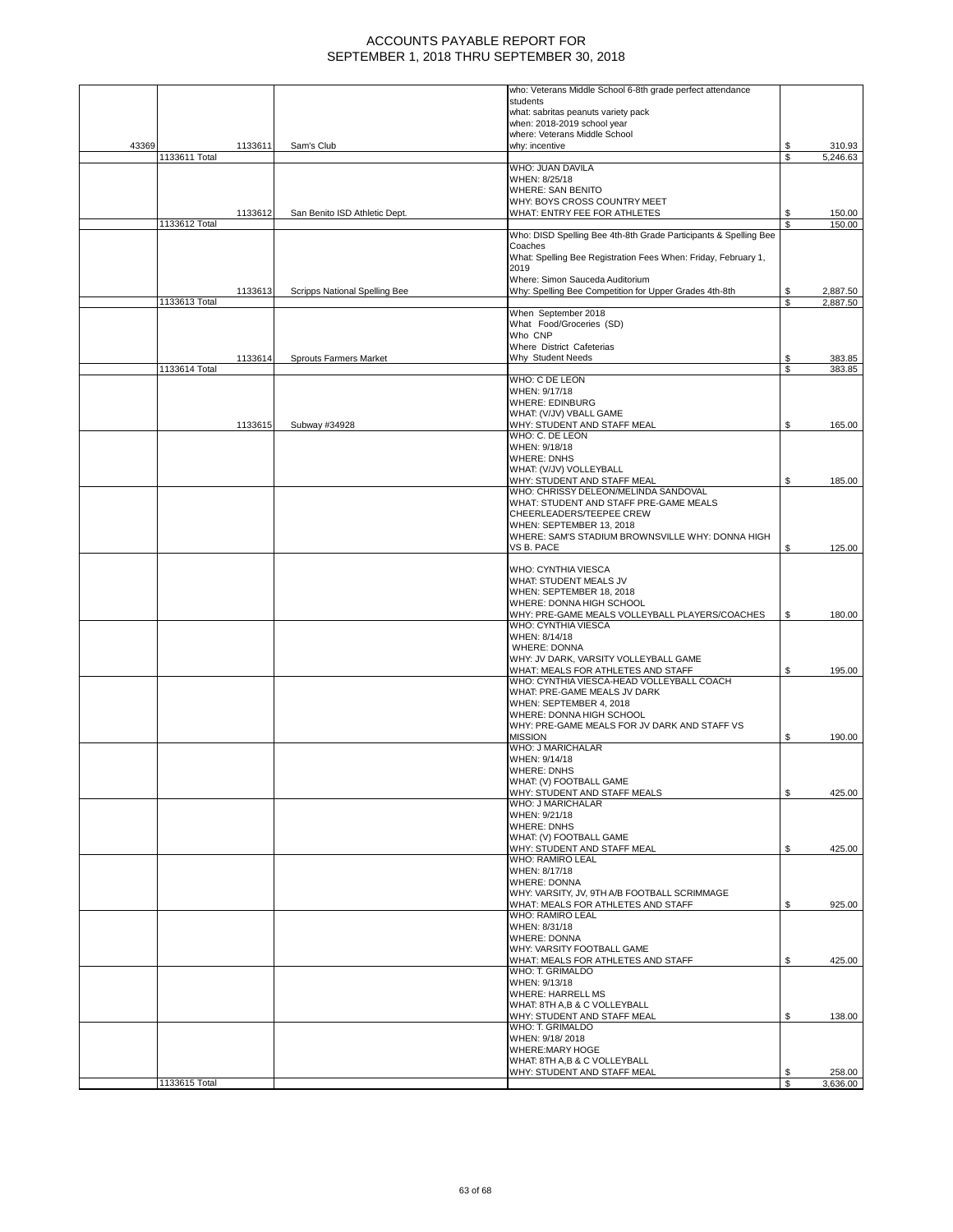|       |               |         |                               | who: Veterans Middle School 6-8th grade perfect attendance                      |     |          |
|-------|---------------|---------|-------------------------------|---------------------------------------------------------------------------------|-----|----------|
|       |               |         |                               | students                                                                        |     |          |
|       |               |         |                               | what: sabritas peanuts variety pack<br>when: 2018-2019 school year              |     |          |
|       |               |         |                               | where: Veterans Middle School                                                   |     |          |
| 43369 |               | 1133611 | Sam's Club                    | why: incentive                                                                  | S   | 310.93   |
|       | 1133611 Total |         |                               |                                                                                 | \$  | 5,246.63 |
|       |               |         |                               | WHO: JUAN DAVILA                                                                |     |          |
|       |               |         |                               | WHEN: 8/25/18                                                                   |     |          |
|       |               |         |                               | <b>WHERE: SAN BENITO</b><br>WHY: BOYS CROSS COUNTRY MEET                        |     |          |
|       |               | 1133612 | San Benito ISD Athletic Dept. | WHAT: ENTRY FEE FOR ATHLETES                                                    | \$  | 150.00   |
|       | 1133612 Total |         |                               |                                                                                 | \$. | 150.00   |
|       |               |         |                               | Who: DISD Spelling Bee 4th-8th Grade Participants & Spelling Bee                |     |          |
|       |               |         |                               | Coaches                                                                         |     |          |
|       |               |         |                               | What: Spelling Bee Registration Fees When: Friday, February 1,<br>2019          |     |          |
|       |               |         |                               | Where: Simon Sauceda Auditorium                                                 |     |          |
|       |               | 1133613 | Scripps National Spelling Bee | Why: Spelling Bee Competition for Upper Grades 4th-8th                          | \$  | 2,887.50 |
|       | 1133613 Total |         |                               |                                                                                 | \$  | 2,887.50 |
|       |               |         |                               | When September 2018                                                             |     |          |
|       |               |         |                               | What Food/Groceries (SD)<br>Who CNP                                             |     |          |
|       |               |         |                               | Where District Cafeterias                                                       |     |          |
|       |               | 1133614 | <b>Sprouts Farmers Market</b> | Why Student Needs                                                               | \$  | 383.85   |
|       | 1133614 Total |         |                               |                                                                                 | S   | 383.85   |
|       |               |         |                               | WHO: C DE LEON                                                                  |     |          |
|       |               |         |                               | WHEN: 9/17/18                                                                   |     |          |
|       |               |         |                               | <b>WHERE: EDINBURG</b><br>WHAT: (V/JV) VBALL GAME                               |     |          |
|       |               | 1133615 | Subway #34928                 | WHY: STUDENT AND STAFF MEAL                                                     | \$  | 165.00   |
|       |               |         |                               | WHO: C. DE LEON                                                                 |     |          |
|       |               |         |                               | WHEN: 9/18/18                                                                   |     |          |
|       |               |         |                               | <b>WHERE: DNHS</b>                                                              |     |          |
|       |               |         |                               | WHAT: (V/JV) VOLLEYBALL<br>WHY: STUDENT AND STAFF MEAL                          | \$  | 185.00   |
|       |               |         |                               | WHO: CHRISSY DELEON/MELINDA SANDOVAL                                            |     |          |
|       |               |         |                               | WHAT: STUDENT AND STAFF PRE-GAME MEALS                                          |     |          |
|       |               |         |                               | CHEERLEADERS/TEEPEE CREW                                                        |     |          |
|       |               |         |                               | WHEN: SEPTEMBER 13, 2018                                                        |     |          |
|       |               |         |                               | WHERE: SAM'S STADIUM BROWNSVILLE WHY: DONNA HIGH                                |     |          |
|       |               |         |                               | VS B. PACE                                                                      | \$  | 125.00   |
|       |               |         |                               | WHO: CYNTHIA VIESCA                                                             |     |          |
|       |               |         |                               | WHAT: STUDENT MEALS JV                                                          |     |          |
|       |               |         |                               | WHEN: SEPTEMBER 18, 2018                                                        |     |          |
|       |               |         |                               | WHERE: DONNA HIGH SCHOOL                                                        |     |          |
|       |               |         |                               | WHY: PRE-GAME MEALS VOLLEYBALL PLAYERS/COACHES<br>WHO: CYNTHIA VIESCA           | \$  | 180.00   |
|       |               |         |                               | WHEN: 8/14/18                                                                   |     |          |
|       |               |         |                               | <b>WHERE: DONNA</b>                                                             |     |          |
|       |               |         |                               | WHY: JV DARK, VARSITY VOLLEYBALL GAME                                           |     |          |
|       |               |         |                               | WHAT: MEALS FOR ATHLETES AND STAFF<br>WHO: CYNTHIA VIESCA-HEAD VOLLEYBALL COACH | \$  | 195.00   |
|       |               |         |                               | WHAT: PRE-GAME MEALS JV DARK                                                    |     |          |
|       |               |         |                               | WHEN: SEPTEMBER 4, 2018                                                         |     |          |
|       |               |         |                               | WHERE: DONNA HIGH SCHOOL                                                        |     |          |
|       |               |         |                               | WHY: PRE-GAME MEALS FOR JV DARK AND STAFF VS                                    |     |          |
|       |               |         |                               | <b>MISSION</b><br>WHO: J MARICHALAR                                             | \$  | 190.00   |
|       |               |         |                               | WHEN: 9/14/18                                                                   |     |          |
|       |               |         |                               | <b>WHERE: DNHS</b>                                                              |     |          |
|       |               |         |                               | WHAT: (V) FOOTBALL GAME                                                         |     |          |
|       |               |         |                               | WHY: STUDENT AND STAFF MEALS                                                    | \$  | 425.00   |
|       |               |         |                               | WHO: J MARICHALAR                                                               |     |          |
|       |               |         |                               | WHEN: 9/21/18<br><b>WHERE: DNHS</b>                                             |     |          |
|       |               |         |                               | WHAT: (V) FOOTBALL GAME                                                         |     |          |
|       |               |         |                               | WHY: STUDENT AND STAFF MEAL                                                     | \$  | 425.00   |
|       |               |         |                               | <b>WHO: RAMIRO LEAL</b>                                                         |     |          |
|       |               |         |                               | WHEN: 8/17/18                                                                   |     |          |
|       |               |         |                               | <b>WHERE: DONNA</b><br>WHY: VARSITY, JV, 9TH A/B FOOTBALL SCRIMMAGE             |     |          |
|       |               |         |                               | WHAT: MEALS FOR ATHLETES AND STAFF                                              | \$  | 925.00   |
|       |               |         |                               | <b>WHO: RAMIRO LEAL</b>                                                         |     |          |
|       |               |         |                               | WHEN: 8/31/18                                                                   |     |          |
|       |               |         |                               | <b>WHERE: DONNA</b>                                                             |     |          |
|       |               |         |                               | WHY: VARSITY FOOTBALL GAME<br>WHAT: MEALS FOR ATHLETES AND STAFF                | \$  | 425.00   |
|       |               |         |                               | WHO: T. GRIMALDO                                                                |     |          |
|       |               |         |                               | WHEN: 9/13/18                                                                   |     |          |
|       |               |         |                               | <b>WHERE: HARRELL MS</b>                                                        |     |          |
|       |               |         |                               | WHAT: 8TH A,B & C VOLLEYBALL                                                    |     |          |
|       |               |         |                               | WHY: STUDENT AND STAFF MEAL<br>WHO: T. GRIMALDO                                 | \$  | 138.00   |
|       |               |         |                               | WHEN: 9/18/2018                                                                 |     |          |
|       |               |         |                               | WHERE:MARY HOGE                                                                 |     |          |
|       |               |         |                               | WHAT: 8TH A,B & C VOLLEYBALL                                                    |     |          |
|       |               |         |                               | WHY: STUDENT AND STAFF MEAL                                                     | \$  | 258.00   |
|       | 1133615 Total |         |                               |                                                                                 | \$  | 3,636.00 |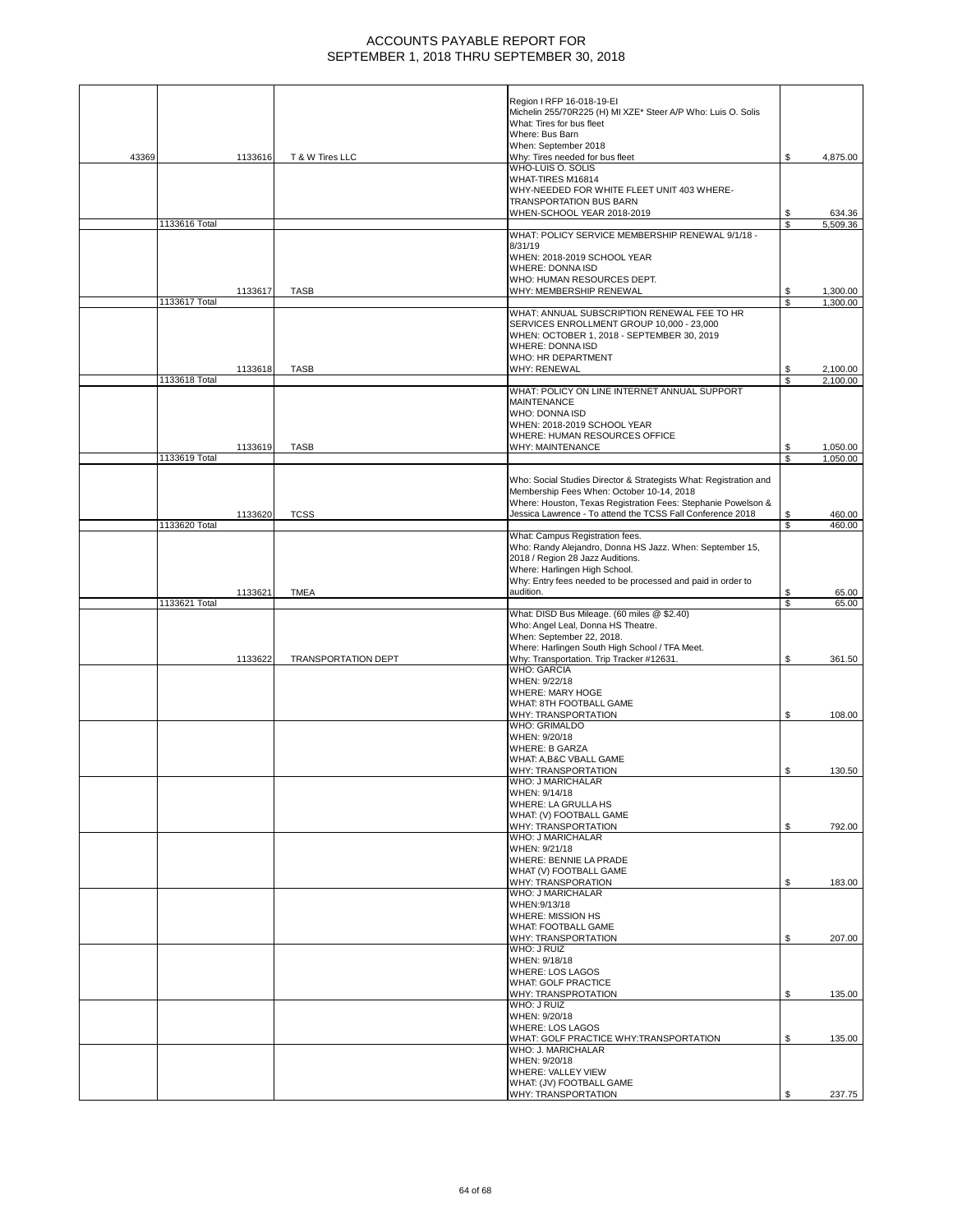|       |               |         |                            | Region I RFP 16-018-19-EI                                         |          |                      |
|-------|---------------|---------|----------------------------|-------------------------------------------------------------------|----------|----------------------|
|       |               |         |                            | Michelin 255/70R225 (H) MI XZE* Steer A/P Who: Luis O. Solis      |          |                      |
|       |               |         |                            | What: Tires for bus fleet                                         |          |                      |
|       |               |         |                            | Where: Bus Barn                                                   |          |                      |
|       |               |         |                            | When: September 2018                                              |          |                      |
| 43369 |               | 1133616 | T & W Tires LLC            | Why: Tires needed for bus fleet                                   | S        | 4,875.00             |
|       |               |         |                            | WHO-LUIS O. SOLIS                                                 |          |                      |
|       |               |         |                            | WHAT-TIRES M16814                                                 |          |                      |
|       |               |         |                            | WHY-NEEDED FOR WHITE FLEET UNIT 403 WHERE-                        |          |                      |
|       |               |         |                            | <b>TRANSPORTATION BUS BARN</b>                                    |          |                      |
|       |               |         |                            | WHEN-SCHOOL YEAR 2018-2019                                        | S        | 634.36               |
|       | 1133616 Total |         |                            |                                                                   | \$       | 5,509.36             |
|       |               |         |                            | WHAT: POLICY SERVICE MEMBERSHIP RENEWAL 9/1/18 -                  |          |                      |
|       |               |         |                            | 8/31/19                                                           |          |                      |
|       |               |         |                            | WHEN: 2018-2019 SCHOOL YEAR                                       |          |                      |
|       |               |         |                            | <b>WHERE: DONNA ISD</b>                                           |          |                      |
|       |               |         |                            | WHO: HUMAN RESOURCES DEPT.                                        |          |                      |
|       |               | 1133617 | <b>TASB</b>                | WHY: MEMBERSHIP RENEWAL                                           | \$       | 1,300.00             |
|       | 1133617 Total |         |                            |                                                                   | \$       | 1,300.00             |
|       |               |         |                            | WHAT: ANNUAL SUBSCRIPTION RENEWAL FEE TO HR                       |          |                      |
|       |               |         |                            | SERVICES ENROLLMENT GROUP 10,000 - 23,000                         |          |                      |
|       |               |         |                            | WHEN: OCTOBER 1, 2018 - SEPTEMBER 30, 2019                        |          |                      |
|       |               |         |                            | WHERE: DONNA ISD                                                  |          |                      |
|       |               |         |                            | WHO: HR DEPARTMENT                                                |          |                      |
|       |               |         |                            | <b>WHY: RENEWAL</b>                                               |          |                      |
|       | 1133618 Total | 1133618 | <b>TASB</b>                |                                                                   | S<br>S   | 2,100.00<br>2,100.00 |
|       |               |         |                            | WHAT: POLICY ON LINE INTERNET ANNUAL SUPPORT                      |          |                      |
|       |               |         |                            | <b>MAINTENANCE</b>                                                |          |                      |
|       |               |         |                            | WHO: DONNA ISD                                                    |          |                      |
|       |               |         |                            | WHEN: 2018-2019 SCHOOL YEAR                                       |          |                      |
|       |               |         |                            | WHERE: HUMAN RESOURCES OFFICE                                     |          |                      |
|       |               | 1133619 | <b>TASB</b>                | <b>WHY: MAINTENANCE</b>                                           |          | 1,050.00             |
|       | 1133619 Total |         |                            |                                                                   | \$<br>\$ | 1,050.00             |
|       |               |         |                            |                                                                   |          |                      |
|       |               |         |                            | Who: Social Studies Director & Strategists What: Registration and |          |                      |
|       |               |         |                            | Membership Fees When: October 10-14, 2018                         |          |                      |
|       |               |         |                            | Where: Houston, Texas Registration Fees: Stephanie Powelson &     |          |                      |
|       |               | 1133620 | <b>TCSS</b>                | Jessica Lawrence - To attend the TCSS Fall Conference 2018        | \$       | 460.00               |
|       | 1133620 Total |         |                            |                                                                   | S        | 460.00               |
|       |               |         |                            | What: Campus Registration fees.                                   |          |                      |
|       |               |         |                            | Who: Randy Alejandro, Donna HS Jazz. When: September 15,          |          |                      |
|       |               |         |                            | 2018 / Region 28 Jazz Auditions.                                  |          |                      |
|       |               |         |                            | Where: Harlingen High School.                                     |          |                      |
|       |               |         |                            | Why: Entry fees needed to be processed and paid in order to       |          |                      |
|       |               | 1133621 | <b>TMEA</b>                | audition.                                                         | \$       | 65.00                |
|       | 1133621 Total |         |                            |                                                                   | S        | 65.00                |
|       |               |         |                            | What: DISD Bus Mileage. (60 miles @ \$2.40)                       |          |                      |
|       |               |         |                            |                                                                   |          |                      |
|       |               |         |                            | Who: Angel Leal, Donna HS Theatre.                                |          |                      |
|       |               |         |                            | When: September 22, 2018.                                         |          |                      |
|       |               |         |                            | Where: Harlingen South High School / TFA Meet.                    |          |                      |
|       |               | 1133622 | <b>TRANSPORTATION DEPT</b> | Why: Transportation. Trip Tracker #12631.                         | \$       | 361.50               |
|       |               |         |                            | <b>WHO: GARCIA</b>                                                |          |                      |
|       |               |         |                            | WHEN: 9/22/18                                                     |          |                      |
|       |               |         |                            | <b>WHERE: MARY HOGE</b>                                           |          |                      |
|       |               |         |                            | WHAT: 8TH FOOTBALL GAME                                           |          |                      |
|       |               |         |                            | WHY: TRANSPORTATION                                               | S        | 108.00               |
|       |               |         |                            | <b>WHO: GRIMALDO</b>                                              |          |                      |
|       |               |         |                            | WHEN: 9/20/18                                                     |          |                      |
|       |               |         |                            | <b>WHERE: B GARZA</b>                                             |          |                      |
|       |               |         |                            | WHAT: A,B&C VBALL GAME                                            |          |                      |
|       |               |         |                            | WHY: TRANSPORTATION                                               | \$       | 130.50               |
|       |               |         |                            | WHO: J MARICHALAR                                                 |          |                      |
|       |               |         |                            | WHEN: 9/14/18                                                     |          |                      |
|       |               |         |                            | WHERE: LA GRULLA HS                                               |          |                      |
|       |               |         |                            | WHAT: (V) FOOTBALL GAME                                           |          |                      |
|       |               |         |                            | WHY: TRANSPORTATION                                               | \$       | 792.00               |
|       |               |         |                            | WHO: J MARICHALAR                                                 |          |                      |
|       |               |         |                            | WHEN: 9/21/18                                                     |          |                      |
|       |               |         |                            | WHERE: BENNIE LA PRADE                                            |          |                      |
|       |               |         |                            | WHAT (V) FOOTBALL GAME                                            |          |                      |
|       |               |         |                            | <b>WHY: TRANSPORATION</b>                                         | \$       | 183.00               |
|       |               |         |                            | <b>WHO: J MARICHALAR</b>                                          |          |                      |
|       |               |         |                            | WHEN: 9/13/18                                                     |          |                      |
|       |               |         |                            | <b>WHERE: MISSION HS</b>                                          |          |                      |
|       |               |         |                            | <b>WHAT: FOOTBALL GAME</b><br>WHY: TRANSPORTATION                 | \$       | 207.00               |
|       |               |         |                            | WHO: J RUIZ                                                       |          |                      |
|       |               |         |                            | WHEN: 9/18/18                                                     |          |                      |
|       |               |         |                            | <b>WHERE: LOS LAGOS</b>                                           |          |                      |
|       |               |         |                            | <b>WHAT: GOLF PRACTICE</b>                                        |          |                      |
|       |               |         |                            | WHY: TRANSPROTATION                                               | \$       | 135.00               |
|       |               |         |                            | WHO: J RUIZ                                                       |          |                      |
|       |               |         |                            | WHEN: 9/20/18                                                     |          |                      |
|       |               |         |                            | <b>WHERE: LOS LAGOS</b>                                           |          |                      |
|       |               |         |                            | WHAT: GOLF PRACTICE WHY:TRANSPORTATION                            | \$       | 135.00               |
|       |               |         |                            | WHO: J. MARICHALAR                                                |          |                      |
|       |               |         |                            | WHEN: 9/20/18                                                     |          |                      |
|       |               |         |                            | WHERE: VALLEY VIEW                                                |          |                      |
|       |               |         |                            | WHAT: (JV) FOOTBALL GAME<br>WHY: TRANSPORTATION                   |          | 237.75               |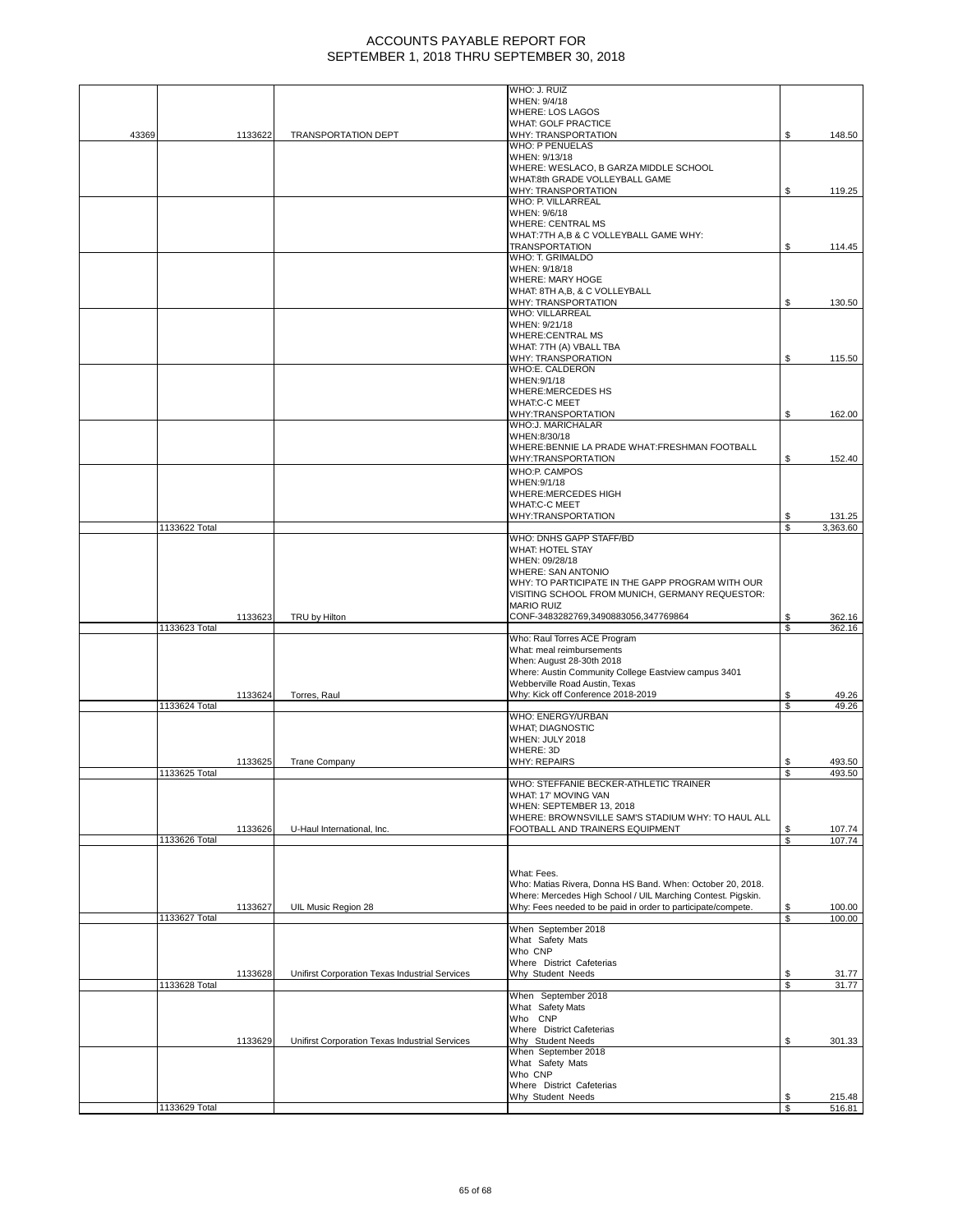|       |               |         |                                                | WHO: J. RUIZ                                                                                                               |          |                |
|-------|---------------|---------|------------------------------------------------|----------------------------------------------------------------------------------------------------------------------------|----------|----------------|
|       |               |         |                                                | WHEN: 9/4/18<br><b>WHERE: LOS LAGOS</b>                                                                                    |          |                |
|       |               |         |                                                | <b>WHAT: GOLF PRACTICE</b>                                                                                                 |          |                |
| 43369 |               | 1133622 | TRANSPORTATION DEPT                            | WHY: TRANSPORTATION                                                                                                        | \$       | 148.50         |
|       |               |         |                                                | <b>WHO: P PENUELAS</b><br>WHEN: 9/13/18                                                                                    |          |                |
|       |               |         |                                                | WHERE: WESLACO, B GARZA MIDDLE SCHOOL                                                                                      |          |                |
|       |               |         |                                                | WHAT:8th GRADE VOLLEYBALL GAME                                                                                             |          |                |
|       |               |         |                                                | WHY: TRANSPORTATION<br>WHO: P. VILLARREAL                                                                                  | \$       | 119.25         |
|       |               |         |                                                | WHEN: 9/6/18                                                                                                               |          |                |
|       |               |         |                                                | <b>WHERE: CENTRAL MS</b>                                                                                                   |          |                |
|       |               |         |                                                | WHAT: 7TH A,B & C VOLLEYBALL GAME WHY:<br><b>TRANSPORTATION</b>                                                            | \$       | 114.45         |
|       |               |         |                                                | WHO: T. GRIMALDO                                                                                                           |          |                |
|       |               |         |                                                | WHEN: 9/18/18                                                                                                              |          |                |
|       |               |         |                                                | <b>WHERE: MARY HOGE</b><br>WHAT: 8TH A,B, & C VOLLEYBALL                                                                   |          |                |
|       |               |         |                                                | WHY: TRANSPORTATION                                                                                                        | \$       | 130.50         |
|       |               |         |                                                | <b>WHO: VILLARREAL</b>                                                                                                     |          |                |
|       |               |         |                                                | WHEN: 9/21/18                                                                                                              |          |                |
|       |               |         |                                                | <b>WHERE:CENTRAL MS</b><br>WHAT: 7TH (A) VBALL TBA                                                                         |          |                |
|       |               |         |                                                | WHY: TRANSPORATION                                                                                                         | \$       | 115.50         |
|       |               |         |                                                | WHO:E. CALDERON                                                                                                            |          |                |
|       |               |         |                                                | WHEN: 9/1/18<br>WHERE:MERCEDES HS                                                                                          |          |                |
|       |               |         |                                                | <b>WHAT:C-C MEET</b>                                                                                                       |          |                |
|       |               |         |                                                | WHY:TRANSPORTATION                                                                                                         | \$       | 162.00         |
|       |               |         |                                                | WHO:J. MARICHALAR                                                                                                          |          |                |
|       |               |         |                                                | WHEN:8/30/18<br>WHERE: BENNIE LA PRADE WHAT: FRESHMAN FOOTBALL                                                             |          |                |
|       |               |         |                                                | WHY:TRANSPORTATION                                                                                                         | \$       | 152.40         |
|       |               |         |                                                | <b>WHO:P. CAMPOS</b>                                                                                                       |          |                |
|       |               |         |                                                | WHEN: 9/1/18                                                                                                               |          |                |
|       |               |         |                                                | WHERE: MERCEDES HIGH<br><b>WHAT:C-C MEET</b>                                                                               |          |                |
|       |               |         |                                                | WHY:TRANSPORTATION                                                                                                         | \$       | 131.25         |
|       | 1133622 Total |         |                                                |                                                                                                                            | \$       | 3,363.60       |
|       |               |         |                                                | WHO: DNHS GAPP STAFF/BD<br><b>WHAT: HOTEL STAY</b>                                                                         |          |                |
|       |               |         |                                                | WHEN: 09/28/18                                                                                                             |          |                |
|       |               |         |                                                | <b>WHERE: SAN ANTONIO</b>                                                                                                  |          |                |
|       |               |         |                                                | WHY: TO PARTICIPATE IN THE GAPP PROGRAM WITH OUR                                                                           |          |                |
|       |               |         |                                                | VISITING SCHOOL FROM MUNICH, GERMANY REQUESTOR:<br><b>MARIO RUIZ</b>                                                       |          |                |
|       |               | 1133623 | TRU by Hilton                                  | CONF-3483282769,3490883056,347769864                                                                                       | \$       | 362.16         |
|       | 1133623 Total |         |                                                |                                                                                                                            | S        | 362.16         |
|       |               |         |                                                | Who: Raul Torres ACE Program<br>What: meal reimbursements                                                                  |          |                |
|       |               |         |                                                | When: August 28-30th 2018                                                                                                  |          |                |
|       |               |         |                                                | Where: Austin Community College Eastview campus 3401                                                                       |          |                |
|       |               | 1133624 | Torres, Raul                                   | Webberville Road Austin, Texas<br>Why: Kick off Conference 2018-2019                                                       | S        | 49.26          |
|       | 1133624 Total |         |                                                |                                                                                                                            | \$.      | 49.26          |
|       |               |         |                                                | WHO: ENERGY/URBAN                                                                                                          |          |                |
|       |               |         |                                                | <b>WHAT; DIAGNOSTIC</b>                                                                                                    |          |                |
|       |               |         |                                                | WHEN: JULY 2018<br>WHERE: 3D                                                                                               |          |                |
|       |               | 1133625 | <b>Trane Company</b>                           | <b>WHY: REPAIRS</b>                                                                                                        | \$       | 493.50         |
|       | 1133625 Total |         |                                                |                                                                                                                            | \$       | 493.50         |
|       |               |         |                                                | WHO: STEFFANIE BECKER-ATHLETIC TRAINER<br>WHAT: 17' MOVING VAN                                                             |          |                |
|       |               |         |                                                | WHEN: SEPTEMBER 13, 2018                                                                                                   |          |                |
|       |               |         |                                                | WHERE: BROWNSVILLE SAM'S STADIUM WHY: TO HAUL ALL                                                                          |          |                |
|       |               | 1133626 | U-Haul International, Inc.                     | FOOTBALL AND TRAINERS EQUIPMENT                                                                                            | S        | 107.74         |
|       | 1133626 Total |         |                                                |                                                                                                                            | \$       | 107.74         |
|       |               |         |                                                |                                                                                                                            |          |                |
|       |               |         |                                                | What: Fees.                                                                                                                |          |                |
|       |               |         |                                                | Who: Matias Rivera, Donna HS Band. When: October 20, 2018.<br>Where: Mercedes High School / UIL Marching Contest. Pigskin. |          |                |
|       |               | 1133627 | UIL Music Region 28                            | Why: Fees needed to be paid in order to participate/compete.                                                               | \$       | 100.00         |
|       | 1133627 Total |         |                                                |                                                                                                                            | \$       | 100.00         |
|       |               |         |                                                | When September 2018<br>What Safety Mats                                                                                    |          |                |
|       |               |         |                                                | Who CNP                                                                                                                    |          |                |
|       |               |         |                                                | Where District Cafeterias                                                                                                  |          |                |
|       | 1133628 Total | 1133628 | Unifirst Corporation Texas Industrial Services | Why Student Needs                                                                                                          | \$<br>\$ | 31.77<br>31.77 |
|       |               |         |                                                | When September 2018                                                                                                        |          |                |
|       |               |         |                                                | What Safety Mats                                                                                                           |          |                |
|       |               |         |                                                | Who CNP                                                                                                                    |          |                |
|       |               | 1133629 | Unifirst Corporation Texas Industrial Services | Where District Cafeterias<br>Why Student Needs                                                                             | \$       | 301.33         |
|       |               |         |                                                | When September 2018                                                                                                        |          |                |
|       |               |         |                                                | What Safety Mats                                                                                                           |          |                |
|       |               |         |                                                | Who CNP<br>Where District Cafeterias                                                                                       |          |                |
|       |               |         |                                                | Why Student Needs                                                                                                          | \$       | 215.48         |
|       | 1133629 Total |         |                                                |                                                                                                                            | \$       | 516.81         |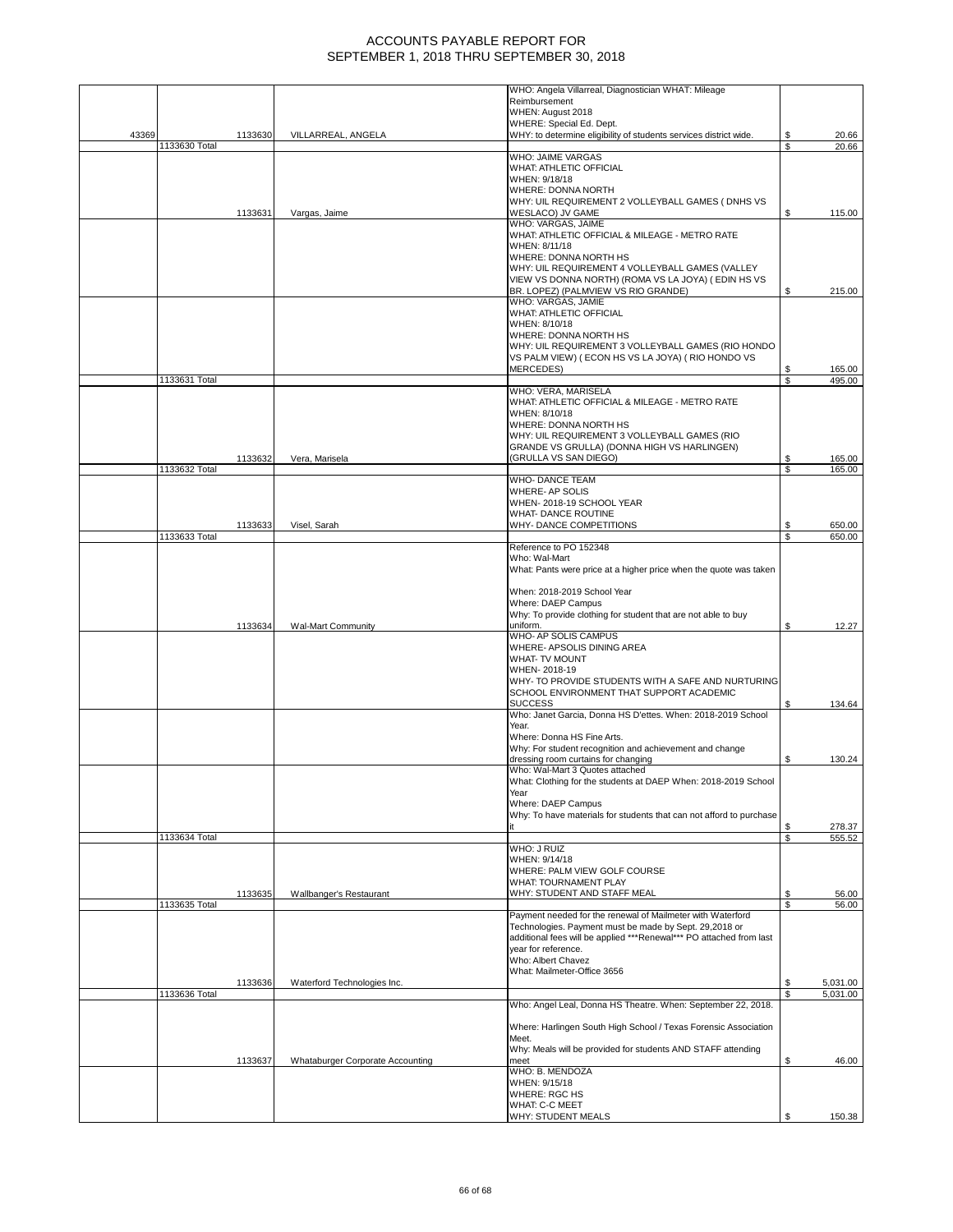|       |                          |                                  | WHO: Angela Villarreal, Diagnostician WHAT: Mileage                                                   |          |                  |
|-------|--------------------------|----------------------------------|-------------------------------------------------------------------------------------------------------|----------|------------------|
|       |                          |                                  | Reimbursement<br>WHEN: August 2018                                                                    |          |                  |
|       |                          |                                  | WHERE: Special Ed. Dept.                                                                              |          |                  |
| 43369 | 1133630                  | VILLARREAL, ANGELA               | WHY: to determine eligibility of students services district wide.                                     | \$<br>\$ | 20.66            |
|       | 1133630 Total            |                                  | WHO: JAIME VARGAS                                                                                     |          | 20.66            |
|       |                          |                                  | WHAT: ATHLETIC OFFICIAL                                                                               |          |                  |
|       |                          |                                  | WHEN: 9/18/18<br>WHERE: DONNA NORTH                                                                   |          |                  |
|       |                          |                                  | WHY: UIL REQUIREMENT 2 VOLLEYBALL GAMES ( DNHS VS                                                     |          |                  |
|       | 1133631                  | Vargas, Jaime                    | WESLACO) JV GAME                                                                                      | \$       | 115.00           |
|       |                          |                                  | WHO: VARGAS, JAIME<br>WHAT: ATHLETIC OFFICIAL & MILEAGE - METRO RATE                                  |          |                  |
|       |                          |                                  | WHEN: 8/11/18                                                                                         |          |                  |
|       |                          |                                  | WHERE: DONNA NORTH HS                                                                                 |          |                  |
|       |                          |                                  | WHY: UIL REQUIREMENT 4 VOLLEYBALL GAMES (VALLEY<br>VIEW VS DONNA NORTH) (ROMA VS LA JOYA) (EDIN HS VS |          |                  |
|       |                          |                                  | BR. LOPEZ) (PALMVIEW VS RIO GRANDE)                                                                   | S        | 215.00           |
|       |                          |                                  | WHO: VARGAS, JAMIE                                                                                    |          |                  |
|       |                          |                                  | WHAT: ATHLETIC OFFICIAL<br>WHEN: 8/10/18                                                              |          |                  |
|       |                          |                                  | WHERE: DONNA NORTH HS                                                                                 |          |                  |
|       |                          |                                  | WHY: UIL REQUIREMENT 3 VOLLEYBALL GAMES (RIO HONDO                                                    |          |                  |
|       |                          |                                  | VS PALM VIEW) (ECON HS VS LA JOYA) (RIO HONDO VS<br><b>MERCEDES)</b>                                  | \$       | 165.00           |
|       | 1133631 Total            |                                  |                                                                                                       | \$       | 495.00           |
|       |                          |                                  | WHO: VERA, MARISELA                                                                                   |          |                  |
|       |                          |                                  | WHAT: ATHLETIC OFFICIAL & MILEAGE - METRO RATE<br>WHEN: 8/10/18                                       |          |                  |
|       |                          |                                  | WHERE: DONNA NORTH HS                                                                                 |          |                  |
|       |                          |                                  | WHY: UIL REQUIREMENT 3 VOLLEYBALL GAMES (RIO                                                          |          |                  |
|       |                          |                                  | GRANDE VS GRULLA) (DONNA HIGH VS HARLINGEN)                                                           |          |                  |
|       | 1133632<br>1133632 Total | Vera, Marisela                   | (GRULLA VS SAN DIEGO)                                                                                 | \$<br>\$ | 165.00<br>165.00 |
|       |                          |                                  | <b>WHO-DANCE TEAM</b>                                                                                 |          |                  |
|       |                          |                                  | WHERE- AP SOLIS<br>WHEN-2018-19 SCHOOL YEAR                                                           |          |                  |
|       |                          |                                  | <b>WHAT- DANCE ROUTINE</b>                                                                            |          |                  |
|       | 1133633                  | Visel, Sarah                     | WHY- DANCE COMPETITIONS                                                                               | \$       | 650.00           |
|       | 1133633 Total            |                                  | Reference to PO 152348                                                                                | \$       | 650.00           |
|       |                          |                                  | Who: Wal-Mart                                                                                         |          |                  |
|       |                          |                                  | What: Pants were price at a higher price when the quote was taken                                     |          |                  |
|       |                          |                                  |                                                                                                       |          |                  |
|       |                          |                                  | When: 2018-2019 School Year<br>Where: DAEP Campus                                                     |          |                  |
|       |                          |                                  | Why: To provide clothing for student that are not able to buy                                         |          |                  |
|       | 1133634                  | <b>Wal-Mart Community</b>        | uniform.                                                                                              | \$       | 12.27            |
|       |                          |                                  | WHO- AP SOLIS CAMPUS<br>WHERE- APSOLIS DINING AREA                                                    |          |                  |
|       |                          |                                  | <b>WHAT-TV MOUNT</b>                                                                                  |          |                  |
|       |                          |                                  | WHEN-2018-19                                                                                          |          |                  |
|       |                          |                                  | WHY- TO PROVIDE STUDENTS WITH A SAFE AND NURTURING<br>SCHOOL ENVIRONMENT THAT SUPPORT ACADEMIC        |          |                  |
|       |                          |                                  | <b>SUCCESS</b>                                                                                        | S        | 134.64           |
|       |                          |                                  | Who: Janet Garcia, Donna HS D'ettes. When: 2018-2019 School                                           |          |                  |
|       |                          |                                  | Year.<br>Where: Donna HS Fine Arts.                                                                   |          |                  |
|       |                          |                                  | Why: For student recognition and achievement and change                                               |          |                  |
|       |                          |                                  | dressing room curtains for changing                                                                   | \$       | 130.24           |
|       |                          |                                  | Who: Wal-Mart 3 Quotes attached<br>What: Clothing for the students at DAEP When: 2018-2019 School     |          |                  |
|       |                          |                                  | Year                                                                                                  |          |                  |
|       |                          |                                  | Where: DAEP Campus                                                                                    |          |                  |
|       |                          |                                  | Why: To have materials for students that can not afford to purchase                                   | \$       | 278.37           |
|       | 1133634 Total            |                                  |                                                                                                       | \$       | 555.52           |
|       |                          |                                  | WHO: J RUIZ                                                                                           |          |                  |
|       |                          |                                  | WHEN: 9/14/18<br>WHERE: PALM VIEW GOLF COURSE                                                         |          |                  |
|       |                          |                                  | WHAT: TOURNAMENT PLAY                                                                                 |          |                  |
|       | 1133635                  | Wallbanger's Restaurant          | WHY: STUDENT AND STAFF MEAL                                                                           | S        | 56.00            |
|       | 1133635 Total            |                                  | Payment needed for the renewal of Mailmeter with Waterford                                            | \$       | 56.00            |
|       |                          |                                  | Technologies. Payment must be made by Sept. 29,2018 or                                                |          |                  |
|       |                          |                                  | additional fees will be applied ***Renewal*** PO attached from last                                   |          |                  |
|       |                          |                                  | year for reference.<br>Who: Albert Chavez                                                             |          |                  |
|       |                          |                                  | What: Mailmeter-Office 3656                                                                           |          |                  |
|       | 1133636                  | Waterford Technologies Inc.      |                                                                                                       | \$       | 5,031.00         |
|       | 1133636 Total            |                                  | Who: Angel Leal, Donna HS Theatre. When: September 22, 2018.                                          | S        | 5,031.00         |
|       |                          |                                  |                                                                                                       |          |                  |
|       |                          |                                  | Where: Harlingen South High School / Texas Forensic Association                                       |          |                  |
|       |                          |                                  | Meet.<br>Why: Meals will be provided for students AND STAFF attending                                 |          |                  |
|       | 1133637                  | Whataburger Corporate Accounting | meet                                                                                                  | S        | 46.00            |
|       |                          |                                  | WHO: B. MENDOZA                                                                                       |          |                  |
|       |                          |                                  | WHEN: 9/15/18<br><b>WHERE: RGC HS</b>                                                                 |          |                  |
|       |                          |                                  | WHAT: C-C MEET                                                                                        |          |                  |
|       |                          |                                  | <b>WHY: STUDENT MEALS</b>                                                                             | \$       | 150.38           |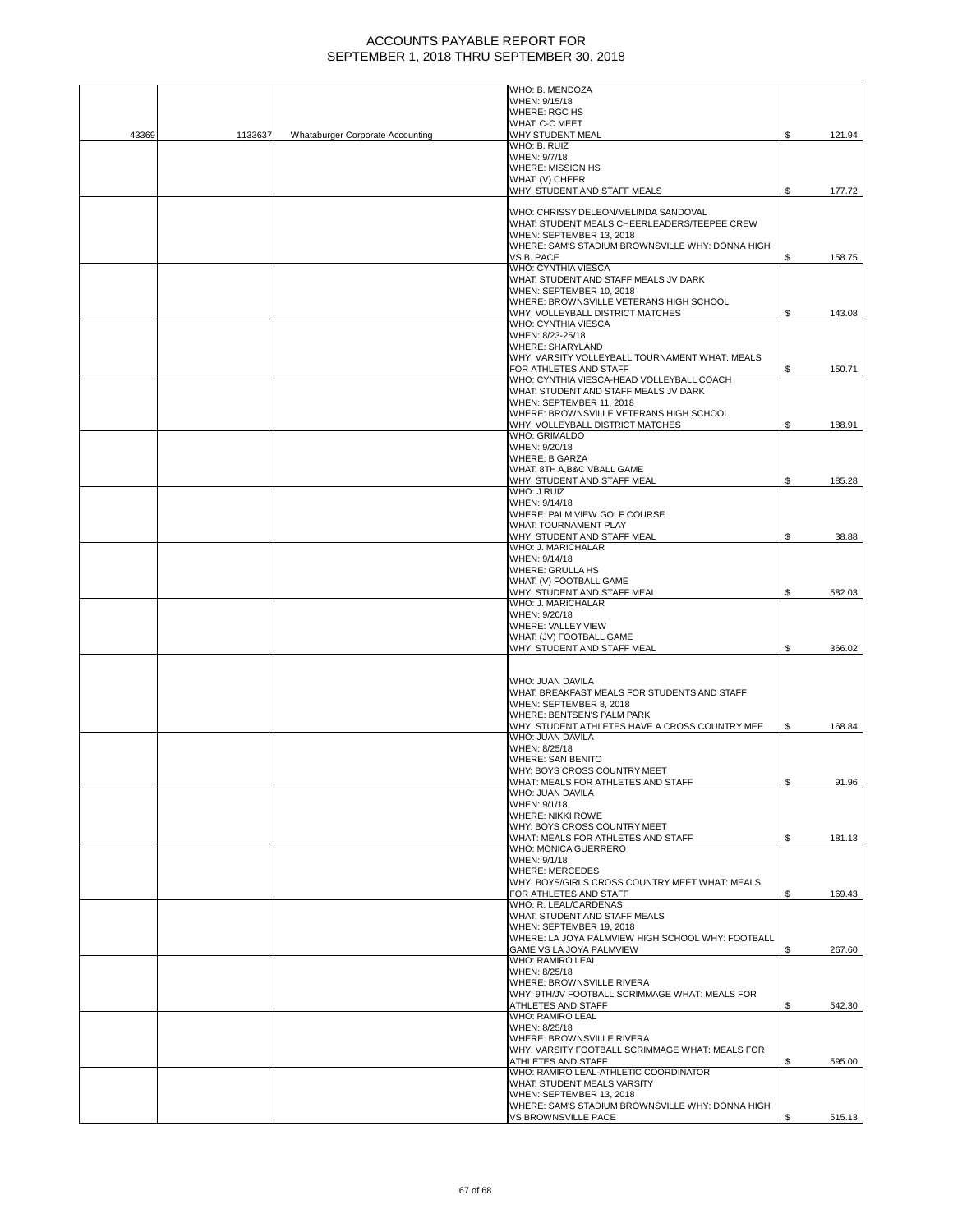|       |         |                                  | WHO: B. MENDOZA                                                              |    |        |
|-------|---------|----------------------------------|------------------------------------------------------------------------------|----|--------|
|       |         |                                  | WHEN: 9/15/18<br><b>WHERE: RGC HS</b>                                        |    |        |
|       |         |                                  | <b>WHAT: C-C MEET</b>                                                        |    |        |
| 43369 | 1133637 | Whataburger Corporate Accounting | <b>WHY:STUDENT MEAL</b>                                                      | \$ | 121.94 |
|       |         |                                  | WHO: B. RUIZ                                                                 |    |        |
|       |         |                                  | WHEN: 9/7/18<br><b>WHERE: MISSION HS</b>                                     |    |        |
|       |         |                                  | WHAT: (V) CHEER                                                              |    |        |
|       |         |                                  | WHY: STUDENT AND STAFF MEALS                                                 | \$ | 177.72 |
|       |         |                                  |                                                                              |    |        |
|       |         |                                  | WHO: CHRISSY DELEON/MELINDA SANDOVAL                                         |    |        |
|       |         |                                  | WHAT: STUDENT MEALS CHEERLEADERS/TEEPEE CREW                                 |    |        |
|       |         |                                  | WHEN: SEPTEMBER 13, 2018<br>WHERE: SAM'S STADIUM BROWNSVILLE WHY: DONNA HIGH |    |        |
|       |         |                                  | VS B. PACE                                                                   | S  | 158.75 |
|       |         |                                  | WHO: CYNTHIA VIESCA                                                          |    |        |
|       |         |                                  | WHAT: STUDENT AND STAFF MEALS JV DARK                                        |    |        |
|       |         |                                  | WHEN: SEPTEMBER 10, 2018<br>WHERE: BROWNSVILLE VETERANS HIGH SCHOOL          |    |        |
|       |         |                                  | WHY: VOLLEYBALL DISTRICT MATCHES                                             | \$ | 143.08 |
|       |         |                                  | WHO: CYNTHIA VIESCA                                                          |    |        |
|       |         |                                  | WHEN: 8/23-25/18                                                             |    |        |
|       |         |                                  | <b>WHERE: SHARYLAND</b>                                                      |    |        |
|       |         |                                  | WHY: VARSITY VOLLEYBALL TOURNAMENT WHAT: MEALS<br>FOR ATHLETES AND STAFF     | \$ | 150.71 |
|       |         |                                  | WHO: CYNTHIA VIESCA-HEAD VOLLEYBALL COACH                                    |    |        |
|       |         |                                  | WHAT: STUDENT AND STAFF MEALS JV DARK                                        |    |        |
|       |         |                                  | WHEN: SEPTEMBER 11, 2018                                                     |    |        |
|       |         |                                  | WHERE: BROWNSVILLE VETERANS HIGH SCHOOL<br>WHY: VOLLEYBALL DISTRICT MATCHES  | S  | 188.91 |
|       |         |                                  | WHO: GRIMALDO                                                                |    |        |
|       |         |                                  | WHEN: 9/20/18                                                                |    |        |
|       |         |                                  | <b>WHERE: B GARZA</b>                                                        |    |        |
|       |         |                                  | WHAT: 8TH A, B&C VBALL GAME                                                  |    |        |
|       |         |                                  | WHY: STUDENT AND STAFF MEAL<br>WHO: J RUIZ                                   | \$ | 185.28 |
|       |         |                                  | WHEN: 9/14/18                                                                |    |        |
|       |         |                                  | WHERE: PALM VIEW GOLF COURSE                                                 |    |        |
|       |         |                                  | WHAT: TOURNAMENT PLAY                                                        |    |        |
|       |         |                                  | WHY: STUDENT AND STAFF MEAL<br>WHO: J. MARICHALAR                            | \$ | 38.88  |
|       |         |                                  | WHEN: 9/14/18                                                                |    |        |
|       |         |                                  | <b>WHERE: GRULLA HS</b>                                                      |    |        |
|       |         |                                  | WHAT: (V) FOOTBALL GAME                                                      |    |        |
|       |         |                                  | WHY: STUDENT AND STAFF MEAL                                                  | \$ | 582.03 |
|       |         |                                  | WHO: J. MARICHALAR<br>WHEN: 9/20/18                                          |    |        |
|       |         |                                  | WHERE: VALLEY VIEW                                                           |    |        |
|       |         |                                  | WHAT: (JV) FOOTBALL GAME                                                     |    |        |
|       |         |                                  | WHY: STUDENT AND STAFF MEAL                                                  | \$ | 366.02 |
|       |         |                                  |                                                                              |    |        |
|       |         |                                  | WHO: JUAN DAVILA                                                             |    |        |
|       |         |                                  | WHAT: BREAKFAST MEALS FOR STUDENTS AND STAFF                                 |    |        |
|       |         |                                  | WHEN: SEPTEMBER 8, 2018                                                      |    |        |
|       |         |                                  | WHERE: BENTSEN'S PALM PARK                                                   |    |        |
|       |         |                                  | WHY: STUDENT ATHLETES HAVE A CROSS COUNTRY MEE<br>WHO: JUAN DAVILA           | S. | 168.84 |
|       |         |                                  | WHEN: 8/25/18                                                                |    |        |
|       |         |                                  | <b>WHERE: SAN BENITO</b>                                                     |    |        |
|       |         |                                  | WHY: BOYS CROSS COUNTRY MEET                                                 |    |        |
|       |         |                                  | WHAT: MEALS FOR ATHLETES AND STAFF<br>WHO: JUAN DAVILA                       |    | 91.96  |
|       |         |                                  | WHEN: 9/1/18                                                                 |    |        |
|       |         |                                  | <b>WHERE: NIKKI ROWE</b>                                                     |    |        |
|       |         |                                  | WHY: BOYS CROSS COUNTRY MEET                                                 |    |        |
|       |         |                                  | WHAT: MEALS FOR ATHLETES AND STAFF<br>WHO: MONICA GUERRERO                   | \$ | 181.13 |
|       |         |                                  | WHEN: 9/1/18                                                                 |    |        |
|       |         |                                  | <b>WHERE: MERCEDES</b>                                                       |    |        |
|       |         |                                  | WHY: BOYS/GIRLS CROSS COUNTRY MEET WHAT: MEALS                               |    |        |
|       |         |                                  | FOR ATHLETES AND STAFF<br>WHO: R. LEAL/CARDENAS                              | S  | 169.43 |
|       |         |                                  | WHAT: STUDENT AND STAFF MEALS                                                |    |        |
|       |         |                                  | WHEN: SEPTEMBER 19, 2018                                                     |    |        |
|       |         |                                  | WHERE: LA JOYA PALMVIEW HIGH SCHOOL WHY: FOOTBALL                            |    |        |
|       |         |                                  | GAME VS LA JOYA PALMVIEW                                                     | \$ | 267.60 |
|       |         |                                  | <b>WHO: RAMIRO LEAL</b><br>WHEN: 8/25/18                                     |    |        |
|       |         |                                  | WHERE: BROWNSVILLE RIVERA                                                    |    |        |
|       |         |                                  | WHY: 9TH/JV FOOTBALL SCRIMMAGE WHAT: MEALS FOR                               |    |        |
|       |         |                                  | ATHLETES AND STAFF                                                           | S  | 542.30 |
|       |         |                                  | <b>WHO: RAMIRO LEAL</b>                                                      |    |        |
|       |         |                                  | WHEN: 8/25/18<br>WHERE: BROWNSVILLE RIVERA                                   |    |        |
|       |         |                                  | WHY: VARSITY FOOTBALL SCRIMMAGE WHAT: MEALS FOR                              |    |        |
|       |         |                                  | ATHLETES AND STAFF                                                           | S  | 595.00 |
|       |         |                                  | WHO: RAMIRO LEAL-ATHLETIC COORDINATOR                                        |    |        |
|       |         |                                  | WHAT: STUDENT MEALS VARSITY<br>WHEN: SEPTEMBER 13, 2018                      |    |        |
|       |         |                                  | WHERE: SAM'S STADIUM BROWNSVILLE WHY: DONNA HIGH                             |    |        |
|       |         |                                  | VS BROWNSVILLE PACE                                                          |    | 515.13 |